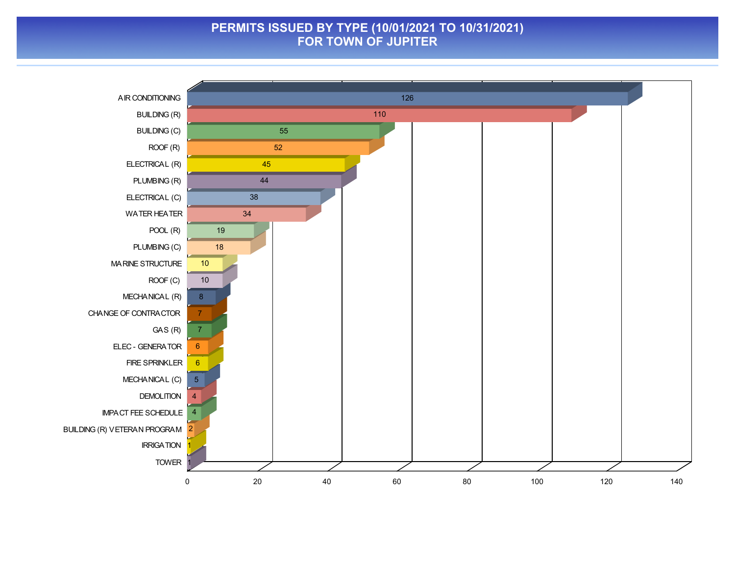#### **PERMITS ISSUED BY TYPE (10/01/2021 TO 10/31/2021) FOR TOWN OF JUPITER**

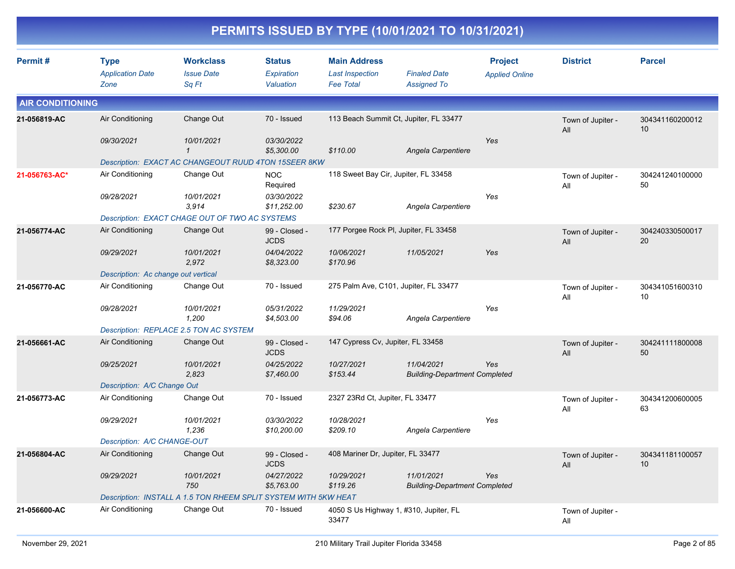|                         |                                                |                                                                 |                                          |                                                                   | PERMITS ISSUED BY TYPE (10/01/2021 TO 10/31/2021)  |                                         |                          |                                    |
|-------------------------|------------------------------------------------|-----------------------------------------------------------------|------------------------------------------|-------------------------------------------------------------------|----------------------------------------------------|-----------------------------------------|--------------------------|------------------------------------|
| Permit#                 | <b>Type</b><br><b>Application Date</b><br>Zone | <b>Workclass</b><br><b>Issue Date</b><br>Sq Ft                  | <b>Status</b><br>Expiration<br>Valuation | <b>Main Address</b><br><b>Last Inspection</b><br><b>Fee Total</b> | <b>Finaled Date</b><br><b>Assigned To</b>          | <b>Project</b><br><b>Applied Online</b> | <b>District</b>          | <b>Parcel</b>                      |
| <b>AIR CONDITIONING</b> |                                                |                                                                 |                                          |                                                                   |                                                    |                                         |                          |                                    |
| 21-056819-AC            | Air Conditioning                               | Change Out                                                      | 70 - Issued                              | 113 Beach Summit Ct, Jupiter, FL 33477                            |                                                    |                                         | Town of Jupiter -<br>All | 304341160200012<br>10              |
|                         | 09/30/2021                                     | 10/01/2021<br>$\mathbf{1}$                                      | 03/30/2022<br>\$5,300.00                 | \$110.00                                                          | Angela Carpentiere                                 | Yes                                     |                          |                                    |
|                         |                                                | Description: EXACT AC CHANGEOUT RUUD 4TON 15SEER 8KW            |                                          |                                                                   |                                                    |                                         |                          |                                    |
| 21-056763-AC*           | Air Conditioning                               | Change Out                                                      | <b>NOC</b><br>Required                   | 118 Sweet Bay Cir, Jupiter, FL 33458                              |                                                    |                                         | Town of Jupiter -<br>All | 304241240100000<br>50              |
|                         | 09/28/2021                                     | 10/01/2021<br>3,914                                             | 03/30/2022<br>\$11,252.00                | \$230.67                                                          | Angela Carpentiere                                 | Yes                                     |                          |                                    |
|                         |                                                | Description: EXACT CHAGE OUT OF TWO AC SYSTEMS                  |                                          |                                                                   |                                                    |                                         |                          |                                    |
| 21-056774-AC            | Air Conditioning                               | Change Out                                                      | 99 - Closed -<br><b>JCDS</b>             | 177 Porgee Rock PI, Jupiter, FL 33458                             |                                                    |                                         | Town of Jupiter -<br>All | 304240330500017<br>20              |
|                         | 09/29/2021                                     | 10/01/2021<br>2,972                                             | 04/04/2022<br>\$8,323.00                 | 10/06/2021<br>\$170.96                                            | 11/05/2021                                         | Yes                                     |                          |                                    |
|                         | Description: Ac change out vertical            |                                                                 |                                          |                                                                   |                                                    |                                         |                          |                                    |
| 21-056770-AC            | Air Conditioning                               | Change Out                                                      | 70 - Issued                              | 275 Palm Ave, C101, Jupiter, FL 33477                             |                                                    |                                         | Town of Jupiter -<br>All | 304341051600310<br>10              |
|                         | 09/28/2021                                     | 10/01/2021<br>1,200                                             | 05/31/2022<br>\$4,503.00                 | 11/29/2021<br>\$94.06                                             | Angela Carpentiere                                 | Yes                                     |                          |                                    |
|                         |                                                | Description: REPLACE 2.5 TON AC SYSTEM                          |                                          |                                                                   |                                                    |                                         |                          |                                    |
| 21-056661-AC            | Air Conditioning                               | Change Out                                                      | 99 - Closed -<br><b>JCDS</b>             | 147 Cypress Cv, Jupiter, FL 33458                                 |                                                    |                                         | Town of Jupiter -<br>All | 304241111800008<br>50              |
|                         | 09/25/2021                                     | 10/01/2021<br>2,823                                             | 04/25/2022<br>\$7,460.00                 | 10/27/2021<br>\$153.44                                            | 11/04/2021<br><b>Building-Department Completed</b> | Yes                                     |                          |                                    |
|                         | Description: A/C Change Out                    |                                                                 |                                          |                                                                   |                                                    |                                         |                          |                                    |
| 21-056773-AC            | Air Conditioning                               | Change Out                                                      | 70 - Issued                              | 2327 23Rd Ct, Jupiter, FL 33477                                   |                                                    |                                         | Town of Jupiter -<br>All | 304341200600005<br>63              |
|                         | 09/29/2021                                     | 10/01/2021<br>1,236                                             | 03/30/2022<br>\$10,200.00                | 10/28/2021<br>\$209.10                                            | Angela Carpentiere                                 | Yes                                     |                          |                                    |
|                         | Description: A/C CHANGE-OUT                    |                                                                 |                                          |                                                                   |                                                    |                                         |                          |                                    |
| 21-056804-AC            | Air Conditioning                               | Change Out                                                      | 99 - Closed -<br><b>JCDS</b>             | 408 Mariner Dr, Jupiter, FL 33477                                 |                                                    |                                         | Town of Jupiter -<br>All | 304341181100057<br>10 <sup>°</sup> |
|                         | 09/29/2021                                     | 10/01/2021<br>750                                               | 04/27/2022<br>\$5,763.00                 | 10/29/2021<br>\$119.26                                            | 11/01/2021<br><b>Building-Department Completed</b> | Yes                                     |                          |                                    |
|                         |                                                | Description: INSTALL A 1.5 TON RHEEM SPLIT SYSTEM WITH 5KW HEAT |                                          |                                                                   |                                                    |                                         |                          |                                    |
| 21-056600-AC            | Air Conditioning                               | Change Out                                                      | 70 - Issued                              | 4050 S Us Highway 1, #310, Jupiter, FL<br>33477                   |                                                    |                                         | Town of Jupiter -<br>All |                                    |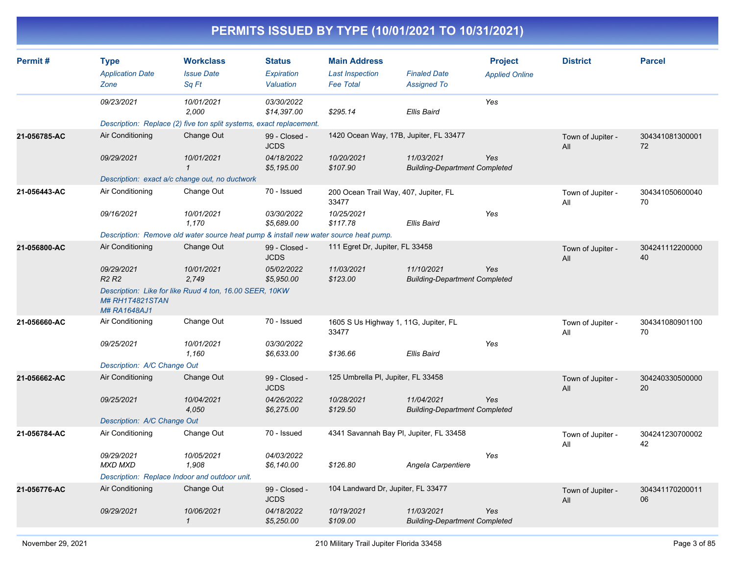| Permit#      | <b>Type</b><br><b>Application Date</b><br>Zone | <b>Workclass</b><br><b>Issue Date</b><br>Sq Ft                                       | <b>Status</b><br><b>Expiration</b><br>Valuation | <b>Main Address</b><br><b>Last Inspection</b><br><b>Fee Total</b> | <b>Finaled Date</b><br><b>Assigned To</b>          | <b>Project</b><br><b>Applied Online</b> | <b>District</b>          | <b>Parcel</b>         |
|--------------|------------------------------------------------|--------------------------------------------------------------------------------------|-------------------------------------------------|-------------------------------------------------------------------|----------------------------------------------------|-----------------------------------------|--------------------------|-----------------------|
|              | 09/23/2021                                     | 10/01/2021<br>2,000                                                                  | 03/30/2022<br>\$14,397.00                       | \$295.14                                                          | <b>Ellis Baird</b>                                 | Yes                                     |                          |                       |
|              |                                                | Description: Replace (2) five ton split systems, exact replacement.                  |                                                 |                                                                   |                                                    |                                         |                          |                       |
| 21-056785-AC | Air Conditioning                               | Change Out                                                                           | 99 - Closed -<br><b>JCDS</b>                    | 1420 Ocean Way, 17B, Jupiter, FL 33477                            |                                                    |                                         | Town of Jupiter -<br>All | 304341081300001<br>72 |
|              | 09/29/2021                                     | 10/01/2021<br>$\mathbf{1}$                                                           | 04/18/2022<br>\$5,195.00                        | 10/20/2021<br>\$107.90                                            | 11/03/2021<br><b>Building-Department Completed</b> | Yes                                     |                          |                       |
|              | Description: exact a/c change out, no ductwork |                                                                                      |                                                 |                                                                   |                                                    |                                         |                          |                       |
| 21-056443-AC | Air Conditioning                               | Change Out                                                                           | 70 - Issued                                     | 200 Ocean Trail Way, 407, Jupiter, FL<br>33477                    |                                                    |                                         | Town of Jupiter -<br>All | 304341050600040<br>70 |
|              | 09/16/2021                                     | 10/01/2021<br>1,170                                                                  | 03/30/2022<br>\$5,689.00                        | 10/25/2021<br>\$117.78                                            | <b>Ellis Baird</b>                                 | Yes                                     |                          |                       |
|              |                                                | Description: Remove old water source heat pump & install new water source heat pump. |                                                 |                                                                   |                                                    |                                         |                          |                       |
| 21-056800-AC | Air Conditioning                               | Change Out                                                                           | 99 - Closed -<br><b>JCDS</b>                    | 111 Egret Dr, Jupiter, FL 33458                                   |                                                    |                                         | Town of Jupiter -<br>All | 304241112200000<br>40 |
|              | 09/29/2021<br>R <sub>2</sub> R <sub>2</sub>    | 10/01/2021<br>2.749                                                                  | 05/02/2022<br>\$5,950.00                        | 11/03/2021<br>\$123.00                                            | 11/10/2021<br><b>Building-Department Completed</b> | Yes                                     |                          |                       |
|              | <b>M# RH1T4821STAN</b><br>M# RA1648AJ1         | Description: Like for like Ruud 4 ton, 16.00 SEER, 10KW                              |                                                 |                                                                   |                                                    |                                         |                          |                       |
| 21-056660-AC | Air Conditioning                               | Change Out                                                                           | 70 - Issued                                     | 1605 S Us Highway 1, 11G, Jupiter, FL<br>33477                    |                                                    |                                         | Town of Jupiter -<br>All | 304341080901100<br>70 |
|              | 09/25/2021                                     | 10/01/2021<br>1,160                                                                  | 03/30/2022<br>\$6,633.00                        | \$136.66                                                          | Ellis Baird                                        | Yes                                     |                          |                       |
|              | Description: A/C Change Out                    |                                                                                      |                                                 |                                                                   |                                                    |                                         |                          |                       |
| 21-056662-AC | Air Conditioning                               | Change Out                                                                           | 99 - Closed -<br><b>JCDS</b>                    | 125 Umbrella PI, Jupiter, FL 33458                                |                                                    |                                         | Town of Jupiter -<br>All | 304240330500000<br>20 |
|              | 09/25/2021                                     | 10/04/2021<br>4,050                                                                  | 04/26/2022<br>\$6,275.00                        | 10/28/2021<br>\$129.50                                            | 11/04/2021<br><b>Building-Department Completed</b> | Yes                                     |                          |                       |
|              | Description: A/C Change Out                    |                                                                                      |                                                 |                                                                   |                                                    |                                         |                          |                       |
| 21-056784-AC | Air Conditioning                               | Change Out                                                                           | 70 - Issued                                     | 4341 Savannah Bay PI, Jupiter, FL 33458                           |                                                    |                                         | Town of Jupiter -<br>All | 304241230700002<br>42 |
|              | 09/29/2021<br><b>MXD MXD</b>                   | 10/05/2021<br>1,908                                                                  | 04/03/2022<br>\$6,140.00                        | \$126.80                                                          | Angela Carpentiere                                 | Yes                                     |                          |                       |
|              | Description: Replace Indoor and outdoor unit.  |                                                                                      |                                                 |                                                                   |                                                    |                                         |                          |                       |
| 21-056776-AC | Air Conditioning                               | Change Out                                                                           | 99 - Closed -<br><b>JCDS</b>                    | 104 Landward Dr, Jupiter, FL 33477                                |                                                    |                                         | Town of Jupiter -<br>All | 304341170200011<br>06 |
|              | 09/29/2021                                     | 10/06/2021<br>$\mathcal I$                                                           | 04/18/2022<br>\$5,250.00                        | 10/19/2021<br>\$109.00                                            | 11/03/2021<br><b>Building-Department Completed</b> | Yes                                     |                          |                       |
|              |                                                |                                                                                      |                                                 |                                                                   |                                                    |                                         |                          |                       |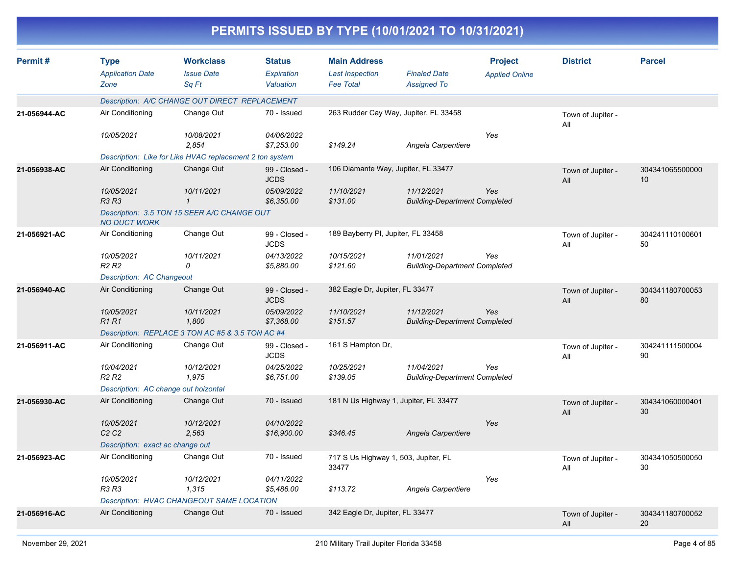| Permit#      | <b>Type</b><br><b>Application Date</b><br>Zone | <b>Workclass</b><br><b>Issue Date</b><br>Sq Ft                          | <b>Status</b><br>Expiration<br>Valuation | <b>Main Address</b><br><b>Last Inspection</b><br><b>Fee Total</b> | <b>Finaled Date</b><br><b>Assigned To</b>          | <b>Project</b><br><b>Applied Online</b> | <b>District</b>          | <b>Parcel</b>         |
|--------------|------------------------------------------------|-------------------------------------------------------------------------|------------------------------------------|-------------------------------------------------------------------|----------------------------------------------------|-----------------------------------------|--------------------------|-----------------------|
|              |                                                | Description: A/C CHANGE OUT DIRECT REPLACEMENT                          |                                          |                                                                   |                                                    |                                         |                          |                       |
| 21-056944-AC | Air Conditioning                               | Change Out                                                              | 70 - Issued                              |                                                                   | 263 Rudder Cay Way, Jupiter, FL 33458              |                                         | Town of Jupiter -<br>All |                       |
|              | 10/05/2021                                     | 10/08/2021<br>2,854                                                     | 04/06/2022<br>\$7,253.00                 | \$149.24                                                          | Angela Carpentiere                                 | Yes                                     |                          |                       |
|              |                                                | Description: Like for Like HVAC replacement 2 ton system                |                                          |                                                                   |                                                    |                                         |                          |                       |
| 21-056938-AC | Air Conditioning                               | Change Out                                                              | 99 - Closed -<br><b>JCDS</b>             |                                                                   | 106 Diamante Way, Jupiter, FL 33477                |                                         | Town of Jupiter -<br>All | 304341065500000<br>10 |
|              | 10/05/2021<br><b>R3 R3</b>                     | 10/11/2021<br>$\mathcal I$                                              | 05/09/2022<br>\$6,350.00                 | 11/10/2021<br>\$131.00                                            | 11/12/2021<br><b>Building-Department Completed</b> | Yes                                     |                          |                       |
|              | <b>NO DUCT WORK</b>                            | Description: 3.5 TON 15 SEER A/C CHANGE OUT                             |                                          |                                                                   |                                                    |                                         |                          |                       |
| 21-056921-AC | Air Conditioning                               | Change Out                                                              | 99 - Closed -<br><b>JCDS</b>             | 189 Bayberry PI, Jupiter, FL 33458                                |                                                    |                                         | Town of Jupiter -<br>All | 304241110100601<br>50 |
|              | 10/05/2021<br>R <sub>2</sub> R <sub>2</sub>    | 10/11/2021<br>0                                                         | 04/13/2022<br>\$5,880.00                 | 10/15/2021<br>\$121.60                                            | 11/01/2021<br><b>Building-Department Completed</b> | Yes                                     |                          |                       |
|              | Description: AC Changeout                      |                                                                         |                                          |                                                                   |                                                    |                                         |                          |                       |
| 21-056940-AC | Air Conditioning                               | Change Out                                                              | 99 - Closed -<br><b>JCDS</b>             | 382 Eagle Dr, Jupiter, FL 33477                                   |                                                    |                                         | Town of Jupiter -<br>All | 304341180700053<br>80 |
|              | 10/05/2021<br><b>R1R1</b>                      | 10/11/2021<br>1.800<br>Description: REPLACE 3 TON AC #5 & 3.5 TON AC #4 | 05/09/2022<br>\$7,368.00                 | 11/10/2021<br>\$151.57                                            | 11/12/2021<br><b>Building-Department Completed</b> | Yes                                     |                          |                       |
| 21-056911-AC | Air Conditioning                               | Change Out                                                              | 99 - Closed -<br><b>JCDS</b>             | 161 S Hampton Dr,                                                 |                                                    |                                         | Town of Jupiter -<br>All | 304241111500004<br>90 |
|              | 10/04/2021<br>R <sub>2</sub> R <sub>2</sub>    | 10/12/2021<br>1.975                                                     | 04/25/2022<br>\$6,751.00                 | 10/25/2021<br>\$139.05                                            | 11/04/2021<br><b>Building-Department Completed</b> | Yes                                     |                          |                       |
|              | Description: AC change out hoizontal           |                                                                         |                                          |                                                                   |                                                    |                                         |                          |                       |
| 21-056930-AC | Air Conditioning                               | Change Out                                                              | 70 - Issued                              |                                                                   | 181 N Us Highway 1, Jupiter, FL 33477              |                                         | Town of Jupiter -<br>All | 304341060000401<br>30 |
|              | 10/05/2021<br>C2C2                             | 10/12/2021<br>2,563                                                     | 04/10/2022<br>\$16,900.00                | \$346.45                                                          | Angela Carpentiere                                 | Yes                                     |                          |                       |
|              | Description: exact ac change out               |                                                                         |                                          |                                                                   |                                                    |                                         |                          |                       |
| 21-056923-AC | Air Conditioning                               | Change Out                                                              | 70 - Issued                              | 717 S Us Highway 1, 503, Jupiter, FL<br>33477                     |                                                    |                                         | Town of Jupiter -<br>All | 304341050500050<br>30 |
|              | 10/05/2021<br>R3 R3                            | 10/12/2021<br>1,315                                                     | 04/11/2022<br>\$5,486.00                 | \$113.72                                                          | Angela Carpentiere                                 | Yes                                     |                          |                       |
|              |                                                | Description: HVAC CHANGEOUT SAME LOCATION                               |                                          |                                                                   |                                                    |                                         |                          |                       |
| 21-056916-AC | Air Conditioning                               | Change Out                                                              | 70 - Issued                              | 342 Eagle Dr, Jupiter, FL 33477                                   |                                                    |                                         | Town of Jupiter -<br>All | 304341180700052<br>20 |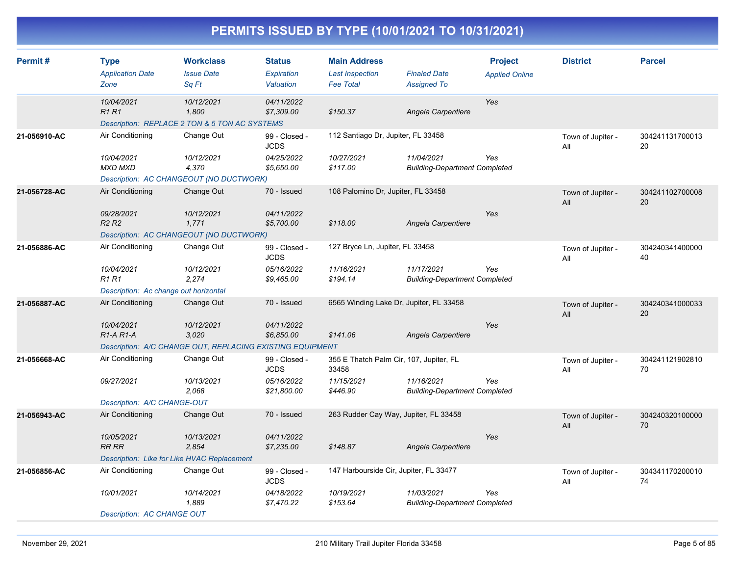| Permit#      | <b>Type</b><br><b>Application Date</b>           | <b>Workclass</b><br><b>Issue Date</b>                                | <b>Status</b><br>Expiration  | <b>Main Address</b><br><b>Last Inspection</b>    | <b>Finaled Date</b>                                | <b>Project</b><br><b>Applied Online</b> | <b>District</b>          | <b>Parcel</b>         |
|--------------|--------------------------------------------------|----------------------------------------------------------------------|------------------------------|--------------------------------------------------|----------------------------------------------------|-----------------------------------------|--------------------------|-----------------------|
|              | Zone                                             | Sq Ft                                                                | Valuation                    | <b>Fee Total</b>                                 | <b>Assigned To</b>                                 |                                         |                          |                       |
|              | 10/04/2021<br><b>R1R1</b>                        | 10/12/2021<br>1.800<br>Description: REPLACE 2 TON & 5 TON AC SYSTEMS | 04/11/2022<br>\$7,309.00     | \$150.37                                         | Angela Carpentiere                                 | Yes                                     |                          |                       |
| 21-056910-AC | Air Conditioning                                 | Change Out                                                           | 99 - Closed -<br><b>JCDS</b> | 112 Santiago Dr, Jupiter, FL 33458               |                                                    |                                         | Town of Jupiter -<br>All | 304241131700013<br>20 |
|              | 10/04/2021<br><b>MXD MXD</b>                     | 10/12/2021<br>4,370                                                  | 04/25/2022<br>\$5,650.00     | 10/27/2021<br>\$117.00                           | 11/04/2021<br><b>Building-Department Completed</b> | Yes                                     |                          |                       |
|              |                                                  | Description: AC CHANGEOUT (NO DUCTWORK)                              |                              |                                                  |                                                    |                                         |                          |                       |
| 21-056728-AC | Air Conditioning                                 | Change Out                                                           | 70 - Issued                  | 108 Palomino Dr, Jupiter, FL 33458               |                                                    |                                         | Town of Jupiter -<br>All | 304241102700008<br>20 |
|              | 09/28/2021<br>R <sub>2</sub> R <sub>2</sub>      | 10/12/2021<br>1,771                                                  | 04/11/2022<br>\$5,700.00     | \$118.00                                         | Angela Carpentiere                                 | Yes                                     |                          |                       |
|              |                                                  | Description: AC CHANGEOUT (NO DUCTWORK)                              |                              |                                                  |                                                    |                                         |                          |                       |
| 21-056886-AC | Air Conditioning                                 | Change Out                                                           | 99 - Closed -<br><b>JCDS</b> | 127 Bryce Ln, Jupiter, FL 33458                  |                                                    |                                         | Town of Jupiter -<br>All | 304240341400000<br>40 |
|              | 10/04/2021<br><b>R1R1</b>                        | 10/12/2021<br>2,274                                                  | 05/16/2022<br>\$9,465.00     | 11/16/2021<br>\$194.14                           | 11/17/2021<br><b>Building-Department Completed</b> | Yes                                     |                          |                       |
|              | Description: Ac change out horizontal            |                                                                      |                              |                                                  |                                                    |                                         |                          |                       |
| 21-056887-AC | Air Conditioning                                 | Change Out                                                           | 70 - Issued                  | 6565 Winding Lake Dr, Jupiter, FL 33458          |                                                    |                                         | Town of Jupiter -<br>All | 304240341000033<br>20 |
|              | 10/04/2021<br>R <sub>1</sub> -A <sub>R1</sub> -A | 10/12/2021<br>3,020                                                  | 04/11/2022<br>\$6,850.00     | \$141.06                                         | Angela Carpentiere                                 | Yes                                     |                          |                       |
|              |                                                  | Description: A/C CHANGE OUT, REPLACING EXISTING EQUIPMENT            |                              |                                                  |                                                    |                                         |                          |                       |
| 21-056668-AC | Air Conditioning                                 | Change Out                                                           | 99 - Closed -<br><b>JCDS</b> | 355 E Thatch Palm Cir, 107, Jupiter, FL<br>33458 |                                                    |                                         | Town of Jupiter -<br>All | 304241121902810<br>70 |
|              | 09/27/2021                                       | 10/13/2021<br>2,068                                                  | 05/16/2022<br>\$21,800.00    | 11/15/2021<br>\$446.90                           | 11/16/2021<br><b>Building-Department Completed</b> | Yes                                     |                          |                       |
|              | Description: A/C CHANGE-OUT                      |                                                                      |                              |                                                  |                                                    |                                         |                          |                       |
| 21-056943-AC | Air Conditioning                                 | Change Out                                                           | 70 - Issued                  | 263 Rudder Cay Way, Jupiter, FL 33458            |                                                    |                                         | Town of Jupiter -<br>All | 304240320100000<br>70 |
|              | 10/05/2021<br><b>RR RR</b>                       | 10/13/2021<br>2,854                                                  | 04/11/2022<br>\$7,235.00     | \$148.87                                         | Angela Carpentiere                                 | Yes                                     |                          |                       |
|              | Description: Like for Like HVAC Replacement      |                                                                      |                              |                                                  |                                                    |                                         |                          |                       |
| 21-056856-AC | Air Conditioning                                 | Change Out                                                           | 99 - Closed -<br><b>JCDS</b> | 147 Harbourside Cir, Jupiter, FL 33477           |                                                    |                                         | Town of Jupiter -<br>All | 304341170200010<br>74 |
|              | 10/01/2021                                       | 10/14/2021<br>1,889                                                  | 04/18/2022<br>\$7,470.22     | 10/19/2021<br>\$153.64                           | 11/03/2021<br><b>Building-Department Completed</b> | Yes                                     |                          |                       |
|              | Description: AC CHANGE OUT                       |                                                                      |                              |                                                  |                                                    |                                         |                          |                       |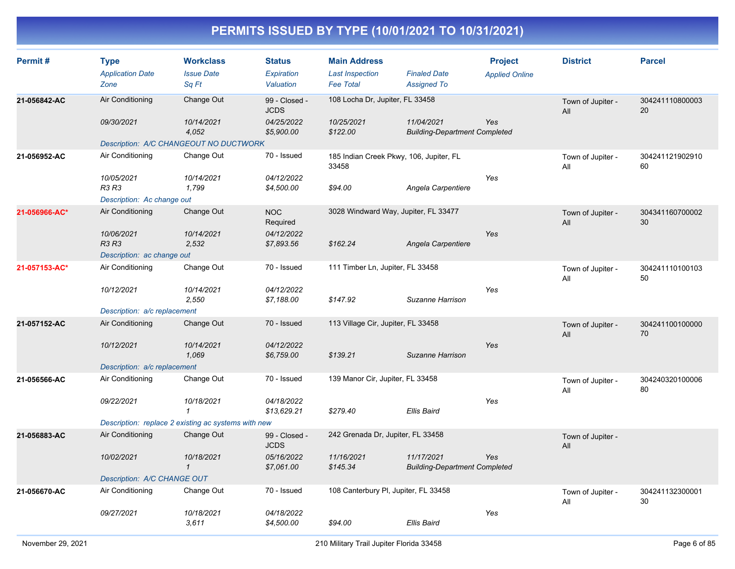| Permit#       | <b>Type</b><br><b>Application Date</b><br>Zone | <b>Workclass</b><br><b>Issue Date</b><br>Sq Ft      | <b>Status</b><br><b>Expiration</b><br>Valuation | <b>Main Address</b><br><b>Last Inspection</b><br><b>Fee Total</b> | <b>Finaled Date</b><br><b>Assigned To</b>          | <b>Project</b><br><b>Applied Online</b> | <b>District</b>          | <b>Parcel</b>         |
|---------------|------------------------------------------------|-----------------------------------------------------|-------------------------------------------------|-------------------------------------------------------------------|----------------------------------------------------|-----------------------------------------|--------------------------|-----------------------|
| 21-056842-AC  | Air Conditioning                               | Change Out                                          | 99 - Closed -<br><b>JCDS</b>                    | 108 Locha Dr, Jupiter, FL 33458                                   |                                                    |                                         | Town of Jupiter -<br>All | 304241110800003<br>20 |
|               | 09/30/2021                                     | 10/14/2021<br>4,052                                 | 04/25/2022<br>\$5,900.00                        | 10/25/2021<br>\$122.00                                            | 11/04/2021<br><b>Building-Department Completed</b> | Yes                                     |                          |                       |
|               |                                                | Description: A/C CHANGEOUT NO DUCTWORK              |                                                 |                                                                   |                                                    |                                         |                          |                       |
| 21-056952-AC  | Air Conditioning                               | Change Out                                          | 70 - Issued                                     | 185 Indian Creek Pkwy, 106, Jupiter, FL<br>33458                  |                                                    |                                         | Town of Jupiter -<br>All | 304241121902910<br>60 |
|               | 10/05/2021<br><b>R3 R3</b>                     | 10/14/2021<br>1,799                                 | 04/12/2022<br>\$4,500.00                        | \$94.00                                                           | Angela Carpentiere                                 | Yes                                     |                          |                       |
|               | Description: Ac change out                     |                                                     |                                                 |                                                                   |                                                    |                                         |                          |                       |
| 21-056966-AC* | Air Conditioning                               | Change Out                                          | <b>NOC</b><br>Required                          | 3028 Windward Way, Jupiter, FL 33477                              |                                                    |                                         | Town of Jupiter -<br>All | 304341160700002<br>30 |
|               | 10/06/2021<br>R3 R3                            | 10/14/2021<br>2,532                                 | 04/12/2022<br>\$7,893.56                        | \$162.24                                                          | Angela Carpentiere                                 | Yes                                     |                          |                       |
|               | Description: ac change out                     |                                                     |                                                 |                                                                   |                                                    |                                         |                          |                       |
| 21-057153-AC* | Air Conditioning                               | Change Out                                          | 70 - Issued                                     | 111 Timber Ln, Jupiter, FL 33458                                  |                                                    |                                         | Town of Jupiter -<br>All | 304241110100103<br>50 |
|               | 10/12/2021                                     | 10/14/2021<br>2,550                                 | 04/12/2022<br>\$7,188.00                        | \$147.92                                                          | Suzanne Harrison                                   | Yes                                     |                          |                       |
|               | Description: a/c replacement                   |                                                     |                                                 |                                                                   |                                                    |                                         |                          |                       |
| 21-057152-AC  | Air Conditioning                               | Change Out                                          | 70 - Issued                                     | 113 Village Cir, Jupiter, FL 33458                                |                                                    |                                         | Town of Jupiter -<br>All | 304241100100000<br>70 |
|               | 10/12/2021                                     | 10/14/2021<br>1,069                                 | 04/12/2022<br>\$6,759.00                        | \$139.21                                                          | Suzanne Harrison                                   | Yes                                     |                          |                       |
|               | Description: a/c replacement                   |                                                     |                                                 |                                                                   |                                                    |                                         |                          |                       |
| 21-056566-AC  | Air Conditioning                               | Change Out                                          | 70 - Issued                                     | 139 Manor Cir, Jupiter, FL 33458                                  |                                                    |                                         | Town of Jupiter -<br>All | 304240320100006<br>80 |
|               | 09/22/2021                                     | 10/18/2021<br>$\mathbf{1}$                          | 04/18/2022<br>\$13,629.21                       | \$279.40                                                          | Ellis Baird                                        | Yes                                     |                          |                       |
|               |                                                | Description: replace 2 existing ac systems with new |                                                 |                                                                   |                                                    |                                         |                          |                       |
| 21-056883-AC  | Air Conditioning                               | Change Out                                          | 99 - Closed -<br><b>JCDS</b>                    | 242 Grenada Dr, Jupiter, FL 33458                                 |                                                    |                                         | Town of Jupiter -<br>All |                       |
|               | 10/02/2021                                     | 10/18/2021<br>$\mathbf{1}$                          | 05/16/2022<br>\$7,061.00                        | 11/16/2021<br>\$145.34                                            | 11/17/2021<br><b>Building-Department Completed</b> | Yes                                     |                          |                       |
|               | Description: A/C CHANGE OUT                    |                                                     |                                                 |                                                                   |                                                    |                                         |                          |                       |
| 21-056670-AC  | Air Conditioning                               | Change Out                                          | 70 - Issued                                     | 108 Canterbury PI, Jupiter, FL 33458                              |                                                    |                                         | Town of Jupiter -<br>All | 304241132300001<br>30 |
|               | 09/27/2021                                     | 10/18/2021<br>3,611                                 | 04/18/2022<br>\$4,500.00                        | \$94.00                                                           | Ellis Baird                                        | Yes                                     |                          |                       |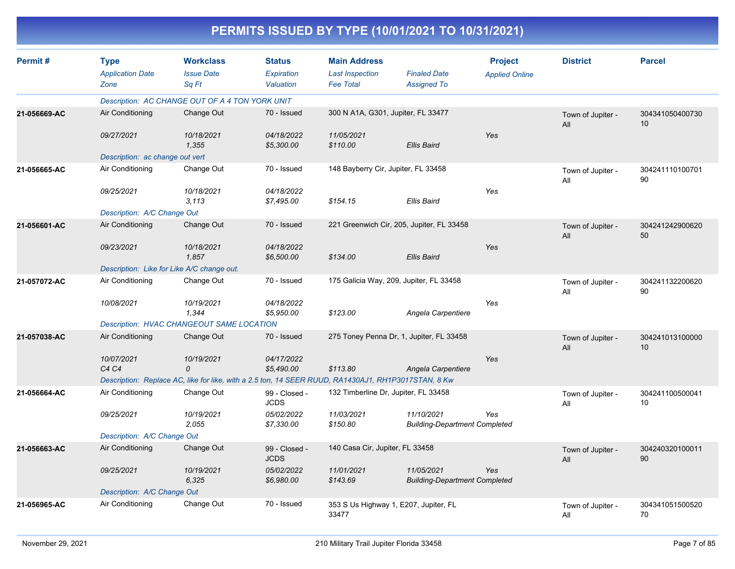| Permit#      | <b>Type</b>                     | <b>Workclass</b>                                                                                    | <b>Status</b>                | <b>Main Address</b>                  |                                                    | <b>Project</b>        | <b>District</b>          | <b>Parcel</b>         |
|--------------|---------------------------------|-----------------------------------------------------------------------------------------------------|------------------------------|--------------------------------------|----------------------------------------------------|-----------------------|--------------------------|-----------------------|
|              | <b>Application Date</b>         | <b>Issue Date</b>                                                                                   | <b>Expiration</b>            | <b>Last Inspection</b>               | <b>Finaled Date</b>                                | <b>Applied Online</b> |                          |                       |
|              | Zone                            | Sa Ft                                                                                               | Valuation                    | <b>Fee Total</b>                     | <b>Assigned To</b>                                 |                       |                          |                       |
|              |                                 | Description: AC CHANGE OUT OF A 4 TON YORK UNIT                                                     |                              |                                      |                                                    |                       |                          |                       |
| 21-056669-AC | Air Conditioning                | Change Out                                                                                          | 70 - Issued                  | 300 N A1A, G301, Jupiter, FL 33477   |                                                    |                       | Town of Jupiter -<br>All | 304341050400730<br>10 |
|              | 09/27/2021                      | 10/18/2021<br>1.355                                                                                 | 04/18/2022<br>\$5,300.00     | 11/05/2021<br>\$110.00               | Ellis Baird                                        | Yes                   |                          |                       |
|              | Description: ac change out vert |                                                                                                     |                              |                                      |                                                    |                       |                          |                       |
| 21-056665-AC | Air Conditioning                | Change Out                                                                                          | 70 - Issued                  | 148 Bayberry Cir, Jupiter, FL 33458  |                                                    |                       | Town of Jupiter -<br>All | 304241110100701<br>90 |
|              | 09/25/2021                      | 10/18/2021<br>3.113                                                                                 | 04/18/2022<br>\$7,495.00     | \$154.15                             | Ellis Baird                                        | Yes                   |                          |                       |
|              | Description: A/C Change Out     |                                                                                                     |                              |                                      |                                                    |                       |                          |                       |
| 21-056601-AC | Air Conditioning                | Change Out                                                                                          | 70 - Issued                  |                                      | 221 Greenwich Cir, 205, Jupiter, FL 33458          |                       | Town of Jupiter -<br>All | 304241242900620<br>50 |
|              | 09/23/2021                      | 10/18/2021<br>1,857                                                                                 | 04/18/2022<br>\$6,500.00     | \$134.00                             | Ellis Baird                                        | Yes                   |                          |                       |
|              |                                 | Description: Like for Like A/C change out.                                                          |                              |                                      |                                                    |                       |                          |                       |
| 21-057072-AC | Air Conditioning                | Change Out                                                                                          | 70 - Issued                  |                                      | 175 Galicia Way, 209, Jupiter, FL 33458            |                       | Town of Jupiter -<br>All | 304241132200620<br>90 |
|              | 10/08/2021                      | 10/19/2021<br>1,344                                                                                 | 04/18/2022<br>\$5,950.00     | \$123.00                             | Angela Carpentiere                                 | Yes                   |                          |                       |
|              |                                 | Description: HVAC CHANGEOUT SAME LOCATION                                                           |                              |                                      |                                                    |                       |                          |                       |
| 21-057038-AC | Air Conditioning                | Change Out                                                                                          | 70 - Issued                  |                                      | 275 Toney Penna Dr, 1, Jupiter, FL 33458           |                       | Town of Jupiter -<br>All | 304241013100000<br>10 |
|              | 10/07/2021                      | 10/19/2021                                                                                          | 04/17/2022                   |                                      |                                                    | Yes                   |                          |                       |
|              | C <sub>4</sub> C <sub>4</sub>   | $\Omega$                                                                                            | \$5,490.00                   | \$113.80                             | Angela Carpentiere                                 |                       |                          |                       |
|              |                                 | Description: Replace AC, like for like, with a 2.5 ton, 14 SEER RUUD, RA1430AJ1, RH1P3017STAN, 8 Kw |                              |                                      |                                                    |                       |                          |                       |
| 21-056664-AC | Air Conditioning                | Change Out                                                                                          | 99 - Closed -<br><b>JCDS</b> | 132 Timberline Dr, Jupiter, FL 33458 |                                                    |                       | Town of Jupiter -<br>All | 304241100500041<br>10 |
|              | 09/25/2021                      | 10/19/2021<br>2,055                                                                                 | 05/02/2022<br>\$7,330.00     | 11/03/2021<br>\$150.80               | 11/10/2021<br><b>Building-Department Completed</b> | Yes                   |                          |                       |
|              | Description: A/C Change Out     |                                                                                                     |                              |                                      |                                                    |                       |                          |                       |
| 21-056663-AC | Air Conditioning                | Change Out                                                                                          | 99 - Closed -<br><b>JCDS</b> | 140 Casa Cir, Jupiter, FL 33458      |                                                    |                       | Town of Jupiter -<br>All | 304240320100011<br>90 |
|              | 09/25/2021                      | 10/19/2021<br>6,325                                                                                 | 05/02/2022<br>\$6,980.00     | 11/01/2021<br>\$143.69               | 11/05/2021<br><b>Building-Department Completed</b> | Yes                   |                          |                       |
|              | Description: A/C Change Out     |                                                                                                     |                              |                                      |                                                    |                       |                          |                       |
| 21-056965-AC | Air Conditioning                | Change Out                                                                                          | 70 - Issued                  | 33477                                | 353 S Us Highway 1, E207, Jupiter, FL              |                       | Town of Jupiter -<br>All | 304341051500520<br>70 |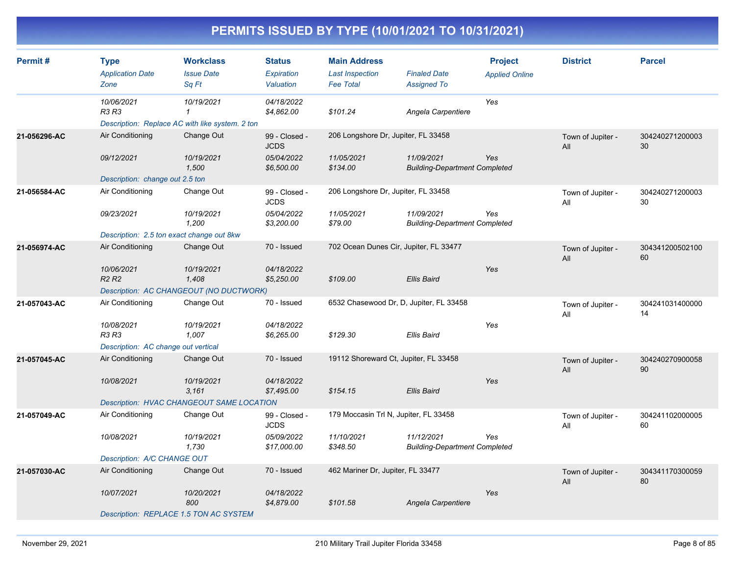| Permit#      | <b>Type</b><br><b>Application Date</b><br>Zone | <b>Workclass</b><br><b>Issue Date</b><br>Sq Ft                                | <b>Status</b><br><b>Expiration</b><br>Valuation          | <b>Main Address</b><br><b>Last Inspection</b><br><b>Fee Total</b> | <b>Finaled Date</b><br><b>Assigned To</b>          | <b>Project</b><br><b>Applied Online</b> | <b>District</b>          | <b>Parcel</b>         |
|--------------|------------------------------------------------|-------------------------------------------------------------------------------|----------------------------------------------------------|-------------------------------------------------------------------|----------------------------------------------------|-----------------------------------------|--------------------------|-----------------------|
|              | 10/06/2021<br>R3 R3                            | 10/19/2021<br>$\mathbf{1}$<br>Description: Replace AC with like system. 2 ton | 04/18/2022<br>\$4,862.00                                 | \$101.24                                                          | Angela Carpentiere                                 | Yes                                     |                          |                       |
| 21-056296-AC | Air Conditioning<br>09/12/2021                 | Change Out<br>10/19/2021<br>1,500                                             | 99 - Closed -<br><b>JCDS</b><br>05/04/2022<br>\$6,500.00 | 206 Longshore Dr, Jupiter, FL 33458<br>11/05/2021<br>\$134.00     | 11/09/2021<br><b>Building-Department Completed</b> | Yes                                     | Town of Jupiter -<br>All | 304240271200003<br>30 |
|              | Description: change out 2.5 ton                |                                                                               |                                                          |                                                                   |                                                    |                                         |                          |                       |
| 21-056584-AC | Air Conditioning                               | Change Out                                                                    | 99 - Closed -<br><b>JCDS</b>                             | 206 Longshore Dr, Jupiter, FL 33458                               |                                                    |                                         | Town of Jupiter -<br>All | 304240271200003<br>30 |
|              | 09/23/2021                                     | 10/19/2021<br>1,200                                                           | 05/04/2022<br>\$3,200.00                                 | 11/05/2021<br>\$79.00                                             | 11/09/2021<br><b>Building-Department Completed</b> | Yes                                     |                          |                       |
|              | Description: 2.5 ton exact change out 8kw      |                                                                               |                                                          |                                                                   |                                                    |                                         |                          |                       |
| 21-056974-AC | Air Conditioning                               | Change Out                                                                    | 70 - Issued                                              | 702 Ocean Dunes Cir, Jupiter, FL 33477                            |                                                    |                                         | Town of Jupiter -<br>All | 304341200502100<br>60 |
|              | 10/06/2021<br>R <sub>2</sub> R <sub>2</sub>    | 10/19/2021<br>1,408                                                           | 04/18/2022<br>\$5,250.00                                 | \$109.00                                                          | <b>Ellis Baird</b>                                 | Yes                                     |                          |                       |
|              |                                                | Description: AC CHANGEOUT (NO DUCTWORK)                                       |                                                          |                                                                   |                                                    |                                         |                          |                       |
| 21-057043-AC | Air Conditioning                               | Change Out                                                                    | 70 - Issued                                              | 6532 Chasewood Dr, D, Jupiter, FL 33458                           |                                                    |                                         | Town of Jupiter -<br>All | 304241031400000<br>14 |
|              | 10/08/2021<br><b>R3 R3</b>                     | 10/19/2021<br>1,007                                                           | 04/18/2022<br>\$6,265.00                                 | \$129.30                                                          | <b>Ellis Baird</b>                                 | Yes                                     |                          |                       |
|              | Description: AC change out vertical            |                                                                               |                                                          |                                                                   |                                                    |                                         |                          |                       |
| 21-057045-AC | Air Conditioning                               | Change Out                                                                    | 70 - Issued                                              | 19112 Shoreward Ct, Jupiter, FL 33458                             |                                                    |                                         | Town of Jupiter -<br>All | 304240270900058<br>90 |
|              | 10/08/2021                                     | 10/19/2021<br>3,161                                                           | 04/18/2022<br>\$7,495.00                                 | \$154.15                                                          | <b>Ellis Baird</b>                                 | Yes                                     |                          |                       |
|              |                                                | Description: HVAC CHANGEOUT SAME LOCATION                                     |                                                          |                                                                   |                                                    |                                         |                          |                       |
| 21-057049-AC | Air Conditioning                               | Change Out                                                                    | 99 - Closed -<br><b>JCDS</b>                             | 179 Moccasin Trl N, Jupiter, FL 33458                             |                                                    |                                         | Town of Jupiter -<br>All | 304241102000005<br>60 |
|              | 10/08/2021                                     | 10/19/2021<br>1,730                                                           | 05/09/2022<br>\$17,000.00                                | 11/10/2021<br>\$348.50                                            | 11/12/2021<br><b>Building-Department Completed</b> | Yes                                     |                          |                       |
|              | Description: A/C CHANGE OUT                    |                                                                               |                                                          |                                                                   |                                                    |                                         |                          |                       |
| 21-057030-AC | Air Conditioning                               | Change Out                                                                    | 70 - Issued                                              | 462 Mariner Dr, Jupiter, FL 33477                                 |                                                    |                                         | Town of Jupiter -<br>All | 304341170300059<br>80 |
|              | 10/07/2021                                     | 10/20/2021<br>800                                                             | 04/18/2022<br>\$4,879.00                                 | \$101.58                                                          | Angela Carpentiere                                 | Yes                                     |                          |                       |
|              |                                                | Description: REPLACE 1.5 TON AC SYSTEM                                        |                                                          |                                                                   |                                                    |                                         |                          |                       |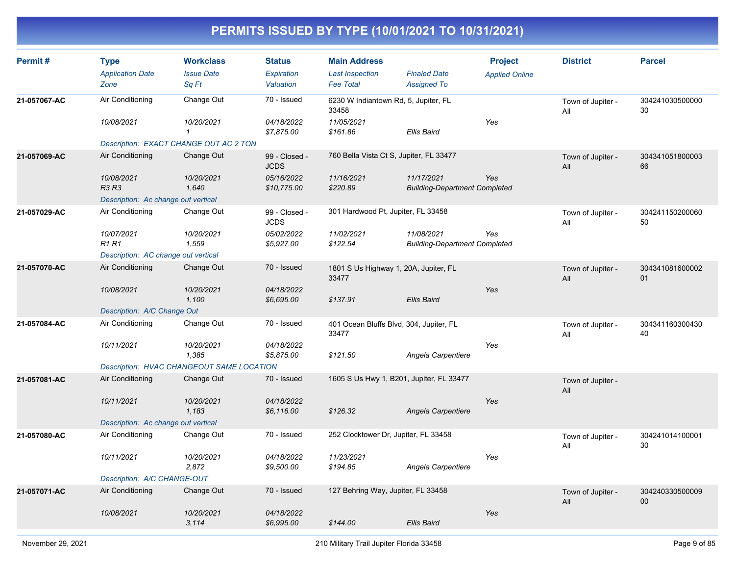| Permit#      | <b>Type</b><br><b>Application Date</b><br>Zone | <b>Workclass</b><br><b>Issue Date</b><br>Sq Ft | <b>Status</b><br>Expiration<br>Valuation | <b>Main Address</b><br><b>Last Inspection</b><br><b>Fee Total</b> | <b>Finaled Date</b><br><b>Assigned To</b>          | <b>Project</b><br><b>Applied Online</b> | <b>District</b>          | <b>Parcel</b>         |
|--------------|------------------------------------------------|------------------------------------------------|------------------------------------------|-------------------------------------------------------------------|----------------------------------------------------|-----------------------------------------|--------------------------|-----------------------|
| 21-057067-AC | Air Conditioning                               | Change Out                                     | 70 - Issued                              | 6230 W Indiantown Rd, 5, Jupiter, FL<br>33458                     |                                                    |                                         | Town of Jupiter -<br>All | 304241030500000<br>30 |
|              | 10/08/2021                                     | 10/20/2021<br>$\mathbf{1}$                     | 04/18/2022<br>\$7,875.00                 | 11/05/2021<br>\$161.86                                            | <b>Ellis Baird</b>                                 | Yes                                     |                          |                       |
|              |                                                | Description: EXACT CHANGE OUT AC 2 TON         |                                          |                                                                   |                                                    |                                         |                          |                       |
| 21-057069-AC | Air Conditioning                               | Change Out                                     | 99 - Closed -<br><b>JCDS</b>             | 760 Bella Vista Ct S, Jupiter, FL 33477                           |                                                    |                                         | Town of Jupiter -<br>All | 304341051800003<br>66 |
|              | 10/08/2021<br>R3 R3                            | 10/20/2021<br>1,640                            | 05/16/2022<br>\$10,775.00                | 11/16/2021<br>\$220.89                                            | 11/17/2021<br><b>Building-Department Completed</b> | Yes                                     |                          |                       |
|              | Description: Ac change out vertical            |                                                |                                          |                                                                   |                                                    |                                         |                          |                       |
| 21-057029-AC | Air Conditioning                               | Change Out                                     | 99 - Closed -<br><b>JCDS</b>             | 301 Hardwood Pt, Jupiter, FL 33458                                |                                                    |                                         | Town of Jupiter -<br>All | 304241150200060<br>50 |
|              | 10/07/2021<br>R1 R1                            | 10/20/2021<br>1,559                            | 05/02/2022<br>\$5,927.00                 | 11/02/2021<br>\$122.54                                            | 11/08/2021<br><b>Building-Department Completed</b> | Yes                                     |                          |                       |
|              | Description: AC change out vertical            |                                                |                                          |                                                                   |                                                    |                                         |                          |                       |
| 21-057070-AC | Air Conditioning                               | Change Out                                     | 70 - Issued                              | 1801 S Us Highway 1, 20A, Jupiter, FL<br>33477                    |                                                    |                                         | Town of Jupiter -<br>All | 304341081600002<br>01 |
|              | 10/08/2021                                     | 10/20/2021<br>1,100                            | 04/18/2022<br>\$6,695.00                 | \$137.91                                                          | <b>Ellis Baird</b>                                 | Yes                                     |                          |                       |
|              | Description: A/C Change Out                    |                                                |                                          |                                                                   |                                                    |                                         |                          |                       |
| 21-057084-AC | Air Conditioning                               | Change Out                                     | 70 - Issued                              | 401 Ocean Bluffs Blvd, 304, Jupiter, FL<br>33477                  |                                                    |                                         | Town of Jupiter -<br>All | 304341160300430<br>40 |
|              | 10/11/2021                                     | 10/20/2021<br>1,385                            | 04/18/2022<br>\$5,875.00                 | \$121.50                                                          | Angela Carpentiere                                 | Yes                                     |                          |                       |
|              |                                                | Description: HVAC CHANGEOUT SAME LOCATION      |                                          |                                                                   |                                                    |                                         |                          |                       |
| 21-057081-AC | Air Conditioning                               | Change Out                                     | 70 - Issued                              |                                                                   | 1605 S Us Hwy 1, B201, Jupiter, FL 33477           |                                         | Town of Jupiter -<br>All |                       |
|              | 10/11/2021                                     | 10/20/2021<br>1,183                            | 04/18/2022<br>\$6,116.00                 | \$126.32                                                          | Angela Carpentiere                                 | Yes                                     |                          |                       |
|              | Description: Ac change out vertical            |                                                |                                          |                                                                   |                                                    |                                         |                          |                       |
| 21-057080-AC | Air Conditioning                               | Change Out                                     | 70 - Issued                              | 252 Clocktower Dr, Jupiter, FL 33458                              |                                                    |                                         | Town of Jupiter -<br>All | 304241014100001<br>30 |
|              | 10/11/2021                                     | 10/20/2021<br>2,872                            | 04/18/2022<br>\$9,500.00                 | 11/23/2021<br>\$194.85                                            | Angela Carpentiere                                 | Yes                                     |                          |                       |
|              | Description: A/C CHANGE-OUT                    |                                                |                                          |                                                                   |                                                    |                                         |                          |                       |
| 21-057071-AC | Air Conditioning                               | Change Out                                     | 70 - Issued                              | 127 Behring Way, Jupiter, FL 33458                                |                                                    |                                         | Town of Jupiter -<br>All | 304240330500009<br>00 |
|              | 10/08/2021                                     | 10/20/2021<br>3,114                            | 04/18/2022<br>\$6,995.00                 | \$144.00                                                          | <b>Ellis Baird</b>                                 | Yes                                     |                          |                       |
|              |                                                |                                                |                                          |                                                                   |                                                    |                                         |                          |                       |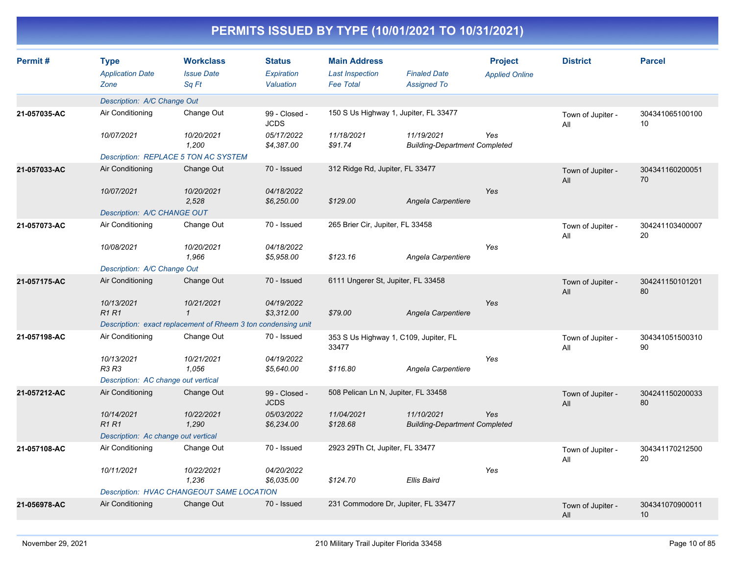| Permit#      | <b>Type</b><br><b>Application Date</b><br>Zone | <b>Workclass</b><br><b>Issue Date</b><br>Sq Ft                | <b>Status</b><br>Expiration<br>Valuation | <b>Main Address</b><br><b>Last Inspection</b><br><b>Fee Total</b> | <b>Finaled Date</b><br><b>Assigned To</b>          | <b>Project</b><br><b>Applied Online</b> | <b>District</b>          | <b>Parcel</b>         |
|--------------|------------------------------------------------|---------------------------------------------------------------|------------------------------------------|-------------------------------------------------------------------|----------------------------------------------------|-----------------------------------------|--------------------------|-----------------------|
|              | Description: A/C Change Out                    |                                                               |                                          |                                                                   |                                                    |                                         |                          |                       |
| 21-057035-AC | Air Conditioning                               | Change Out                                                    | 99 - Closed -<br><b>JCDS</b>             |                                                                   | 150 S Us Highway 1, Jupiter, FL 33477              |                                         | Town of Jupiter -<br>All | 304341065100100<br>10 |
|              | 10/07/2021                                     | 10/20/2021<br>1,200                                           | 05/17/2022<br>\$4,387.00                 | 11/18/2021<br>\$91.74                                             | 11/19/2021<br><b>Building-Department Completed</b> | Yes                                     |                          |                       |
|              |                                                | Description: REPLACE 5 TON AC SYSTEM                          |                                          |                                                                   |                                                    |                                         |                          |                       |
| 21-057033-AC | Air Conditioning                               | Change Out                                                    | 70 - Issued                              | 312 Ridge Rd, Jupiter, FL 33477                                   |                                                    |                                         | Town of Jupiter -<br>All | 304341160200051<br>70 |
|              | 10/07/2021                                     | 10/20/2021<br>2,528                                           | 04/18/2022<br>\$6,250.00                 | \$129.00                                                          | Angela Carpentiere                                 | Yes                                     |                          |                       |
|              | Description: A/C CHANGE OUT                    |                                                               |                                          |                                                                   |                                                    |                                         |                          |                       |
| 21-057073-AC | Air Conditioning                               | Change Out                                                    | 70 - Issued                              | 265 Brier Cir, Jupiter, FL 33458                                  |                                                    |                                         | Town of Jupiter -<br>All | 304241103400007<br>20 |
|              | 10/08/2021                                     | 10/20/2021<br>1,966                                           | 04/18/2022<br>\$5,958.00                 | \$123.16                                                          | Angela Carpentiere                                 | Yes                                     |                          |                       |
|              | Description: A/C Change Out                    |                                                               |                                          |                                                                   |                                                    |                                         |                          |                       |
| 21-057175-AC | Air Conditioning                               | Change Out                                                    | 70 - Issued                              | 6111 Ungerer St, Jupiter, FL 33458                                |                                                    |                                         | Town of Jupiter -<br>All | 304241150101201<br>80 |
|              | 10/13/2021<br><b>R1 R1</b>                     | 10/21/2021<br>$\mathbf{1}$                                    | 04/19/2022<br>\$3,312.00                 | \$79.00                                                           | Angela Carpentiere                                 | Yes                                     |                          |                       |
|              |                                                | Description: exact replacement of Rheem 3 ton condensing unit |                                          |                                                                   |                                                    |                                         |                          |                       |
| 21-057198-AC | Air Conditioning                               | Change Out                                                    | 70 - Issued                              | 33477                                                             | 353 S Us Highway 1, C109, Jupiter, FL              |                                         | Town of Jupiter -<br>All | 304341051500310<br>90 |
|              | 10/13/2021<br>R3 R3                            | 10/21/2021<br>1.056                                           | 04/19/2022<br>\$5,640.00                 | \$116.80                                                          | Angela Carpentiere                                 | Yes                                     |                          |                       |
|              | Description: AC change out vertical            |                                                               |                                          |                                                                   |                                                    |                                         |                          |                       |
| 21-057212-AC | Air Conditioning                               | Change Out                                                    | 99 - Closed -<br><b>JCDS</b>             | 508 Pelican Ln N, Jupiter, FL 33458                               |                                                    |                                         | Town of Jupiter -<br>All | 304241150200033<br>80 |
|              | 10/14/2021<br><b>R1R1</b>                      | 10/22/2021<br>1,290                                           | 05/03/2022<br>\$6,234.00                 | 11/04/2021<br>\$128.68                                            | 11/10/2021<br><b>Building-Department Completed</b> | Yes                                     |                          |                       |
|              | Description: Ac change out vertical            |                                                               |                                          |                                                                   |                                                    |                                         |                          |                       |
| 21-057108-AC | Air Conditioning                               | Change Out                                                    | 70 - Issued                              | 2923 29Th Ct, Jupiter, FL 33477                                   |                                                    |                                         | Town of Jupiter -<br>All | 304341170212500<br>20 |
|              | 10/11/2021                                     | 10/22/2021<br>1,236                                           | 04/20/2022<br>\$6,035.00                 | \$124.70                                                          | <b>Ellis Baird</b>                                 | Yes                                     |                          |                       |
|              |                                                | Description: HVAC CHANGEOUT SAME LOCATION                     |                                          |                                                                   |                                                    |                                         |                          |                       |
| 21-056978-AC | Air Conditioning                               | Change Out                                                    | 70 - Issued                              |                                                                   | 231 Commodore Dr, Jupiter, FL 33477                |                                         | Town of Jupiter -<br>All | 304341070900011<br>10 |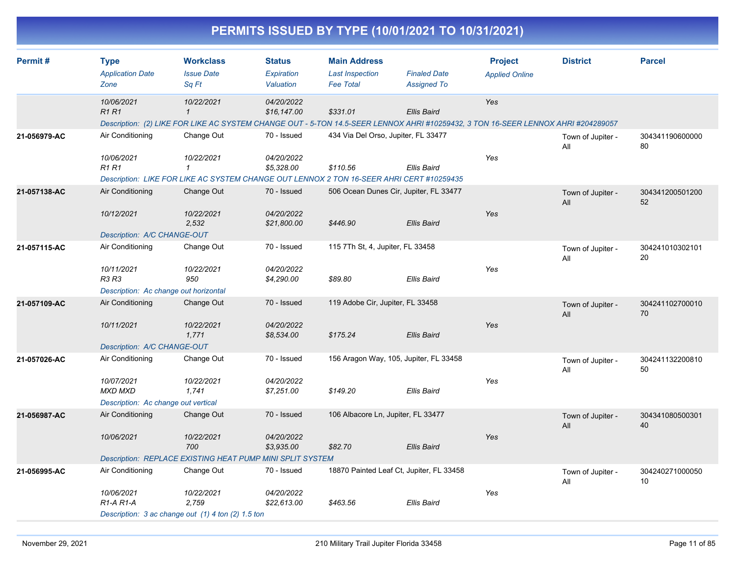|              |                                                                                                                                                                 |                                                |                                          | PERMITS ISSUED BY TYPE (10/01/2021 TO 10/31/2021)                 |                                           |                                         |                          |                       |
|--------------|-----------------------------------------------------------------------------------------------------------------------------------------------------------------|------------------------------------------------|------------------------------------------|-------------------------------------------------------------------|-------------------------------------------|-----------------------------------------|--------------------------|-----------------------|
| Permit #     | <b>Type</b><br><b>Application Date</b><br>Zone                                                                                                                  | <b>Workclass</b><br><b>Issue Date</b><br>Sq Ft | <b>Status</b><br>Expiration<br>Valuation | <b>Main Address</b><br><b>Last Inspection</b><br><b>Fee Total</b> | <b>Finaled Date</b><br><b>Assigned To</b> | <b>Project</b><br><b>Applied Online</b> | <b>District</b>          | <b>Parcel</b>         |
|              | 10/06/2021<br><b>R1 R1</b><br>Description: (2) LIKE FOR LIKE AC SYSTEM CHANGE OUT - 5-TON 14.5-SEER LENNOX AHRI #10259432, 3 TON 16-SEER LENNOX AHRI #204289057 | 10/22/2021<br>$\mathbf{1}$                     | 04/20/2022<br>\$16,147.00                | \$331.01                                                          | <b>Ellis Baird</b>                        | Yes                                     |                          |                       |
| 21-056979-AC | Air Conditioning<br>10/06/2021<br><b>R1 R1</b><br>Description: LIKE FOR LIKE AC SYSTEM CHANGE OUT LENNOX 2 TON 16-SEER AHRI CERT #10259435                      | Change Out<br>10/22/2021<br>$\mathbf 1$        | 70 - Issued<br>04/20/2022<br>\$5,328.00  | 434 Via Del Orso, Jupiter, FL 33477<br>\$110.56                   | Ellis Baird                               | Yes                                     | Town of Jupiter -<br>All | 304341190600000<br>80 |
| 21-057138-AC | Air Conditioning<br>10/12/2021<br>Description: A/C CHANGE-OUT                                                                                                   | Change Out<br>10/22/2021<br>2,532              | 70 - Issued<br>04/20/2022<br>\$21,800.00 | 506 Ocean Dunes Cir, Jupiter, FL 33477<br>\$446.90                | <b>Ellis Baird</b>                        | Yes                                     | Town of Jupiter -<br>All | 304341200501200<br>52 |
| 21-057115-AC | Air Conditioning<br>10/11/2021<br>R3 R3<br>Description: Ac change out horizontal                                                                                | Change Out<br>10/22/2021<br>950                | 70 - Issued<br>04/20/2022<br>\$4,290.00  | 115 7Th St, 4, Jupiter, FL 33458<br>\$89.80                       | <b>Ellis Baird</b>                        | Yes                                     | Town of Jupiter -<br>All | 304241010302101<br>20 |
| 21-057109-AC | Air Conditioning<br>10/11/2021<br>Description: A/C CHANGE-OUT                                                                                                   | Change Out<br>10/22/2021<br>1,771              | 70 - Issued<br>04/20/2022<br>\$8,534.00  | 119 Adobe Cir, Jupiter, FL 33458<br>\$175.24                      | <b>Ellis Baird</b>                        | Yes                                     | Town of Jupiter -<br>All | 304241102700010<br>70 |
| 21-057026-AC | Air Conditioning<br>10/07/2021<br><b>MXD MXD</b><br>Description: Ac change out vertical                                                                         | Change Out<br>10/22/2021<br>1,741              | 70 - Issued<br>04/20/2022<br>\$7,251.00  | 156 Aragon Way, 105, Jupiter, FL 33458<br>\$149.20                | <b>Ellis Baird</b>                        | Yes                                     | Town of Jupiter -<br>All | 304241132200810<br>50 |
| 21-056987-AC | Air Conditioning<br>10/06/2021<br>Description: REPLACE EXISTING HEAT PUMP MINI SPLIT SYSTEM                                                                     | Change Out<br>10/22/2021<br>700                | 70 - Issued<br>04/20/2022<br>\$3,935.00  | 106 Albacore Ln, Jupiter, FL 33477<br>\$82.70                     | <b>Ellis Baird</b>                        | Yes                                     | Town of Jupiter -<br>All | 304341080500301<br>40 |
| 21-056995-AC | Air Conditioning<br>10/06/2021<br>$R1-A R1-A$<br>Description: 3 ac change out (1) 4 ton (2) 1.5 ton                                                             | Change Out<br>10/22/2021<br>2,759              | 70 - Issued<br>04/20/2022<br>\$22,613.00 | 18870 Painted Leaf Ct, Jupiter, FL 33458<br>\$463.56              | <b>Ellis Baird</b>                        | Yes                                     | Town of Jupiter -<br>All | 304240271000050<br>10 |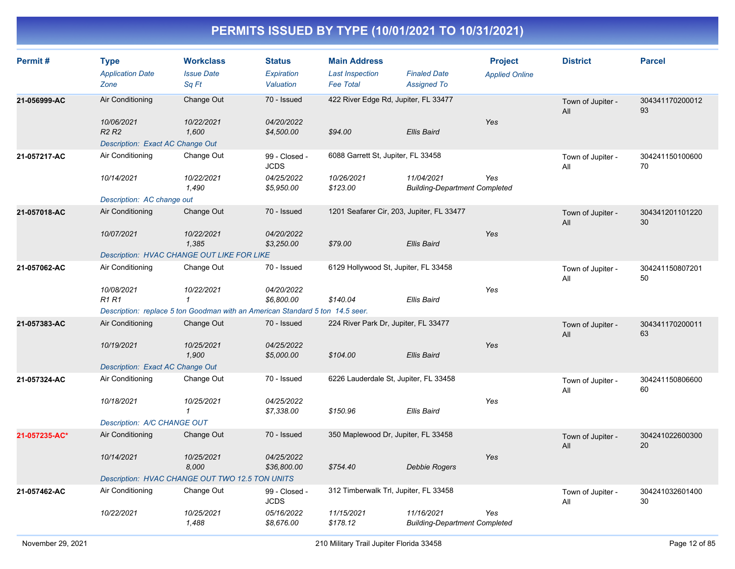| Permit#       | <b>Type</b><br><b>Application Date</b><br>Zone                                  | <b>Workclass</b><br><b>Issue Date</b><br>Sq Ft                                | <b>Status</b><br>Expiration<br>Valuation | <b>Main Address</b><br><b>Last Inspection</b><br><b>Fee Total</b> | <b>Finaled Date</b><br><b>Assigned To</b>          | <b>Project</b><br><b>Applied Online</b> | <b>District</b>          | <b>Parcel</b>         |
|---------------|---------------------------------------------------------------------------------|-------------------------------------------------------------------------------|------------------------------------------|-------------------------------------------------------------------|----------------------------------------------------|-----------------------------------------|--------------------------|-----------------------|
| 21-056999-AC  | Air Conditioning                                                                | Change Out                                                                    | 70 - Issued                              | 422 River Edge Rd, Jupiter, FL 33477                              |                                                    |                                         | Town of Jupiter -<br>All | 304341170200012<br>93 |
|               | 10/06/2021<br>R <sub>2</sub> R <sub>2</sub><br>Description: Exact AC Change Out | 10/22/2021<br>1.600                                                           | 04/20/2022<br>\$4,500.00                 | \$94.00                                                           | <b>Ellis Baird</b>                                 | Yes                                     |                          |                       |
| 21-057217-AC  | Air Conditioning                                                                | Change Out                                                                    | 99 - Closed -<br><b>JCDS</b>             | 6088 Garrett St, Jupiter, FL 33458                                |                                                    |                                         | Town of Jupiter -<br>All | 304241150100600<br>70 |
|               | 10/14/2021                                                                      | 10/22/2021<br>1,490                                                           | 04/25/2022<br>\$5,950.00                 | 10/26/2021<br>\$123.00                                            | 11/04/2021<br><b>Building-Department Completed</b> | Yes                                     |                          |                       |
|               | Description: AC change out                                                      |                                                                               |                                          |                                                                   |                                                    |                                         |                          |                       |
| 21-057018-AC  | Air Conditioning                                                                | Change Out                                                                    | 70 - Issued                              | 1201 Seafarer Cir, 203, Jupiter, FL 33477                         |                                                    |                                         | Town of Jupiter -<br>All | 304341201101220<br>30 |
|               | 10/07/2021                                                                      | 10/22/2021<br>1,385                                                           | 04/20/2022<br>\$3,250.00                 | \$79.00                                                           | <b>Ellis Baird</b>                                 | Yes                                     |                          |                       |
|               |                                                                                 | <b>Description: HVAC CHANGE OUT LIKE FOR LIKE</b>                             |                                          |                                                                   |                                                    |                                         |                          |                       |
| 21-057062-AC  | Air Conditioning                                                                | Change Out                                                                    | 70 - Issued                              | 6129 Hollywood St, Jupiter, FL 33458                              |                                                    |                                         | Town of Jupiter -<br>All | 304241150807201<br>50 |
|               | 10/08/2021<br><b>R1 R1</b>                                                      | 10/22/2021<br>$\mathbf{1}$                                                    | 04/20/2022<br>\$6,800.00                 | \$140.04                                                          | <b>Ellis Baird</b>                                 | Yes                                     |                          |                       |
|               |                                                                                 | Description: replace 5 ton Goodman with an American Standard 5 ton 14.5 seer. |                                          |                                                                   |                                                    |                                         |                          |                       |
| 21-057383-AC  | Air Conditioning                                                                | Change Out                                                                    | 70 - Issued                              | 224 River Park Dr, Jupiter, FL 33477                              |                                                    |                                         | Town of Jupiter -<br>All | 304341170200011<br>63 |
|               | 10/19/2021                                                                      | 10/25/2021<br>1,900                                                           | 04/25/2022<br>\$5,000.00                 | \$104.00                                                          | <b>Ellis Baird</b>                                 | Yes                                     |                          |                       |
|               | Description: Exact AC Change Out                                                |                                                                               |                                          |                                                                   |                                                    |                                         |                          |                       |
| 21-057324-AC  | Air Conditioning                                                                | Change Out                                                                    | 70 - Issued                              | 6226 Lauderdale St, Jupiter, FL 33458                             |                                                    |                                         | Town of Jupiter -<br>All | 304241150806600<br>60 |
|               | 10/18/2021                                                                      | 10/25/2021<br>$\mathcal I$                                                    | 04/25/2022<br>\$7,338.00                 | \$150.96                                                          | <b>Ellis Baird</b>                                 | Yes                                     |                          |                       |
|               | Description: A/C CHANGE OUT                                                     |                                                                               |                                          |                                                                   |                                                    |                                         |                          |                       |
| 21-057235-AC* | Air Conditioning                                                                | Change Out                                                                    | 70 - Issued                              | 350 Maplewood Dr, Jupiter, FL 33458                               |                                                    |                                         | Town of Jupiter -<br>All | 304241022600300<br>20 |
|               | 10/14/2021                                                                      | 10/25/2021<br>8,000                                                           | 04/25/2022<br>\$36,800.00                | \$754.40                                                          | Debbie Rogers                                      | Yes                                     |                          |                       |
|               |                                                                                 | Description: HVAC CHANGE OUT TWO 12.5 TON UNITS                               |                                          |                                                                   |                                                    |                                         |                          |                       |
| 21-057462-AC  | Air Conditioning                                                                | Change Out                                                                    | 99 - Closed -<br><b>JCDS</b>             | 312 Timberwalk Trl, Jupiter, FL 33458                             |                                                    |                                         | Town of Jupiter -<br>All | 304241032601400<br>30 |
|               | 10/22/2021                                                                      | 10/25/2021<br>1,488                                                           | 05/16/2022<br>\$8,676.00                 | 11/15/2021<br>\$178.12                                            | 11/16/2021<br><b>Building-Department Completed</b> | Yes                                     |                          |                       |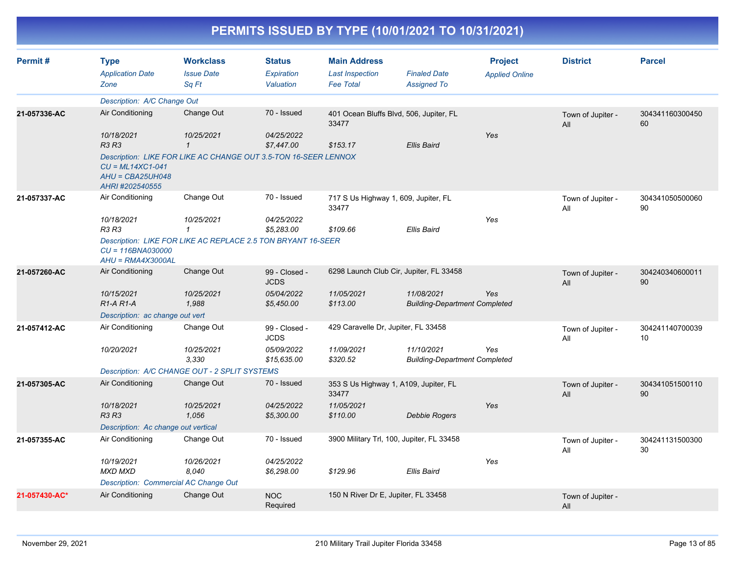| Permit#       | <b>Type</b><br><b>Application Date</b><br>Zone              | <b>Workclass</b><br><b>Issue Date</b><br>Sq Ft                  | <b>Status</b><br><b>Expiration</b><br>Valuation | <b>Main Address</b><br><b>Last Inspection</b><br><b>Fee Total</b> | <b>Finaled Date</b><br><b>Assigned To</b>          | <b>Project</b><br><b>Applied Online</b> | <b>District</b>          | <b>Parcel</b>         |
|---------------|-------------------------------------------------------------|-----------------------------------------------------------------|-------------------------------------------------|-------------------------------------------------------------------|----------------------------------------------------|-----------------------------------------|--------------------------|-----------------------|
|               | Description: A/C Change Out                                 |                                                                 |                                                 |                                                                   |                                                    |                                         |                          |                       |
| 21-057336-AC  | Air Conditioning                                            | Change Out                                                      | 70 - Issued                                     | 401 Ocean Bluffs Blvd, 506, Jupiter, FL<br>33477                  |                                                    |                                         | Town of Jupiter -<br>All | 304341160300450<br>60 |
|               | 10/18/2021<br><b>R3 R3</b>                                  | 10/25/2021<br>$\mathbf{\mathbf{1}}$                             | 04/25/2022<br>\$7,447.00                        | \$153.17                                                          | <b>Ellis Baird</b>                                 | Yes                                     |                          |                       |
|               | $CU = ML14XC1-041$<br>$AHU = CBA25UH048$<br>AHRI #202540555 | Description: LIKE FOR LIKE AC CHANGE OUT 3.5-TON 16-SEER LENNOX |                                                 |                                                                   |                                                    |                                         |                          |                       |
| 21-057337-AC  | Air Conditioning                                            | Change Out                                                      | 70 - Issued                                     | 717 S Us Highway 1, 609, Jupiter, FL<br>33477                     |                                                    |                                         | Town of Jupiter -<br>All | 304341050500060<br>90 |
|               | 10/18/2021<br>R3 R3                                         | 10/25/2021<br>$\mathbf 1$                                       | 04/25/2022<br>\$5,283.00                        | \$109.66                                                          | Ellis Baird                                        | Yes                                     |                          |                       |
|               | $CU = 116BNA030000$<br>$AHU = RMA4X3000AL$                  | Description: LIKE FOR LIKE AC REPLACE 2.5 TON BRYANT 16-SEER    |                                                 |                                                                   |                                                    |                                         |                          |                       |
| 21-057260-AC  | Air Conditioning                                            | Change Out                                                      | 99 - Closed -<br><b>JCDS</b>                    | 6298 Launch Club Cir, Jupiter, FL 33458                           |                                                    |                                         | Town of Jupiter -<br>All | 304240340600011<br>90 |
|               | 10/15/2021<br>R <sub>1</sub> -A <sub>R1</sub> -A            | 10/25/2021<br>1,988                                             | 05/04/2022<br>\$5,450.00                        | 11/05/2021<br>\$113.00                                            | 11/08/2021<br><b>Building-Department Completed</b> | Yes                                     |                          |                       |
|               | Description: ac change out vert                             |                                                                 |                                                 |                                                                   |                                                    |                                         |                          |                       |
| 21-057412-AC  | Air Conditioning                                            | Change Out                                                      | 99 - Closed -<br><b>JCDS</b>                    | 429 Caravelle Dr, Jupiter, FL 33458                               |                                                    |                                         | Town of Jupiter -<br>All | 304241140700039<br>10 |
|               | 10/20/2021                                                  | 10/25/2021<br>3.330                                             | 05/09/2022<br>\$15,635.00                       | 11/09/2021<br>\$320.52                                            | 11/10/2021<br><b>Building-Department Completed</b> | Yes                                     |                          |                       |
|               |                                                             | Description: A/C CHANGE OUT - 2 SPLIT SYSTEMS                   |                                                 |                                                                   |                                                    |                                         |                          |                       |
| 21-057305-AC  | Air Conditioning                                            | Change Out                                                      | 70 - Issued                                     | 353 S Us Highway 1, A109, Jupiter, FL<br>33477                    |                                                    |                                         | Town of Jupiter -<br>All | 304341051500110<br>90 |
|               | 10/18/2021<br><b>R3 R3</b>                                  | 10/25/2021<br>1,056                                             | 04/25/2022<br>\$5,300.00                        | 11/05/2021<br>\$110.00                                            | Debbie Rogers                                      | Yes                                     |                          |                       |
|               | Description: Ac change out vertical                         |                                                                 |                                                 |                                                                   |                                                    |                                         |                          |                       |
| 21-057355-AC  | Air Conditioning                                            | Change Out                                                      | 70 - Issued                                     | 3900 Military Trl, 100, Jupiter, FL 33458                         |                                                    |                                         | Town of Jupiter -<br>All | 304241131500300<br>30 |
|               | 10/19/2021<br><b>MXD MXD</b>                                | 10/26/2021<br>8,040                                             | 04/25/2022<br>\$6,298.00                        | \$129.96                                                          | Ellis Baird                                        | Yes                                     |                          |                       |
|               | Description: Commercial AC Change Out                       |                                                                 |                                                 |                                                                   |                                                    |                                         |                          |                       |
| 21-057430-AC* | Air Conditioning                                            | Change Out                                                      | <b>NOC</b><br>Required                          | 150 N River Dr E, Jupiter, FL 33458                               |                                                    |                                         | Town of Jupiter -<br>All |                       |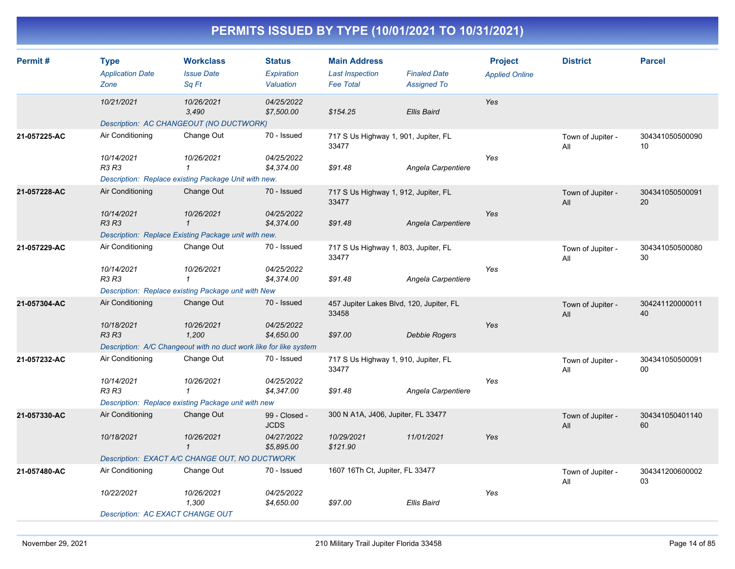| Permit#      | Type<br><b>Application Date</b>         | <b>Workclass</b><br><b>Issue Date</b>                             | <b>Status</b><br>Expiration  | <b>Main Address</b><br><b>Last Inspection</b>     | <b>Finaled Date</b> | <b>Project</b><br><b>Applied Online</b> | <b>District</b>          | <b>Parcel</b>             |
|--------------|-----------------------------------------|-------------------------------------------------------------------|------------------------------|---------------------------------------------------|---------------------|-----------------------------------------|--------------------------|---------------------------|
|              | Zone                                    | Sq Ft                                                             | Valuation                    | <b>Fee Total</b>                                  | <b>Assigned To</b>  |                                         |                          |                           |
|              | 10/21/2021                              | 10/26/2021<br>3,490                                               | 04/25/2022<br>\$7,500.00     | \$154.25                                          | <b>Ellis Baird</b>  | Yes                                     |                          |                           |
|              |                                         | Description: AC CHANGEOUT (NO DUCTWORK)                           |                              |                                                   |                     |                                         |                          |                           |
| 21-057225-AC | Air Conditioning                        | Change Out                                                        | 70 - Issued                  | 717 S Us Highway 1, 901, Jupiter, FL<br>33477     |                     |                                         | Town of Jupiter -<br>All | 304341050500090<br>10     |
|              | 10/14/2021<br>R3 R3                     | 10/26/2021<br>$\mathbf{1}$                                        | 04/25/2022<br>\$4,374.00     | \$91.48                                           | Angela Carpentiere  | Yes                                     |                          |                           |
|              |                                         | Description: Replace existing Package Unit with new.              |                              |                                                   |                     |                                         |                          |                           |
| 21-057228-AC | Air Conditioning                        | Change Out                                                        | 70 - Issued                  | 717 S Us Highway 1, 912, Jupiter, FL<br>33477     |                     |                                         | Town of Jupiter -<br>All | 304341050500091<br>20     |
|              | 10/14/2021<br><b>R3 R3</b>              | 10/26/2021                                                        | 04/25/2022<br>\$4,374.00     | \$91.48                                           | Angela Carpentiere  | Yes                                     |                          |                           |
|              |                                         | Description: Replace Existing Package unit with new.              |                              |                                                   |                     |                                         |                          |                           |
| 21-057229-AC | Air Conditioning                        | Change Out                                                        | 70 - Issued                  | 717 S Us Highway 1, 803, Jupiter, FL<br>33477     |                     |                                         | Town of Jupiter -<br>All | 304341050500080<br>30     |
|              | 10/14/2021<br>R3 R3                     | 10/26/2021<br>$\mathbf{1}$                                        | 04/25/2022<br>\$4,374.00     | \$91.48                                           | Angela Carpentiere  | Yes                                     |                          |                           |
|              |                                         | Description: Replace existing Package unit with New               |                              |                                                   |                     |                                         |                          |                           |
| 21-057304-AC | Air Conditioning                        | Change Out                                                        | 70 - Issued                  | 457 Jupiter Lakes Blvd, 120, Jupiter, FL<br>33458 |                     |                                         | Town of Jupiter -<br>All | 304241120000011<br>40     |
|              | 10/18/2021<br>R3 R3                     | 10/26/2021<br>1,200                                               | 04/25/2022<br>\$4,650.00     | \$97.00                                           | Debbie Rogers       | Yes                                     |                          |                           |
|              |                                         | Description: A/C Changeout with no duct work like for like system |                              |                                                   |                     |                                         |                          |                           |
| 21-057232-AC | Air Conditioning                        | Change Out                                                        | 70 - Issued                  | 717 S Us Highway 1, 910, Jupiter, FL<br>33477     |                     |                                         | Town of Jupiter -<br>All | 304341050500091<br>$00\,$ |
|              | 10/14/2021<br>R3 R3                     | 10/26/2021<br>$\mathcal I$                                        | 04/25/2022<br>\$4,347.00     | \$91.48                                           | Angela Carpentiere  | Yes                                     |                          |                           |
|              |                                         | Description: Replace existing Package unit with new               |                              |                                                   |                     |                                         |                          |                           |
| 21-057330-AC | Air Conditioning                        | Change Out                                                        | 99 - Closed -<br><b>JCDS</b> | 300 N A1A, J406, Jupiter, FL 33477                |                     |                                         | Town of Jupiter -<br>All | 304341050401140<br>60     |
|              | 10/18/2021                              | 10/26/2021<br>$\mathbf{1}$                                        | 04/27/2022<br>\$5,895.00     | 10/29/2021<br>\$121.90                            | 11/01/2021          | Yes                                     |                          |                           |
|              |                                         | Description: EXACT A/C CHANGE OUT, NO DUCTWORK                    |                              |                                                   |                     |                                         |                          |                           |
| 21-057480-AC | Air Conditioning                        | Change Out                                                        | 70 - Issued                  | 1607 16Th Ct, Jupiter, FL 33477                   |                     |                                         | Town of Jupiter -<br>All | 304341200600002<br>03     |
|              | 10/22/2021                              | 10/26/2021<br>1,300                                               | 04/25/2022<br>\$4,650.00     | \$97.00                                           | Ellis Baird         | Yes                                     |                          |                           |
|              | <b>Description: AC EXACT CHANGE OUT</b> |                                                                   |                              |                                                   |                     |                                         |                          |                           |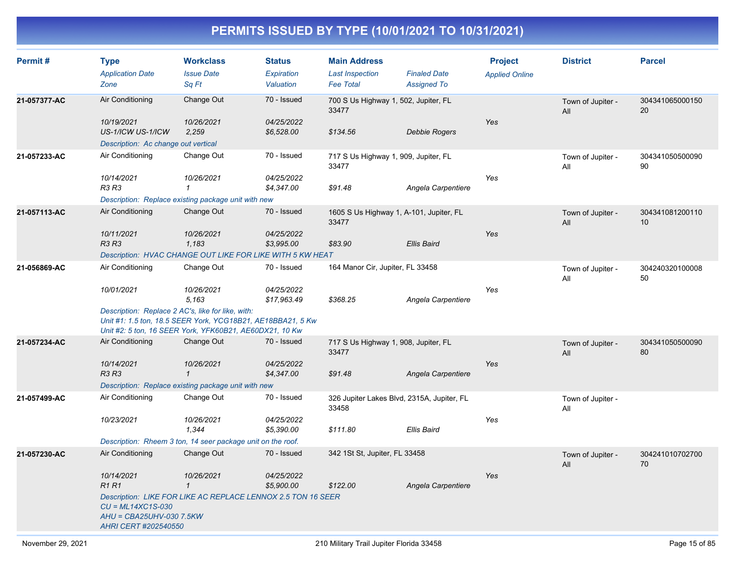| Permit#      | <b>Type</b><br><b>Application Date</b><br>Zone                                                                     | <b>Workclass</b><br><b>Issue Date</b><br>Sq Ft                                                                                                              | <b>Status</b><br>Expiration<br>Valuation | <b>Main Address</b><br><b>Last Inspection</b><br><b>Fee Total</b> | <b>Finaled Date</b><br><b>Assigned To</b> | <b>Project</b><br><b>Applied Online</b> | <b>District</b>          | <b>Parcel</b>         |
|--------------|--------------------------------------------------------------------------------------------------------------------|-------------------------------------------------------------------------------------------------------------------------------------------------------------|------------------------------------------|-------------------------------------------------------------------|-------------------------------------------|-----------------------------------------|--------------------------|-----------------------|
| 21-057377-AC | Air Conditioning<br>10/19/2021<br>US-1/ICW US-1/ICW<br>Description: Ac change out vertical                         | Change Out<br>10/26/2021<br>2,259                                                                                                                           | 70 - Issued<br>04/25/2022<br>\$6,528.00  | 700 S Us Highway 1, 502, Jupiter, FL<br>33477<br>\$134.56         | <b>Debbie Rogers</b>                      | Yes                                     | Town of Jupiter -<br>All | 304341065000150<br>20 |
| 21-057233-AC | Air Conditioning<br>10/14/2021<br>R3 R3                                                                            | Change Out<br>10/26/2021<br>$\mathbf 1$<br>Description: Replace existing package unit with new                                                              | 70 - Issued<br>04/25/2022<br>\$4,347.00  | 717 S Us Highway 1, 909, Jupiter, FL<br>33477<br>\$91.48          | Angela Carpentiere                        | Yes                                     | Town of Jupiter -<br>All | 304341050500090<br>90 |
| 21-057113-AC | Air Conditioning<br>10/11/2021<br>R3 R3                                                                            | Change Out<br>10/26/2021<br>1,183<br>Description: HVAC CHANGE OUT LIKE FOR LIKE WITH 5 KW HEAT                                                              | 70 - Issued<br>04/25/2022<br>\$3,995.00  | 1605 S Us Highway 1, A-101, Jupiter, FL<br>33477<br>\$83.90       | Ellis Baird                               | Yes                                     | Town of Jupiter -<br>All | 304341081200110<br>10 |
| 21-056869-AC | Air Conditioning<br>10/01/2021<br>Description: Replace 2 AC's, like for like, with:                                | Change Out<br>10/26/2021<br>5,163<br>Unit #1: 1.5 ton, 18.5 SEER York, YCG18B21, AE18BBA21, 5 Kw<br>Unit #2: 5 ton, 16 SEER York, YFK60B21, AE60DX21, 10 Kw | 70 - Issued<br>04/25/2022<br>\$17,963.49 | 164 Manor Cir, Jupiter, FL 33458<br>\$368.25                      | Angela Carpentiere                        | Yes                                     | Town of Jupiter -<br>All | 304240320100008<br>50 |
| 21-057234-AC | Air Conditioning<br>10/14/2021<br><b>R3 R3</b>                                                                     | Change Out<br>10/26/2021<br>$\mathcal{I}$<br>Description: Replace existing package unit with new                                                            | 70 - Issued<br>04/25/2022<br>\$4,347.00  | 717 S Us Highway 1, 908, Jupiter, FL<br>33477<br>\$91.48          | Angela Carpentiere                        | Yes                                     | Town of Jupiter -<br>All | 304341050500090<br>80 |
| 21-057499-AC | Air Conditioning<br>10/23/2021                                                                                     | Change Out<br>10/26/2021<br>1,344<br>Description: Rheem 3 ton, 14 seer package unit on the roof.                                                            | 70 - Issued<br>04/25/2022<br>\$5,390.00  | 326 Jupiter Lakes Blvd, 2315A, Jupiter, FL<br>33458<br>\$111.80   | Ellis Baird                               | Yes                                     | Town of Jupiter -<br>All |                       |
| 21-057230-AC | Air Conditioning<br>10/14/2021<br>R1 R1<br>$CU = ML14XC1S-030$<br>AHU = CBA25UHV-030 7.5KW<br>AHRI CERT #202540550 | Change Out<br>10/26/2021<br>$\mathcal I$<br>Description: LIKE FOR LIKE AC REPLACE LENNOX 2.5 TON 16 SEER                                                    | 70 - Issued<br>04/25/2022<br>\$5,900.00  | 342 1St St, Jupiter, FL 33458<br>\$122.00                         | Angela Carpentiere                        | Yes                                     | Town of Jupiter -<br>All | 304241010702700<br>70 |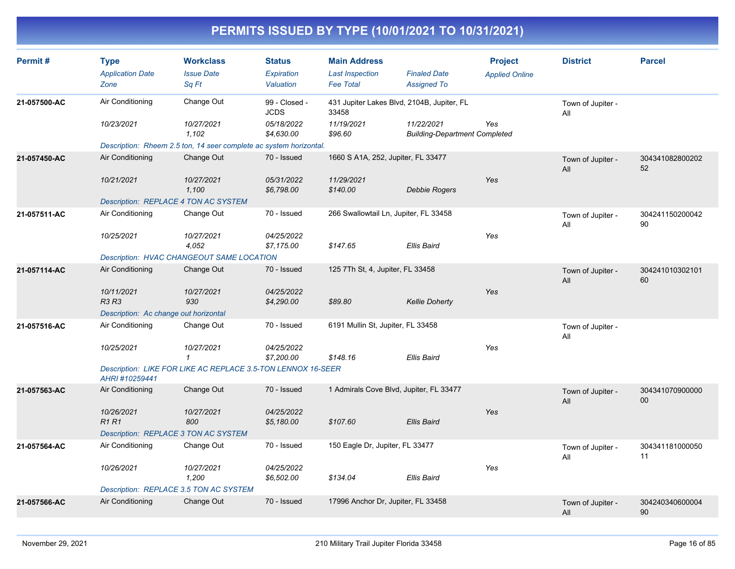| Permit#      | <b>Type</b><br><b>Application Date</b><br>Zone | <b>Workclass</b><br><b>Issue Date</b><br>Sq Ft                     | <b>Status</b><br>Expiration<br>Valuation | <b>Main Address</b><br><b>Last Inspection</b><br><b>Fee Total</b> | <b>Finaled Date</b><br><b>Assigned To</b>          | <b>Project</b><br><b>Applied Online</b> | <b>District</b>          | <b>Parcel</b>         |
|--------------|------------------------------------------------|--------------------------------------------------------------------|------------------------------------------|-------------------------------------------------------------------|----------------------------------------------------|-----------------------------------------|--------------------------|-----------------------|
| 21-057500-AC | Air Conditioning                               | Change Out                                                         | 99 - Closed -<br><b>JCDS</b>             | 431 Jupiter Lakes Blvd, 2104B, Jupiter, FL<br>33458               |                                                    |                                         | Town of Jupiter -<br>All |                       |
|              | 10/23/2021                                     | 10/27/2021<br>1.102                                                | 05/18/2022<br>\$4,630.00                 | 11/19/2021<br>\$96.60                                             | 11/22/2021<br><b>Building-Department Completed</b> | Yes                                     |                          |                       |
|              |                                                | Description: Rheem 2.5 ton, 14 seer complete ac system horizontal. |                                          |                                                                   |                                                    |                                         |                          |                       |
| 21-057450-AC | Air Conditioning                               | Change Out                                                         | 70 - Issued                              | 1660 S A1A, 252, Jupiter, FL 33477                                |                                                    |                                         | Town of Jupiter -<br>All | 304341082800202<br>52 |
|              | 10/21/2021                                     | 10/27/2021<br>1.100                                                | 05/31/2022<br>\$6,798.00                 | 11/29/2021<br>\$140.00                                            | Debbie Rogers                                      | Yes                                     |                          |                       |
|              | Description: REPLACE 4 TON AC SYSTEM           |                                                                    |                                          |                                                                   |                                                    |                                         |                          |                       |
| 21-057511-AC | Air Conditioning                               | Change Out                                                         | 70 - Issued                              | 266 Swallowtail Ln, Jupiter, FL 33458                             |                                                    |                                         | Town of Jupiter -<br>All | 304241150200042<br>90 |
|              | 10/25/2021                                     | 10/27/2021<br>4,052                                                | 04/25/2022<br>\$7,175.00                 | \$147.65                                                          | <b>Ellis Baird</b>                                 | Yes                                     |                          |                       |
|              |                                                | Description: HVAC CHANGEOUT SAME LOCATION                          |                                          |                                                                   |                                                    |                                         |                          |                       |
| 21-057114-AC | Air Conditioning                               | Change Out                                                         | 70 - Issued                              | 125 7Th St, 4, Jupiter, FL 33458                                  |                                                    |                                         | Town of Jupiter -<br>All | 304241010302101<br>60 |
|              | 10/11/2021<br><b>R3 R3</b>                     | 10/27/2021<br>930                                                  | 04/25/2022<br>\$4,290.00                 | \$89.80                                                           | <b>Kellie Doherty</b>                              | Yes                                     |                          |                       |
|              | Description: Ac change out horizontal          |                                                                    |                                          |                                                                   |                                                    |                                         |                          |                       |
| 21-057516-AC | Air Conditioning                               | Change Out                                                         | 70 - Issued                              | 6191 Mullin St, Jupiter, FL 33458                                 |                                                    |                                         | Town of Jupiter -<br>All |                       |
|              | 10/25/2021                                     | 10/27/2021<br>$\mathcal I$                                         | 04/25/2022<br>\$7,200.00                 | \$148.16                                                          | Ellis Baird                                        | Yes                                     |                          |                       |
|              | AHRI #10259441                                 | Description: LIKE FOR LIKE AC REPLACE 3.5-TON LENNOX 16-SEER       |                                          |                                                                   |                                                    |                                         |                          |                       |
| 21-057563-AC | Air Conditioning                               | Change Out                                                         | 70 - Issued                              | 1 Admirals Cove Blvd, Jupiter, FL 33477                           |                                                    |                                         | Town of Jupiter -<br>All | 304341070900000<br>00 |
|              | 10/26/2021<br><b>R1R1</b>                      | 10/27/2021<br>800                                                  | 04/25/2022<br>\$5,180.00                 | \$107.60                                                          | <b>Ellis Baird</b>                                 | Yes                                     |                          |                       |
|              | Description: REPLACE 3 TON AC SYSTEM           |                                                                    |                                          |                                                                   |                                                    |                                         |                          |                       |
| 21-057564-AC | Air Conditioning                               | Change Out                                                         | 70 - Issued                              | 150 Eagle Dr, Jupiter, FL 33477                                   |                                                    |                                         | Town of Jupiter -<br>All | 304341181000050<br>11 |
|              | 10/26/2021                                     | 10/27/2021<br>1,200                                                | 04/25/2022<br>\$6,502.00                 | \$134.04                                                          | Ellis Baird                                        | Yes                                     |                          |                       |
|              | Description: REPLACE 3.5 TON AC SYSTEM         |                                                                    |                                          |                                                                   |                                                    |                                         |                          |                       |
| 21-057566-AC | Air Conditioning                               | Change Out                                                         | 70 - Issued                              | 17996 Anchor Dr, Jupiter, FL 33458                                |                                                    |                                         | Town of Jupiter -<br>All | 304240340600004<br>90 |
|              |                                                |                                                                    |                                          |                                                                   |                                                    |                                         |                          |                       |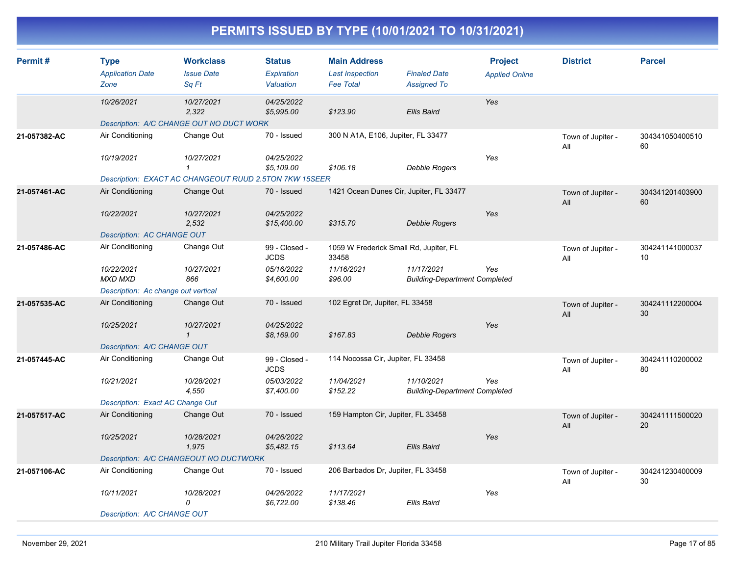| Permit#      | Type<br><b>Application Date</b>     | <b>Workclass</b><br><b>Issue Date</b>                  | <b>Status</b><br>Expiration  | <b>Main Address</b><br><b>Last Inspection</b>   | <b>Finaled Date</b>                                | <b>Project</b><br><b>Applied Online</b> | <b>District</b>          | <b>Parcel</b>         |
|--------------|-------------------------------------|--------------------------------------------------------|------------------------------|-------------------------------------------------|----------------------------------------------------|-----------------------------------------|--------------------------|-----------------------|
|              | Zone                                | Sq Ft                                                  | Valuation                    | <b>Fee Total</b>                                | <b>Assigned To</b>                                 |                                         |                          |                       |
|              | 10/26/2021                          | 10/27/2021<br>2,322                                    | 04/25/2022<br>\$5,995.00     | \$123.90                                        | <b>Ellis Baird</b>                                 | Yes                                     |                          |                       |
|              |                                     | Description: A/C CHANGE OUT NO DUCT WORK               |                              |                                                 |                                                    |                                         |                          |                       |
| 21-057382-AC | Air Conditioning                    | Change Out                                             | 70 - Issued                  | 300 N A1A, E106, Jupiter, FL 33477              |                                                    |                                         | Town of Jupiter -<br>All | 304341050400510<br>60 |
|              | 10/19/2021                          | 10/27/2021<br>$\mathbf{1}$                             | 04/25/2022<br>\$5,109.00     | \$106.18                                        | <b>Debbie Rogers</b>                               | Yes                                     |                          |                       |
|              |                                     | Description: EXACT AC CHANGEOUT RUUD 2.5TON 7KW 15SEER |                              |                                                 |                                                    |                                         |                          |                       |
| 21-057461-AC | Air Conditioning                    | Change Out                                             | 70 - Issued                  | 1421 Ocean Dunes Cir, Jupiter, FL 33477         |                                                    |                                         | Town of Jupiter -<br>All | 304341201403900<br>60 |
|              | 10/22/2021                          | 10/27/2021<br>2,532                                    | 04/25/2022<br>\$15,400.00    | \$315.70                                        | <b>Debbie Rogers</b>                               | Yes                                     |                          |                       |
|              | <b>Description: AC CHANGE OUT</b>   |                                                        |                              |                                                 |                                                    |                                         |                          |                       |
| 21-057486-AC | Air Conditioning                    | Change Out                                             | 99 - Closed -<br><b>JCDS</b> | 1059 W Frederick Small Rd, Jupiter, FL<br>33458 |                                                    |                                         | Town of Jupiter -<br>All | 304241141000037<br>10 |
|              | 10/22/2021<br><b>MXD MXD</b>        | 10/27/2021<br>866                                      | 05/16/2022<br>\$4,600.00     | 11/16/2021<br>\$96.00                           | 11/17/2021<br><b>Building-Department Completed</b> | Yes                                     |                          |                       |
|              | Description: Ac change out vertical |                                                        |                              |                                                 |                                                    |                                         |                          |                       |
| 21-057535-AC | Air Conditioning                    | Change Out                                             | 70 - Issued                  | 102 Egret Dr, Jupiter, FL 33458                 |                                                    |                                         | Town of Jupiter -<br>All | 304241112200004<br>30 |
|              | 10/25/2021                          | 10/27/2021<br>$\mathbf{1}$                             | 04/25/2022<br>\$8,169.00     | \$167.83                                        | Debbie Rogers                                      | Yes                                     |                          |                       |
|              | Description: A/C CHANGE OUT         |                                                        |                              |                                                 |                                                    |                                         |                          |                       |
| 21-057445-AC | Air Conditioning                    | Change Out                                             | 99 - Closed -<br><b>JCDS</b> | 114 Nocossa Cir, Jupiter, FL 33458              |                                                    |                                         | Town of Jupiter -<br>All | 304241110200002<br>80 |
|              | 10/21/2021                          | 10/28/2021<br>4,550                                    | 05/03/2022<br>\$7,400.00     | 11/04/2021<br>\$152.22                          | 11/10/2021<br><b>Building-Department Completed</b> | Yes                                     |                          |                       |
|              | Description: Exact AC Change Out    |                                                        |                              |                                                 |                                                    |                                         |                          |                       |
| 21-057517-AC | Air Conditioning                    | Change Out                                             | 70 - Issued                  | 159 Hampton Cir, Jupiter, FL 33458              |                                                    |                                         | Town of Jupiter -<br>All | 304241111500020<br>20 |
|              | 10/25/2021                          | 10/28/2021<br>1,975                                    | 04/26/2022<br>\$5,482.15     | \$113.64                                        | <b>Ellis Baird</b>                                 | Yes                                     |                          |                       |
|              |                                     | Description: A/C CHANGEOUT NO DUCTWORK                 |                              |                                                 |                                                    |                                         |                          |                       |
| 21-057106-AC | Air Conditioning                    | Change Out                                             | 70 - Issued                  | 206 Barbados Dr, Jupiter, FL 33458              |                                                    |                                         | Town of Jupiter -<br>All | 304241230400009<br>30 |
|              | 10/11/2021                          | 10/28/2021<br>$\Omega$                                 | 04/26/2022<br>\$6,722.00     | 11/17/2021<br>\$138.46                          | Ellis Baird                                        | Yes                                     |                          |                       |
|              | Description: A/C CHANGE OUT         |                                                        |                              |                                                 |                                                    |                                         |                          |                       |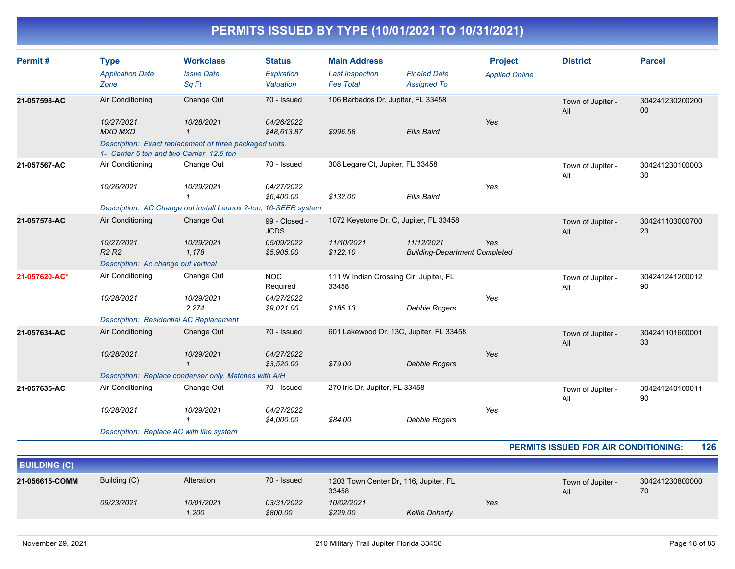| Permit#       | <b>Type</b><br><b>Application Date</b> | <b>Workclass</b><br><b>Issue Date</b>                                                                | <b>Status</b><br>Expiration  | <b>Main Address</b><br><b>Last Inspection</b>   | <b>Finaled Date</b>                                | <b>Project</b><br><b>Applied Online</b> | <b>District</b>          | <b>Parcel</b>             |
|---------------|----------------------------------------|------------------------------------------------------------------------------------------------------|------------------------------|-------------------------------------------------|----------------------------------------------------|-----------------------------------------|--------------------------|---------------------------|
|               | Zone                                   | Sq Ft                                                                                                | Valuation                    | <b>Fee Total</b>                                | <b>Assigned To</b>                                 |                                         |                          |                           |
| 21-057598-AC  | Air Conditioning                       | Change Out                                                                                           | 70 - Issued                  | 106 Barbados Dr, Jupiter, FL 33458              |                                                    |                                         | Town of Jupiter -<br>All | 304241230200200<br>$00\,$ |
|               | 10/27/2021<br><b>MXD MXD</b>           | 10/28/2021<br>1                                                                                      | 04/26/2022<br>\$48,613.87    | \$996.58                                        | <b>Ellis Baird</b>                                 | Yes                                     |                          |                           |
|               |                                        | Description: Exact replacement of three packaged units.<br>1- Carrier 5 ton and two Carrier 12.5 ton |                              |                                                 |                                                    |                                         |                          |                           |
| 21-057567-AC  | Air Conditioning                       | Change Out                                                                                           | 70 - Issued                  | 308 Legare Ct, Jupiter, FL 33458                |                                                    |                                         | Town of Jupiter -<br>All | 304241230100003<br>30     |
|               | 10/26/2021                             | 10/29/2021                                                                                           | 04/27/2022<br>\$6,400.00     | \$132.00                                        | <b>Ellis Baird</b>                                 | Yes                                     |                          |                           |
|               |                                        | Description: AC Change out install Lennox 2-ton, 16-SEER system                                      |                              |                                                 |                                                    |                                         |                          |                           |
| 21-057578-AC  | Air Conditioning                       | Change Out                                                                                           | 99 - Closed -<br><b>JCDS</b> | 1072 Keystone Dr, C, Jupiter, FL 33458          |                                                    |                                         | Town of Jupiter -<br>All | 304241103000700<br>23     |
|               | 10/27/2021<br>R2R2                     | 10/29/2021<br>1,178                                                                                  | 05/09/2022<br>\$5,905.00     | 11/10/2021<br>\$122.10                          | 11/12/2021<br><b>Building-Department Completed</b> | Yes                                     |                          |                           |
|               | Description: Ac change out vertical    |                                                                                                      |                              |                                                 |                                                    |                                         |                          |                           |
| 21-057620-AC* | Air Conditioning                       | Change Out                                                                                           | <b>NOC</b><br>Required       | 111 W Indian Crossing Cir, Jupiter, FL<br>33458 |                                                    |                                         | Town of Jupiter -<br>All | 304241241200012<br>90     |
|               | 10/28/2021                             | 10/29/2021<br>2,274                                                                                  | 04/27/2022<br>\$9,021.00     | \$185.13                                        | Debbie Rogers                                      | Yes                                     |                          |                           |
|               |                                        | <b>Description: Residential AC Replacement</b>                                                       |                              |                                                 |                                                    |                                         |                          |                           |
| 21-057634-AC  | Air Conditioning                       | Change Out                                                                                           | 70 - Issued                  | 601 Lakewood Dr, 13C, Jupiter, FL 33458         |                                                    |                                         | Town of Jupiter -<br>All | 304241101600001<br>33     |
|               | 10/28/2021                             | 10/29/2021                                                                                           | 04/27/2022<br>\$3,520.00     | \$79.00                                         | Debbie Rogers                                      | Yes                                     |                          |                           |
|               |                                        | Description: Replace condenser only. Matches with A/H                                                |                              |                                                 |                                                    |                                         |                          |                           |
| 21-057635-AC  | Air Conditioning                       | Change Out                                                                                           | 70 - Issued                  | 270 Iris Dr, Jupiter, FL 33458                  |                                                    |                                         | Town of Jupiter -<br>All | 304241240100011<br>90     |
|               | 10/28/2021                             | 10/29/2021                                                                                           | 04/27/2022<br>\$4,000.00     | \$84.00                                         | <b>Debbie Rogers</b>                               | Yes                                     |                          |                           |
|               |                                        | Description: Replace AC with like system                                                             |                              |                                                 |                                                    |                                         |                          |                           |

#### **PERMITS ISSUED FOR AIR CONDITIONING: 126**

| <b>BUILDING (C)</b> |              |                     |                                                               |                        |                       |                          |                       |  |
|---------------------|--------------|---------------------|---------------------------------------------------------------|------------------------|-----------------------|--------------------------|-----------------------|--|
| 21-056615-COMM      | Building (C) | Alteration          | 70 - Issued<br>1203 Town Center Dr, 116, Jupiter, FL<br>33458 |                        |                       | Town of Jupiter -<br>All | 304241230800000<br>70 |  |
|                     | 09/23/2021   | 10/01/2021<br>1,200 | 03/31/2022<br>\$800.00                                        | 10/02/2021<br>\$229.00 | <b>Kellie Doherty</b> | Yes                      |                       |  |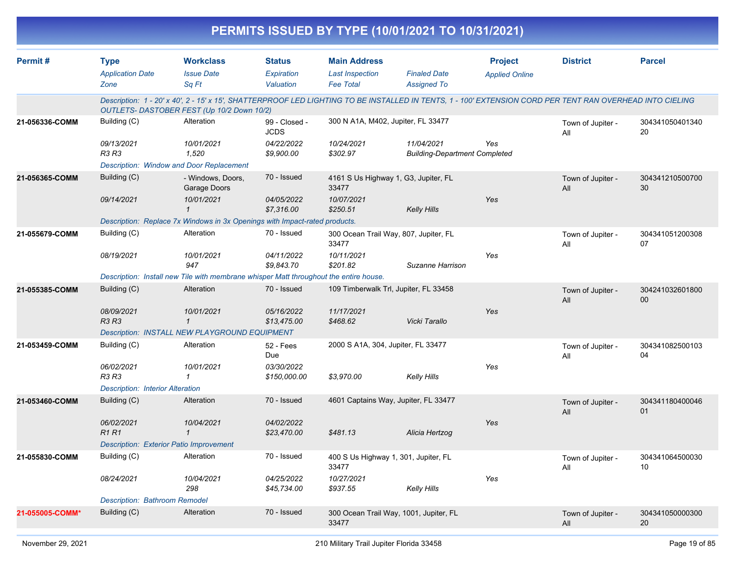| Permit#         | <b>Type</b>                                                                     | <b>Workclass</b>                                                                                                                                                                                        | <b>Status</b>                | <b>Main Address</b>                            |                                                    | <b>Project</b>        | <b>District</b>          | <b>Parcel</b>             |
|-----------------|---------------------------------------------------------------------------------|---------------------------------------------------------------------------------------------------------------------------------------------------------------------------------------------------------|------------------------------|------------------------------------------------|----------------------------------------------------|-----------------------|--------------------------|---------------------------|
|                 | <b>Application Date</b><br>Zone                                                 | <b>Issue Date</b><br>Sq Ft                                                                                                                                                                              | Expiration<br>Valuation      | <b>Last Inspection</b><br><b>Fee Total</b>     | <b>Finaled Date</b><br><b>Assigned To</b>          | <b>Applied Online</b> |                          |                           |
|                 |                                                                                 | Description: 1 - 20' x 40', 2 - 15' x 15', SHATTERPROOF LED LIGHTING TO BE INSTALLED IN TENTS, 1 - 100' EXTENSION CORD PER TENT RAN OVERHEAD INTO CIELING<br>OUTLETS- DASTOBER FEST (Up 10/2 Down 10/2) |                              |                                                |                                                    |                       |                          |                           |
| 21-056336-COMM  | Building (C)                                                                    | Alteration                                                                                                                                                                                              | 99 - Closed -<br><b>JCDS</b> | 300 N A1A, M402, Jupiter, FL 33477             |                                                    |                       | Town of Jupiter -<br>All | 304341050401340<br>20     |
|                 | 09/13/2021<br>R3 R3                                                             | 10/01/2021<br>1,520                                                                                                                                                                                     | 04/22/2022<br>\$9,900.00     | 10/24/2021<br>\$302.97                         | 11/04/2021<br><b>Building-Department Completed</b> | Yes                   |                          |                           |
|                 |                                                                                 | <b>Description: Window and Door Replacement</b>                                                                                                                                                         |                              |                                                |                                                    |                       |                          |                           |
| 21-056365-COMM  | Building (C)                                                                    | - Windows, Doors,<br>Garage Doors                                                                                                                                                                       | 70 - Issued                  | 4161 S Us Highway 1, G3, Jupiter, FL<br>33477  |                                                    |                       | Town of Jupiter -<br>All | 304341210500700<br>30     |
|                 | 09/14/2021                                                                      | 10/01/2021                                                                                                                                                                                              | 04/05/2022<br>\$7,316.00     | 10/07/2021<br>\$250.51                         | <b>Kelly Hills</b>                                 | Yes                   |                          |                           |
|                 |                                                                                 | Description: Replace 7x Windows in 3x Openings with Impact-rated products.                                                                                                                              |                              |                                                |                                                    |                       |                          |                           |
| 21-055679-COMM  | Building (C)                                                                    | Alteration                                                                                                                                                                                              | 70 - Issued                  | 300 Ocean Trail Way, 807, Jupiter, FL<br>33477 |                                                    |                       | Town of Jupiter -<br>All | 304341051200308<br>07     |
|                 | 08/19/2021                                                                      | 10/01/2021<br>947                                                                                                                                                                                       | 04/11/2022<br>\$9,843.70     | 10/11/2021<br>\$201.82                         | Suzanne Harrison                                   | Yes                   |                          |                           |
|                 |                                                                                 | Description: Install new Tile with membrane whisper Matt throughout the entire house.                                                                                                                   |                              |                                                |                                                    |                       |                          |                           |
| 21-055385-COMM  | Building (C)                                                                    | Alteration                                                                                                                                                                                              | 70 - Issued                  | 109 Timberwalk Trl, Jupiter, FL 33458          |                                                    |                       | Town of Jupiter -<br>All | 304241032601800<br>$00\,$ |
|                 | 08/09/2021<br><b>R3 R3</b>                                                      | 10/01/2021<br>$\mathbf{1}$                                                                                                                                                                              | 05/16/2022<br>\$13,475.00    | 11/17/2021<br>\$468.62                         | Vicki Tarallo                                      | Yes                   |                          |                           |
|                 |                                                                                 | Description: INSTALL NEW PLAYGROUND EQUIPMENT                                                                                                                                                           |                              |                                                |                                                    |                       |                          |                           |
| 21-053459-COMM  | Building (C)                                                                    | Alteration                                                                                                                                                                                              | 52 - Fees<br>Due             | 2000 S A1A, 304, Jupiter, FL 33477             |                                                    |                       | Town of Jupiter -<br>All | 304341082500103<br>04     |
|                 | 06/02/2021                                                                      | 10/01/2021                                                                                                                                                                                              | 03/30/2022                   |                                                |                                                    | Yes                   |                          |                           |
|                 | R3 R3                                                                           | 1                                                                                                                                                                                                       | \$150,000.00                 | \$3,970.00                                     | <b>Kelly Hills</b>                                 |                       |                          |                           |
|                 | <b>Description: Interior Alteration</b>                                         |                                                                                                                                                                                                         |                              |                                                |                                                    |                       |                          |                           |
| 21-053460-COMM  | Building (C)                                                                    | Alteration                                                                                                                                                                                              | 70 - Issued                  | 4601 Captains Way, Jupiter, FL 33477           |                                                    |                       | Town of Jupiter -<br>All | 304341180400046<br>01     |
|                 | 06/02/2021                                                                      | 10/04/2021                                                                                                                                                                                              | 04/02/2022                   |                                                |                                                    | Yes                   |                          |                           |
|                 | R <sub>1</sub> R <sub>1</sub><br><b>Description: Exterior Patio Improvement</b> | $\mathcal I$                                                                                                                                                                                            | \$23,470.00                  | \$481.13                                       | Alicia Hertzog                                     |                       |                          |                           |
|                 | Building (C)                                                                    | Alteration                                                                                                                                                                                              | 70 - Issued                  | 400 S Us Highway 1, 301, Jupiter, FL           |                                                    |                       |                          |                           |
| 21-055830-COMM  |                                                                                 |                                                                                                                                                                                                         |                              | 33477                                          |                                                    |                       | Town of Jupiter -<br>All | 304341064500030<br>10     |
|                 | 08/24/2021                                                                      | 10/04/2021<br>298                                                                                                                                                                                       | 04/25/2022<br>\$45,734.00    | 10/27/2021<br>\$937.55                         | <b>Kelly Hills</b>                                 | Yes                   |                          |                           |
|                 | <b>Description: Bathroom Remodel</b>                                            |                                                                                                                                                                                                         |                              |                                                |                                                    |                       |                          |                           |
| 21-055005-COMM* | Building (C)                                                                    | Alteration                                                                                                                                                                                              | 70 - Issued                  | 33477                                          | 300 Ocean Trail Way, 1001, Jupiter, FL             |                       | Town of Jupiter -<br>All | 304341050000300<br>20     |
|                 |                                                                                 |                                                                                                                                                                                                         |                              |                                                |                                                    |                       |                          |                           |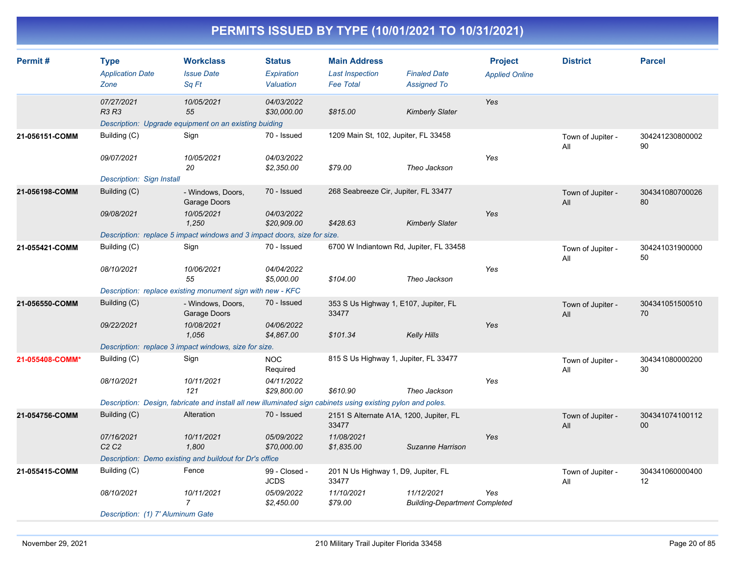| Permit#         | <b>Type</b><br><b>Application Date</b><br>Zone | <b>Workclass</b><br><b>Issue Date</b><br>Sq Ft                                                               | <b>Status</b><br>Expiration<br>Valuation | <b>Main Address</b><br><b>Last Inspection</b><br><b>Fee Total</b> | <b>Finaled Date</b><br><b>Assigned To</b>          | <b>Project</b><br><b>Applied Online</b> | <b>District</b>          | <b>Parcel</b>         |
|-----------------|------------------------------------------------|--------------------------------------------------------------------------------------------------------------|------------------------------------------|-------------------------------------------------------------------|----------------------------------------------------|-----------------------------------------|--------------------------|-----------------------|
|                 | 07/27/2021<br><b>R3 R3</b>                     | 10/05/2021<br>55<br>Description: Upgrade equipment on an existing buiding                                    | 04/03/2022<br>\$30,000.00                | \$815.00                                                          | <b>Kimberly Slater</b>                             | Yes                                     |                          |                       |
| 21-056151-COMM  | Building (C)                                   | Sign                                                                                                         | 70 - Issued                              | 1209 Main St, 102, Jupiter, FL 33458                              |                                                    |                                         | Town of Jupiter -<br>All | 304241230800002<br>90 |
|                 | 09/07/2021<br><b>Description: Sign Install</b> | 10/05/2021<br>20                                                                                             | 04/03/2022<br>\$2,350.00                 | \$79.00                                                           | Theo Jackson                                       | Yes                                     |                          |                       |
| 21-056198-COMM  | Building (C)                                   | - Windows, Doors,<br>Garage Doors                                                                            | 70 - Issued                              | 268 Seabreeze Cir, Jupiter, FL 33477                              |                                                    |                                         | Town of Jupiter -<br>All | 304341080700026<br>80 |
|                 | 09/08/2021                                     | 10/05/2021<br>1.250<br>Description: replace 5 impact windows and 3 impact doors, size for size.              | 04/03/2022<br>\$20,909.00                | \$428.63                                                          | <b>Kimberly Slater</b>                             | Yes                                     |                          |                       |
| 21-055421-COMM  | Building (C)                                   | Sign                                                                                                         | 70 - Issued                              | 6700 W Indiantown Rd, Jupiter, FL 33458                           |                                                    |                                         | Town of Jupiter -        | 304241031900000       |
|                 |                                                |                                                                                                              |                                          |                                                                   |                                                    |                                         | All                      | 50                    |
|                 | 08/10/2021                                     | 10/06/2021<br>55                                                                                             | 04/04/2022<br>\$5,000.00                 | \$104.00                                                          | Theo Jackson                                       | Yes                                     |                          |                       |
|                 |                                                | Description: replace existing monument sign with new - KFC                                                   |                                          |                                                                   |                                                    |                                         |                          |                       |
| 21-056550-COMM  | Building (C)                                   | - Windows, Doors,<br>Garage Doors                                                                            | 70 - Issued                              | 353 S Us Highway 1, E107, Jupiter, FL<br>33477                    |                                                    |                                         | Town of Jupiter -<br>All | 304341051500510<br>70 |
|                 | 09/22/2021                                     | 10/08/2021<br>1,056                                                                                          | 04/06/2022<br>\$4,867.00                 | \$101.34                                                          | <b>Kelly Hills</b>                                 | Yes                                     |                          |                       |
|                 |                                                | Description: replace 3 impact windows, size for size.                                                        |                                          |                                                                   |                                                    |                                         |                          |                       |
| 21-055408-COMM* | Building (C)                                   | Sign                                                                                                         | <b>NOC</b><br>Required                   | 815 S Us Highway 1, Jupiter, FL 33477                             |                                                    |                                         | Town of Jupiter -<br>All | 304341080000200<br>30 |
|                 | 08/10/2021                                     | 10/11/2021<br>121                                                                                            | 04/11/2022<br>\$29,800.00                | \$610.90                                                          | Theo Jackson                                       | Yes                                     |                          |                       |
|                 |                                                | Description: Design, fabricate and install all new illuminated sign cabinets using existing pylon and poles. |                                          |                                                                   |                                                    |                                         |                          |                       |
| 21-054756-COMM  | Building (C)                                   | Alteration                                                                                                   | 70 - Issued                              | 2151 S Alternate A1A, 1200, Jupiter, FL<br>33477                  |                                                    |                                         | Town of Jupiter -<br>All | 304341074100112<br>00 |
|                 | 07/16/2021<br>C <sub>2</sub> C <sub>2</sub>    | 10/11/2021<br>1,800                                                                                          | 05/09/2022<br>\$70,000.00                | 11/08/2021<br>\$1,835.00                                          | Suzanne Harrison                                   | Yes                                     |                          |                       |
|                 |                                                | Description: Demo existing and buildout for Dr's office                                                      |                                          |                                                                   |                                                    |                                         |                          |                       |
| 21-055415-COMM  | Building (C)                                   | Fence                                                                                                        | 99 - Closed -<br><b>JCDS</b>             | 201 N Us Highway 1, D9, Jupiter, FL<br>33477                      |                                                    |                                         | Town of Jupiter -<br>All | 304341060000400<br>12 |
|                 | 08/10/2021                                     | 10/11/2021<br>$\overline{7}$                                                                                 | 05/09/2022<br>\$2,450.00                 | 11/10/2021<br>\$79.00                                             | 11/12/2021<br><b>Building-Department Completed</b> | Yes                                     |                          |                       |
|                 | Description: (1) 7' Aluminum Gate              |                                                                                                              |                                          |                                                                   |                                                    |                                         |                          |                       |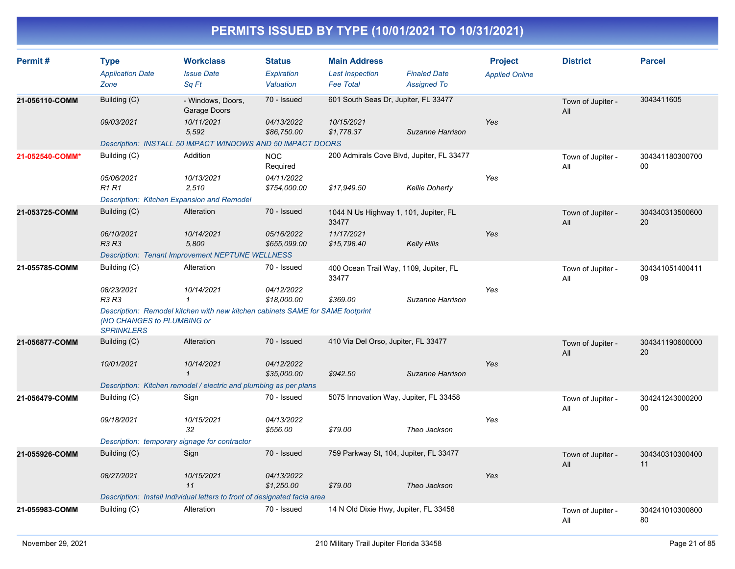| Permit#         | <b>Type</b><br><b>Application Date</b><br>Zone                            | <b>Workclass</b><br><b>Issue Date</b><br>Sq Ft                                 | <b>Status</b><br>Expiration<br>Valuation | <b>Main Address</b><br><b>Last Inspection</b><br><b>Fee Total</b> | <b>Finaled Date</b><br><b>Assigned To</b> | <b>Project</b><br><b>Applied Online</b> | <b>District</b>          | <b>Parcel</b>         |  |
|-----------------|---------------------------------------------------------------------------|--------------------------------------------------------------------------------|------------------------------------------|-------------------------------------------------------------------|-------------------------------------------|-----------------------------------------|--------------------------|-----------------------|--|
| 21-056110-COMM  | Building (C)                                                              | - Windows, Doors,<br>Garage Doors                                              | 70 - Issued                              | 601 South Seas Dr, Jupiter, FL 33477                              |                                           |                                         | Town of Jupiter -<br>All | 3043411605            |  |
|                 | 09/03/2021                                                                | 10/11/2021<br>5,592                                                            | 04/13/2022<br>\$86,750.00                | 10/15/2021<br>\$1,778.37                                          | Suzanne Harrison                          | Yes                                     |                          |                       |  |
|                 |                                                                           | Description: INSTALL 50 IMPACT WINDOWS AND 50 IMPACT DOORS                     |                                          |                                                                   |                                           |                                         |                          |                       |  |
| 21-052540-COMM* | Building (C)                                                              | Addition                                                                       | <b>NOC</b><br>Required                   | 200 Admirals Cove Blvd, Jupiter, FL 33477                         |                                           |                                         | Town of Jupiter -<br>All | 304341180300700<br>00 |  |
|                 | 05/06/2021<br>R1 R1                                                       | 10/13/2021<br>2,510                                                            | 04/11/2022<br>\$754,000.00               | \$17,949.50                                                       | <b>Kellie Doherty</b>                     | Yes                                     |                          |                       |  |
|                 | Description: Kitchen Expansion and Remodel                                |                                                                                |                                          |                                                                   |                                           |                                         |                          |                       |  |
| 21-053725-COMM  | Building (C)                                                              | Alteration                                                                     | 70 - Issued                              | 1044 N Us Highway 1, 101, Jupiter, FL<br>33477                    |                                           |                                         | Town of Jupiter -<br>All | 304340313500600<br>20 |  |
|                 | 06/10/2021<br><b>R3 R3</b>                                                | 10/14/2021<br>5,800                                                            | 05/16/2022<br>\$655,099.00               | 11/17/2021<br>\$15,798.40                                         | <b>Kelly Hills</b>                        | Yes                                     |                          |                       |  |
|                 |                                                                           | <b>Description: Tenant Improvement NEPTUNE WELLNESS</b>                        |                                          |                                                                   |                                           |                                         |                          |                       |  |
| 21-055785-COMM  | Building (C)                                                              | Alteration                                                                     | 70 - Issued                              | 400 Ocean Trail Way, 1109, Jupiter, FL<br>33477                   |                                           |                                         | Town of Jupiter -<br>All | 304341051400411<br>09 |  |
|                 | 08/23/2021<br>R3 R3                                                       | 10/14/2021                                                                     | 04/12/2022<br>\$18,000.00                | \$369.00                                                          | Suzanne Harrison                          | Yes                                     |                          |                       |  |
|                 | (NO CHANGES to PLUMBING or<br><b>SPRINKLERS</b>                           | Description: Remodel kitchen with new kitchen cabinets SAME for SAME footprint |                                          |                                                                   |                                           |                                         |                          |                       |  |
| 21-056877-COMM  | Building (C)                                                              | Alteration                                                                     | 70 - Issued                              | 410 Via Del Orso, Jupiter, FL 33477                               |                                           |                                         | Town of Jupiter -<br>All | 304341190600000<br>20 |  |
|                 | 10/01/2021                                                                | 10/14/2021<br>$\mathbf{1}$                                                     | 04/12/2022<br>\$35,000.00                | \$942.50                                                          | Suzanne Harrison                          | Yes                                     |                          |                       |  |
|                 |                                                                           | Description: Kitchen remodel / electric and plumbing as per plans              |                                          |                                                                   |                                           |                                         |                          |                       |  |
| 21-056479-COMM  | Building (C)                                                              | Sign                                                                           | 70 - Issued                              | 5075 Innovation Way, Jupiter, FL 33458                            |                                           |                                         | Town of Jupiter -<br>All | 304241243000200<br>00 |  |
|                 | 09/18/2021                                                                | 10/15/2021<br>32                                                               | 04/13/2022<br>\$556.00                   | \$79.00                                                           | Theo Jackson                              | Yes                                     |                          |                       |  |
|                 | Description: temporary signage for contractor                             |                                                                                |                                          |                                                                   |                                           |                                         |                          |                       |  |
| 21-055926-COMM  | Building (C)                                                              | Sign                                                                           | 70 - Issued                              | 759 Parkway St, 104, Jupiter, FL 33477                            |                                           |                                         | Town of Jupiter -<br>All | 304340310300400<br>11 |  |
|                 | 08/27/2021                                                                | 10/15/2021<br>11                                                               | 04/13/2022<br>\$1,250.00                 | \$79.00                                                           | Theo Jackson                              | Yes                                     |                          |                       |  |
|                 | Description: Install Individual letters to front of designated facia area |                                                                                |                                          |                                                                   |                                           |                                         |                          |                       |  |
| 21-055983-COMM  | Building (C)                                                              | Alteration                                                                     | 70 - Issued                              | 14 N Old Dixie Hwy, Jupiter, FL 33458                             |                                           |                                         | Town of Jupiter -<br>All | 304241010300800<br>80 |  |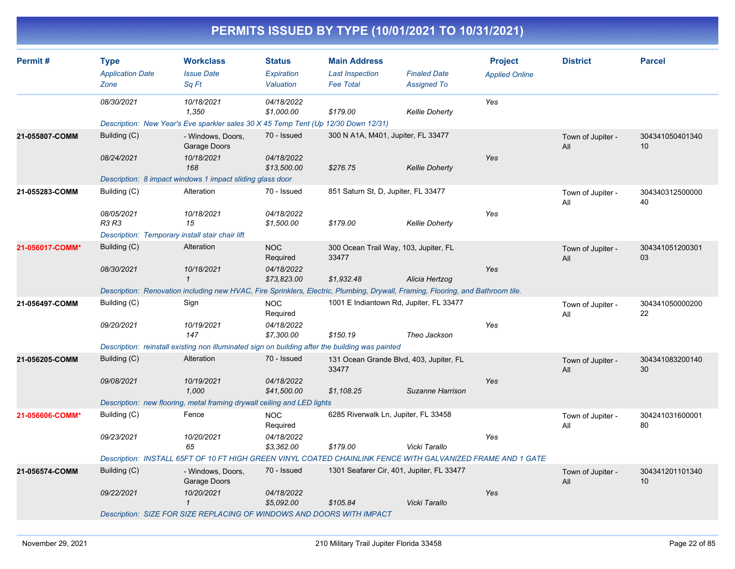| Permit#         | <b>Type</b>                                     | <b>Workclass</b>                                                                                                                | <b>Status</b>             | <b>Main Address</b>                              |                       | <b>Project</b>        | <b>District</b>          | <b>Parcel</b>         |
|-----------------|-------------------------------------------------|---------------------------------------------------------------------------------------------------------------------------------|---------------------------|--------------------------------------------------|-----------------------|-----------------------|--------------------------|-----------------------|
|                 | <b>Application Date</b>                         | <b>Issue Date</b>                                                                                                               | Expiration                | <b>Last Inspection</b>                           | <b>Finaled Date</b>   | <b>Applied Online</b> |                          |                       |
|                 | Zone                                            | Sq Ft                                                                                                                           | Valuation                 | <b>Fee Total</b>                                 | <b>Assigned To</b>    |                       |                          |                       |
|                 | 08/30/2021                                      | 10/18/2021                                                                                                                      | 04/18/2022                |                                                  |                       | Yes                   |                          |                       |
|                 |                                                 | 1,350                                                                                                                           | \$1,000.00                | \$179.00                                         | <b>Kellie Doherty</b> |                       |                          |                       |
|                 |                                                 | Description: New Year's Eve sparkler sales 30 X 45 Temp Tent (Up 12/30 Down 12/31)                                              |                           |                                                  |                       |                       |                          |                       |
| 21-055807-COMM  | Building (C)                                    | - Windows, Doors,<br>Garage Doors                                                                                               | 70 - Issued               | 300 N A1A, M401, Jupiter, FL 33477               |                       |                       | Town of Jupiter -<br>All | 304341050401340<br>10 |
|                 | 08/24/2021                                      | 10/18/2021<br>168                                                                                                               | 04/18/2022<br>\$13,500.00 | \$276.75                                         | <b>Kellie Doherty</b> | Yes                   |                          |                       |
|                 |                                                 | Description: 8 impact windows 1 impact sliding glass door                                                                       |                           |                                                  |                       |                       |                          |                       |
| 21-055283-COMM  | Building (C)                                    | Alteration                                                                                                                      | 70 - Issued               | 851 Saturn St, D, Jupiter, FL 33477              |                       |                       | Town of Jupiter -<br>All | 304340312500000<br>40 |
|                 | 08/05/2021<br>R3 R3                             | 10/18/2021<br>15                                                                                                                | 04/18/2022<br>\$1,500.00  | \$179.00                                         | <b>Kellie Doherty</b> | Yes                   |                          |                       |
|                 | Description: Temporary install stair chair lift |                                                                                                                                 |                           |                                                  |                       |                       |                          |                       |
| 21-056017-COMM* | Building (C)                                    | Alteration                                                                                                                      | <b>NOC</b><br>Required    | 300 Ocean Trail Way, 103, Jupiter, FL<br>33477   |                       |                       | Town of Jupiter -<br>All | 304341051200301<br>03 |
|                 | 08/30/2021                                      | 10/18/2021<br>$\mathbf 1$                                                                                                       | 04/18/2022<br>\$73.823.00 | \$1,932.48                                       | Alicia Hertzog        | Yes                   |                          |                       |
|                 |                                                 | Description: Renovation including new HVAC, Fire Sprinklers, Electric, Plumbing, Drywall, Framing, Flooring, and Bathroom tile. |                           |                                                  |                       |                       |                          |                       |
| 21-056497-COMM  | Building (C)                                    | Sign                                                                                                                            | <b>NOC</b><br>Required    | 1001 E Indiantown Rd, Jupiter, FL 33477          |                       |                       | Town of Jupiter -<br>All | 304341050000200<br>22 |
|                 | 09/20/2021                                      | 10/19/2021<br>147                                                                                                               | 04/18/2022<br>\$7,300.00  | \$150.19                                         | Theo Jackson          | Yes                   |                          |                       |
|                 |                                                 | Description: reinstall existing non illuminated sign on building after the building was painted                                 |                           |                                                  |                       |                       |                          |                       |
| 21-056205-COMM  | Building (C)                                    | Alteration                                                                                                                      | 70 - Issued               | 131 Ocean Grande Blvd, 403, Jupiter, FL<br>33477 |                       |                       | Town of Jupiter -<br>All | 304341083200140<br>30 |
|                 | 09/08/2021                                      | 10/19/2021<br>1,000                                                                                                             | 04/18/2022<br>\$41,500.00 | \$1,108.25                                       | Suzanne Harrison      | Yes                   |                          |                       |
|                 |                                                 | Description: new flooring, metal framing drywall ceiling and LED lights                                                         |                           |                                                  |                       |                       |                          |                       |
| 21-056606-COMM* | Building (C)                                    | Fence                                                                                                                           | <b>NOC</b><br>Required    | 6285 Riverwalk Ln, Jupiter, FL 33458             |                       |                       | Town of Jupiter -<br>All | 304241031600001<br>80 |
|                 | 09/23/2021                                      | 10/20/2021<br>65                                                                                                                | 04/18/2022<br>\$3,362.00  | \$179.00                                         | Vicki Tarallo         | Yes                   |                          |                       |
|                 |                                                 | Description: INSTALL 65FT OF 10 FT HIGH GREEN VINYL COATED CHAINLINK FENCE WITH GALVANIZED FRAME AND 1 GATE                     |                           |                                                  |                       |                       |                          |                       |
| 21-056574-COMM  | Building (C)                                    | - Windows, Doors,<br>Garage Doors                                                                                               | 70 - Issued               | 1301 Seafarer Cir, 401, Jupiter, FL 33477        |                       |                       | Town of Jupiter -<br>All | 304341201101340<br>10 |
|                 | 09/22/2021                                      | 10/20/2021<br>1                                                                                                                 | 04/18/2022<br>\$5,092.00  | \$105.84                                         | Vicki Tarallo         | Yes                   |                          |                       |
|                 |                                                 | Description: SIZE FOR SIZE REPLACING OF WINDOWS AND DOORS WITH IMPACT                                                           |                           |                                                  |                       |                       |                          |                       |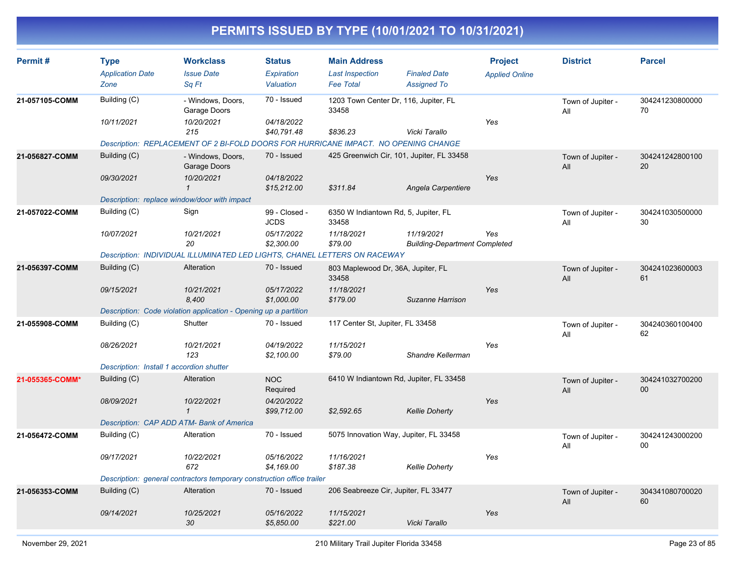| Permit#         | <b>Type</b><br><b>Application Date</b><br>Zone                             | <b>Workclass</b><br><b>Issue Date</b><br>Sq Ft                                                                                                        | <b>Status</b><br>Expiration<br>Valuation                 | <b>Main Address</b><br><b>Last Inspection</b><br><b>Fee Total</b>      | <b>Finaled Date</b><br><b>Assigned To</b>          | <b>Project</b><br><b>Applied Online</b> | <b>District</b>          | <b>Parcel</b>         |
|-----------------|----------------------------------------------------------------------------|-------------------------------------------------------------------------------------------------------------------------------------------------------|----------------------------------------------------------|------------------------------------------------------------------------|----------------------------------------------------|-----------------------------------------|--------------------------|-----------------------|
| 21-057105-COMM  | Building (C)<br>10/11/2021                                                 | - Windows, Doors,<br>Garage Doors<br>10/20/2021<br>215                                                                                                | 70 - Issued<br>04/18/2022<br>\$40,791.48                 | 1203 Town Center Dr, 116, Jupiter, FL<br>33458<br>\$836.23             | Vicki Tarallo                                      | Yes                                     | Town of Jupiter -<br>All | 304241230800000<br>70 |
| 21-056827-COMM  | Building (C)<br>09/30/2021<br>Description: replace window/door with impact | Description: REPLACEMENT OF 2 BI-FOLD DOORS FOR HURRICANE IMPACT. NO OPENING CHANGE<br>- Windows, Doors,<br>Garage Doors<br>10/20/2021<br>$\mathbf 1$ | 70 - Issued<br>04/18/2022<br>\$15,212.00                 | 425 Greenwich Cir, 101, Jupiter, FL 33458<br>\$311.84                  | Angela Carpentiere                                 | Yes                                     | Town of Jupiter -<br>All | 304241242800100<br>20 |
| 21-057022-COMM  | Building (C)<br>10/07/2021                                                 | Sign<br>10/21/2021<br>20<br>Description: INDIVIDUAL ILLUMINATED LED LIGHTS, CHANEL LETTERS ON RACEWAY                                                 | 99 - Closed -<br><b>JCDS</b><br>05/17/2022<br>\$2,300.00 | 6350 W Indiantown Rd, 5, Jupiter, FL<br>33458<br>11/18/2021<br>\$79.00 | 11/19/2021<br><b>Building-Department Completed</b> | Yes                                     | Town of Jupiter -<br>All | 304241030500000<br>30 |
| 21-056397-COMM  | Building (C)<br>09/15/2021                                                 | Alteration<br>10/21/2021<br>8,400<br>Description: Code violation application - Opening up a partition                                                 | 70 - Issued<br>05/17/2022<br>\$1,000.00                  | 803 Maplewood Dr, 36A, Jupiter, FL<br>33458<br>11/18/2021<br>\$179.00  | Suzanne Harrison                                   | Yes                                     | Town of Jupiter -<br>All | 304241023600003<br>61 |
| 21-055908-COMM  | Building (C)<br>08/26/2021<br>Description: Install 1 accordion shutter     | Shutter<br>10/21/2021<br>123                                                                                                                          | 70 - Issued<br>04/19/2022<br>\$2,100.00                  | 117 Center St, Jupiter, FL 33458<br>11/15/2021<br>\$79.00              | Shandre Kellerman                                  | Yes                                     | Town of Jupiter -<br>All | 304240360100400<br>62 |
| 21-055365-COMM* | Building (C)<br>08/09/2021                                                 | Alteration<br>10/22/2021<br>$\mathbf{1}$<br>Description: CAP ADD ATM- Bank of America                                                                 | <b>NOC</b><br>Required<br>04/20/2022<br>\$99,712.00      | 6410 W Indiantown Rd, Jupiter, FL 33458<br>\$2,592.65                  | <b>Kellie Doherty</b>                              | Yes                                     | Town of Jupiter -<br>All | 304241032700200<br>00 |
| 21-056472-COMM  | Building (C)<br>09/17/2021                                                 | Alteration<br>10/22/2021<br>672<br>Description: general contractors temporary construction office trailer                                             | 70 - Issued<br>05/16/2022<br>\$4,169.00                  | 5075 Innovation Way, Jupiter, FL 33458<br>11/16/2021<br>\$187.38       | <b>Kellie Doherty</b>                              | Yes                                     | Town of Jupiter -<br>All | 304241243000200<br>00 |
| 21-056353-COMM  | Building (C)<br>09/14/2021                                                 | Alteration<br>10/25/2021<br>30                                                                                                                        | 70 - Issued<br>05/16/2022<br>\$5,850.00                  | 206 Seabreeze Cir, Jupiter, FL 33477<br>11/15/2021<br>\$221.00         | Vicki Tarallo                                      | Yes                                     | Town of Jupiter -<br>All | 304341080700020<br>60 |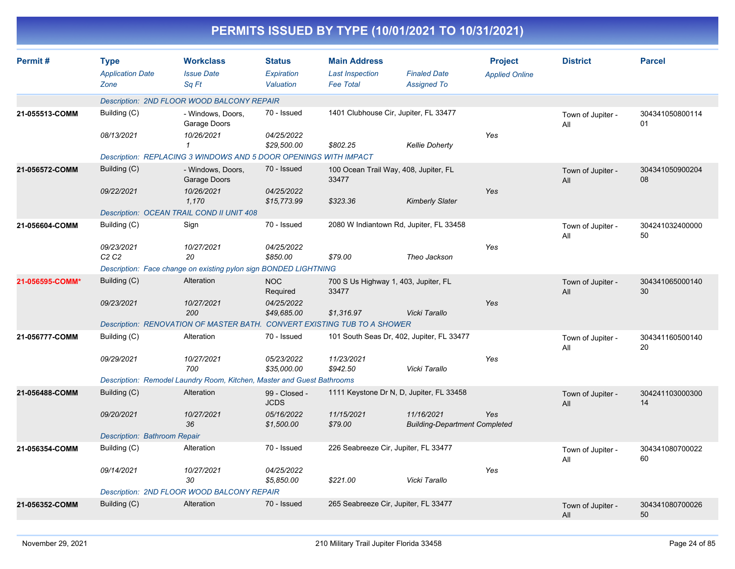|                 |                                                |                                                                          |                                   |                                                                   | PERMITS ISSUED BY TYPE (10/01/2021 TO 10/31/2021)  |                                         |                          |                       |
|-----------------|------------------------------------------------|--------------------------------------------------------------------------|-----------------------------------|-------------------------------------------------------------------|----------------------------------------------------|-----------------------------------------|--------------------------|-----------------------|
| Permit#         | <b>Type</b><br><b>Application Date</b><br>Zone | <b>Workclass</b><br><b>Issue Date</b><br>Sq Ft                           | Status<br>Expiration<br>Valuation | <b>Main Address</b><br><b>Last Inspection</b><br><b>Fee Total</b> | <b>Finaled Date</b><br><b>Assigned To</b>          | <b>Project</b><br><b>Applied Online</b> | <b>District</b>          | <b>Parcel</b>         |
|                 |                                                | Description: 2ND FLOOR WOOD BALCONY REPAIR                               |                                   |                                                                   |                                                    |                                         |                          |                       |
| 21-055513-COMM  | Building (C)                                   | - Windows, Doors,<br>Garage Doors                                        | 70 - Issued                       |                                                                   | 1401 Clubhouse Cir, Jupiter, FL 33477              |                                         | Town of Jupiter -<br>All | 304341050800114<br>01 |
|                 | 08/13/2021                                     | 10/26/2021                                                               | 04/25/2022<br>\$29,500.00         | \$802.25                                                          | <b>Kellie Doherty</b>                              | Yes                                     |                          |                       |
|                 |                                                | Description: REPLACING 3 WINDOWS AND 5 DOOR OPENINGS WITH IMPACT         |                                   |                                                                   |                                                    |                                         |                          |                       |
| 21-056572-COMM  | Building (C)                                   | - Windows, Doors,<br>Garage Doors                                        | 70 - Issued                       | 33477                                                             | 100 Ocean Trail Way, 408, Jupiter, FL              |                                         | Town of Jupiter -<br>All | 304341050900204<br>08 |
|                 | 09/22/2021                                     | 10/26/2021<br>1,170                                                      | 04/25/2022<br>\$15,773.99         | \$323.36                                                          | <b>Kimberly Slater</b>                             | Yes                                     |                          |                       |
|                 |                                                | Description: OCEAN TRAIL COND II UNIT 408                                |                                   |                                                                   |                                                    |                                         |                          |                       |
| 21-056604-COMM  | Building (C)                                   | Sign                                                                     | 70 - Issued                       |                                                                   | 2080 W Indiantown Rd, Jupiter, FL 33458            |                                         | Town of Jupiter -<br>All | 304241032400000<br>50 |
|                 | 09/23/2021<br>C <sub>2</sub> C <sub>2</sub>    | 10/27/2021<br>20                                                         | 04/25/2022<br>\$850.00            | \$79.00                                                           | Theo Jackson                                       | Yes                                     |                          |                       |
|                 |                                                | Description: Face change on existing pylon sign BONDED LIGHTNING         |                                   |                                                                   |                                                    |                                         |                          |                       |
| 21-056595-COMM* | Building (C)                                   | Alteration                                                               | <b>NOC</b><br>Required            | 33477                                                             | 700 S Us Highway 1, 403, Jupiter, FL               |                                         | Town of Jupiter -<br>All | 304341065000140<br>30 |
|                 | 09/23/2021                                     | 10/27/2021<br>200                                                        | 04/25/2022<br>\$49,685.00         | \$1,316.97                                                        | Vicki Tarallo                                      | Yes                                     |                          |                       |
|                 |                                                | Description: RENOVATION OF MASTER BATH. CONVERT EXISTING TUB TO A SHOWER |                                   |                                                                   |                                                    |                                         |                          |                       |
| 21-056777-COMM  | Building (C)                                   | Alteration                                                               | 70 - Issued                       |                                                                   | 101 South Seas Dr, 402, Jupiter, FL 33477          |                                         | Town of Jupiter -<br>All | 304341160500140<br>20 |
|                 | 09/29/2021                                     | 10/27/2021<br>700                                                        | 05/23/2022<br>\$35,000.00         | 11/23/2021<br>\$942.50                                            | Vicki Tarallo                                      | Yes                                     |                          |                       |
|                 |                                                | Description: Remodel Laundry Room, Kitchen, Master and Guest Bathrooms   |                                   |                                                                   |                                                    |                                         |                          |                       |
| 21-056488-COMM  | Building (C)                                   | Alteration                                                               | 99 - Closed -<br><b>JCDS</b>      |                                                                   | 1111 Keystone Dr N, D, Jupiter, FL 33458           |                                         | Town of Jupiter -<br>All | 304241103000300<br>14 |
|                 | 09/20/2021                                     | 10/27/2021<br>36                                                         | 05/16/2022<br>\$1,500.00          | 11/15/2021<br>\$79.00                                             | 11/16/2021<br><b>Building-Department Completed</b> | Yes                                     |                          |                       |
|                 | Description: Bathroom Repair                   |                                                                          |                                   |                                                                   |                                                    |                                         |                          |                       |
| 21-056354-COMM  | Building (C)                                   | Alteration                                                               | 70 - Issued                       |                                                                   | 226 Seabreeze Cir, Jupiter, FL 33477               |                                         | Town of Jupiter -<br>All | 304341080700022<br>60 |
|                 | 09/14/2021                                     | 10/27/2021<br>30                                                         | 04/25/2022<br>\$5,850.00          | \$221.00                                                          | Vicki Tarallo                                      | Yes                                     |                          |                       |
|                 |                                                | Description: 2ND FLOOR WOOD BALCONY REPAIR                               |                                   |                                                                   |                                                    |                                         |                          |                       |
| 21-056352-COMM  | Building (C)                                   | Alteration                                                               | 70 - Issued                       |                                                                   | 265 Seabreeze Cir, Jupiter, FL 33477               |                                         | Town of Jupiter -<br>All | 304341080700026<br>50 |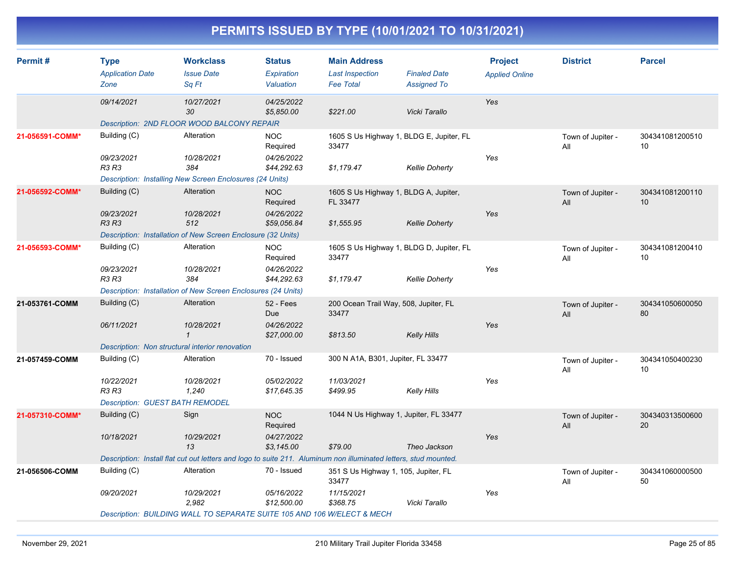| Permit#         | <b>Type</b><br><b>Application Date</b>          | <b>Workclass</b><br><b>Issue Date</b>                                                                            | <b>Status</b><br>Expiration | <b>Main Address</b><br><b>Last Inspection</b>     | <b>Finaled Date</b>   | <b>Project</b><br><b>Applied Online</b> | <b>District</b>          | <b>Parcel</b>         |
|-----------------|-------------------------------------------------|------------------------------------------------------------------------------------------------------------------|-----------------------------|---------------------------------------------------|-----------------------|-----------------------------------------|--------------------------|-----------------------|
|                 | Zone                                            | Sq Ft                                                                                                            | Valuation                   | <b>Fee Total</b>                                  | <b>Assigned To</b>    |                                         |                          |                       |
|                 | 09/14/2021                                      | 10/27/2021<br>30                                                                                                 | 04/25/2022<br>\$5,850.00    | \$221.00                                          | Vicki Tarallo         | Yes                                     |                          |                       |
|                 |                                                 | Description: 2ND FLOOR WOOD BALCONY REPAIR                                                                       |                             |                                                   |                       |                                         |                          |                       |
| 21-056591-COMM* | Building (C)                                    | Alteration                                                                                                       | NOC.<br>Required            | 1605 S Us Highway 1, BLDG E, Jupiter, FL<br>33477 |                       |                                         | Town of Jupiter -<br>All | 304341081200510<br>10 |
|                 | 09/23/2021<br><b>R3 R3</b>                      | 10/28/2021<br>384                                                                                                | 04/26/2022<br>\$44,292.63   | \$1,179.47                                        | <b>Kellie Doherty</b> | Yes                                     |                          |                       |
|                 |                                                 | Description: Installing New Screen Enclosures (24 Units)                                                         |                             |                                                   |                       |                                         |                          |                       |
| 21-056592-COMM* | Building (C)                                    | Alteration                                                                                                       | <b>NOC</b><br>Required      | 1605 S Us Highway 1, BLDG A, Jupiter,<br>FL 33477 |                       |                                         | Town of Jupiter -<br>All | 304341081200110<br>10 |
|                 | 09/23/2021<br><b>R3 R3</b>                      | 10/28/2021<br>512                                                                                                | 04/26/2022<br>\$59,056.84   | \$1,555.95                                        | <b>Kellie Doherty</b> | Yes                                     |                          |                       |
|                 |                                                 | Description: Installation of New Screen Enclosure (32 Units)                                                     |                             |                                                   |                       |                                         |                          |                       |
| 21-056593-COMM* | Building (C)                                    | Alteration                                                                                                       | <b>NOC</b><br>Required      | 1605 S Us Highway 1, BLDG D, Jupiter, FL<br>33477 |                       |                                         | Town of Jupiter -<br>All | 304341081200410<br>10 |
|                 | 09/23/2021<br><b>R3 R3</b>                      | 10/28/2021<br>384                                                                                                | 04/26/2022<br>\$44,292.63   | \$1,179.47                                        | <b>Kellie Doherty</b> | Yes                                     |                          |                       |
|                 |                                                 | Description: Installation of New Screen Enclosures (24 Units)                                                    |                             |                                                   |                       |                                         |                          |                       |
| 21-053761-COMM  | Building (C)                                    | Alteration                                                                                                       | 52 - Fees<br>Due            | 200 Ocean Trail Way, 508, Jupiter, FL<br>33477    |                       |                                         | Town of Jupiter -<br>All | 304341050600050<br>80 |
|                 | 06/11/2021                                      | 10/28/2021<br>$\mathbf{1}$                                                                                       | 04/26/2022<br>\$27,000.00   | \$813.50                                          | <b>Kelly Hills</b>    | Yes                                     |                          |                       |
|                 | Description: Non structural interior renovation |                                                                                                                  |                             |                                                   |                       |                                         |                          |                       |
| 21-057459-COMM  | Building (C)                                    | Alteration                                                                                                       | 70 - Issued                 | 300 N A1A, B301, Jupiter, FL 33477                |                       |                                         | Town of Jupiter -<br>All | 304341050400230<br>10 |
|                 | 10/22/2021<br><b>R3 R3</b>                      | 10/28/2021<br>1,240                                                                                              | 05/02/2022<br>\$17,645.35   | 11/03/2021<br>\$499.95                            | Kelly Hills           | Yes                                     |                          |                       |
|                 | <b>Description: GUEST BATH REMODEL</b>          |                                                                                                                  |                             |                                                   |                       |                                         |                          |                       |
| 21-057310-COMM* | Building (C)                                    | Sign                                                                                                             | <b>NOC</b><br>Required      | 1044 N Us Highway 1, Jupiter, FL 33477            |                       |                                         | Town of Jupiter -<br>All | 304340313500600<br>20 |
|                 | 10/18/2021                                      | 10/29/2021<br>13                                                                                                 | 04/27/2022<br>\$3,145.00    | \$79.00                                           | Theo Jackson          | Yes                                     |                          |                       |
|                 |                                                 | Description: Install flat cut out letters and logo to suite 211. Aluminum non illuminated letters, stud mounted. |                             |                                                   |                       |                                         |                          |                       |
| 21-056506-COMM  | Building (C)                                    | Alteration                                                                                                       | 70 - Issued                 | 351 S Us Highway 1, 105, Jupiter, FL<br>33477     |                       |                                         | Town of Jupiter -<br>All | 304341060000500<br>50 |
|                 | 09/20/2021                                      | 10/29/2021<br>2,982                                                                                              | 05/16/2022<br>\$12,500.00   | 11/15/2021<br>\$368.75                            | Vicki Tarallo         | Yes                                     |                          |                       |
|                 |                                                 | Description: BUILDING WALL TO SEPARATE SUITE 105 AND 106 W/ELECT & MECH                                          |                             |                                                   |                       |                                         |                          |                       |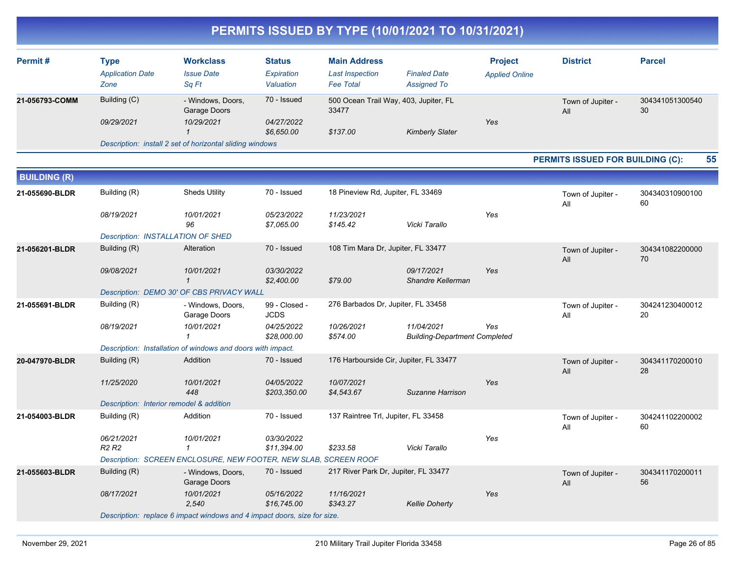| Permit#        | Type<br><b>Application Date</b><br>Zone | <b>Workclass</b><br><b>Issue Date</b><br>Sa Ft           | <b>Status</b><br>Expiration<br>Valuation | <b>Main Address</b><br><b>Last Inspection</b><br><b>Fee Total</b> | <b>Finaled Date</b><br><b>Assigned To</b> | <b>Project</b><br><b>Applied Online</b> | <b>District</b>          | <b>Parcel</b>         |
|----------------|-----------------------------------------|----------------------------------------------------------|------------------------------------------|-------------------------------------------------------------------|-------------------------------------------|-----------------------------------------|--------------------------|-----------------------|
| 21-056793-COMM | Building (C)                            | - Windows, Doors,<br>Garage Doors                        | 70 - Issued                              | 500 Ocean Trail Way, 403, Jupiter, FL<br>33477                    |                                           |                                         | Town of Jupiter -<br>All | 304341051300540<br>30 |
|                | 09/29/2021                              | 10/29/2021                                               | 04/27/2022<br>\$6,650.00                 | \$137.00                                                          | <b>Kimberly Slater</b>                    | Yes                                     |                          |                       |
|                |                                         | Description: install 2 set of horizontal sliding windows |                                          |                                                                   |                                           |                                         |                          |                       |

#### **PERMITS ISSUED FOR BUILDING (C): 55**

| <b>BUILDING (R)</b> |                                          |                                                                          |                              |                                        |                                                    |     |                          |                       |
|---------------------|------------------------------------------|--------------------------------------------------------------------------|------------------------------|----------------------------------------|----------------------------------------------------|-----|--------------------------|-----------------------|
| 21-055690-BLDR      | Building (R)                             | <b>Sheds Utility</b>                                                     | 70 - Issued                  | 18 Pineview Rd, Jupiter, FL 33469      |                                                    |     | Town of Jupiter -<br>All | 304340310900100<br>60 |
|                     | 08/19/2021                               | 10/01/2021<br>96                                                         | 05/23/2022<br>\$7,065.00     | 11/23/2021<br>\$145.42                 | Vicki Tarallo                                      | Yes |                          |                       |
|                     | Description: INSTALLATION OF SHED        |                                                                          |                              |                                        |                                                    |     |                          |                       |
| 21-056201-BLDR      | Building (R)                             | Alteration                                                               | 70 - Issued                  | 108 Tim Mara Dr, Jupiter, FL 33477     |                                                    |     | Town of Jupiter -<br>All | 304341082200000<br>70 |
|                     | 09/08/2021                               | 10/01/2021<br>$\mathbf 1$                                                | 03/30/2022<br>\$2,400.00     | \$79.00                                | 09/17/2021<br>Shandre Kellerman                    | Yes |                          |                       |
|                     |                                          | Description: DEMO 30' OF CBS PRIVACY WALL                                |                              |                                        |                                                    |     |                          |                       |
| 21-055691-BLDR      | Building (R)                             | - Windows, Doors,<br>Garage Doors                                        | 99 - Closed -<br><b>JCDS</b> | 276 Barbados Dr, Jupiter, FL 33458     |                                                    |     | Town of Jupiter -<br>All | 304241230400012<br>20 |
|                     | 08/19/2021                               | 10/01/2021                                                               | 04/25/2022<br>\$28,000.00    | 10/26/2021<br>\$574.00                 | 11/04/2021<br><b>Building-Department Completed</b> | Yes |                          |                       |
|                     |                                          | Description: Installation of windows and doors with impact.              |                              |                                        |                                                    |     |                          |                       |
| 20-047970-BLDR      | Building (R)                             | Addition                                                                 | 70 - Issued                  | 176 Harbourside Cir, Jupiter, FL 33477 |                                                    |     | Town of Jupiter -<br>All | 304341170200010<br>28 |
|                     | 11/25/2020                               | 10/01/2021<br>448                                                        | 04/05/2022<br>\$203,350.00   | 10/07/2021<br>\$4,543.67               | Suzanne Harrison                                   | Yes |                          |                       |
|                     | Description: Interior remodel & addition |                                                                          |                              |                                        |                                                    |     |                          |                       |
| 21-054003-BLDR      | Building (R)                             | Addition                                                                 | 70 - Issued                  | 137 Raintree Trl, Jupiter, FL 33458    |                                                    |     | Town of Jupiter -<br>All | 304241102200002<br>60 |
|                     | 06/21/2021<br><b>R2 R2</b>               | 10/01/2021<br>$\mathbf{1}$                                               | 03/30/2022<br>\$11,394.00    | \$233.58                               | Vicki Tarallo                                      | Yes |                          |                       |
|                     |                                          | Description: SCREEN ENCLOSURE, NEW FOOTER, NEW SLAB, SCREEN ROOF         |                              |                                        |                                                    |     |                          |                       |
| 21-055603-BLDR      | Building (R)                             | - Windows, Doors,<br>Garage Doors                                        | 70 - Issued                  | 217 River Park Dr, Jupiter, FL 33477   |                                                    |     | Town of Jupiter -<br>All | 304341170200011<br>56 |
|                     | 08/17/2021                               | 10/01/2021<br>2,540                                                      | 05/16/2022<br>\$16,745.00    | 11/16/2021<br>\$343.27                 | <b>Kellie Doherty</b>                              | Yes |                          |                       |
|                     |                                          | Description: replace 6 impact windows and 4 impact doors, size for size. |                              |                                        |                                                    |     |                          |                       |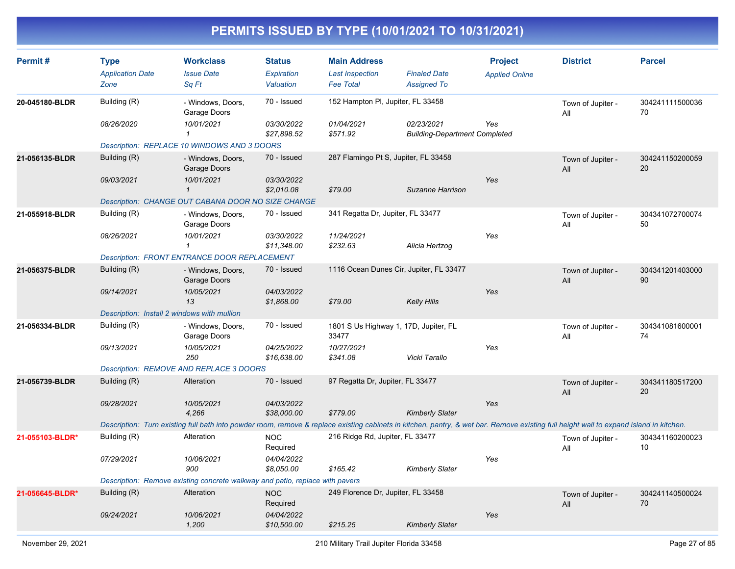| Permit#         | <b>Type</b><br><b>Application Date</b><br>Zone | <b>Workclass</b><br><b>Issue Date</b><br>Sq Ft                                                                                                                                         | <b>Status</b><br>Expiration<br>Valuation | <b>Main Address</b><br><b>Last Inspection</b><br><b>Fee Total</b> | <b>Finaled Date</b><br><b>Assigned To</b> | <b>Project</b><br><b>Applied Online</b> | <b>District</b>          | <b>Parcel</b>         |
|-----------------|------------------------------------------------|----------------------------------------------------------------------------------------------------------------------------------------------------------------------------------------|------------------------------------------|-------------------------------------------------------------------|-------------------------------------------|-----------------------------------------|--------------------------|-----------------------|
| 20-045180-BLDR  | Building (R)<br>08/26/2020                     | - Windows, Doors,<br>Garage Doors<br>10/01/2021                                                                                                                                        | 70 - Issued<br>03/30/2022                | 152 Hampton PI, Jupiter, FL 33458<br>01/04/2021                   | 02/23/2021                                | Yes                                     | Town of Jupiter -<br>All | 304241111500036<br>70 |
|                 |                                                | $\mathbf{1}$<br>Description: REPLACE 10 WINDOWS AND 3 DOORS                                                                                                                            | \$27,898.52                              | \$571.92                                                          | <b>Building-Department Completed</b>      |                                         |                          |                       |
| 21-056135-BLDR  | Building (R)                                   | - Windows, Doors,<br>Garage Doors                                                                                                                                                      | 70 - Issued                              | 287 Flamingo Pt S, Jupiter, FL 33458                              |                                           |                                         | Town of Jupiter -<br>All | 304241150200059<br>20 |
|                 | 09/03/2021                                     | 10/01/2021<br>$\mathbf{1}$                                                                                                                                                             | 03/30/2022<br>\$2,010.08                 | \$79.00                                                           | Suzanne Harrison                          | Yes                                     |                          |                       |
|                 |                                                | Description: CHANGE OUT CABANA DOOR NO SIZE CHANGE                                                                                                                                     |                                          |                                                                   |                                           |                                         |                          |                       |
| 21-055918-BLDR  | Building (R)                                   | - Windows, Doors,<br>Garage Doors                                                                                                                                                      | 70 - Issued                              | 341 Regatta Dr, Jupiter, FL 33477                                 |                                           |                                         | Town of Jupiter -<br>All | 304341072700074<br>50 |
|                 | 08/26/2021                                     | 10/01/2021<br>$\mathbf{1}$                                                                                                                                                             | 03/30/2022<br>\$11,348.00                | 11/24/2021<br>\$232.63                                            | Alicia Hertzog                            | Yes                                     |                          |                       |
|                 |                                                | <b>Description: FRONT ENTRANCE DOOR REPLACEMENT</b>                                                                                                                                    |                                          |                                                                   |                                           |                                         |                          |                       |
| 21-056375-BLDR  | Building (R)                                   | - Windows, Doors,<br>Garage Doors                                                                                                                                                      | 70 - Issued                              | 1116 Ocean Dunes Cir, Jupiter, FL 33477                           |                                           |                                         | Town of Jupiter -<br>All | 304341201403000<br>90 |
|                 | 09/14/2021                                     | 10/05/2021<br>13                                                                                                                                                                       | 04/03/2022<br>\$1,868.00                 | \$79.00                                                           | <b>Kelly Hills</b>                        | Yes                                     |                          |                       |
|                 | Description: Install 2 windows with mullion    |                                                                                                                                                                                        |                                          |                                                                   |                                           |                                         |                          |                       |
| 21-056334-BLDR  | Building (R)                                   | - Windows, Doors,<br>Garage Doors                                                                                                                                                      | 70 - Issued                              | 1801 S Us Highway 1, 17D, Jupiter, FL<br>33477                    |                                           |                                         | Town of Jupiter -<br>All | 304341081600001<br>74 |
|                 | 09/13/2021                                     | 10/05/2021<br>250                                                                                                                                                                      | 04/25/2022<br>\$16,638.00                | 10/27/2021<br>\$341.08                                            | Vicki Tarallo                             | Yes                                     |                          |                       |
|                 |                                                | Description: REMOVE AND REPLACE 3 DOORS                                                                                                                                                |                                          |                                                                   |                                           |                                         |                          |                       |
| 21-056739-BLDR  | Building (R)                                   | Alteration                                                                                                                                                                             | 70 - Issued                              | 97 Regatta Dr, Jupiter, FL 33477                                  |                                           |                                         | Town of Jupiter -<br>All | 304341180517200<br>20 |
|                 | 09/28/2021                                     | 10/05/2021<br>4,266                                                                                                                                                                    | 04/03/2022<br>\$38,000.00                | \$779.00                                                          | <b>Kimberly Slater</b>                    | Yes                                     |                          |                       |
|                 |                                                | Description: Turn existing full bath into powder room, remove & replace existing cabinets in kitchen, pantry, & wet bar. Remove existing full height wall to expand island in kitchen. |                                          |                                                                   |                                           |                                         |                          |                       |
| 21-055103-BLDR* | Building (R)                                   | Alteration                                                                                                                                                                             | <b>NOC</b><br>Required                   | 216 Ridge Rd, Jupiter, FL 33477                                   |                                           |                                         | Town of Jupiter -<br>All | 304341160200023<br>10 |
|                 | 07/29/2021                                     | 10/06/2021<br>900                                                                                                                                                                      | 04/04/2022<br>\$8,050.00                 | \$165.42                                                          | <b>Kimberly Slater</b>                    | Yes                                     |                          |                       |
|                 |                                                | Description: Remove existing concrete walkway and patio, replace with pavers                                                                                                           |                                          |                                                                   |                                           |                                         |                          |                       |
| 21-056645-BLDR* | Building (R)                                   | Alteration                                                                                                                                                                             | <b>NOC</b><br>Required                   | 249 Florence Dr, Jupiter, FL 33458                                |                                           |                                         | Town of Jupiter -<br>All | 304241140500024<br>70 |
|                 | 09/24/2021                                     | 10/06/2021<br>1,200                                                                                                                                                                    | 04/04/2022<br>\$10,500.00                | \$215.25                                                          | <b>Kimberly Slater</b>                    | Yes                                     |                          |                       |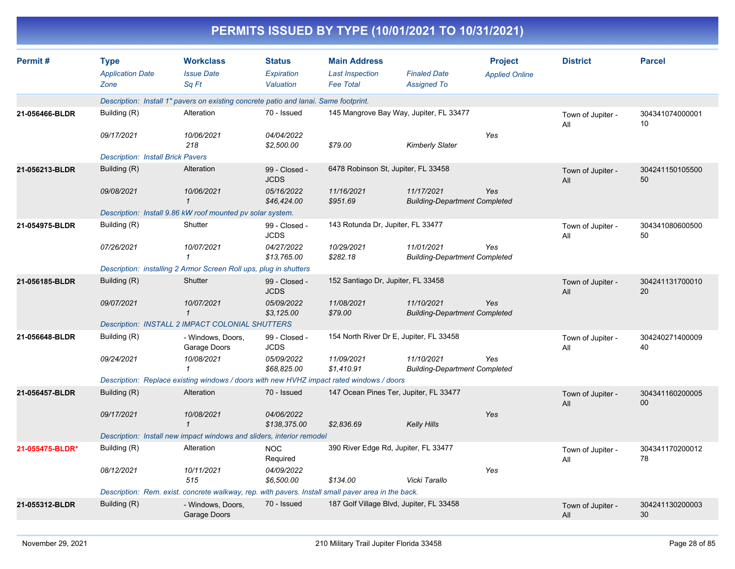|                 |                                                |                                                                                                    |                                          |                                                                   | PERMITS ISSUED BY TYPE (10/01/2021 TO 10/31/2021)  |                                         |                          |                       |
|-----------------|------------------------------------------------|----------------------------------------------------------------------------------------------------|------------------------------------------|-------------------------------------------------------------------|----------------------------------------------------|-----------------------------------------|--------------------------|-----------------------|
| Permit#         | <b>Type</b><br><b>Application Date</b><br>Zone | <b>Workclass</b><br><b>Issue Date</b><br>Sq Ft                                                     | <b>Status</b><br>Expiration<br>Valuation | <b>Main Address</b><br><b>Last Inspection</b><br><b>Fee Total</b> | <b>Finaled Date</b><br><b>Assigned To</b>          | <b>Project</b><br><b>Applied Online</b> | <b>District</b>          | <b>Parcel</b>         |
|                 |                                                | Description: Install 1" pavers on existing concrete patio and lanai. Same footprint.               |                                          |                                                                   |                                                    |                                         |                          |                       |
| 21-056466-BLDR  | Building (R)                                   | Alteration                                                                                         | 70 - Issued                              |                                                                   | 145 Mangrove Bay Way, Jupiter, FL 33477            |                                         | Town of Jupiter -<br>All | 304341074000001<br>10 |
|                 | 09/17/2021                                     | 10/06/2021<br>218                                                                                  | 04/04/2022<br>\$2,500.00                 | \$79.00                                                           | <b>Kimberly Slater</b>                             | Yes                                     |                          |                       |
|                 | <b>Description: Install Brick Pavers</b>       |                                                                                                    |                                          |                                                                   |                                                    |                                         |                          |                       |
| 21-056213-BLDR  | Building (R)                                   | Alteration                                                                                         | 99 - Closed -<br><b>JCDS</b>             | 6478 Robinson St, Jupiter, FL 33458                               |                                                    |                                         | Town of Jupiter -<br>All | 304241150105500<br>50 |
|                 | 09/08/2021                                     | 10/06/2021                                                                                         | 05/16/2022<br>\$46,424.00                | 11/16/2021<br>\$951.69                                            | 11/17/2021<br><b>Building-Department Completed</b> | Yes                                     |                          |                       |
|                 |                                                | Description: Install 9.86 kW roof mounted pv solar system.                                         |                                          |                                                                   |                                                    |                                         |                          |                       |
| 21-054975-BLDR  | Building (R)                                   | Shutter                                                                                            | 99 - Closed -<br><b>JCDS</b>             | 143 Rotunda Dr, Jupiter, FL 33477                                 |                                                    |                                         | Town of Jupiter -<br>All | 304341080600500<br>50 |
|                 | 07/26/2021                                     | 10/07/2021                                                                                         | 04/27/2022<br>\$13,765.00                | 10/29/2021<br>\$282.18                                            | 11/01/2021<br><b>Building-Department Completed</b> | Yes                                     |                          |                       |
|                 |                                                | Description: installing 2 Armor Screen Roll ups, plug in shutters                                  |                                          |                                                                   |                                                    |                                         |                          |                       |
| 21-056185-BLDR  | Building (R)                                   | Shutter                                                                                            | 99 - Closed -<br><b>JCDS</b>             | 152 Santiago Dr, Jupiter, FL 33458                                |                                                    |                                         | Town of Jupiter -<br>All | 304241131700010<br>20 |
|                 | 09/07/2021                                     | 10/07/2021<br>$\mathbf{1}$                                                                         | 05/09/2022<br>\$3,125.00                 | 11/08/2021<br>\$79.00                                             | 11/10/2021<br><b>Building-Department Completed</b> | Yes                                     |                          |                       |
|                 |                                                | Description: INSTALL 2 IMPACT COLONIAL SHUTTERS                                                    |                                          |                                                                   |                                                    |                                         |                          |                       |
| 21-056648-BLDR  | Building (R)                                   | - Windows, Doors,<br>Garage Doors                                                                  | 99 - Closed -<br><b>JCDS</b>             |                                                                   | 154 North River Dr E, Jupiter, FL 33458            |                                         | Town of Jupiter -<br>All | 304240271400009<br>40 |
|                 | 09/24/2021                                     | 10/08/2021                                                                                         | 05/09/2022<br>\$68,825.00                | 11/09/2021<br>\$1,410.91                                          | 11/10/2021<br><b>Building-Department Completed</b> | Yes                                     |                          |                       |
|                 |                                                | Description: Replace existing windows / doors with new HVHZ impact rated windows / doors           |                                          |                                                                   |                                                    |                                         |                          |                       |
| 21-056457-BLDR  | Building (R)                                   | Alteration                                                                                         | 70 - Issued                              |                                                                   | 147 Ocean Pines Ter, Jupiter, FL 33477             |                                         | Town of Jupiter -<br>All | 304341160200005<br>00 |
|                 | 09/17/2021                                     | 10/08/2021                                                                                         | 04/06/2022<br>\$138,375.00               | \$2.836.69                                                        | Kelly Hills                                        | Yes                                     |                          |                       |
|                 |                                                | Description: Install new impact windows and sliders, interior remodel                              |                                          |                                                                   |                                                    |                                         |                          |                       |
| 21-055475-BLDR* | Building (R)                                   | Alteration                                                                                         | <b>NOC</b><br>Required                   |                                                                   | 390 River Edge Rd, Jupiter, FL 33477               |                                         | Town of Jupiter -<br>All | 304341170200012<br>78 |
|                 | 08/12/2021                                     | 10/11/2021<br>515                                                                                  | 04/09/2022<br>\$6,500.00                 | \$134.00                                                          | Vicki Tarallo                                      | Yes                                     |                          |                       |
|                 |                                                | Description: Rem. exist. concrete walkway, rep. with pavers. Install small paver area in the back. |                                          |                                                                   |                                                    |                                         |                          |                       |
| 21-055312-BLDR  | Building (R)                                   | - Windows, Doors,<br>Garage Doors                                                                  | 70 - Issued                              |                                                                   | 187 Golf Village Blvd, Jupiter, FL 33458           |                                         | Town of Jupiter -<br>All | 304241130200003<br>30 |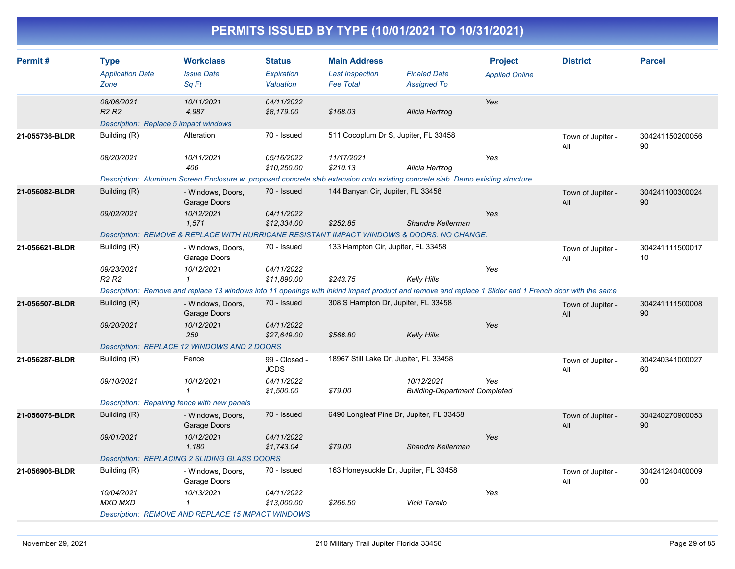| Permit#        | <b>Type</b><br><b>Application Date</b><br>Zone                                       | <b>Workclass</b><br><b>Issue Date</b><br>Sq Ft                                                                                                         | <b>Status</b><br><b>Expiration</b><br>Valuation | <b>Main Address</b><br><b>Last Inspection</b><br><b>Fee Total</b> | <b>Finaled Date</b><br><b>Assigned To</b>          | <b>Project</b><br><b>Applied Online</b> | <b>District</b>          | <b>Parcel</b>         |
|----------------|--------------------------------------------------------------------------------------|--------------------------------------------------------------------------------------------------------------------------------------------------------|-------------------------------------------------|-------------------------------------------------------------------|----------------------------------------------------|-----------------------------------------|--------------------------|-----------------------|
|                | 08/06/2021<br>R <sub>2</sub> R <sub>2</sub><br>Description: Replace 5 impact windows | 10/11/2021<br>4,987                                                                                                                                    | 04/11/2022<br>\$8,179.00                        | \$168.03                                                          | Alicia Hertzog                                     | Yes                                     |                          |                       |
| 21-055736-BLDR | Building (R)                                                                         | Alteration                                                                                                                                             | 70 - Issued                                     | 511 Cocoplum Dr S, Jupiter, FL 33458                              |                                                    |                                         | Town of Jupiter -<br>All | 304241150200056<br>90 |
|                | 08/20/2021                                                                           | 10/11/2021<br>406                                                                                                                                      | 05/16/2022<br>\$10,250.00                       | 11/17/2021<br>\$210.13                                            | Alicia Hertzog                                     | Yes                                     |                          |                       |
|                |                                                                                      | Description: Aluminum Screen Enclosure w. proposed concrete slab extension onto existing concrete slab. Demo existing structure.                       |                                                 |                                                                   |                                                    |                                         |                          |                       |
| 21-056082-BLDR | Building (R)                                                                         | - Windows, Doors,<br>Garage Doors                                                                                                                      | 70 - Issued                                     | 144 Banyan Cir, Jupiter, FL 33458                                 |                                                    |                                         | Town of Jupiter -<br>All | 304241100300024<br>90 |
|                | 09/02/2021                                                                           | 10/12/2021<br>1,571                                                                                                                                    | 04/11/2022<br>\$12,334.00                       | \$252.85                                                          | Shandre Kellerman                                  | Yes                                     |                          |                       |
|                |                                                                                      | Description: REMOVE & REPLACE WITH HURRICANE RESISTANT IMPACT WINDOWS & DOORS. NO CHANGE.                                                              |                                                 |                                                                   |                                                    |                                         |                          |                       |
| 21-056621-BLDR | Building (R)                                                                         | - Windows, Doors,<br>Garage Doors                                                                                                                      | 70 - Issued                                     | 133 Hampton Cir, Jupiter, FL 33458                                |                                                    |                                         | Town of Jupiter -<br>All | 304241111500017<br>10 |
|                | 09/23/2021<br>R <sub>2</sub> R <sub>2</sub>                                          | 10/12/2021<br>$\mathbf{1}$                                                                                                                             | 04/11/2022<br>\$11,890.00                       | \$243.75                                                          | Kelly Hills                                        | Yes                                     |                          |                       |
|                |                                                                                      | Description: Remove and replace 13 windows into 11 openings with inkind impact product and remove and replace 1 Slider and 1 French door with the same |                                                 |                                                                   |                                                    |                                         |                          |                       |
| 21-056507-BLDR | Building (R)                                                                         | - Windows, Doors,<br>Garage Doors                                                                                                                      | 70 - Issued                                     | 308 S Hampton Dr, Jupiter, FL 33458                               |                                                    |                                         | Town of Jupiter -<br>All | 304241111500008<br>90 |
|                | 09/20/2021                                                                           | 10/12/2021<br>250                                                                                                                                      | 04/11/2022<br>\$27,649.00                       | \$566.80                                                          | Kelly Hills                                        | Yes                                     |                          |                       |
|                |                                                                                      | Description: REPLACE 12 WINDOWS AND 2 DOORS                                                                                                            |                                                 |                                                                   |                                                    |                                         |                          |                       |
| 21-056287-BLDR | Building (R)                                                                         | Fence                                                                                                                                                  | 99 - Closed -<br><b>JCDS</b>                    | 18967 Still Lake Dr, Jupiter, FL 33458                            |                                                    |                                         | Town of Jupiter -<br>All | 304240341000027<br>60 |
|                | 09/10/2021                                                                           | 10/12/2021<br>1                                                                                                                                        | 04/11/2022<br>\$1,500.00                        | \$79.00                                                           | 10/12/2021<br><b>Building-Department Completed</b> | Yes                                     |                          |                       |
|                | Description: Repairing fence with new panels                                         |                                                                                                                                                        |                                                 |                                                                   |                                                    |                                         |                          |                       |
| 21-056076-BLDR | Building (R)                                                                         | - Windows, Doors,<br>Garage Doors                                                                                                                      | 70 - Issued                                     | 6490 Longleaf Pine Dr, Jupiter, FL 33458                          |                                                    |                                         | Town of Jupiter -<br>All | 304240270900053<br>90 |
|                | 09/01/2021                                                                           | 10/12/2021<br>1,180                                                                                                                                    | 04/11/2022<br>\$1,743.04                        | \$79.00                                                           | Shandre Kellerman                                  | Yes                                     |                          |                       |
|                |                                                                                      | Description: REPLACING 2 SLIDING GLASS DOORS                                                                                                           |                                                 |                                                                   |                                                    |                                         |                          |                       |
| 21-056906-BLDR | Building (R)                                                                         | - Windows, Doors,<br>Garage Doors                                                                                                                      | 70 - Issued                                     | 163 Honeysuckle Dr, Jupiter, FL 33458                             |                                                    |                                         | Town of Jupiter -<br>All | 304241240400009<br>00 |
|                | 10/04/2021<br>MXD MXD                                                                | 10/13/2021<br>1                                                                                                                                        | 04/11/2022<br>\$13,000.00                       | \$266.50                                                          | Vicki Tarallo                                      | Yes                                     |                          |                       |
|                |                                                                                      | <b>Description: REMOVE AND REPLACE 15 IMPACT WINDOWS</b>                                                                                               |                                                 |                                                                   |                                                    |                                         |                          |                       |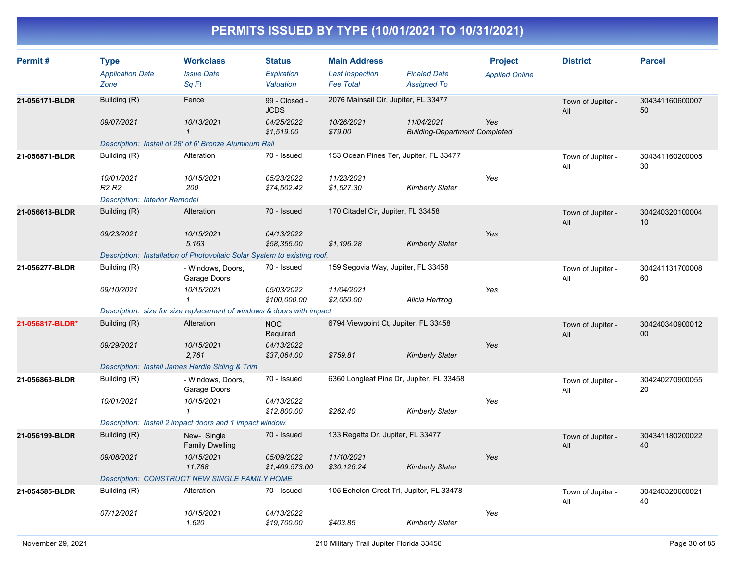| Permit#         | <b>Type</b><br><b>Application Date</b><br>Zone | <b>Workclass</b><br><b>Issue Date</b><br>Sq Ft                           | <b>Status</b><br><b>Expiration</b><br>Valuation | <b>Main Address</b><br><b>Last Inspection</b><br><b>Fee Total</b> | <b>Finaled Date</b><br><b>Assigned To</b>                 | <b>Project</b><br><b>Applied Online</b> | <b>District</b>          | <b>Parcel</b>         |
|-----------------|------------------------------------------------|--------------------------------------------------------------------------|-------------------------------------------------|-------------------------------------------------------------------|-----------------------------------------------------------|-----------------------------------------|--------------------------|-----------------------|
| 21-056171-BLDR  | Building (R)                                   | Fence                                                                    | 99 - Closed -<br><b>JCDS</b>                    | 2076 Mainsail Cir, Jupiter, FL 33477                              |                                                           |                                         | Town of Jupiter -<br>All | 304341160600007<br>50 |
|                 | 09/07/2021                                     | 10/13/2021<br>$\mathbf{1}$                                               | 04/25/2022<br>\$1.519.00                        | 10/26/2021<br>\$79.00                                             | 11/04/2021<br>Yes<br><b>Building-Department Completed</b> |                                         |                          |                       |
|                 |                                                | Description: Install of 28' of 6' Bronze Aluminum Rail                   |                                                 |                                                                   |                                                           |                                         |                          |                       |
| 21-056871-BLDR  | Building (R)                                   | Alteration                                                               | 70 - Issued                                     | 153 Ocean Pines Ter, Jupiter, FL 33477                            |                                                           |                                         | Town of Jupiter -<br>All | 304341160200005<br>30 |
|                 | 10/01/2021<br>R <sub>2</sub> R <sub>2</sub>    | 10/15/2021<br>200                                                        | 05/23/2022<br>\$74,502.42                       | 11/23/2021<br>\$1,527.30                                          | Kimberly Slater                                           | Yes                                     |                          |                       |
|                 | <b>Description: Interior Remodel</b>           |                                                                          |                                                 |                                                                   |                                                           |                                         |                          |                       |
| 21-056618-BLDR  | Building (R)                                   | Alteration                                                               | 70 - Issued                                     | 170 Citadel Cir, Jupiter, FL 33458                                |                                                           |                                         | Town of Jupiter -<br>All | 304240320100004<br>10 |
|                 | 09/23/2021                                     | 10/15/2021<br>5,163                                                      | 04/13/2022<br>\$58,355.00                       | \$1,196.28                                                        | <b>Kimberly Slater</b>                                    | Yes                                     |                          |                       |
|                 |                                                | Description: Installation of Photovoltaic Solar System to existing roof. |                                                 |                                                                   |                                                           |                                         |                          |                       |
| 21-056277-BLDR  | Building (R)                                   | - Windows, Doors,<br>Garage Doors                                        | 70 - Issued                                     | 159 Segovia Way, Jupiter, FL 33458                                |                                                           |                                         | Town of Jupiter -<br>All | 304241131700008<br>60 |
|                 | 09/10/2021                                     | 10/15/2021<br>$\mathcal I$                                               | 05/03/2022<br>\$100,000.00                      | 11/04/2021<br>\$2,050.00                                          | Alicia Hertzog                                            | Yes                                     |                          |                       |
|                 |                                                | Description: size for size replacement of windows & doors with impact    |                                                 |                                                                   |                                                           |                                         |                          |                       |
| 21-056817-BLDR* | Building (R)                                   | Alteration                                                               | <b>NOC</b><br>Required                          | 6794 Viewpoint Ct, Jupiter, FL 33458                              |                                                           |                                         | Town of Jupiter -<br>All | 304240340900012<br>00 |
|                 | 09/29/2021                                     | 10/15/2021<br>2.761                                                      | 04/13/2022<br>\$37,064.00                       | \$759.81                                                          | <b>Kimberly Slater</b>                                    | Yes                                     |                          |                       |
|                 |                                                | Description: Install James Hardie Siding & Trim                          |                                                 |                                                                   |                                                           |                                         |                          |                       |
| 21-056863-BLDR  | Building (R)                                   | - Windows, Doors,<br>Garage Doors                                        | 70 - Issued                                     | 6360 Longleaf Pine Dr, Jupiter, FL 33458                          |                                                           |                                         | Town of Jupiter -<br>All | 304240270900055<br>20 |
|                 | 10/01/2021                                     | 10/15/2021<br>$\mathbf{1}$                                               | 04/13/2022<br>\$12,800.00                       | \$262.40                                                          | <b>Kimberly Slater</b>                                    | Yes                                     |                          |                       |
|                 |                                                | Description: Install 2 impact doors and 1 impact window.                 |                                                 |                                                                   |                                                           |                                         |                          |                       |
| 21-056199-BLDR  | Building (R)                                   | New-Single<br><b>Family Dwelling</b>                                     | 70 - Issued                                     | 133 Regatta Dr, Jupiter, FL 33477                                 |                                                           |                                         | Town of Jupiter -<br>All | 304341180200022<br>40 |
|                 | 09/08/2021                                     | 10/15/2021<br>11,788                                                     | 05/09/2022<br>\$1,469,573.00                    | 11/10/2021<br>\$30,126.24                                         | <b>Kimberly Slater</b>                                    | Yes                                     |                          |                       |
|                 |                                                | <b>Description: CONSTRUCT NEW SINGLE FAMILY HOME</b>                     |                                                 |                                                                   |                                                           |                                         |                          |                       |
| 21-054585-BLDR  | Building (R)                                   | Alteration                                                               | 70 - Issued                                     | 105 Echelon Crest Trl, Jupiter, FL 33478                          |                                                           |                                         | Town of Jupiter -<br>All | 304240320600021<br>40 |
|                 | 07/12/2021                                     | 10/15/2021<br>1,620                                                      | 04/13/2022<br>\$19,700.00                       | \$403.85                                                          | Kimberly Slater                                           | Yes                                     |                          |                       |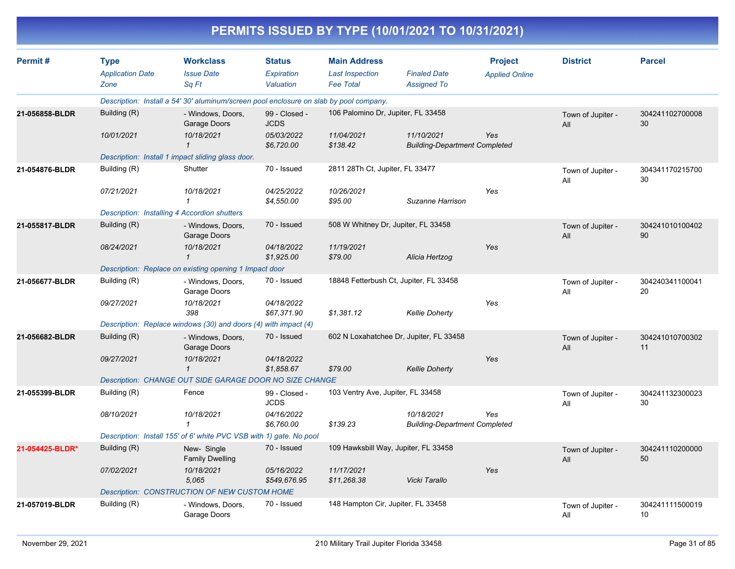|                 | PERMITS ISSUED BY TYPE (10/01/2021 TO 10/31/2021) |                                                                                        |                                          |                                                                   |                                                    |                                         |                          |                       |  |  |
|-----------------|---------------------------------------------------|----------------------------------------------------------------------------------------|------------------------------------------|-------------------------------------------------------------------|----------------------------------------------------|-----------------------------------------|--------------------------|-----------------------|--|--|
| Permit#         | <b>Type</b><br><b>Application Date</b><br>Zone    | <b>Workclass</b><br><b>Issue Date</b><br>Sq Ft                                         | <b>Status</b><br>Expiration<br>Valuation | <b>Main Address</b><br><b>Last Inspection</b><br><b>Fee Total</b> | <b>Finaled Date</b><br><b>Assigned To</b>          | <b>Project</b><br><b>Applied Online</b> | <b>District</b>          | <b>Parcel</b>         |  |  |
|                 |                                                   | Description: Install a 54' 30' aluminum/screen pool enclosure on slab by pool company. |                                          |                                                                   |                                                    |                                         |                          |                       |  |  |
| 21-056858-BLDR  | Building (R)                                      | - Windows, Doors,<br>Garage Doors                                                      | 99 - Closed -<br><b>JCDS</b>             | 106 Palomino Dr, Jupiter, FL 33458                                |                                                    |                                         | Town of Jupiter -<br>All | 304241102700008<br>30 |  |  |
|                 | 10/01/2021                                        | 10/18/2021<br>$\mathcal I$                                                             | <i>05/03/2022</i><br>\$6,720.00          | 11/04/2021<br>\$138.42                                            | 11/10/2021<br><b>Building-Department Completed</b> | Yes                                     |                          |                       |  |  |
|                 |                                                   | Description: Install 1 impact sliding glass door.                                      |                                          |                                                                   |                                                    |                                         |                          |                       |  |  |
| 21-054876-BLDR  | Building (R)                                      | Shutter                                                                                | 70 - Issued                              | 2811 28Th Ct, Jupiter, FL 33477                                   |                                                    |                                         | Town of Jupiter -<br>All | 304341170215700<br>30 |  |  |
|                 | 07/21/2021                                        | 10/18/2021<br>1                                                                        | <i>04/25/2022</i><br>\$4,550.00          | 10/26/2021<br>\$95.00                                             | Suzanne Harrison                                   | Yes                                     |                          |                       |  |  |
|                 |                                                   | Description: Installing 4 Accordion shutters                                           |                                          |                                                                   |                                                    |                                         |                          |                       |  |  |
| 21-055817-BLDR  | Building (R)                                      | - Windows, Doors,<br>Garage Doors                                                      | 70 - Issued                              | 508 W Whitney Dr, Jupiter, FL 33458                               |                                                    |                                         | Town of Jupiter -<br>All | 304241010100402<br>90 |  |  |
|                 | 08/24/2021                                        | 10/18/2021<br>$\mathcal I$                                                             | 04/18/2022<br>\$1,925.00                 | 11/19/2021<br>\$79.00                                             | Alicia Hertzog                                     | Yes                                     |                          |                       |  |  |
|                 |                                                   | Description: Replace on existing opening 1 Impact door                                 |                                          |                                                                   |                                                    |                                         |                          |                       |  |  |
| 21-056677-BLDR  | Building (R)                                      | - Windows, Doors,<br>Garage Doors                                                      | 70 - Issued                              |                                                                   | 18848 Fetterbush Ct, Jupiter, FL 33458             |                                         | Town of Jupiter -<br>All | 304240341100041<br>20 |  |  |
|                 | 09/27/2021                                        | 10/18/2021<br>398                                                                      | 04/18/2022<br>\$67,371.90                | \$1,381.12                                                        | <b>Kellie Doherty</b>                              | Yes                                     |                          |                       |  |  |
|                 |                                                   | Description: Replace windows (30) and doors (4) with impact (4)                        |                                          |                                                                   |                                                    |                                         |                          |                       |  |  |
| 21-056682-BLDR  | Building (R)                                      | - Windows, Doors,<br>Garage Doors                                                      | 70 - Issued                              |                                                                   | 602 N Loxahatchee Dr, Jupiter, FL 33458            |                                         | Town of Jupiter -<br>All | 304241010700302<br>11 |  |  |
|                 | 09/27/2021                                        | 10/18/2021<br>$\mathcal I$                                                             | 04/18/2022<br>\$1,858.67                 | \$79.00                                                           | <b>Kellie Doherty</b>                              | Yes                                     |                          |                       |  |  |
|                 |                                                   | Description: CHANGE OUT SIDE GARAGE DOOR NO SIZE CHANGE                                |                                          |                                                                   |                                                    |                                         |                          |                       |  |  |
| 21-055399-BLDR  | Building (R)                                      | Fence                                                                                  | 99 - Closed -<br><b>JCDS</b>             | 103 Ventry Ave, Jupiter, FL 33458                                 |                                                    |                                         | Town of Jupiter -<br>All | 304241132300023<br>30 |  |  |
|                 | 08/10/2021                                        | 10/18/2021                                                                             | 04/16/2022<br>\$6,760.00                 | \$139.23                                                          | 10/18/2021<br><b>Building-Department Completed</b> | Yes                                     |                          |                       |  |  |
|                 |                                                   | Description: Install 155' of 6' white PVC VSB with 1) gate. No pool                    |                                          |                                                                   |                                                    |                                         |                          |                       |  |  |
| 21-054425-BLDR* | Building (R)                                      | New- Single<br><b>Family Dwelling</b>                                                  | 70 - Issued                              |                                                                   | 109 Hawksbill Way, Jupiter, FL 33458               |                                         | Town of Jupiter -<br>All | 304241110200000<br>50 |  |  |
|                 | 07/02/2021                                        | 10/18/2021<br>5,065                                                                    | 05/16/2022<br>\$549,676.95               | 11/17/2021<br>\$11,268.38                                         | Vicki Tarallo                                      | Yes                                     |                          |                       |  |  |
|                 |                                                   | Description: CONSTRUCTION OF NEW CUSTOM HOME                                           |                                          |                                                                   |                                                    |                                         |                          |                       |  |  |
| 21-057019-BLDR  | Building (R)                                      | - Windows, Doors,<br>Garage Doors                                                      | 70 - Issued                              | 148 Hampton Cir, Jupiter, FL 33458                                |                                                    |                                         | Town of Jupiter -<br>ail | 304241111500019<br>10 |  |  |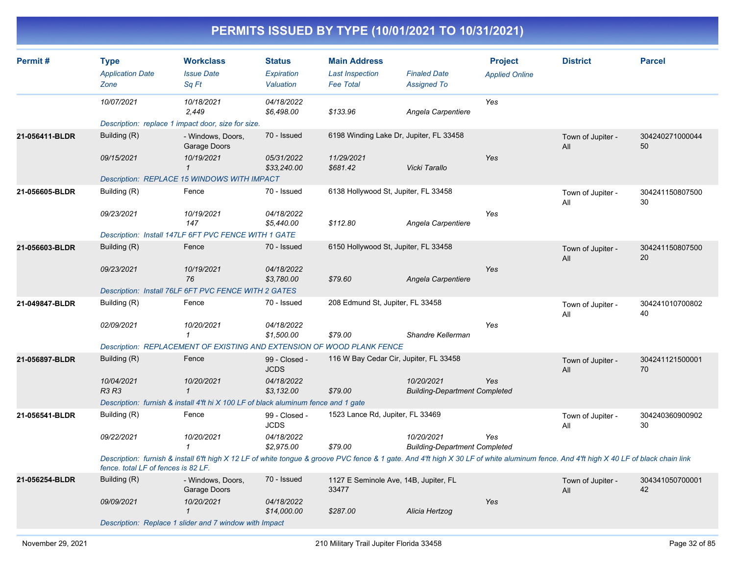| Permit#        | <b>Type</b><br><b>Application Date</b><br>Zone | <b>Workclass</b><br><b>Issue Date</b><br>Sa Ft                                                                                                                                         | <b>Status</b><br>Expiration<br>Valuation | <b>Main Address</b><br><b>Last Inspection</b><br><b>Fee Total</b> | <b>Finaled Date</b><br><b>Assigned To</b>          | <b>Project</b><br><b>Applied Online</b> | <b>District</b>          | <b>Parcel</b>         |
|----------------|------------------------------------------------|----------------------------------------------------------------------------------------------------------------------------------------------------------------------------------------|------------------------------------------|-------------------------------------------------------------------|----------------------------------------------------|-----------------------------------------|--------------------------|-----------------------|
|                | 10/07/2021                                     | 10/18/2021<br>2,449                                                                                                                                                                    | 04/18/2022<br>\$6,498.00                 | \$133.96                                                          | Angela Carpentiere                                 | Yes                                     |                          |                       |
|                |                                                | Description: replace 1 impact door, size for size.                                                                                                                                     |                                          |                                                                   |                                                    |                                         |                          |                       |
| 21-056411-BLDR | Building (R)                                   | - Windows, Doors,<br>Garage Doors                                                                                                                                                      | 70 - Issued                              | 6198 Winding Lake Dr, Jupiter, FL 33458                           |                                                    |                                         | Town of Jupiter -<br>All | 304240271000044<br>50 |
|                | 09/15/2021                                     | 10/19/2021<br>$\mathcal I$                                                                                                                                                             | 05/31/2022<br>\$33,240.00                | 11/29/2021<br>\$681.42                                            | Vicki Tarallo                                      | Yes                                     |                          |                       |
|                |                                                | Description: REPLACE 15 WINDOWS WITH IMPACT                                                                                                                                            |                                          |                                                                   |                                                    |                                         |                          |                       |
| 21-056605-BLDR | Building (R)                                   | Fence                                                                                                                                                                                  | 70 - Issued                              | 6138 Hollywood St, Jupiter, FL 33458                              |                                                    |                                         | Town of Jupiter -<br>All | 304241150807500<br>30 |
|                | 09/23/2021                                     | 10/19/2021<br>147                                                                                                                                                                      | 04/18/2022<br>\$5,440.00                 | \$112.80                                                          | Angela Carpentiere                                 | Yes                                     |                          |                       |
|                |                                                | Description: Install 147LF 6FT PVC FENCE WITH 1 GATE                                                                                                                                   |                                          |                                                                   |                                                    |                                         |                          |                       |
| 21-056603-BLDR | Building (R)                                   | Fence                                                                                                                                                                                  | 70 - Issued                              | 6150 Hollywood St, Jupiter, FL 33458                              |                                                    |                                         | Town of Jupiter -<br>All | 304241150807500<br>20 |
|                | 09/23/2021                                     | 10/19/2021<br>76                                                                                                                                                                       | 04/18/2022<br>\$3,780.00                 | \$79.60                                                           | Angela Carpentiere                                 | Yes                                     |                          |                       |
|                |                                                | Description: Install 76LF 6FT PVC FENCE WITH 2 GATES                                                                                                                                   |                                          |                                                                   |                                                    |                                         |                          |                       |
| 21-049847-BLDR | Building (R)                                   | Fence                                                                                                                                                                                  | 70 - Issued                              | 208 Edmund St, Jupiter, FL 33458                                  |                                                    |                                         | Town of Jupiter -<br>All | 304241010700802<br>40 |
|                | 02/09/2021                                     | 10/20/2021<br>$\mathcal I$                                                                                                                                                             | 04/18/2022<br>\$1,500.00                 | \$79.00                                                           | Shandre Kellerman                                  | Yes                                     |                          |                       |
|                |                                                | Description: REPLACEMENT OF EXISTING AND EXTENSION OF WOOD PLANK FENCE                                                                                                                 |                                          |                                                                   |                                                    |                                         |                          |                       |
| 21-056897-BLDR | Building (R)                                   | Fence                                                                                                                                                                                  | 99 - Closed -<br><b>JCDS</b>             | 116 W Bay Cedar Cir, Jupiter, FL 33458                            |                                                    |                                         | Town of Jupiter -<br>All | 304241121500001<br>70 |
|                | 10/04/2021<br><b>R3 R3</b>                     | 10/20/2021<br>$\mathcal{I}$                                                                                                                                                            | 04/18/2022<br>\$3,132.00                 | \$79.00                                                           | 10/20/2021<br><b>Building-Department Completed</b> | Yes                                     |                          |                       |
|                |                                                | Description: furnish & install 4'ft hi X 100 LF of black aluminum fence and 1 gate                                                                                                     |                                          |                                                                   |                                                    |                                         |                          |                       |
| 21-056541-BLDR | Building (R)                                   | Fence                                                                                                                                                                                  | 99 - Closed -<br><b>JCDS</b>             | 1523 Lance Rd, Jupiter, FL 33469                                  |                                                    |                                         | Town of Jupiter -<br>All | 304240360900902<br>30 |
|                | 09/22/2021                                     | 10/20/2021<br>$\mathbf{1}$                                                                                                                                                             | 04/18/2022<br>\$2,975.00                 | \$79.00                                                           | 10/20/2021<br><b>Building-Department Completed</b> | Yes                                     |                          |                       |
|                | fence, total LF of fences is 82 LF.            | Description: furnish & install 6'ft high X 12 LF of white tongue & groove PVC fence & 1 gate. And 4'ft high X 30 LF of white aluminum fence. And 4'ft high X 40 LF of black chain link |                                          |                                                                   |                                                    |                                         |                          |                       |
| 21-056254-BLDR | Building (R)                                   | - Windows, Doors,<br>Garage Doors                                                                                                                                                      | 70 - Issued                              | 1127 E Seminole Ave, 14B, Jupiter, FL<br>33477                    |                                                    |                                         | Town of Jupiter -<br>All | 304341050700001<br>42 |
|                | 09/09/2021                                     | 10/20/2021<br>$\mathbf{1}$                                                                                                                                                             | 04/18/2022<br>\$14,000.00                | \$287.00                                                          | Alicia Hertzog                                     | Yes                                     |                          |                       |
|                |                                                | Description: Replace 1 slider and 7 window with Impact                                                                                                                                 |                                          |                                                                   |                                                    |                                         |                          |                       |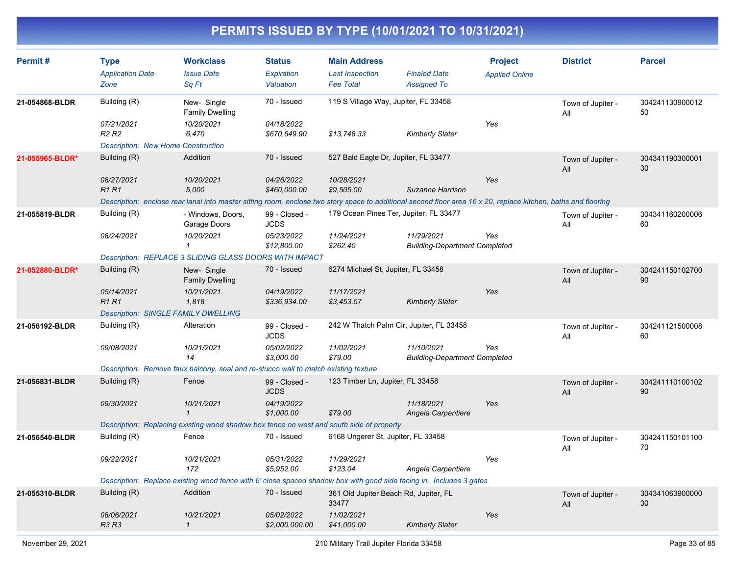| Permit#         | <b>Type</b><br><b>Application Date</b><br>Zone                                           | <b>Workclass</b><br><b>Issue Date</b><br>Sq Ft                                                                                                                 | <b>Status</b><br>Expiration<br>Valuation | <b>Main Address</b><br><b>Last Inspection</b><br><b>Fee Total</b> | <b>Finaled Date</b><br><b>Assigned To</b>          | <b>Project</b><br><b>Applied Online</b> | <b>District</b>          | <b>Parcel</b>         |
|-----------------|------------------------------------------------------------------------------------------|----------------------------------------------------------------------------------------------------------------------------------------------------------------|------------------------------------------|-------------------------------------------------------------------|----------------------------------------------------|-----------------------------------------|--------------------------|-----------------------|
| 21-054868-BLDR  | Building (R)                                                                             | New- Single<br><b>Family Dwelling</b>                                                                                                                          | 70 - Issued                              | 119 S Village Way, Jupiter, FL 33458                              |                                                    |                                         | Town of Jupiter -<br>All | 304241130900012<br>50 |
|                 | 07/21/2021<br>R <sub>2</sub> R <sub>2</sub><br><b>Description: New Home Construction</b> | 10/20/2021<br>6,470                                                                                                                                            | 04/18/2022<br>\$670,649.90               | \$13,748.33                                                       | <b>Kimberly Slater</b>                             | Yes                                     |                          |                       |
| 21-055965-BLDR* | Building (R)                                                                             | Addition                                                                                                                                                       | 70 - Issued                              | 527 Bald Eagle Dr, Jupiter, FL 33477                              |                                                    |                                         | Town of Jupiter -<br>All | 304341190300001<br>30 |
|                 | 08/27/2021<br>R1R1                                                                       | 10/20/2021<br>5,000                                                                                                                                            | 04/26/2022<br>\$460,000.00               | 10/28/2021<br>\$9,505.00                                          | Suzanne Harrison                                   | Yes                                     |                          |                       |
|                 |                                                                                          | Description: enclose rear lanai into master sitting room, enclose two story space to additional second floor area 16 x 20, replace kitchen, baths and flooring |                                          |                                                                   |                                                    |                                         |                          |                       |
| 21-055819-BLDR  | Building (R)                                                                             | - Windows, Doors,<br>Garage Doors                                                                                                                              | 99 - Closed -<br><b>JCDS</b>             | 179 Ocean Pines Ter, Jupiter, FL 33477                            |                                                    |                                         | Town of Jupiter -<br>All | 304341160200006<br>60 |
|                 | 08/24/2021                                                                               | 10/20/2021<br>$\mathbf{1}$                                                                                                                                     | 05/23/2022<br>\$12,800.00                | 11/24/2021<br>\$262.40                                            | 11/29/2021<br><b>Building-Department Completed</b> | Yes                                     |                          |                       |
|                 |                                                                                          | <b>Description: REPLACE 3 SLIDING GLASS DOORS WITH IMPACT</b>                                                                                                  |                                          |                                                                   |                                                    |                                         |                          |                       |
| 21-052880-BLDR* | Building (R)                                                                             | New- Single<br><b>Family Dwelling</b>                                                                                                                          | 70 - Issued                              | 6274 Michael St, Jupiter, FL 33458                                |                                                    |                                         | Town of Jupiter -<br>All | 304241150102700<br>90 |
|                 | 05/14/2021<br><b>R1R1</b>                                                                | 10/21/2021<br>1,818                                                                                                                                            | 04/19/2022<br>\$336,934.00               | 11/17/2021<br>\$3,453.57                                          | <b>Kimberly Slater</b>                             | Yes                                     |                          |                       |
|                 | <b>Description: SINGLE FAMILY DWELLING</b>                                               |                                                                                                                                                                |                                          |                                                                   |                                                    |                                         |                          |                       |
| 21-056192-BLDR  | Building (R)                                                                             | Alteration                                                                                                                                                     | 99 - Closed -<br><b>JCDS</b>             |                                                                   | 242 W Thatch Palm Cir, Jupiter, FL 33458           |                                         | Town of Jupiter -<br>All | 304241121500008<br>60 |
|                 | 09/08/2021                                                                               | 10/21/2021<br>14                                                                                                                                               | 05/02/2022<br>\$3,000.00                 | 11/02/2021<br>\$79.00                                             | 11/10/2021<br><b>Building-Department Completed</b> | Yes                                     |                          |                       |
|                 |                                                                                          | Description: Remove faux balcony, seal and re-stucco wall to match existing texture                                                                            |                                          |                                                                   |                                                    |                                         |                          |                       |
| 21-056831-BLDR  | Building (R)                                                                             | Fence                                                                                                                                                          | 99 - Closed -<br><b>JCDS</b>             | 123 Timber Ln, Jupiter, FL 33458                                  |                                                    |                                         | Town of Jupiter -<br>All | 304241110100102<br>90 |
|                 | 09/30/2021                                                                               | 10/21/2021<br>$\mathbf{1}$                                                                                                                                     | 04/19/2022<br>\$1,000.00                 | \$79.00                                                           | 11/18/2021<br>Angela Carpentiere                   | Yes                                     |                          |                       |
|                 |                                                                                          | Description: Replacing existing wood shadow box fence on west and south side of property                                                                       |                                          |                                                                   |                                                    |                                         |                          |                       |
| 21-056540-BLDR  | Building (R)                                                                             | Fence                                                                                                                                                          | 70 - Issued                              | 6168 Ungerer St, Jupiter, FL 33458                                |                                                    |                                         | Town of Jupiter -<br>All | 304241150101100<br>70 |
|                 | 09/22/2021                                                                               | 10/21/2021<br>172                                                                                                                                              | 05/31/2022<br>\$5,952.00                 | 11/29/2021<br>\$123.04                                            | Angela Carpentiere                                 | Yes                                     |                          |                       |
|                 |                                                                                          | Description: Replace existing wood fence with 6' close spaced shadow box with good side facing in. Includes 3 gates                                            |                                          |                                                                   |                                                    |                                         |                          |                       |
| 21-055310-BLDR  | Building (R)                                                                             | Addition                                                                                                                                                       | 70 - Issued                              | 361 Old Jupiter Beach Rd, Jupiter, FL<br>33477                    |                                                    |                                         | Town of Jupiter -<br>All | 304341063900000<br>30 |
|                 | 08/06/2021<br>R3 R3                                                                      | 10/21/2021<br>$\mathbf{1}$                                                                                                                                     | 05/02/2022<br>\$2,000,000.00             | 11/02/2021<br>\$41,000.00                                         | <b>Kimberly Slater</b>                             | Yes                                     |                          |                       |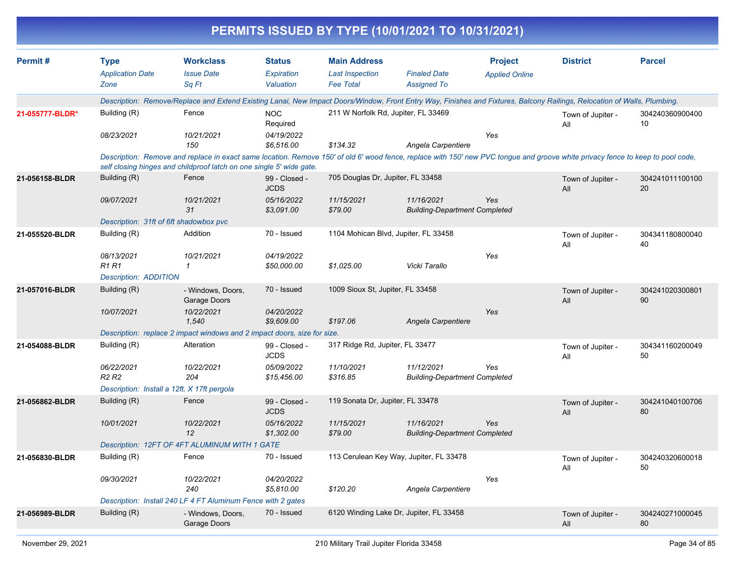| Permit#         | <b>Type</b>                                 | <b>Workclass</b>                                                                                                                                                                                                                                        | <b>Status</b>                | <b>Main Address</b>                     |                                                    | <b>Project</b>        | <b>District</b>          | <b>Parcel</b>         |
|-----------------|---------------------------------------------|---------------------------------------------------------------------------------------------------------------------------------------------------------------------------------------------------------------------------------------------------------|------------------------------|-----------------------------------------|----------------------------------------------------|-----------------------|--------------------------|-----------------------|
|                 | <b>Application Date</b>                     | <b>Issue Date</b>                                                                                                                                                                                                                                       | Expiration                   | <b>Last Inspection</b>                  | <b>Finaled Date</b>                                | <b>Applied Online</b> |                          |                       |
|                 | Zone                                        | Sq Ft                                                                                                                                                                                                                                                   | Valuation                    | <b>Fee Total</b>                        | <b>Assigned To</b>                                 |                       |                          |                       |
|                 |                                             | Description: Remove/Replace and Extend Existing Lanai, New Impact Doors/Window, Front Entry Way, Finishes and Fixtures, Balcony Railings, Relocation of Walls, Plumbing.                                                                                |                              |                                         |                                                    |                       |                          |                       |
| 21-055777-BLDR* | Building (R)                                | Fence                                                                                                                                                                                                                                                   | <b>NOC</b><br>Required       | 211 W Norfolk Rd, Jupiter, FL 33469     |                                                    |                       | Town of Jupiter -<br>All | 304240360900400<br>10 |
|                 | 08/23/2021                                  | 10/21/2021<br>150                                                                                                                                                                                                                                       | 04/19/2022<br>\$6,516.00     | \$134.32                                | Angela Carpentiere                                 | Yes                   |                          |                       |
|                 |                                             | Description: Remove and replace in exact same location. Remove 150' of old 6' wood fence, replace with 150' new PVC tongue and groove white privacy fence to keep to pool code,<br>self closing hinges and childproof latch on one single 5' wide gate. |                              |                                         |                                                    |                       |                          |                       |
| 21-056158-BLDR  | Building (R)                                | Fence                                                                                                                                                                                                                                                   | 99 - Closed -<br><b>JCDS</b> | 705 Douglas Dr, Jupiter, FL 33458       |                                                    |                       | Town of Jupiter -<br>All | 304241011100100<br>20 |
|                 | 09/07/2021                                  | 10/21/2021<br>31                                                                                                                                                                                                                                        | 05/16/2022<br>\$3,091.00     | 11/15/2021<br>\$79.00                   | 11/16/2021<br><b>Building-Department Completed</b> | Yes                   |                          |                       |
|                 | Description: 31ft of 6ft shadowbox pvc      |                                                                                                                                                                                                                                                         |                              |                                         |                                                    |                       |                          |                       |
| 21-055520-BLDR  | Building (R)                                | Addition                                                                                                                                                                                                                                                | 70 - Issued                  | 1104 Mohican Blvd, Jupiter, FL 33458    |                                                    |                       | Town of Jupiter -<br>All | 304341180800040<br>40 |
|                 | 08/13/2021<br><b>R1 R1</b>                  | 10/21/2021<br>$\mathcal I$                                                                                                                                                                                                                              | 04/19/2022<br>\$50,000.00    | \$1,025.00                              | Vicki Tarallo                                      | Yes                   |                          |                       |
|                 | <b>Description: ADDITION</b>                |                                                                                                                                                                                                                                                         |                              |                                         |                                                    |                       |                          |                       |
| 21-057016-BLDR  | Building (R)                                | - Windows, Doors,<br>Garage Doors                                                                                                                                                                                                                       | 70 - Issued                  | 1009 Sioux St. Jupiter, FL 33458        |                                                    |                       | Town of Jupiter -<br>All | 304241020300801<br>90 |
|                 | 10/07/2021                                  | 10/22/2021<br>1,540                                                                                                                                                                                                                                     | 04/20/2022<br>\$9,609.00     | \$197.06                                | Angela Carpentiere                                 | Yes                   |                          |                       |
|                 |                                             | Description: replace 2 impact windows and 2 impact doors, size for size.                                                                                                                                                                                |                              |                                         |                                                    |                       |                          |                       |
| 21-054088-BLDR  | Building (R)                                | Alteration                                                                                                                                                                                                                                              | 99 - Closed -<br><b>JCDS</b> | 317 Ridge Rd, Jupiter, FL 33477         |                                                    |                       | Town of Jupiter -<br>All | 304341160200049<br>50 |
|                 | 06/22/2021<br>R2 R2                         | 10/22/2021<br>204                                                                                                                                                                                                                                       | 05/09/2022<br>\$15,456.00    | 11/10/2021<br>\$316.85                  | 11/12/2021<br><b>Building-Department Completed</b> | Yes                   |                          |                       |
|                 | Description: Install a 12ft. X 17ft pergola |                                                                                                                                                                                                                                                         |                              |                                         |                                                    |                       |                          |                       |
| 21-056862-BLDR  | Building (R)                                | Fence                                                                                                                                                                                                                                                   | 99 - Closed -<br><b>JCDS</b> | 119 Sonata Dr, Jupiter, FL 33478        |                                                    |                       | Town of Jupiter -<br>All | 304241040100706<br>80 |
|                 | 10/01/2021                                  | 10/22/2021<br>12                                                                                                                                                                                                                                        | 05/16/2022<br>\$1,302.00     | 11/15/2021<br>\$79.00                   | 11/16/2021<br><b>Building-Department Completed</b> | Yes                   |                          |                       |
|                 |                                             | Description: 12FT OF 4FT ALUMINUM WITH 1 GATE                                                                                                                                                                                                           |                              |                                         |                                                    |                       |                          |                       |
| 21-056830-BLDR  | Building (R)                                | Fence                                                                                                                                                                                                                                                   | 70 - Issued                  |                                         | 113 Cerulean Key Way, Jupiter, FL 33478            |                       | Town of Jupiter -<br>All | 304240320600018<br>50 |
|                 | 09/30/2021                                  | 10/22/2021<br>240                                                                                                                                                                                                                                       | 04/20/2022<br>\$5,810.00     | \$120.20                                | Angela Carpentiere                                 | Yes                   |                          |                       |
|                 |                                             | Description: Install 240 LF 4 FT Aluminum Fence with 2 gates                                                                                                                                                                                            |                              |                                         |                                                    |                       |                          |                       |
| 21-056989-BLDR  | Building (R)                                | - Windows, Doors,<br>Garage Doors                                                                                                                                                                                                                       | 70 - Issued                  | 6120 Winding Lake Dr, Jupiter, FL 33458 |                                                    |                       | Town of Jupiter -<br>All | 304240271000045<br>80 |
|                 |                                             |                                                                                                                                                                                                                                                         |                              |                                         |                                                    |                       |                          |                       |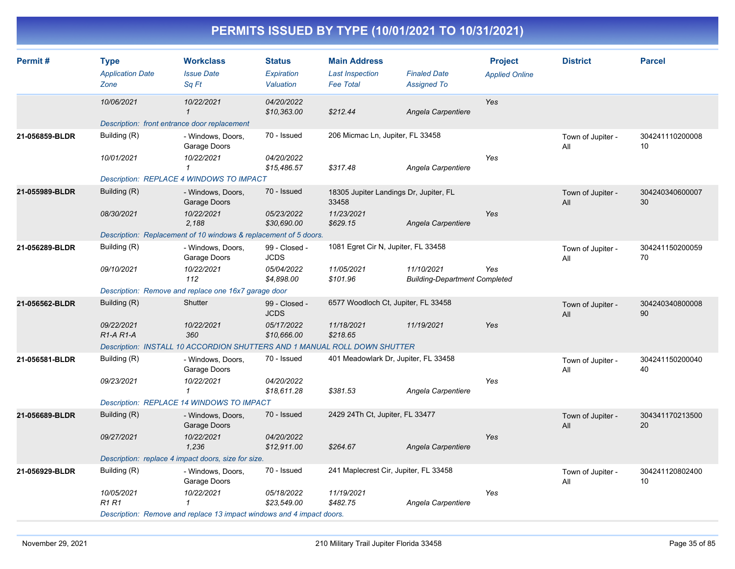| Permit#        | <b>Type</b><br><b>Application Date</b><br>Zone                            | <b>Workclass</b><br><b>Issue Date</b><br>Sq Ft                   | <b>Status</b><br>Expiration<br>Valuation | <b>Main Address</b><br><b>Last Inspection</b><br><b>Fee Total</b> | <b>Finaled Date</b><br><b>Assigned To</b>          | <b>Project</b><br><b>Applied Online</b> | <b>District</b>          | <b>Parcel</b>         |  |  |
|----------------|---------------------------------------------------------------------------|------------------------------------------------------------------|------------------------------------------|-------------------------------------------------------------------|----------------------------------------------------|-----------------------------------------|--------------------------|-----------------------|--|--|
|                | 10/06/2021                                                                | 10/22/2021<br>1                                                  | 04/20/2022<br>\$10,363.00                | \$212.44                                                          | Angela Carpentiere                                 | Yes                                     |                          |                       |  |  |
|                | Description: front entrance door replacement                              |                                                                  |                                          |                                                                   |                                                    |                                         |                          |                       |  |  |
| 21-056859-BLDR | Building (R)                                                              | - Windows, Doors,<br>Garage Doors                                | 70 - Issued                              | 206 Micmac Ln, Jupiter, FL 33458                                  |                                                    |                                         | Town of Jupiter -<br>All | 304241110200008<br>10 |  |  |
|                | 10/01/2021                                                                | 10/22/2021<br>$\mathbf{1}$                                       | 04/20/2022<br>\$15,486.57                | \$317.48                                                          | Angela Carpentiere                                 | Yes                                     |                          |                       |  |  |
|                | Description: REPLACE 4 WINDOWS TO IMPACT                                  |                                                                  |                                          |                                                                   |                                                    |                                         |                          |                       |  |  |
| 21-055989-BLDR | Building (R)                                                              | - Windows, Doors,<br>Garage Doors                                | 70 - Issued                              | 18305 Jupiter Landings Dr, Jupiter, FL<br>33458                   |                                                    |                                         | Town of Jupiter -<br>All | 304240340600007<br>30 |  |  |
|                | 08/30/2021                                                                | 10/22/2021<br>2.188                                              | 05/23/2022<br>\$30,690.00                | 11/23/2021<br>\$629.15                                            | Angela Carpentiere                                 | Yes                                     |                          |                       |  |  |
|                |                                                                           | Description: Replacement of 10 windows & replacement of 5 doors. |                                          |                                                                   |                                                    |                                         |                          |                       |  |  |
| 21-056289-BLDR | Building (R)                                                              | - Windows, Doors,<br>Garage Doors                                | 99 - Closed -<br><b>JCDS</b>             | 1081 Egret Cir N, Jupiter, FL 33458                               |                                                    |                                         | Town of Jupiter -<br>All | 304241150200059<br>70 |  |  |
|                | 09/10/2021                                                                | 10/22/2021<br>112                                                | 05/04/2022<br>\$4,898.00                 | 11/05/2021<br>\$101.96                                            | 11/10/2021<br><b>Building-Department Completed</b> | Yes                                     |                          |                       |  |  |
|                | Description: Remove and replace one 16x7 garage door                      |                                                                  |                                          |                                                                   |                                                    |                                         |                          |                       |  |  |
| 21-056562-BLDR | Building (R)                                                              | Shutter                                                          | 99 - Closed -<br><b>JCDS</b>             | 6577 Woodloch Ct, Jupiter, FL 33458                               |                                                    |                                         | Town of Jupiter -<br>All | 304240340800008<br>90 |  |  |
|                | 09/22/2021<br>$R1-A R1-A$                                                 | 10/22/2021<br>360                                                | 05/17/2022<br>\$10,666.00                | 11/18/2021<br>\$218.65                                            | 11/19/2021                                         | Yes                                     |                          |                       |  |  |
|                | Description: INSTALL 10 ACCORDION SHUTTERS AND 1 MANUAL ROLL DOWN SHUTTER |                                                                  |                                          |                                                                   |                                                    |                                         |                          |                       |  |  |
| 21-056581-BLDR | Building (R)                                                              | - Windows, Doors,<br>Garage Doors                                | 70 - Issued                              | 401 Meadowlark Dr, Jupiter, FL 33458                              |                                                    |                                         | Town of Jupiter -<br>All | 304241150200040<br>40 |  |  |
|                | 09/23/2021                                                                | 10/22/2021<br>$\mathcal I$                                       | 04/20/2022<br>\$18,611.28                | \$381.53                                                          | Angela Carpentiere                                 | Yes                                     |                          |                       |  |  |
|                | Description: REPLACE 14 WINDOWS TO IMPACT                                 |                                                                  |                                          |                                                                   |                                                    |                                         |                          |                       |  |  |
| 21-056689-BLDR | Building (R)                                                              | - Windows, Doors,<br>Garage Doors                                | 70 - Issued                              | 2429 24Th Ct, Jupiter, FL 33477                                   |                                                    |                                         | Town of Jupiter -<br>All | 304341170213500<br>20 |  |  |
|                | 09/27/2021                                                                | 10/22/2021<br>1,236                                              | 04/20/2022<br>\$12,911.00                | \$264.67                                                          | Angela Carpentiere                                 | Yes                                     |                          |                       |  |  |
|                | Description: replace 4 impact doors, size for size.                       |                                                                  |                                          |                                                                   |                                                    |                                         |                          |                       |  |  |
| 21-056929-BLDR | Building (R)                                                              | - Windows, Doors,<br>Garage Doors                                | 70 - Issued                              | 241 Maplecrest Cir, Jupiter, FL 33458                             |                                                    |                                         | Town of Jupiter -<br>All | 304241120802400<br>10 |  |  |
|                | 10/05/2021<br>R1 R1                                                       | 10/22/2021                                                       | 05/18/2022<br>\$23,549.00                | 11/19/2021<br>\$482.75                                            | Angela Carpentiere                                 | Yes                                     |                          |                       |  |  |
|                | Description: Remove and replace 13 impact windows and 4 impact doors.     |                                                                  |                                          |                                                                   |                                                    |                                         |                          |                       |  |  |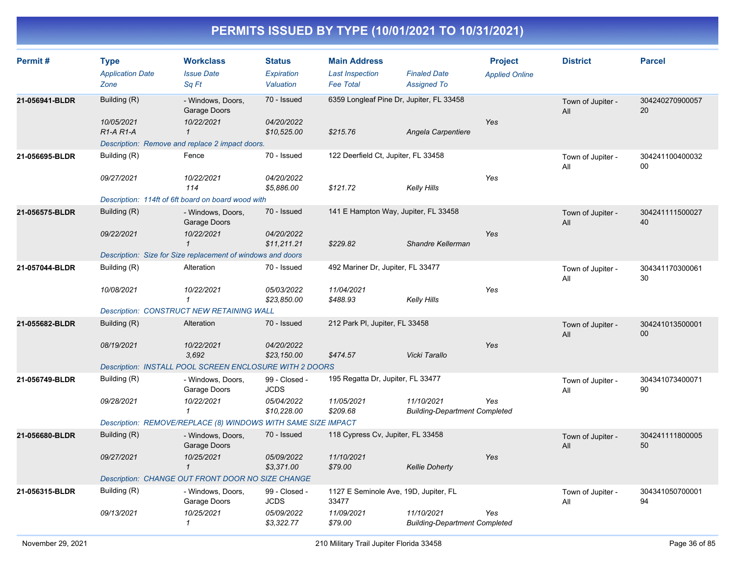| Permit#        | <b>Type</b><br><b>Application Date</b><br>Zone | <b>Workclass</b><br><b>Issue Date</b><br>Sq Ft                  | <b>Status</b><br><b>Expiration</b><br>Valuation | <b>Main Address</b><br><b>Last Inspection</b><br><b>Fee Total</b> | <b>Finaled Date</b><br><b>Assigned To</b>          | <b>Project</b><br><b>Applied Online</b> | <b>District</b>          | <b>Parcel</b>             |
|----------------|------------------------------------------------|-----------------------------------------------------------------|-------------------------------------------------|-------------------------------------------------------------------|----------------------------------------------------|-----------------------------------------|--------------------------|---------------------------|
| 21-056941-BLDR | Building (R)<br>10/05/2021                     | - Windows, Doors,<br>Garage Doors<br>10/22/2021                 | 70 - Issued<br>04/20/2022                       | 6359 Longleaf Pine Dr, Jupiter, FL 33458                          |                                                    | Yes                                     | Town of Jupiter -<br>All | 304240270900057<br>20     |
|                | R1-A R1-A                                      | $\mathbf{1}$<br>Description: Remove and replace 2 impact doors. | \$10,525.00                                     | \$215.76                                                          | Angela Carpentiere                                 |                                         |                          |                           |
| 21-056695-BLDR | Building (R)                                   | Fence                                                           | 70 - Issued                                     | 122 Deerfield Ct, Jupiter, FL 33458                               |                                                    |                                         | Town of Jupiter -<br>All | 304241100400032<br>00     |
|                | 09/27/2021                                     | 10/22/2021<br>114                                               | 04/20/2022<br>\$5,886.00                        | \$121.72                                                          | Kelly Hills                                        | Yes                                     |                          |                           |
|                |                                                | Description: 114ft of 6ft board on board wood with              |                                                 |                                                                   |                                                    |                                         |                          |                           |
| 21-056575-BLDR | Building (R)                                   | - Windows, Doors,<br>Garage Doors                               | 70 - Issued                                     | 141 E Hampton Way, Jupiter, FL 33458                              |                                                    | Yes                                     | Town of Jupiter -<br>All | 304241111500027<br>40     |
|                | 09/22/2021                                     | 10/22/2021<br>$\mathbf{1}$                                      | 04/20/2022<br>\$11,211.21                       | \$229.82                                                          | Shandre Kellerman                                  |                                         |                          |                           |
|                |                                                | Description: Size for Size replacement of windows and doors     |                                                 |                                                                   |                                                    |                                         |                          |                           |
| 21-057044-BLDR | Building (R)                                   | Alteration                                                      | 70 - Issued                                     | 492 Mariner Dr, Jupiter, FL 33477                                 |                                                    |                                         | Town of Jupiter -<br>All | 304341170300061<br>30     |
|                | 10/08/2021                                     | 10/22/2021<br>$\mathcal I$                                      | 05/03/2022<br>\$23,850.00                       | 11/04/2021<br>\$488.93                                            | Kelly Hills                                        | Yes                                     |                          |                           |
|                |                                                | <b>Description: CONSTRUCT NEW RETAINING WALL</b>                |                                                 |                                                                   |                                                    |                                         |                          |                           |
| 21-055682-BLDR | Building (R)                                   | Alteration                                                      | 70 - Issued                                     | 212 Park PI, Jupiter, FL 33458                                    |                                                    |                                         | Town of Jupiter -<br>All | 304241013500001<br>$00\,$ |
|                | 08/19/2021                                     | 10/22/2021<br>3.692                                             | 04/20/2022<br>\$23,150.00                       | \$474.57                                                          | Vicki Tarallo                                      | Yes                                     |                          |                           |
|                |                                                | Description: INSTALL POOL SCREEN ENCLOSURE WITH 2 DOORS         |                                                 |                                                                   |                                                    |                                         |                          |                           |
| 21-056749-BLDR | Building (R)                                   | - Windows, Doors,<br>Garage Doors                               | 99 - Closed -<br><b>JCDS</b>                    | 195 Regatta Dr, Jupiter, FL 33477                                 |                                                    |                                         | Town of Jupiter -<br>All | 304341073400071<br>90     |
|                | 09/28/2021                                     | 10/22/2021<br>$\mathbf{1}$                                      | 05/04/2022<br>\$10.228.00                       | 11/05/2021<br>\$209.68                                            | 11/10/2021<br><b>Building-Department Completed</b> | Yes                                     |                          |                           |
|                |                                                | Description: REMOVE/REPLACE (8) WINDOWS WITH SAME SIZE IMPACT   |                                                 |                                                                   |                                                    |                                         |                          |                           |
| 21-056680-BLDR | Building (R)                                   | - Windows, Doors,<br>Garage Doors                               | 70 - Issued                                     | 118 Cypress Cv, Jupiter, FL 33458                                 |                                                    | Yes                                     | Town of Jupiter -<br>All | 304241111800005<br>50     |
|                | 09/27/2021                                     | 10/25/2021<br>$\mathbf{1}$                                      | 05/09/2022<br>\$3,371.00                        | 11/10/2021<br>\$79.00                                             | <b>Kellie Doherty</b>                              |                                         |                          |                           |
|                |                                                | Description: CHANGE OUT FRONT DOOR NO SIZE CHANGE               |                                                 |                                                                   |                                                    |                                         |                          |                           |
| 21-056315-BLDR | Building (R)                                   | - Windows, Doors,<br>Garage Doors                               | 99 - Closed -<br><b>JCDS</b>                    | 1127 E Seminole Ave, 19D, Jupiter, FL<br>33477                    |                                                    |                                         | Town of Jupiter -<br>All | 304341050700001<br>94     |
|                | 09/13/2021                                     | 10/25/2021<br>$\mathcal I$                                      | 05/09/2022<br>\$3,322.77                        | 11/09/2021<br>\$79.00                                             | 11/10/2021<br><b>Building-Department Completed</b> | Yes                                     |                          |                           |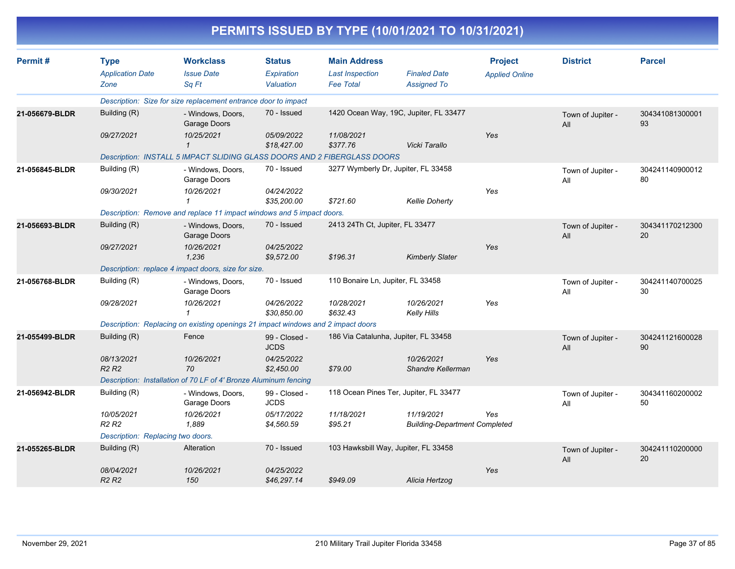| PERMITS ISSUED BY TYPE (10/01/2021 TO 10/31/2021) |                                                |                                                                                  |                                                 |                                                                   |                                                    |                                         |                          |                       |  |  |
|---------------------------------------------------|------------------------------------------------|----------------------------------------------------------------------------------|-------------------------------------------------|-------------------------------------------------------------------|----------------------------------------------------|-----------------------------------------|--------------------------|-----------------------|--|--|
| Permit#                                           | <b>Type</b><br><b>Application Date</b><br>Zone | <b>Workclass</b><br><b>Issue Date</b><br>Sa Ft                                   | <b>Status</b><br><b>Expiration</b><br>Valuation | <b>Main Address</b><br><b>Last Inspection</b><br><b>Fee Total</b> | <b>Finaled Date</b><br><b>Assigned To</b>          | <b>Project</b><br><b>Applied Online</b> | <b>District</b>          | <b>Parcel</b>         |  |  |
|                                                   |                                                | Description: Size for size replacement entrance door to impact                   |                                                 |                                                                   |                                                    |                                         |                          |                       |  |  |
| 21-056679-BLDR                                    | Building (R)                                   | - Windows, Doors,<br>Garage Doors                                                | 70 - Issued                                     |                                                                   | 1420 Ocean Way, 19C, Jupiter, FL 33477             |                                         | Town of Jupiter -<br>All | 304341081300001<br>93 |  |  |
|                                                   | 09/27/2021                                     | 10/25/2021<br>$\mathbf{1}$                                                       | 05/09/2022<br>\$18,427.00                       | 11/08/2021<br>\$377.76                                            | Vicki Tarallo                                      | Yes                                     |                          |                       |  |  |
|                                                   |                                                | Description: INSTALL 5 IMPACT SLIDING GLASS DOORS AND 2 FIBERGLASS DOORS         |                                                 |                                                                   |                                                    |                                         |                          |                       |  |  |
| 21-056845-BLDR                                    | Building (R)                                   | - Windows, Doors,<br>Garage Doors                                                | 70 - Issued                                     | 3277 Wymberly Dr, Jupiter, FL 33458                               |                                                    |                                         | Town of Jupiter -<br>All | 304241140900012<br>80 |  |  |
|                                                   | 09/30/2021                                     | 10/26/2021<br>1                                                                  | 04/24/2022<br>\$35,200.00                       | \$721.60                                                          | <b>Kellie Doherty</b>                              | Yes                                     |                          |                       |  |  |
|                                                   |                                                | Description: Remove and replace 11 impact windows and 5 impact doors.            |                                                 |                                                                   |                                                    |                                         |                          |                       |  |  |
| 21-056693-BLDR                                    | Building (R)                                   | - Windows, Doors,<br>Garage Doors                                                | 70 - Issued                                     | 2413 24Th Ct, Jupiter, FL 33477                                   |                                                    |                                         | Town of Jupiter -<br>All | 304341170212300<br>20 |  |  |
|                                                   | 09/27/2021                                     | 10/26/2021<br>1,236                                                              | 04/25/2022<br>\$9,572.00                        | \$196.31                                                          | <b>Kimberly Slater</b>                             | Yes                                     |                          |                       |  |  |
|                                                   |                                                | Description: replace 4 impact doors, size for size.                              |                                                 |                                                                   |                                                    |                                         |                          |                       |  |  |
| 21-056768-BLDR                                    | Building (R)                                   | - Windows, Doors,<br>Garage Doors                                                | 70 - Issued                                     | 110 Bonaire Ln, Jupiter, FL 33458                                 |                                                    |                                         | Town of Jupiter -<br>All | 304241140700025<br>30 |  |  |
|                                                   | 09/28/2021                                     | 10/26/2021<br>$\mathbf{1}$                                                       | 04/26/2022<br>\$30,850.00                       | 10/28/2021<br>\$632.43                                            | 10/26/2021<br><b>Kelly Hills</b>                   | Yes                                     |                          |                       |  |  |
|                                                   |                                                | Description: Replacing on existing openings 21 impact windows and 2 impact doors |                                                 |                                                                   |                                                    |                                         |                          |                       |  |  |
| 21-055499-BLDR                                    | Building (R)                                   | Fence                                                                            | 99 - Closed -<br><b>JCDS</b>                    | 186 Via Catalunha, Jupiter, FL 33458                              |                                                    |                                         | Town of Jupiter -<br>All | 304241121600028<br>90 |  |  |
|                                                   | 08/13/2021<br><b>R2 R2</b>                     | 10/26/2021<br>70                                                                 | 04/25/2022<br>\$2,450.00                        | \$79.00                                                           | 10/26/2021<br>Shandre Kellerman                    | Yes                                     |                          |                       |  |  |
|                                                   |                                                | Description: Installation of 70 LF of 4' Bronze Aluminum fencing                 |                                                 |                                                                   |                                                    |                                         |                          |                       |  |  |
| 21-056942-BLDR                                    | Building (R)                                   | - Windows, Doors,<br>Garage Doors                                                | 99 - Closed -<br><b>JCDS</b>                    |                                                                   | 118 Ocean Pines Ter, Jupiter, FL 33477             |                                         | Town of Jupiter -<br>All | 304341160200002<br>50 |  |  |
|                                                   | 10/05/2021<br>R <sub>2</sub> R <sub>2</sub>    | 10/26/2021<br>1,889                                                              | 05/17/2022<br>\$4,560.59                        | 11/18/2021<br>\$95.21                                             | 11/19/2021<br><b>Building-Department Completed</b> | Yes                                     |                          |                       |  |  |
|                                                   | Description: Replacing two doors.              |                                                                                  |                                                 |                                                                   |                                                    |                                         |                          |                       |  |  |
| 21-055265-BLDR                                    | Building (R)                                   | Alteration                                                                       | 70 - Issued                                     | 103 Hawksbill Way, Jupiter, FL 33458                              |                                                    |                                         | Town of Jupiter -<br>All | 304241110200000<br>20 |  |  |
|                                                   | 08/04/2021<br>R <sub>2</sub> R <sub>2</sub>    | 10/26/2021<br>150                                                                | 04/25/2022<br>\$46,297.14                       | \$949.09                                                          | Alicia Hertzog                                     | Yes                                     |                          |                       |  |  |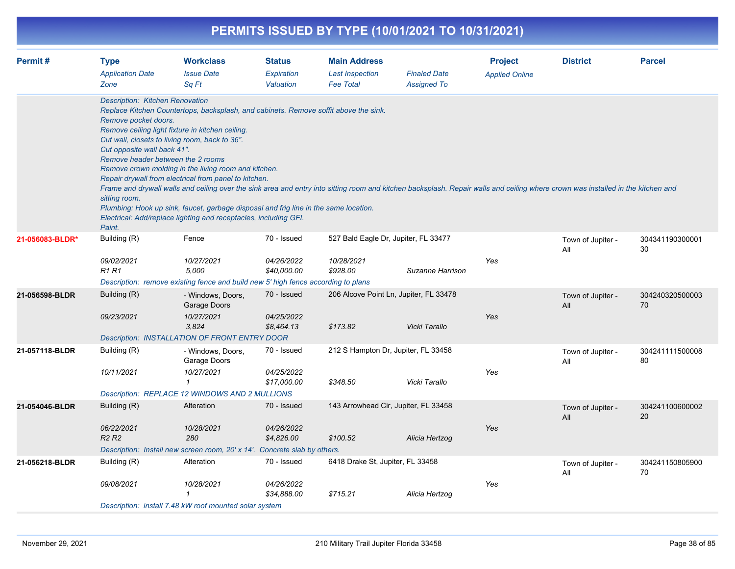| PERMITS ISSUED BY TYPE (10/01/2021 TO 10/31/2021) |                                                                                                                                                               |                                                                                                                                                                                                                                                                                                                                                                                                                                                                                                                                                                                                                                                             |                                          |                                                                   |                                                          |                                         |                          |                       |  |  |  |
|---------------------------------------------------|---------------------------------------------------------------------------------------------------------------------------------------------------------------|-------------------------------------------------------------------------------------------------------------------------------------------------------------------------------------------------------------------------------------------------------------------------------------------------------------------------------------------------------------------------------------------------------------------------------------------------------------------------------------------------------------------------------------------------------------------------------------------------------------------------------------------------------------|------------------------------------------|-------------------------------------------------------------------|----------------------------------------------------------|-----------------------------------------|--------------------------|-----------------------|--|--|--|
| Permit#                                           | <b>Type</b><br><b>Application Date</b><br>Zone                                                                                                                | <b>Workclass</b><br><b>Issue Date</b><br>Sq Ft                                                                                                                                                                                                                                                                                                                                                                                                                                                                                                                                                                                                              | <b>Status</b><br>Expiration<br>Valuation | <b>Main Address</b><br><b>Last Inspection</b><br><b>Fee Total</b> | <b>Finaled Date</b><br><b>Assigned To</b>                | <b>Project</b><br><b>Applied Online</b> | <b>District</b>          | <b>Parcel</b>         |  |  |  |
|                                                   | <b>Description: Kitchen Renovation</b><br>Remove pocket doors.<br>Cut opposite wall back 41".<br>Remove header between the 2 rooms<br>sitting room.<br>Paint. | Replace Kitchen Countertops, backsplash, and cabinets. Remove soffit above the sink.<br>Remove ceiling light fixture in kitchen ceiling.<br>Cut wall, closets to living room, back to 36".<br>Remove crown molding in the living room and kitchen.<br>Repair drywall from electrical from panel to kitchen.<br>Frame and drywall walls and ceiling over the sink area and entry into sitting room and kitchen backsplash. Repair walls and ceiling where crown was installed in the kitchen and<br>Plumbing: Hook up sink, faucet, garbage disposal and frig line in the same location.<br>Electrical: Add/replace lighting and receptacles, including GFI. |                                          |                                                                   |                                                          |                                         |                          |                       |  |  |  |
| 21-056083-BLDR*                                   | Building (R)<br>09/02/2021<br>R1 R1                                                                                                                           | Fence<br>10/27/2021<br>5,000<br>Description: remove existing fence and build new 5' high fence according to plans                                                                                                                                                                                                                                                                                                                                                                                                                                                                                                                                           | 70 - Issued<br>04/26/2022<br>\$40,000.00 | 10/28/2021<br>\$928.00                                            | 527 Bald Eagle Dr, Jupiter, FL 33477<br>Suzanne Harrison | Yes                                     | Town of Jupiter -<br>All | 304341190300001<br>30 |  |  |  |
| 21-056598-BLDR                                    | Building (R)<br>09/23/2021                                                                                                                                    | - Windows, Doors,<br>Garage Doors<br>10/27/2021<br>3,824<br>Description: INSTALLATION OF FRONT ENTRY DOOR                                                                                                                                                                                                                                                                                                                                                                                                                                                                                                                                                   | 70 - Issued<br>04/25/2022<br>\$8,464.13  | \$173.82                                                          | 206 Alcove Point Ln, Jupiter, FL 33478<br>Vicki Tarallo  | Yes                                     | Town of Jupiter -<br>All | 304240320500003<br>70 |  |  |  |
| 21-057118-BLDR                                    | Building (R)<br>10/11/2021                                                                                                                                    | - Windows, Doors,<br>Garage Doors<br>10/27/2021<br>-1<br>Description: REPLACE 12 WINDOWS AND 2 MULLIONS                                                                                                                                                                                                                                                                                                                                                                                                                                                                                                                                                     | 70 - Issued<br>04/25/2022<br>\$17,000.00 | \$348.50                                                          | 212 S Hampton Dr, Jupiter, FL 33458<br>Vicki Tarallo     | Yes                                     | Town of Jupiter -<br>All | 304241111500008<br>80 |  |  |  |
| 21-054046-BLDR                                    | Building (R)<br>06/22/2021<br>R <sub>2</sub> R <sub>2</sub>                                                                                                   | Alteration<br>10/28/2021<br>280<br>Description: Install new screen room, 20' x 14'. Concrete slab by others.                                                                                                                                                                                                                                                                                                                                                                                                                                                                                                                                                | 70 - Issued<br>04/26/2022<br>\$4,826.00  | \$100.52                                                          | 143 Arrowhead Cir, Jupiter, FL 33458<br>Alicia Hertzog   | Yes                                     | Town of Jupiter -<br>All | 304241100600002<br>20 |  |  |  |
| 21-056218-BLDR                                    | Building (R)<br>09/08/2021                                                                                                                                    | Alteration<br>10/28/2021<br>Description: install 7.48 kW roof mounted solar system                                                                                                                                                                                                                                                                                                                                                                                                                                                                                                                                                                          | 70 - Issued<br>04/26/2022<br>\$34,888.00 | 6418 Drake St, Jupiter, FL 33458<br>\$715.21                      | Alicia Hertzog                                           | Yes                                     | Town of Jupiter -<br>All | 304241150805900<br>70 |  |  |  |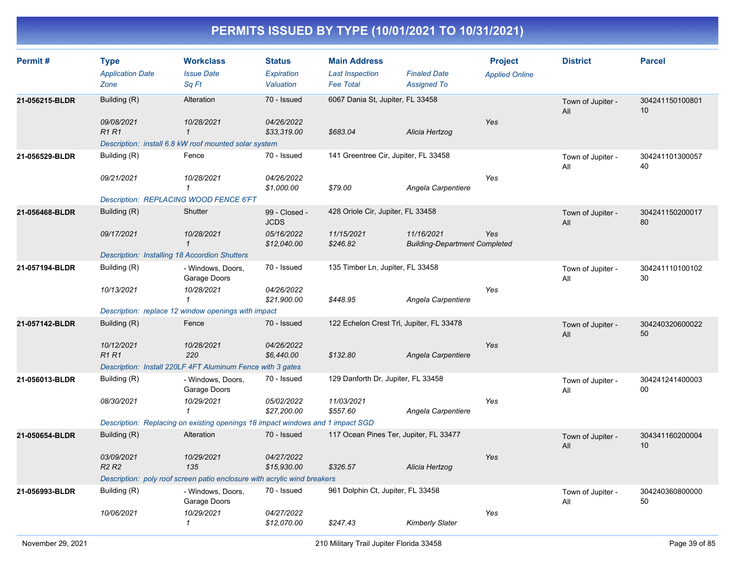| Permit#        | <b>Type</b><br><b>Application Date</b><br>Zone       | <b>Workclass</b><br><b>Issue Date</b><br>Sq Ft                                 | <b>Status</b><br><b>Expiration</b><br>Valuation | <b>Main Address</b><br><b>Last Inspection</b><br><b>Fee Total</b> | <b>Finaled Date</b><br><b>Assigned To</b>          | <b>Project</b><br><b>Applied Online</b> | <b>District</b>          | <b>Parcel</b>         |
|----------------|------------------------------------------------------|--------------------------------------------------------------------------------|-------------------------------------------------|-------------------------------------------------------------------|----------------------------------------------------|-----------------------------------------|--------------------------|-----------------------|
| 21-056215-BLDR | Building (R)                                         | Alteration                                                                     | 70 - Issued                                     | 6067 Dania St, Jupiter, FL 33458                                  |                                                    |                                         | Town of Jupiter -<br>All | 304241150100801<br>10 |
|                | 09/08/2021<br>R1R1                                   | 10/28/2021<br>$\mathbf{1}$                                                     | 04/26/2022<br>\$33,319.00                       | \$683.04                                                          | Alicia Hertzog                                     | Yes                                     |                          |                       |
|                |                                                      | Description: install 6.8 kW roof mounted solar system                          |                                                 |                                                                   |                                                    |                                         |                          |                       |
| 21-056529-BLDR | Building (R)                                         | Fence                                                                          | 70 - Issued                                     | 141 Greentree Cir, Jupiter, FL 33458                              |                                                    |                                         | Town of Jupiter -<br>All | 304241101300057<br>40 |
|                | 09/21/2021                                           | 10/28/2021<br>$\mathbf{1}$                                                     | 04/26/2022<br>\$1,000.00                        | \$79.00                                                           | Angela Carpentiere                                 | Yes                                     |                          |                       |
|                |                                                      | Description: REPLACING WOOD FENCE 6'FT                                         |                                                 |                                                                   |                                                    |                                         |                          |                       |
| 21-056468-BLDR | Building (R)                                         | Shutter                                                                        | 99 - Closed -<br><b>JCDS</b>                    | 428 Oriole Cir, Jupiter, FL 33458                                 |                                                    |                                         | Town of Jupiter -<br>All | 304241150200017<br>80 |
|                | 09/17/2021                                           | 10/28/2021<br>$\mathcal{I}$                                                    | 05/16/2022<br>\$12,040.00                       | 11/15/2021<br>\$246.82                                            | 11/16/2021<br><b>Building-Department Completed</b> | Yes                                     |                          |                       |
|                | <b>Description: Installing 18 Accordion Shutters</b> |                                                                                |                                                 |                                                                   |                                                    |                                         |                          |                       |
| 21-057194-BLDR | Building (R)                                         | - Windows, Doors,<br>Garage Doors                                              | 70 - Issued                                     | 135 Timber Ln, Jupiter, FL 33458                                  |                                                    |                                         | Town of Jupiter -<br>All | 304241110100102<br>30 |
|                | 10/13/2021                                           | 10/28/2021<br>$\mathbf{1}$                                                     | 04/26/2022<br>\$21,900.00                       | \$448.95                                                          | Angela Carpentiere                                 | Yes                                     |                          |                       |
|                |                                                      | Description: replace 12 window openings with impact                            |                                                 |                                                                   |                                                    |                                         |                          |                       |
| 21-057142-BLDR | Building (R)                                         | Fence                                                                          | 70 - Issued                                     | 122 Echelon Crest Trl, Jupiter, FL 33478                          |                                                    |                                         | Town of Jupiter -<br>All | 304240320600022<br>50 |
|                | 10/12/2021<br><b>R1R1</b>                            | 10/28/2021<br>220                                                              | 04/26/2022<br>\$6,440.00                        | \$132.80                                                          | Angela Carpentiere                                 | Yes                                     |                          |                       |
|                |                                                      | Description: Install 220LF 4FT Aluminum Fence with 3 gates                     |                                                 |                                                                   |                                                    |                                         |                          |                       |
| 21-056013-BLDR | Building (R)                                         | - Windows, Doors,<br>Garage Doors                                              | 70 - Issued                                     | 129 Danforth Dr, Jupiter, FL 33458                                |                                                    |                                         | Town of Jupiter -<br>All | 304241241400003<br>00 |
|                | 08/30/2021                                           | 10/29/2021<br>$\mathbf{1}$                                                     | 05/02/2022<br>\$27,200.00                       | 11/03/2021<br>\$557.60                                            | Angela Carpentiere                                 | Yes                                     |                          |                       |
|                |                                                      | Description: Replacing on existing openings 18 impact windows and 1 impact SGD |                                                 |                                                                   |                                                    |                                         |                          |                       |
| 21-050654-BLDR | Building (R)                                         | Alteration                                                                     | 70 - Issued                                     | 117 Ocean Pines Ter, Jupiter, FL 33477                            |                                                    |                                         | Town of Jupiter -<br>All | 304341160200004<br>10 |
|                | 03/09/2021<br>R <sub>2</sub> R <sub>2</sub>          | 10/29/2021<br>135                                                              | 04/27/2022<br>\$15,930.00                       | \$326.57                                                          | Alicia Hertzog                                     | Yes                                     |                          |                       |
|                |                                                      | Description: poly roof screen patio enclosure with acrylic wind breakers       |                                                 |                                                                   |                                                    |                                         |                          |                       |
| 21-056993-BLDR | Building (R)                                         | - Windows, Doors,<br>Garage Doors                                              | 70 - Issued                                     | 961 Dolphin Ct, Jupiter, FL 33458                                 |                                                    |                                         | Town of Jupiter -<br>All | 304240360800000<br>50 |
|                | 10/06/2021                                           | 10/29/2021<br>$\mathbf{1}$                                                     | 04/27/2022<br>\$12,070.00                       | \$247.43                                                          | Kimberly Slater                                    | Yes                                     |                          |                       |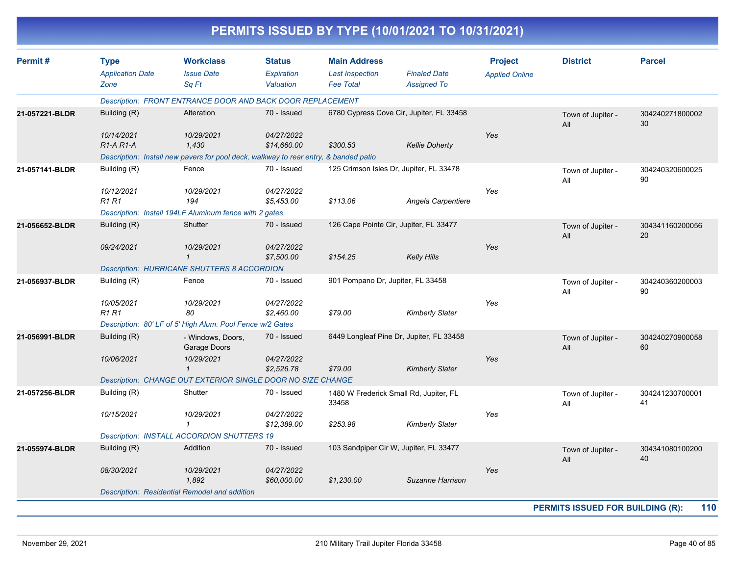|                |                                                |                                                                                      |                                          |                                                                   | PERMITS ISSUED BY TYPE (10/01/2021 TO 10/31/2021) |                                         |                                         |                       |
|----------------|------------------------------------------------|--------------------------------------------------------------------------------------|------------------------------------------|-------------------------------------------------------------------|---------------------------------------------------|-----------------------------------------|-----------------------------------------|-----------------------|
| Permit#        | <b>Type</b><br><b>Application Date</b><br>Zone | <b>Workclass</b><br><b>Issue Date</b><br>Sq Ft                                       | <b>Status</b><br>Expiration<br>Valuation | <b>Main Address</b><br><b>Last Inspection</b><br><b>Fee Total</b> | <b>Finaled Date</b><br><b>Assigned To</b>         | <b>Project</b><br><b>Applied Online</b> | <b>District</b>                         | <b>Parcel</b>         |
|                |                                                | Description: FRONT ENTRANCE DOOR AND BACK DOOR REPLACEMENT                           |                                          |                                                                   |                                                   |                                         |                                         |                       |
| 21-057221-BLDR | Building (R)                                   | Alteration                                                                           | 70 - Issued                              |                                                                   | 6780 Cypress Cove Cir, Jupiter, FL 33458          |                                         | Town of Jupiter -<br>All                | 304240271800002<br>30 |
|                | 10/14/2021                                     | 10/29/2021                                                                           | 04/27/2022                               |                                                                   |                                                   | Yes                                     |                                         |                       |
|                | R1-A R1-A                                      | 1,430                                                                                | \$14,660.00                              | \$300.53                                                          | <b>Kellie Doherty</b>                             |                                         |                                         |                       |
|                |                                                | Description: Install new pavers for pool deck, walkway to rear entry, & banded patio |                                          |                                                                   |                                                   |                                         |                                         |                       |
| 21-057141-BLDR | Building (R)<br>10/12/2021                     | Fence<br>10/29/2021                                                                  | 70 - Issued<br>04/27/2022                |                                                                   | 125 Crimson Isles Dr, Jupiter, FL 33478           | Yes                                     | Town of Jupiter -<br>All                | 304240320600025<br>90 |
|                | <b>R1 R1</b>                                   | 194                                                                                  | \$5,453.00                               | \$113.06                                                          | Angela Carpentiere                                |                                         |                                         |                       |
|                |                                                | Description: Install 194LF Aluminum fence with 2 gates.                              |                                          |                                                                   |                                                   |                                         |                                         |                       |
| 21-056652-BLDR | Building (R)                                   | Shutter                                                                              | 70 - Issued                              | 126 Cape Pointe Cir, Jupiter, FL 33477                            |                                                   |                                         | Town of Jupiter -<br>All                | 304341160200056<br>20 |
|                | 09/24/2021                                     | 10/29/2021<br>$\mathbf{1}$                                                           | 04/27/2022<br>\$7,500.00                 | \$154.25                                                          | <b>Kelly Hills</b>                                | Yes                                     |                                         |                       |
|                |                                                | <b>Description: HURRICANE SHUTTERS 8 ACCORDION</b>                                   |                                          |                                                                   |                                                   |                                         |                                         |                       |
| 21-056937-BLDR | Building (R)                                   | Fence                                                                                | 70 - Issued                              | 901 Pompano Dr, Jupiter, FL 33458                                 |                                                   |                                         | Town of Jupiter -<br>All                | 304240360200003<br>90 |
|                | 10/05/2021                                     | 10/29/2021                                                                           | 04/27/2022                               |                                                                   |                                                   | Yes                                     |                                         |                       |
|                | R1 R1                                          | 80                                                                                   | \$2,460.00                               | \$79.00                                                           | <b>Kimberly Slater</b>                            |                                         |                                         |                       |
|                |                                                | Description: 80' LF of 5' High Alum. Pool Fence w/2 Gates                            |                                          |                                                                   |                                                   |                                         |                                         |                       |
| 21-056991-BLDR | Building (R)                                   | - Windows, Doors,<br>Garage Doors                                                    | 70 - Issued                              |                                                                   | 6449 Longleaf Pine Dr, Jupiter, FL 33458          |                                         | Town of Jupiter -<br>All                | 304240270900058<br>60 |
|                | 10/06/2021                                     | 10/29/2021<br>$\mathbf{\overline{1}}$                                                | 04/27/2022<br>\$2,526.78                 | \$79.00                                                           | <b>Kimberly Slater</b>                            | Yes                                     |                                         |                       |
|                |                                                | Description: CHANGE OUT EXTERIOR SINGLE DOOR NO SIZE CHANGE                          |                                          |                                                                   |                                                   |                                         |                                         |                       |
| 21-057256-BLDR | Building (R)                                   | Shutter                                                                              | 70 - Issued                              | 1480 W Frederick Small Rd, Jupiter, FL<br>33458                   |                                                   |                                         | Town of Jupiter -<br>All                | 304241230700001<br>41 |
|                | 10/15/2021                                     | 10/29/2021                                                                           | 04/27/2022<br>\$12,389.00                | \$253.98                                                          | <b>Kimberly Slater</b>                            | Yes                                     |                                         |                       |
|                |                                                | <b>Description: INSTALL ACCORDION SHUTTERS 19</b>                                    |                                          |                                                                   |                                                   |                                         |                                         |                       |
| 21-055974-BLDR | Building (R)                                   | Addition                                                                             | 70 - Issued                              |                                                                   | 103 Sandpiper Cir W, Jupiter, FL 33477            |                                         | Town of Jupiter -<br>All                | 304341080100200<br>40 |
|                | 08/30/2021                                     | 10/29/2021<br>1,892                                                                  | 04/27/2022<br>\$60,000.00                | \$1,230.00                                                        | Suzanne Harrison                                  | Yes                                     |                                         |                       |
|                |                                                | Description: Residential Remodel and addition                                        |                                          |                                                                   |                                                   |                                         |                                         |                       |
|                |                                                |                                                                                      |                                          |                                                                   |                                                   |                                         | <b>PERMITS ISSUED FOR BUILDING (R):</b> | 110                   |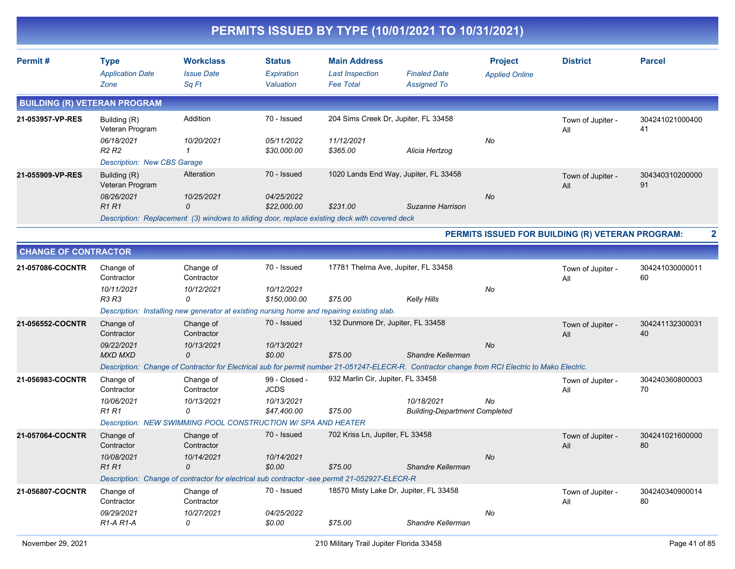|                                     |                                                                                   |                                                                                                                  |                                            |                                                                   | PERMITS ISSUED BY TYPE (10/01/2021 TO 10/31/2021)                                                                                               |                                         |                                                  |                       |   |
|-------------------------------------|-----------------------------------------------------------------------------------|------------------------------------------------------------------------------------------------------------------|--------------------------------------------|-------------------------------------------------------------------|-------------------------------------------------------------------------------------------------------------------------------------------------|-----------------------------------------|--------------------------------------------------|-----------------------|---|
| Permit#                             | <b>Type</b><br><b>Application Date</b><br>Zone                                    | <b>Workclass</b><br><b>Issue Date</b><br>Sq Ft                                                                   | <b>Status</b><br>Expiration<br>Valuation   | <b>Main Address</b><br><b>Last Inspection</b><br><b>Fee Total</b> | <b>Finaled Date</b><br><b>Assigned To</b>                                                                                                       | <b>Project</b><br><b>Applied Online</b> | <b>District</b>                                  | <b>Parcel</b>         |   |
| <b>BUILDING (R) VETERAN PROGRAM</b> |                                                                                   |                                                                                                                  |                                            |                                                                   |                                                                                                                                                 |                                         |                                                  |                       |   |
| 21-053957-VP-RES                    | Building (R)<br>Veteran Program                                                   | Addition                                                                                                         | 70 - Issued                                | 204 Sims Creek Dr, Jupiter, FL 33458                              |                                                                                                                                                 |                                         | Town of Jupiter -<br>All                         | 304241021000400<br>41 |   |
|                                     | 06/18/2021<br>R <sub>2</sub> R <sub>2</sub><br><b>Description: New CBS Garage</b> | 10/20/2021<br>$\mathcal I$                                                                                       | 05/11/2022<br>\$30,000.00                  | 11/12/2021<br>\$365.00                                            | Alicia Hertzog                                                                                                                                  | No                                      |                                                  |                       |   |
| 21-055909-VP-RES                    | Building (R)<br>Veteran Program                                                   | Alteration                                                                                                       | 70 - Issued                                |                                                                   | 1020 Lands End Way, Jupiter, FL 33458                                                                                                           |                                         | Town of Jupiter -<br>All                         | 304340310200000<br>91 |   |
|                                     | 08/26/2021<br><b>R1R1</b>                                                         | 10/25/2021<br>0<br>Description: Replacement (3) windows to sliding door, replace existing deck with covered deck | 04/25/2022<br>\$22,000.00                  | \$231.00                                                          | Suzanne Harrison                                                                                                                                | No                                      |                                                  |                       |   |
|                                     |                                                                                   |                                                                                                                  |                                            |                                                                   |                                                                                                                                                 |                                         | PERMITS ISSUED FOR BUILDING (R) VETERAN PROGRAM: |                       | 2 |
| <b>CHANGE OF CONTRACTOR</b>         |                                                                                   |                                                                                                                  |                                            |                                                                   |                                                                                                                                                 |                                         |                                                  |                       |   |
| 21-057086-COCNTR                    | Change of<br>Contractor                                                           | Change of<br>Contractor                                                                                          | 70 - Issued                                | 17781 Thelma Ave, Jupiter, FL 33458                               |                                                                                                                                                 |                                         | Town of Jupiter -<br>All                         | 304241030000011<br>60 |   |
|                                     | 10/11/2021<br><b>R3 R3</b>                                                        | 10/12/2021<br>0                                                                                                  | 10/12/2021<br>\$150,000.00                 | \$75.00                                                           | <b>Kelly Hills</b>                                                                                                                              | No                                      |                                                  |                       |   |
| 21-056552-COCNTR                    | Change of                                                                         | Description: Installing new generator at existing nursing home and repairing existing slab.<br>Change of         | 70 - Issued                                | 132 Dunmore Dr, Jupiter, FL 33458                                 |                                                                                                                                                 |                                         |                                                  | 304241132300031       |   |
|                                     | Contractor                                                                        | Contractor                                                                                                       |                                            |                                                                   |                                                                                                                                                 |                                         | Town of Jupiter -<br>All                         | 40                    |   |
|                                     | 09/22/2021<br><b>MXD MXD</b>                                                      | 10/13/2021<br>0                                                                                                  | 10/13/2021<br>\$0.00                       | \$75.00                                                           | Shandre Kellerman                                                                                                                               | <b>No</b>                               |                                                  |                       |   |
|                                     |                                                                                   |                                                                                                                  |                                            | 932 Marlin Cir, Jupiter, FL 33458                                 | Description: Change of Contractor for Electrical sub for permit number 21-051247-ELECR-R. Contractor change from RCI Electric to Mako Electric. |                                         |                                                  |                       |   |
| 21-056983-COCNTR                    | Change of<br>Contractor<br>10/06/2021                                             | Change of<br>Contractor<br>10/13/2021                                                                            | 99 - Closed -<br><b>JCDS</b><br>10/13/2021 |                                                                   | 10/18/2021                                                                                                                                      | No                                      | Town of Jupiter -<br>All                         | 304240360800003<br>70 |   |
|                                     | <b>R1 R1</b>                                                                      | 0<br>Description: NEW SWIMMING POOL CONSTRUCTION W/ SPA AND HEATER                                               | \$47,400.00                                | \$75.00                                                           | <b>Building-Department Completed</b>                                                                                                            |                                         |                                                  |                       |   |
| 21-057064-COCNTR                    | Change of                                                                         | Change of                                                                                                        | 70 - Issued                                | 702 Kriss Ln, Jupiter, FL 33458                                   |                                                                                                                                                 |                                         | Town of Jupiter -                                | 304241021600000       |   |
|                                     | Contractor                                                                        | Contractor                                                                                                       |                                            |                                                                   |                                                                                                                                                 |                                         | All                                              | 80                    |   |
|                                     | 10/08/2021<br><b>R1 R1</b>                                                        | 10/14/2021<br>0                                                                                                  | 10/14/2021<br>\$0.00                       | \$75.00                                                           | Shandre Kellerman                                                                                                                               | No                                      |                                                  |                       |   |
|                                     |                                                                                   | Description: Change of contractor for electrical sub contractor -see permit 21-052927-ELECR-R                    |                                            |                                                                   |                                                                                                                                                 |                                         |                                                  |                       |   |
| 21-056807-COCNTR                    | Change of<br>Contractor<br>09/29/2021                                             | Change of<br>Contractor                                                                                          | 70 - Issued                                |                                                                   | 18570 Misty Lake Dr, Jupiter, FL 33458                                                                                                          |                                         | Town of Jupiter -<br>All                         | 304240340900014<br>80 |   |
|                                     | R1-A R1-A                                                                         | 10/27/2021<br>0                                                                                                  | 04/25/2022<br>\$0.00                       | \$75.00                                                           | Shandre Kellerman                                                                                                                               | No                                      |                                                  |                       |   |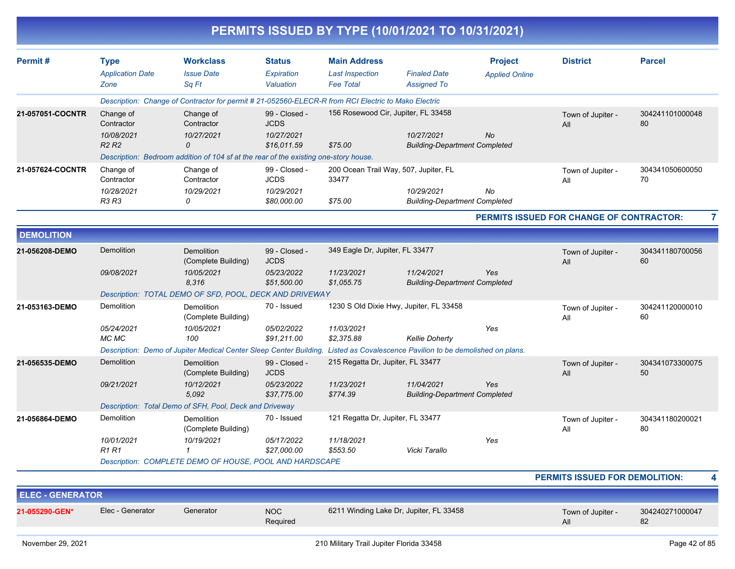|                         |                                                |                                                                                                     |                                          |                                                                   | PERMITS ISSUED BY TYPE (10/01/2021 TO 10/31/2021)          |                                         |                                          |                       |  |
|-------------------------|------------------------------------------------|-----------------------------------------------------------------------------------------------------|------------------------------------------|-------------------------------------------------------------------|------------------------------------------------------------|-----------------------------------------|------------------------------------------|-----------------------|--|
| Permit#                 | <b>Type</b><br><b>Application Date</b><br>Zone | <b>Workclass</b><br><b>Issue Date</b><br>Sq Ft                                                      | <b>Status</b><br>Expiration<br>Valuation | <b>Main Address</b><br><b>Last Inspection</b><br><b>Fee Total</b> | <b>Finaled Date</b><br><b>Assigned To</b>                  | <b>Project</b><br><b>Applied Online</b> | <b>District</b>                          | <b>Parcel</b>         |  |
|                         |                                                | Description: Change of Contractor for permit # 21-052560-ELECR-R from RCI Electric to Mako Electric |                                          |                                                                   |                                                            |                                         |                                          |                       |  |
| 21-057051-COCNTR        | Change of<br>Contractor                        | Change of<br>Contractor                                                                             | 99 - Closed -<br><b>JCDS</b>             | 156 Rosewood Cir, Jupiter, FL 33458                               |                                                            |                                         | Town of Jupiter -<br>All                 | 304241101000048<br>80 |  |
|                         | 10/08/2021<br><b>R2 R2</b>                     | 10/27/2021<br>$\Omega$                                                                              | 10/27/2021<br>\$16,011.59                | \$75.00                                                           | 10/27/2021<br><b>Building-Department Completed</b>         | No                                      |                                          |                       |  |
|                         |                                                | Description: Bedroom addition of 104 sf at the rear of the existing one-story house.                |                                          |                                                                   |                                                            |                                         |                                          |                       |  |
| 21-057624-COCNTR        | Change of<br>Contractor                        | Change of<br>Contractor                                                                             | 99 - Closed -<br><b>JCDS</b>             | 200 Ocean Trail Way, 507, Jupiter, FL<br>33477                    |                                                            |                                         | Town of Jupiter -<br>All                 | 304341050600050<br>70 |  |
|                         | 10/28/2021<br>R3 R3                            | 10/29/2021<br>0                                                                                     | 10/29/2021<br>\$80,000.00                | \$75.00                                                           | 10/29/2021<br><b>Building-Department Completed</b>         | No                                      |                                          |                       |  |
|                         |                                                |                                                                                                     |                                          |                                                                   |                                                            |                                         | PERMITS ISSUED FOR CHANGE OF CONTRACTOR: |                       |  |
| <b>DEMOLITION</b>       |                                                |                                                                                                     |                                          |                                                                   |                                                            |                                         |                                          |                       |  |
| 21-056208-DEMO          | Demolition                                     | Demolition<br>(Complete Building)                                                                   | 99 - Closed -<br><b>JCDS</b>             | 349 Eagle Dr, Jupiter, FL 33477                                   |                                                            |                                         | Town of Jupiter -<br>All                 | 304341180700056<br>60 |  |
|                         | 09/08/2021                                     | 10/05/2021<br>8,316                                                                                 | 05/23/2022<br>\$51,500.00                | 11/23/2021<br>\$1,055.75                                          | 11/24/2021<br><b>Building-Department Completed</b>         | Yes                                     |                                          |                       |  |
|                         |                                                | Description: TOTAL DEMO OF SFD, POOL, DECK AND DRIVEWAY                                             |                                          |                                                                   |                                                            |                                         |                                          |                       |  |
| 21-053163-DEMO          | Demolition                                     | Demolition<br>(Complete Building)                                                                   | 70 - Issued                              |                                                                   | 1230 S Old Dixie Hwy, Jupiter, FL 33458                    |                                         | Town of Jupiter -<br>All                 | 304241120000010<br>60 |  |
|                         | 05/24/2021<br>MC MC                            | 10/05/2021<br>100                                                                                   | 05/02/2022<br>\$91,211.00                | 11/03/2021<br>\$2,375.88                                          | <b>Kellie Doherty</b>                                      | Yes                                     |                                          |                       |  |
|                         |                                                | Description: Demo of Jupiter Medical Center Sleep Center Building.                                  |                                          |                                                                   | Listed as Covalescence Pavilion to be demolished on plans. |                                         |                                          |                       |  |
| 21-056535-DEMO          | Demolition                                     | Demolition<br>(Complete Building)                                                                   | 99 - Closed -<br><b>JCDS</b>             | 215 Regatta Dr, Jupiter, FL 33477                                 |                                                            |                                         | Town of Jupiter -<br>All                 | 304341073300075<br>50 |  |
|                         | 09/21/2021                                     | 10/12/2021<br>5,092                                                                                 | 05/23/2022<br>\$37,775.00                | 11/23/2021<br>\$774.39                                            | 11/04/2021<br><b>Building-Department Completed</b>         | Yes                                     |                                          |                       |  |
|                         |                                                | Description: Total Demo of SFH, Pool, Deck and Driveway                                             |                                          |                                                                   |                                                            |                                         |                                          |                       |  |
| 21-056864-DEMO          | Demolition                                     | Demolition<br>(Complete Building)                                                                   | 70 - Issued                              | 121 Regatta Dr, Jupiter, FL 33477                                 |                                                            |                                         | Town of Jupiter -<br>All                 | 304341180200021<br>80 |  |
|                         | 10/01/2021<br><b>R1 R1</b>                     | 10/19/2021<br>1                                                                                     | 05/17/2022<br>\$27,000.00                | 11/18/2021<br>\$553.50                                            | Vicki Tarallo                                              | Yes                                     |                                          |                       |  |
|                         |                                                | Description: COMPLETE DEMO OF HOUSE, POOL AND HARDSCAPE                                             |                                          |                                                                   |                                                            |                                         |                                          |                       |  |
|                         |                                                |                                                                                                     |                                          |                                                                   |                                                            |                                         | PERMITS ISSUED FOR DEMOLITION:           |                       |  |
| <b>ELEC - GENERATOR</b> |                                                |                                                                                                     |                                          |                                                                   |                                                            |                                         |                                          |                       |  |
| 21-055290-GEN*          | Elec - Generator                               | Generator                                                                                           | <b>NOC</b><br>Required                   |                                                                   | 6211 Winding Lake Dr, Jupiter, FL 33458                    |                                         | Town of Jupiter -<br>All                 | 304240271000047<br>82 |  |
|                         |                                                |                                                                                                     |                                          |                                                                   |                                                            |                                         |                                          |                       |  |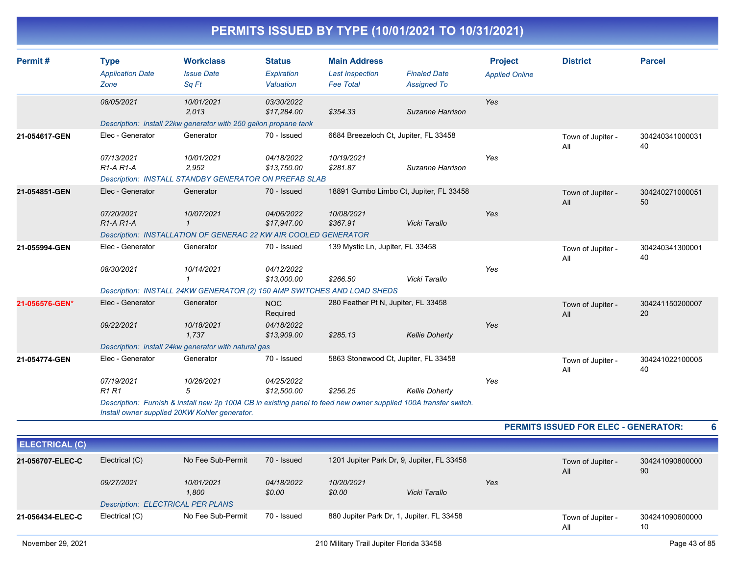| Permit#        | <b>Type</b><br><b>Application Date</b><br>Zone | <b>Workclass</b><br><b>Issue Date</b><br>Sq Ft                          | <b>Status</b><br>Expiration<br>Valuation | <b>Main Address</b><br><b>Last Inspection</b><br><b>Fee Total</b> | <b>Finaled Date</b><br><b>Assigned To</b>                                                                        | <b>Project</b><br><b>Applied Online</b> | <b>District</b>          | <b>Parcel</b>         |
|----------------|------------------------------------------------|-------------------------------------------------------------------------|------------------------------------------|-------------------------------------------------------------------|------------------------------------------------------------------------------------------------------------------|-----------------------------------------|--------------------------|-----------------------|
|                | 08/05/2021                                     | 10/01/2021<br>2,013                                                     | 03/30/2022<br>\$17,284.00                | \$354.33                                                          | Suzanne Harrison                                                                                                 | Yes                                     |                          |                       |
|                |                                                | Description: install 22kw generator with 250 gallon propane tank        |                                          |                                                                   |                                                                                                                  |                                         |                          |                       |
| 21-054617-GEN  | Elec - Generator                               | Generator                                                               | 70 - Issued                              |                                                                   | 6684 Breezeloch Ct, Jupiter, FL 33458                                                                            |                                         | Town of Jupiter -<br>All | 304240341000031<br>40 |
|                | 07/13/2021<br>$R1-A R1-A$                      | 10/01/2021<br>2,952                                                     | 04/18/2022<br>\$13,750.00                | 10/19/2021<br>\$281.87                                            | Suzanne Harrison                                                                                                 | Yes                                     |                          |                       |
|                |                                                | <b>Description: INSTALL STANDBY GENERATOR ON PREFAB SLAB</b>            |                                          |                                                                   |                                                                                                                  |                                         |                          |                       |
| 21-054851-GEN  | Elec - Generator                               | Generator                                                               | 70 - Issued                              |                                                                   | 18891 Gumbo Limbo Ct, Jupiter, FL 33458                                                                          |                                         | Town of Jupiter -<br>All | 304240271000051<br>50 |
|                | 07/20/2021<br>$R1-A R1-A$                      | 10/07/2021                                                              | 04/06/2022<br>\$17,947.00                | 10/08/2021<br>\$367.91                                            | Vicki Tarallo                                                                                                    | Yes                                     |                          |                       |
|                |                                                | Description: INSTALLATION OF GENERAC 22 KW AIR COOLED GENERATOR         |                                          |                                                                   |                                                                                                                  |                                         |                          |                       |
| 21-055994-GEN  | Elec - Generator                               | Generator                                                               | 70 - Issued                              | 139 Mystic Ln, Jupiter, FL 33458                                  |                                                                                                                  |                                         | Town of Jupiter -<br>All | 304240341300001<br>40 |
|                | 08/30/2021                                     | 10/14/2021<br>$\mathbf{1}$                                              | 04/12/2022<br>\$13,000.00                | \$266.50                                                          | Vicki Tarallo                                                                                                    | Yes                                     |                          |                       |
|                |                                                | Description: INSTALL 24KW GENERATOR (2) 150 AMP SWITCHES AND LOAD SHEDS |                                          |                                                                   |                                                                                                                  |                                         |                          |                       |
| 21-056576-GEN* | Elec - Generator                               | Generator                                                               | <b>NOC</b><br>Required                   | 280 Feather Pt N, Jupiter, FL 33458                               |                                                                                                                  |                                         | Town of Jupiter -<br>All | 304241150200007<br>20 |
|                | 09/22/2021                                     | 10/18/2021<br>1,737                                                     | 04/18/2022<br>\$13,909.00                | \$285.13                                                          | <b>Kellie Doherty</b>                                                                                            | Yes                                     |                          |                       |
|                |                                                | Description: install 24kw generator with natural gas                    |                                          |                                                                   |                                                                                                                  |                                         |                          |                       |
| 21-054774-GEN  | Elec - Generator                               | Generator                                                               | 70 - Issued                              |                                                                   | 5863 Stonewood Ct, Jupiter, FL 33458                                                                             |                                         | Town of Jupiter -<br>All | 304241022100005<br>40 |
|                | 07/19/2021<br><b>R1 R1</b>                     | 10/26/2021<br>5                                                         | 04/25/2022<br>\$12,500.00                | \$256.25                                                          | <b>Kellie Doherty</b>                                                                                            | Yes                                     |                          |                       |
|                |                                                | Install owner supplied 20KW Kohler generator.                           |                                          |                                                                   | Description: Furnish & install new 2p 100A CB in existing panel to feed new owner supplied 100A transfer switch. |                                         |                          |                       |

**PERMITS ISSUED FOR ELEC - GENERATOR: 6**

| <b>ELECTRICAL (C)</b> |                                          |                     |                      |                                            |               |     |                          |                       |
|-----------------------|------------------------------------------|---------------------|----------------------|--------------------------------------------|---------------|-----|--------------------------|-----------------------|
| 21-056707-ELEC-C      | Electrical (C)                           | No Fee Sub-Permit   | 70 - Issued          | 1201 Jupiter Park Dr, 9, Jupiter, FL 33458 |               |     | Town of Jupiter -<br>All | 304241090800000<br>90 |
|                       | 09/27/2021                               | 10/01/2021<br>1,800 | 04/18/2022<br>\$0.00 | 10/20/2021<br>\$0.00                       | Vicki Tarallo | Yes |                          |                       |
|                       | <b>Description: ELECTRICAL PER PLANS</b> |                     |                      |                                            |               |     |                          |                       |
| 21-056434-ELEC-C      | Electrical (C)                           | No Fee Sub-Permit   | 70 - Issued          | 880 Jupiter Park Dr, 1, Jupiter, FL 33458  |               |     | Town of Jupiter -<br>All | 304241090600000<br>10 |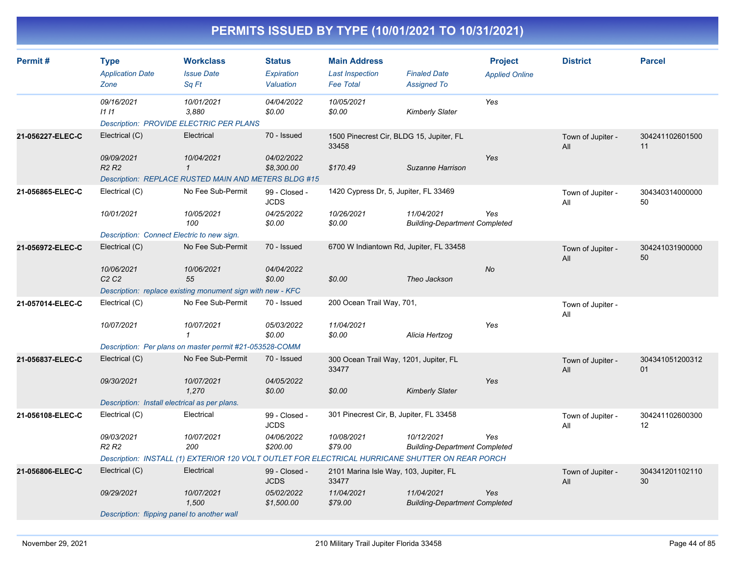| Permit#          | <b>Type</b><br><b>Application Date</b>        | <b>Workclass</b><br><b>Issue Date</b>                                                            | <b>Status</b><br><b>Expiration</b> | <b>Main Address</b><br><b>Last Inspection</b>     | <b>Finaled Date</b>                                | <b>Project</b><br><b>Applied Online</b> | <b>District</b>          | <b>Parcel</b>         |
|------------------|-----------------------------------------------|--------------------------------------------------------------------------------------------------|------------------------------------|---------------------------------------------------|----------------------------------------------------|-----------------------------------------|--------------------------|-----------------------|
|                  | Zone                                          | Sq Ft                                                                                            | Valuation                          | <b>Fee Total</b>                                  | <b>Assigned To</b>                                 |                                         |                          |                       |
|                  | 09/16/2021<br>1111                            | 10/01/2021<br>3,880<br><b>Description: PROVIDE ELECTRIC PER PLANS</b>                            | 04/04/2022<br>\$0.00               | 10/05/2021<br>\$0.00                              | <b>Kimberly Slater</b>                             | Yes                                     |                          |                       |
| 21-056227-ELEC-C | Electrical (C)                                | Electrical                                                                                       | 70 - Issued                        | 1500 Pinecrest Cir, BLDG 15, Jupiter, FL<br>33458 |                                                    |                                         | Town of Jupiter -<br>All | 304241102601500<br>11 |
|                  | 09/09/2021<br><b>R2 R2</b>                    | 10/04/2021<br>$\mathcal I$                                                                       | 04/02/2022<br>\$8,300.00           | \$170.49                                          | Suzanne Harrison                                   | Yes                                     |                          |                       |
|                  |                                               | <b>Description: REPLACE RUSTED MAIN AND METERS BLDG #15</b>                                      |                                    |                                                   |                                                    |                                         |                          |                       |
| 21-056865-ELEC-C | Electrical (C)                                | No Fee Sub-Permit                                                                                | 99 - Closed -<br><b>JCDS</b>       | 1420 Cypress Dr, 5, Jupiter, FL 33469             |                                                    |                                         | Town of Jupiter -<br>All | 304340314000000<br>50 |
|                  | 10/01/2021                                    | 10/05/2021<br>100                                                                                | 04/25/2022<br>\$0.00               | 10/26/2021<br>\$0.00                              | 11/04/2021<br><b>Building-Department Completed</b> | Yes                                     |                          |                       |
|                  | Description: Connect Electric to new sign.    |                                                                                                  |                                    |                                                   |                                                    |                                         |                          |                       |
| 21-056972-ELEC-C | Electrical (C)                                | No Fee Sub-Permit                                                                                | 70 - Issued                        | 6700 W Indiantown Rd, Jupiter, FL 33458           |                                                    |                                         | Town of Jupiter -<br>All | 304241031900000<br>50 |
|                  | 10/06/2021<br>C2C2                            | 10/06/2021<br>55                                                                                 | 04/04/2022<br>\$0.00               | \$0.00                                            | Theo Jackson                                       | <b>No</b>                               |                          |                       |
|                  |                                               | Description: replace existing monument sign with new - KFC                                       |                                    |                                                   |                                                    |                                         |                          |                       |
| 21-057014-ELEC-C | Electrical (C)                                | No Fee Sub-Permit                                                                                | 70 - Issued                        | 200 Ocean Trail Way, 701,                         |                                                    |                                         | Town of Jupiter -<br>All |                       |
|                  | 10/07/2021                                    | 10/07/2021<br>$\mathbf{1}$                                                                       | 05/03/2022<br>\$0.00               | 11/04/2021<br>\$0.00                              | Alicia Hertzog                                     | Yes                                     |                          |                       |
|                  |                                               | Description: Per plans on master permit #21-053528-COMM                                          |                                    |                                                   |                                                    |                                         |                          |                       |
| 21-056837-ELEC-C | Electrical (C)                                | No Fee Sub-Permit                                                                                | 70 - Issued                        | 300 Ocean Trail Way, 1201, Jupiter, FL<br>33477   |                                                    |                                         | Town of Jupiter -<br>All | 304341051200312<br>01 |
|                  | 09/30/2021                                    | 10/07/2021<br>1,270                                                                              | 04/05/2022<br>\$0.00               | \$0.00                                            | <b>Kimberly Slater</b>                             | Yes                                     |                          |                       |
|                  | Description: Install electrical as per plans. |                                                                                                  |                                    |                                                   |                                                    |                                         |                          |                       |
| 21-056108-ELEC-C | Electrical (C)                                | Electrical                                                                                       | 99 - Closed -<br><b>JCDS</b>       | 301 Pinecrest Cir, B, Jupiter, FL 33458           |                                                    |                                         | Town of Jupiter -<br>All | 304241102600300<br>12 |
|                  | 09/03/2021<br>R <sub>2</sub> R <sub>2</sub>   | 10/07/2021<br>200                                                                                | 04/06/2022<br>\$200.00             | 10/08/2021<br>\$79.00                             | 10/12/2021<br><b>Building-Department Completed</b> | Yes                                     |                          |                       |
|                  |                                               | Description: INSTALL (1) EXTERIOR 120 VOLT OUTLET FOR ELECTRICAL HURRICANE SHUTTER ON REAR PORCH |                                    |                                                   |                                                    |                                         |                          |                       |
| 21-056806-ELEC-C | Electrical (C)                                | Electrical                                                                                       | 99 - Closed -<br><b>JCDS</b>       | 2101 Marina Isle Way, 103, Jupiter, FL<br>33477   |                                                    |                                         | Town of Jupiter -<br>All | 304341201102110<br>30 |
|                  | 09/29/2021                                    | 10/07/2021<br>1,500                                                                              | 05/02/2022<br>\$1,500.00           | 11/04/2021<br>\$79.00                             | 11/04/2021<br><b>Building-Department Completed</b> | Yes                                     |                          |                       |
|                  | Description: flipping panel to another wall   |                                                                                                  |                                    |                                                   |                                                    |                                         |                          |                       |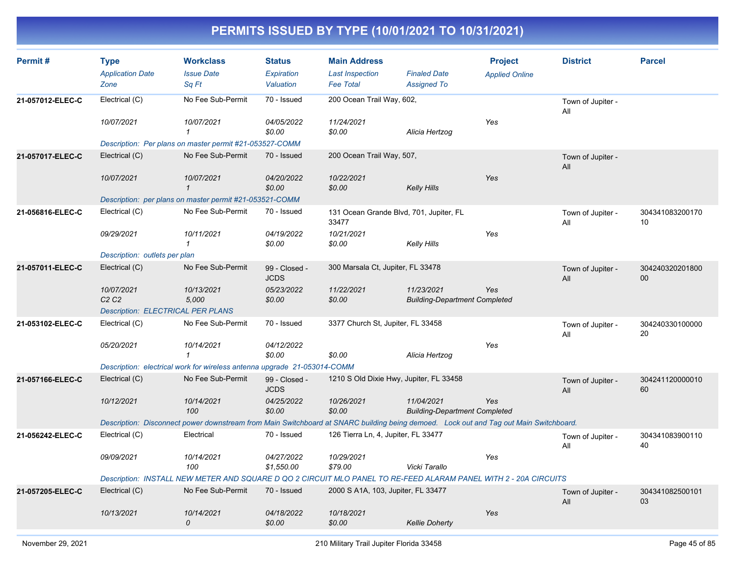| Permit#          | <b>Type</b><br><b>Application Date</b><br>Zone | <b>Workclass</b><br><b>Issue Date</b><br>Sq Ft                                                                                        | <b>Status</b><br>Expiration<br>Valuation | <b>Main Address</b><br><b>Last Inspection</b><br><b>Fee Total</b> | <b>Finaled Date</b><br><b>Assigned To</b>          | <b>Project</b><br><b>Applied Online</b> | <b>District</b>          | <b>Parcel</b>                      |
|------------------|------------------------------------------------|---------------------------------------------------------------------------------------------------------------------------------------|------------------------------------------|-------------------------------------------------------------------|----------------------------------------------------|-----------------------------------------|--------------------------|------------------------------------|
| 21-057012-ELEC-C | Electrical (C)                                 | No Fee Sub-Permit                                                                                                                     | 70 - Issued                              | 200 Ocean Trail Way, 602,                                         |                                                    |                                         | Town of Jupiter -        |                                    |
|                  | 10/07/2021                                     | 10/07/2021<br>$\mathbf{1}$                                                                                                            | 04/05/2022<br>\$0.00                     | 11/24/2021<br>\$0.00                                              | Alicia Hertzog                                     | Yes                                     | All                      |                                    |
|                  |                                                | Description: Per plans on master permit #21-053527-COMM                                                                               |                                          |                                                                   |                                                    |                                         |                          |                                    |
| 21-057017-ELEC-C | Electrical (C)                                 | No Fee Sub-Permit                                                                                                                     | 70 - Issued                              | 200 Ocean Trail Way, 507,                                         |                                                    |                                         | Town of Jupiter -<br>All |                                    |
|                  | 10/07/2021                                     | 10/07/2021<br>$\mathbf{1}$                                                                                                            | 04/20/2022<br>\$0.00                     | 10/22/2021<br>\$0.00                                              | <b>Kelly Hills</b>                                 | Yes                                     |                          |                                    |
|                  |                                                | Description: per plans on master permit #21-053521-COMM                                                                               |                                          |                                                                   |                                                    |                                         |                          |                                    |
| 21-056816-ELEC-C | Electrical (C)                                 | No Fee Sub-Permit                                                                                                                     | 70 - Issued                              | 131 Ocean Grande Blvd, 701, Jupiter, FL<br>33477                  |                                                    |                                         | Town of Jupiter -<br>All | 304341083200170<br>10 <sup>1</sup> |
|                  | 09/29/2021                                     | 10/11/2021<br>1                                                                                                                       | 04/19/2022<br>\$0.00                     | 10/21/2021<br>\$0.00                                              | <b>Kelly Hills</b>                                 | Yes                                     |                          |                                    |
|                  | Description: outlets per plan                  |                                                                                                                                       |                                          |                                                                   |                                                    |                                         |                          |                                    |
| 21-057011-ELEC-C | Electrical (C)                                 | No Fee Sub-Permit                                                                                                                     | 99 - Closed -<br><b>JCDS</b>             | 300 Marsala Ct, Jupiter, FL 33478                                 |                                                    |                                         | Town of Jupiter -<br>All | 304240320201800<br>00              |
|                  | 10/07/2021<br>C2C2                             | 10/13/2021<br>5,000                                                                                                                   | 05/23/2022<br>\$0.00                     | 11/22/2021<br>\$0.00                                              | 11/23/2021<br><b>Building-Department Completed</b> | Yes                                     |                          |                                    |
|                  | <b>Description: ELECTRICAL PER PLANS</b>       |                                                                                                                                       |                                          |                                                                   |                                                    |                                         |                          |                                    |
| 21-053102-ELEC-C | Electrical (C)                                 | No Fee Sub-Permit                                                                                                                     | 70 - Issued                              | 3377 Church St, Jupiter, FL 33458                                 |                                                    |                                         | Town of Jupiter -<br>All | 304240330100000<br>20              |
|                  | 05/20/2021                                     | 10/14/2021<br>1                                                                                                                       | 04/12/2022<br>\$0.00                     | \$0.00                                                            | Alicia Hertzog                                     | Yes                                     |                          |                                    |
|                  |                                                | Description: electrical work for wireless antenna upgrade 21-053014-COMM                                                              |                                          |                                                                   |                                                    |                                         |                          |                                    |
| 21-057166-ELEC-C | Electrical (C)                                 | No Fee Sub-Permit                                                                                                                     | 99 - Closed -<br><b>JCDS</b>             | 1210 S Old Dixie Hwy, Jupiter, FL 33458                           |                                                    |                                         | Town of Jupiter -<br>All | 304241120000010<br>60              |
|                  | 10/12/2021                                     | 10/14/2021<br>100                                                                                                                     | 04/25/2022<br>\$0.00                     | 10/26/2021<br>\$0.00                                              | 11/04/2021<br><b>Building-Department Completed</b> | Yes                                     |                          |                                    |
|                  |                                                | Description: Disconnect power downstream from Main Switchboard at SNARC building being demoed. Lock out and Tag out Main Switchboard. |                                          |                                                                   |                                                    |                                         |                          |                                    |
| 21-056242-ELEC-C | Electrical (C)                                 | Electrical                                                                                                                            | 70 - Issued                              | 126 Tierra Ln, 4, Jupiter, FL 33477                               |                                                    |                                         | Town of Jupiter -<br>All | 304341083900110<br>40              |
|                  | 09/09/2021                                     | 10/14/2021<br>100                                                                                                                     | 04/27/2022<br>\$1,550.00                 | 10/29/2021<br>\$79.00                                             | Vicki Tarallo                                      | Yes                                     |                          |                                    |
|                  |                                                | Description: INSTALL NEW METER AND SQUARE D QO 2 CIRCUIT MLO PANEL TO RE-FEED ALARAM PANEL WITH 2 - 20A CIRCUITS                      |                                          |                                                                   |                                                    |                                         |                          |                                    |
| 21-057205-ELEC-C | Electrical (C)                                 | No Fee Sub-Permit                                                                                                                     | 70 - Issued                              | 2000 S A1A, 103, Jupiter, FL 33477                                |                                                    |                                         | Town of Jupiter -<br>All | 304341082500101<br>03              |
|                  | 10/13/2021                                     | 10/14/2021<br>0                                                                                                                       | 04/18/2022<br>\$0.00                     | 10/18/2021<br>\$0.00                                              | <b>Kellie Doherty</b>                              | Yes                                     |                          |                                    |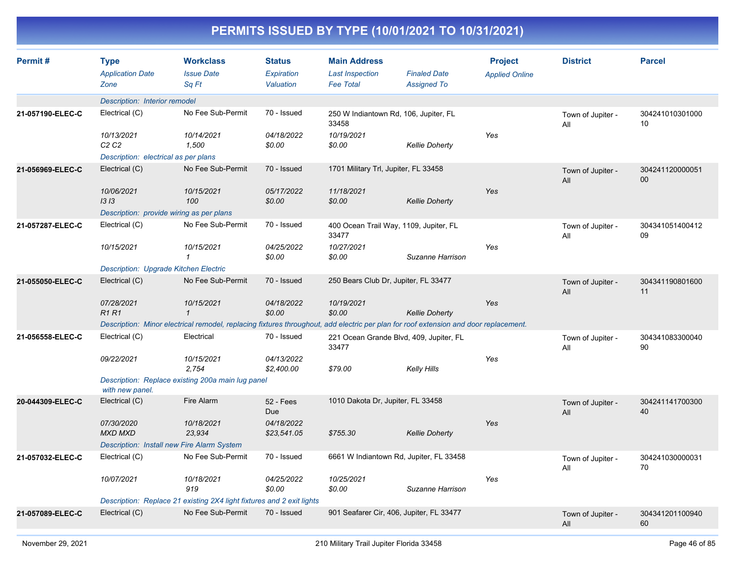| Permit#          | <b>Type</b><br><b>Application Date</b><br>Zone    | <b>Workclass</b><br><b>Issue Date</b><br>Sa Ft                                                                                       | <b>Status</b><br>Expiration<br>Valuation | <b>Main Address</b><br><b>Last Inspection</b><br><b>Fee Total</b> | <b>Finaled Date</b><br><b>Assigned To</b> | <b>Project</b><br><b>Applied Online</b> | <b>District</b>          | <b>Parcel</b>         |
|------------------|---------------------------------------------------|--------------------------------------------------------------------------------------------------------------------------------------|------------------------------------------|-------------------------------------------------------------------|-------------------------------------------|-----------------------------------------|--------------------------|-----------------------|
|                  | Description: Interior remodel                     |                                                                                                                                      |                                          |                                                                   |                                           |                                         |                          |                       |
| 21-057190-ELEC-C | Electrical (C)                                    | No Fee Sub-Permit                                                                                                                    | 70 - Issued                              | 250 W Indiantown Rd, 106, Jupiter, FL<br>33458                    |                                           |                                         | Town of Jupiter -<br>All | 304241010301000<br>10 |
|                  | 10/13/2021<br>C <sub>2</sub> C <sub>2</sub>       | 10/14/2021<br>1,500                                                                                                                  | 04/18/2022<br>\$0.00                     | 10/19/2021<br>\$0.00                                              | <b>Kellie Doherty</b>                     | Yes                                     |                          |                       |
|                  | Description: electrical as per plans              |                                                                                                                                      |                                          |                                                                   |                                           |                                         |                          |                       |
| 21-056969-ELEC-C | Electrical (C)                                    | No Fee Sub-Permit                                                                                                                    | 70 - Issued                              | 1701 Military Trl, Jupiter, FL 33458                              |                                           |                                         | Town of Jupiter -<br>All | 304241120000051<br>00 |
|                  | 10/06/2021<br>1313                                | 10/15/2021<br>100                                                                                                                    | 05/17/2022<br>\$0.00                     | 11/18/2021<br>\$0.00                                              | <b>Kellie Doherty</b>                     | Yes                                     |                          |                       |
|                  | Description: provide wiring as per plans          |                                                                                                                                      |                                          |                                                                   |                                           |                                         |                          |                       |
| 21-057287-ELEC-C | Electrical (C)                                    | No Fee Sub-Permit                                                                                                                    | 70 - Issued                              | 400 Ocean Trail Way, 1109, Jupiter, FL<br>33477                   |                                           |                                         | Town of Jupiter -<br>All | 304341051400412<br>09 |
|                  | 10/15/2021                                        | 10/15/2021<br>$\mathbf{1}$                                                                                                           | 04/25/2022<br>\$0.00                     | 10/27/2021<br>\$0.00                                              | Suzanne Harrison                          | Yes                                     |                          |                       |
|                  | <b>Description: Upgrade Kitchen Electric</b>      |                                                                                                                                      |                                          |                                                                   |                                           |                                         |                          |                       |
| 21-055050-ELEC-C | Electrical (C)                                    | No Fee Sub-Permit                                                                                                                    | 70 - Issued                              | 250 Bears Club Dr, Jupiter, FL 33477                              |                                           |                                         | Town of Jupiter -<br>All | 304341190801600<br>11 |
|                  | 07/28/2021<br><b>R1R1</b>                         | 10/15/2021<br>$\mathbf{1}$                                                                                                           | 04/18/2022<br>\$0.00                     | 10/19/2021<br>\$0.00                                              | <b>Kellie Doherty</b>                     | Yes                                     |                          |                       |
|                  |                                                   | Description: Minor electrical remodel, replacing fixtures throughout, add electric per plan for roof extension and door replacement. |                                          |                                                                   |                                           |                                         |                          |                       |
| 21-056558-ELEC-C | Electrical (C)                                    | Electrical                                                                                                                           | 70 - Issued                              | 221 Ocean Grande Blvd, 409, Jupiter, FL<br>33477                  |                                           |                                         | Town of Jupiter -<br>All | 304341083300040<br>90 |
|                  | 09/22/2021                                        | 10/15/2021<br>2,754                                                                                                                  | 04/13/2022<br>\$2,400.00                 | \$79.00                                                           | Kelly Hills                               | Yes                                     |                          |                       |
|                  | with new panel.                                   | Description: Replace existing 200a main lug panel                                                                                    |                                          |                                                                   |                                           |                                         |                          |                       |
| 20-044309-ELEC-C | Electrical (C)                                    | Fire Alarm                                                                                                                           | 52 - Fees<br><b>Due</b>                  | 1010 Dakota Dr, Jupiter, FL 33458                                 |                                           |                                         | Town of Jupiter -<br>All | 304241141700300<br>40 |
|                  | 07/30/2020<br><b>MXD MXD</b>                      | 10/18/2021<br>23,934                                                                                                                 | 04/18/2022<br>\$23,541.05                | \$755.30                                                          | <b>Kellie Doherty</b>                     | Yes                                     |                          |                       |
|                  | <b>Description: Install new Fire Alarm System</b> |                                                                                                                                      |                                          |                                                                   |                                           |                                         |                          |                       |
| 21-057032-ELEC-C | Electrical (C)                                    | No Fee Sub-Permit                                                                                                                    | 70 - Issued                              | 6661 W Indiantown Rd, Jupiter, FL 33458                           |                                           |                                         | Town of Jupiter -<br>All | 304241030000031<br>70 |
|                  | 10/07/2021                                        | 10/18/2021<br>919                                                                                                                    | 04/25/2022<br>\$0.00                     | 10/25/2021<br>\$0.00                                              | Suzanne Harrison                          | Yes                                     |                          |                       |
|                  |                                                   | Description: Replace 21 existing 2X4 light fixtures and 2 exit lights                                                                |                                          |                                                                   |                                           |                                         |                          |                       |
| 21-057089-ELEC-C | Electrical (C)                                    | No Fee Sub-Permit                                                                                                                    | 70 - Issued                              | 901 Seafarer Cir, 406, Jupiter, FL 33477                          |                                           |                                         | Town of Jupiter -<br>All | 304341201100940<br>60 |
|                  |                                                   |                                                                                                                                      |                                          |                                                                   |                                           |                                         |                          |                       |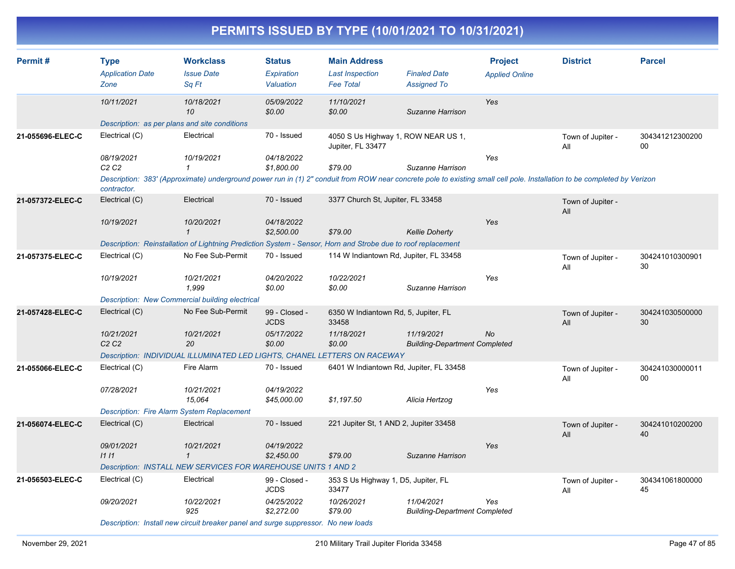| PERMITS ISSUED BY TYPE (10/01/2021 TO 10/31/2021) |                                                |                                                                                                                                                                          |                                          |                                                                   |                                                    |                                         |                          |                           |  |  |  |
|---------------------------------------------------|------------------------------------------------|--------------------------------------------------------------------------------------------------------------------------------------------------------------------------|------------------------------------------|-------------------------------------------------------------------|----------------------------------------------------|-----------------------------------------|--------------------------|---------------------------|--|--|--|
| Permit#                                           | <b>Type</b><br><b>Application Date</b><br>Zone | <b>Workclass</b><br><b>Issue Date</b><br>Sa Ft                                                                                                                           | <b>Status</b><br>Expiration<br>Valuation | <b>Main Address</b><br><b>Last Inspection</b><br><b>Fee Total</b> | <b>Finaled Date</b><br><b>Assigned To</b>          | <b>Project</b><br><b>Applied Online</b> | <b>District</b>          | <b>Parcel</b>             |  |  |  |
|                                                   | 10/11/2021                                     | 10/18/2021<br>10                                                                                                                                                         | 05/09/2022<br>\$0.00                     | 11/10/2021<br>\$0.00                                              | Suzanne Harrison                                   | Yes                                     |                          |                           |  |  |  |
|                                                   |                                                | Description: as per plans and site conditions                                                                                                                            |                                          |                                                                   |                                                    |                                         |                          |                           |  |  |  |
| 21-055696-ELEC-C                                  | Electrical (C)                                 | Electrical                                                                                                                                                               | 70 - Issued                              | 4050 S Us Highway 1, ROW NEAR US 1,<br>Jupiter, FL 33477          |                                                    |                                         | Town of Jupiter -<br>All | 304341212300200<br>$00\,$ |  |  |  |
|                                                   | 08/19/2021<br>C <sub>2</sub> C <sub>2</sub>    | 10/19/2021<br>$\mathbf{1}$                                                                                                                                               | 04/18/2022<br>\$1,800.00                 | \$79.00                                                           | Suzanne Harrison                                   | Yes                                     |                          |                           |  |  |  |
|                                                   | contractor.                                    | Description: 383' (Approximate) underground power run in (1) 2" conduit from ROW near concrete pole to existing small cell pole. Installation to be completed by Verizon |                                          |                                                                   |                                                    |                                         |                          |                           |  |  |  |
| 21-057372-ELEC-C                                  | Electrical (C)                                 | Electrical                                                                                                                                                               | 70 - Issued                              | 3377 Church St, Jupiter, FL 33458                                 |                                                    |                                         | Town of Jupiter -<br>All |                           |  |  |  |
|                                                   | 10/19/2021                                     | 10/20/2021<br>$\mathbf{1}$                                                                                                                                               | 04/18/2022<br>\$2,500.00                 | \$79.00                                                           | <b>Kellie Doherty</b>                              | Yes                                     |                          |                           |  |  |  |
|                                                   |                                                | Description: Reinstallation of Lightning Prediction System - Sensor, Horn and Strobe due to roof replacement                                                             |                                          |                                                                   |                                                    |                                         |                          |                           |  |  |  |
| 21-057375-ELEC-C                                  | Electrical (C)                                 | No Fee Sub-Permit                                                                                                                                                        | 70 - Issued                              | 114 W Indiantown Rd, Jupiter, FL 33458                            |                                                    |                                         | Town of Jupiter -<br>All | 304241010300901<br>30     |  |  |  |
|                                                   | 10/19/2021                                     | 10/21/2021<br>1,999                                                                                                                                                      | 04/20/2022<br>\$0.00                     | 10/22/2021<br>\$0.00                                              | Suzanne Harrison                                   | Yes                                     |                          |                           |  |  |  |
|                                                   |                                                | Description: New Commercial building electrical                                                                                                                          |                                          |                                                                   |                                                    |                                         |                          |                           |  |  |  |
| 21-057428-ELEC-C                                  | Electrical (C)                                 | No Fee Sub-Permit                                                                                                                                                        | 99 - Closed -<br><b>JCDS</b>             | 6350 W Indiantown Rd, 5, Jupiter, FL<br>33458                     |                                                    |                                         | Town of Jupiter -<br>All | 304241030500000<br>30     |  |  |  |
|                                                   | 10/21/2021<br>C2C2                             | 10/21/2021<br>20                                                                                                                                                         | 05/17/2022<br>\$0.00                     | 11/18/2021<br>\$0.00                                              | 11/19/2021<br><b>Building-Department Completed</b> | No                                      |                          |                           |  |  |  |
|                                                   |                                                | Description: INDIVIDUAL ILLUMINATED LED LIGHTS, CHANEL LETTERS ON RACEWAY                                                                                                |                                          |                                                                   |                                                    |                                         |                          |                           |  |  |  |
| 21-055066-ELEC-C                                  | Electrical (C)                                 | Fire Alarm                                                                                                                                                               | 70 - Issued                              | 6401 W Indiantown Rd, Jupiter, FL 33458                           |                                                    |                                         | Town of Jupiter -<br>All | 304241030000011<br>00     |  |  |  |
|                                                   | 07/28/2021                                     | 10/21/2021<br>15,064                                                                                                                                                     | 04/19/2022<br>\$45,000.00                | \$1,197.50                                                        | Alicia Hertzog                                     | Yes                                     |                          |                           |  |  |  |
|                                                   |                                                | <b>Description: Fire Alarm System Replacement</b>                                                                                                                        |                                          |                                                                   |                                                    |                                         |                          |                           |  |  |  |
| 21-056074-ELEC-C                                  | Electrical (C)                                 | Electrical                                                                                                                                                               | 70 - Issued                              | 221 Jupiter St, 1 AND 2, Jupiter 33458                            |                                                    |                                         | Town of Jupiter -<br>All | 304241010200200<br>40     |  |  |  |
|                                                   | 09/01/2021<br>1111                             | 10/21/2021<br>$\mathbf{1}$                                                                                                                                               | 04/19/2022<br>\$2,450.00                 | \$79.00                                                           | Suzanne Harrison                                   | Yes                                     |                          |                           |  |  |  |
|                                                   |                                                | Description: INSTALL NEW SERVICES FOR WAREHOUSE UNITS 1 AND 2                                                                                                            |                                          |                                                                   |                                                    |                                         |                          |                           |  |  |  |
| 21-056503-FL FC-C                                 | Flectrical (C)                                 | Flectrical                                                                                                                                                               | $99 - 200$                               | 353 Sille Highway 1 D5 luniter FI                                 |                                                    |                                         | Town of lupitor          | 304341061800000           |  |  |  |

Electrical (C) Electrical 353 S Us Highway 1, D5, Jupiter, FL 33477 **Town of Jupiter** All 99 - Closed - JCDS 304341061800000 45 **21-056503-ELEC-C** *09/20/2021 10/22/2021 04/25/2022 10/26/2021 11/04/2021*  $B$ uilding-Department Completed *Yes Description: Install new circuit breaker panel and surge suppressor. No new loads*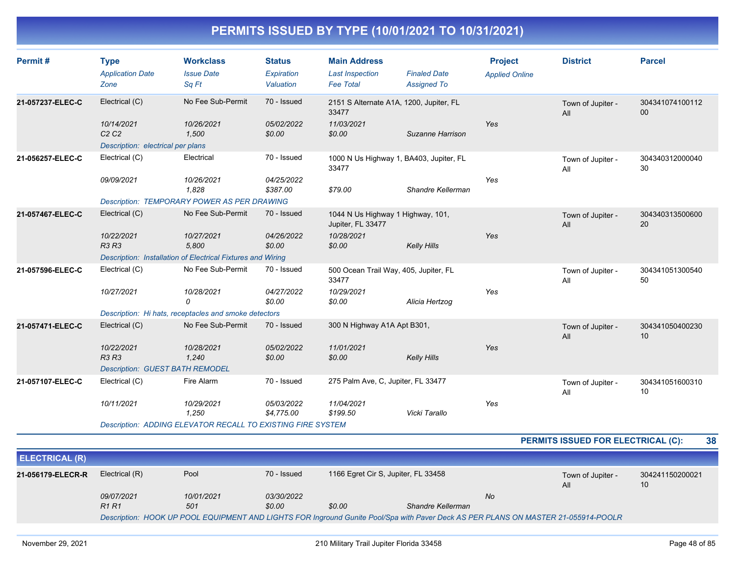| Permit#          | <b>Type</b><br><b>Application Date</b><br>Zone          | <b>Workclass</b><br><b>Issue Date</b><br>Sq Ft                     | <b>Status</b><br>Expiration<br>Valuation | <b>Main Address</b><br><b>Last Inspection</b><br><b>Fee Total</b> | <b>Finaled Date</b><br><b>Assigned To</b> | <b>Project</b><br><b>Applied Online</b> | <b>District</b>          | <b>Parcel</b>         |
|------------------|---------------------------------------------------------|--------------------------------------------------------------------|------------------------------------------|-------------------------------------------------------------------|-------------------------------------------|-----------------------------------------|--------------------------|-----------------------|
| 21-057237-ELEC-C | Electrical (C)                                          | No Fee Sub-Permit                                                  | 70 - Issued                              | 2151 S Alternate A1A, 1200, Jupiter, FL<br>33477                  |                                           |                                         | Town of Jupiter -<br>All | 304341074100112<br>00 |
|                  | 10/14/2021<br>C2C2<br>Description: electrical per plans | 10/26/2021<br>1,500                                                | 05/02/2022<br>\$0.00                     | 11/03/2021<br>\$0.00                                              | Suzanne Harrison                          | Yes                                     |                          |                       |
| 21-056257-ELEC-C | Electrical (C)                                          | Electrical                                                         | 70 - Issued                              | 1000 N Us Highway 1, BA403, Jupiter, FL<br>33477                  |                                           |                                         | Town of Jupiter -<br>All | 304340312000040<br>30 |
|                  | 09/09/2021                                              | 10/26/2021<br>1.828                                                | 04/25/2022<br>\$387.00                   | \$79.00                                                           | Shandre Kellerman                         | Yes                                     |                          |                       |
|                  |                                                         | <b>Description: TEMPORARY POWER AS PER DRAWING</b>                 |                                          |                                                                   |                                           |                                         |                          |                       |
| 21-057467-ELEC-C | Electrical (C)                                          | No Fee Sub-Permit                                                  | 70 - Issued                              | 1044 N Us Highway 1 Highway, 101,<br>Jupiter, FL 33477            |                                           |                                         | Town of Jupiter -<br>All | 304340313500600<br>20 |
|                  | 10/22/2021<br><b>R3 R3</b>                              | 10/27/2021<br>5,800                                                | 04/26/2022<br>\$0.00                     | 10/28/2021<br>\$0.00                                              | <b>Kelly Hills</b>                        | Yes                                     |                          |                       |
|                  |                                                         | Description: Installation of Electrical Fixtures and Wiring        |                                          |                                                                   |                                           |                                         |                          |                       |
| 21-057596-ELEC-C | Electrical (C)                                          | No Fee Sub-Permit                                                  | 70 - Issued                              | 500 Ocean Trail Way, 405, Jupiter, FL<br>33477                    |                                           |                                         | Town of Jupiter -<br>All | 304341051300540<br>50 |
|                  | 10/27/2021                                              | 10/28/2021<br>0                                                    | 04/27/2022<br>\$0.00                     | 10/29/2021<br>\$0.00                                              | Alicia Hertzog                            | Yes                                     |                          |                       |
|                  |                                                         | Description: Hi hats, receptacles and smoke detectors              |                                          |                                                                   |                                           |                                         |                          |                       |
| 21-057471-ELEC-C | Electrical (C)                                          | No Fee Sub-Permit                                                  | 70 - Issued                              | 300 N Highway A1A Apt B301,                                       |                                           |                                         | Town of Jupiter -<br>All | 304341050400230<br>10 |
|                  | 10/22/2021<br><b>R3 R3</b>                              | 10/28/2021<br>1,240                                                | 05/02/2022<br>\$0.00                     | 11/01/2021<br>\$0.00                                              | <b>Kelly Hills</b>                        | Yes                                     |                          |                       |
|                  | <b>Description: GUEST BATH REMODEL</b>                  |                                                                    |                                          |                                                                   |                                           |                                         |                          |                       |
| 21-057107-ELEC-C | Electrical (C)                                          | Fire Alarm                                                         | 70 - Issued                              | 275 Palm Ave, C, Jupiter, FL 33477                                |                                           |                                         | Town of Jupiter -<br>All | 304341051600310<br>10 |
|                  | 10/11/2021                                              | 10/29/2021<br>1,250                                                | 05/03/2022<br>\$4,775.00                 | 11/04/2021<br>\$199.50                                            | Vicki Tarallo                             | Yes                                     |                          |                       |
|                  |                                                         | <b>Description: ADDING ELEVATOR RECALL TO EXISTING FIRE SYSTEM</b> |                                          |                                                                   |                                           |                                         |                          |                       |

**PERMITS ISSUED FOR ELECTRICAL (C): 38**

| <b>ELECTRICAL (R)</b>                                                                                                              |                                                                              |     |        |        |                   |                          |                       |
|------------------------------------------------------------------------------------------------------------------------------------|------------------------------------------------------------------------------|-----|--------|--------|-------------------|--------------------------|-----------------------|
| 21-056179-ELECR-R                                                                                                                  | Pool<br>1166 Egret Cir S, Jupiter, FL 33458<br>Electrical (R)<br>70 - Issued |     |        |        |                   | Town of Jupiter -<br>All | 304241150200021<br>10 |
|                                                                                                                                    | 03/30/2022<br>09/07/2021<br>10/01/2021                                       |     |        |        | No                |                          |                       |
|                                                                                                                                    | R <sub>1</sub> R <sub>1</sub>                                                | 501 | \$0.00 | \$0.00 | Shandre Kellerman |                          |                       |
| Description: HOOK UP POOL EQUIPMENT AND LIGHTS FOR Inground Gunite Pool/Spa with Paver Deck AS PER PLANS ON MASTER 21-055914-POOLR |                                                                              |     |        |        |                   |                          |                       |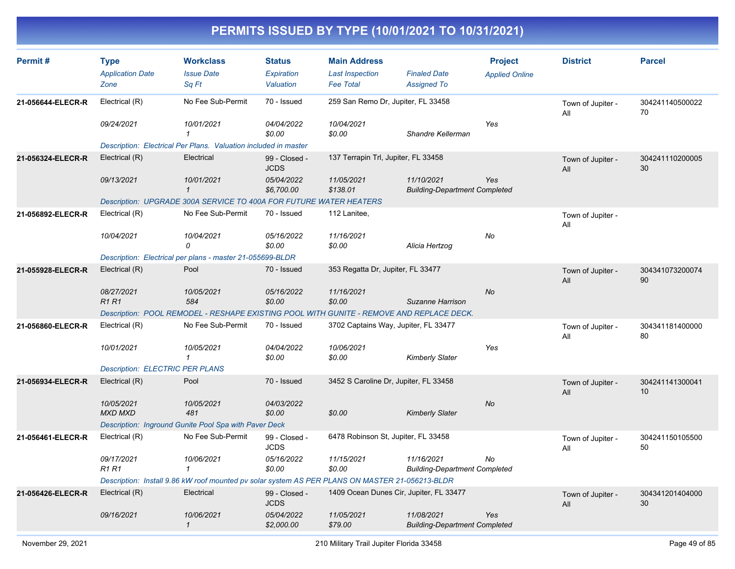| Permit#           | <b>Type</b>                            | <b>Workclass</b>                                                                                | <b>Status</b>                  | <b>Main Address</b>                        |                                                    | <b>Project</b>        | <b>District</b>          | <b>Parcel</b>         |
|-------------------|----------------------------------------|-------------------------------------------------------------------------------------------------|--------------------------------|--------------------------------------------|----------------------------------------------------|-----------------------|--------------------------|-----------------------|
|                   | <b>Application Date</b><br>Zone        | <b>Issue Date</b><br>Sq Ft                                                                      | <b>Expiration</b><br>Valuation | <b>Last Inspection</b><br><b>Fee Total</b> | <b>Finaled Date</b><br><b>Assigned To</b>          | <b>Applied Online</b> |                          |                       |
| 21-056644-ELECR-R | Electrical (R)                         | No Fee Sub-Permit                                                                               | 70 - Issued                    | 259 San Remo Dr, Jupiter, FL 33458         |                                                    |                       | Town of Jupiter -<br>All | 304241140500022<br>70 |
|                   | 09/24/2021                             | 10/01/2021<br>1                                                                                 | 04/04/2022<br>\$0.00           | 10/04/2021<br>\$0.00                       | Shandre Kellerman                                  | Yes                   |                          |                       |
|                   |                                        | Description: Electrical Per Plans. Valuation included in master                                 |                                |                                            |                                                    |                       |                          |                       |
| 21-056324-ELECR-R | Electrical (R)                         | Electrical                                                                                      | 99 - Closed -<br><b>JCDS</b>   | 137 Terrapin Trl, Jupiter, FL 33458        |                                                    |                       | Town of Jupiter -<br>All | 304241110200005<br>30 |
|                   | 09/13/2021                             | 10/01/2021<br>$\mathbf{1}$                                                                      | 05/04/2022<br>\$6,700.00       | 11/05/2021<br>\$138.01                     | 11/10/2021<br><b>Building-Department Completed</b> | Yes                   |                          |                       |
|                   |                                        | Description: UPGRADE 300A SERVICE TO 400A FOR FUTURE WATER HEATERS                              |                                |                                            |                                                    |                       |                          |                       |
| 21-056892-ELECR-R | Electrical (R)                         | No Fee Sub-Permit                                                                               | 70 - Issued                    | 112 Lanitee,                               |                                                    |                       | Town of Jupiter -<br>All |                       |
|                   | 10/04/2021                             | 10/04/2021<br>0                                                                                 | 05/16/2022<br>\$0.00           | 11/16/2021<br>\$0.00                       | Alicia Hertzog                                     | No                    |                          |                       |
|                   |                                        | Description: Electrical per plans - master 21-055699-BLDR                                       |                                |                                            |                                                    |                       |                          |                       |
| 21-055928-ELECR-R | Electrical (R)                         | Pool                                                                                            | 70 - Issued                    | 353 Regatta Dr, Jupiter, FL 33477          |                                                    |                       | Town of Jupiter -<br>All | 304341073200074<br>90 |
|                   | 08/27/2021<br><b>R1R1</b>              | 10/05/2021<br>584                                                                               | 05/16/2022<br>\$0.00           | 11/16/2021<br>\$0.00                       | Suzanne Harrison                                   | <b>No</b>             |                          |                       |
|                   |                                        | Description: POOL REMODEL - RESHAPE EXISTING POOL WITH GUNITE - REMOVE AND REPLACE DECK.        |                                |                                            |                                                    |                       |                          |                       |
| 21-056860-ELECR-R | Electrical (R)                         | No Fee Sub-Permit                                                                               | 70 - Issued                    | 3702 Captains Way, Jupiter, FL 33477       |                                                    |                       | Town of Jupiter -<br>All | 304341181400000<br>80 |
|                   | 10/01/2021                             | 10/05/2021<br>$\mathbf{1}$                                                                      | 04/04/2022<br>\$0.00           | 10/06/2021<br>\$0.00                       | <b>Kimberly Slater</b>                             | Yes                   |                          |                       |
|                   | <b>Description: ELECTRIC PER PLANS</b> |                                                                                                 |                                |                                            |                                                    |                       |                          |                       |
| 21-056934-ELECR-R | Electrical (R)                         | Pool                                                                                            | 70 - Issued                    | 3452 S Caroline Dr, Jupiter, FL 33458      |                                                    |                       | Town of Jupiter -<br>All | 304241141300041<br>10 |
|                   | 10/05/2021<br><b>MXD MXD</b>           | 10/05/2021<br>481                                                                               | 04/03/2022<br>\$0.00           | \$0.00                                     | <b>Kimberly Slater</b>                             | No                    |                          |                       |
|                   |                                        | Description: Inground Gunite Pool Spa with Paver Deck                                           |                                |                                            |                                                    |                       |                          |                       |
| 21-056461-ELECR-R | Electrical (R)                         | No Fee Sub-Permit                                                                               | 99 - Closed -<br><b>JCDS</b>   | 6478 Robinson St, Jupiter, FL 33458        |                                                    |                       | Town of Jupiter -<br>All | 304241150105500<br>50 |
|                   | 09/17/2021<br>R1 R1                    | 10/06/2021<br>1                                                                                 | 05/16/2022<br>\$0.00           | 11/15/2021<br>\$0.00                       | 11/16/2021<br><b>Building-Department Completed</b> | No                    |                          |                       |
|                   |                                        | Description: Install 9.86 kW roof mounted pv solar system AS PER PLANS ON MASTER 21-056213-BLDR |                                |                                            |                                                    |                       |                          |                       |
| 21-056426-ELECR-R | Electrical (R)                         | Electrical                                                                                      | 99 - Closed -<br><b>JCDS</b>   |                                            | 1409 Ocean Dunes Cir, Jupiter, FL 33477            |                       | Town of Jupiter -<br>All | 304341201404000<br>30 |
|                   | 09/16/2021                             | 10/06/2021<br>$\mathcal I$                                                                      | 05/04/2022<br>\$2,000.00       | 11/05/2021<br>\$79.00                      | 11/08/2021<br><b>Building-Department Completed</b> | Yes                   |                          |                       |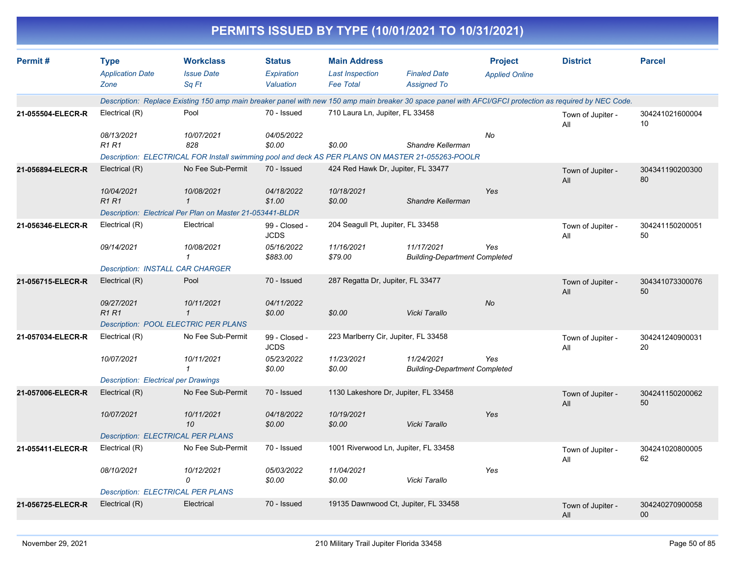|                   |                                             |                                                                                                                                                          |                              |                                      | PERMITS ISSUED BY TYPE (10/01/2021 TO 10/31/2021)  |                       |                          |                           |
|-------------------|---------------------------------------------|----------------------------------------------------------------------------------------------------------------------------------------------------------|------------------------------|--------------------------------------|----------------------------------------------------|-----------------------|--------------------------|---------------------------|
| Permit#           | <b>Type</b>                                 | <b>Workclass</b>                                                                                                                                         | <b>Status</b>                | <b>Main Address</b>                  |                                                    | <b>Project</b>        | <b>District</b>          | <b>Parcel</b>             |
|                   | <b>Application Date</b>                     | <b>Issue Date</b>                                                                                                                                        | Expiration                   | <b>Last Inspection</b>               | <b>Finaled Date</b>                                | <b>Applied Online</b> |                          |                           |
|                   | Zone                                        | Sq Ft                                                                                                                                                    | Valuation                    | <b>Fee Total</b>                     | <b>Assigned To</b>                                 |                       |                          |                           |
|                   |                                             | Description: Replace Existing 150 amp main breaker panel with new 150 amp main breaker 30 space panel with AFCI/GFCI protection as required by NEC Code. |                              |                                      |                                                    |                       |                          |                           |
| 21-055504-ELECR-R | Electrical (R)                              | Pool                                                                                                                                                     | 70 - Issued                  | 710 Laura Ln, Jupiter, FL 33458      |                                                    |                       | Town of Jupiter -<br>All | 304241021600004<br>10     |
|                   | 08/13/2021                                  | 10/07/2021                                                                                                                                               | 04/05/2022                   |                                      |                                                    | No                    |                          |                           |
|                   | <b>R1 R1</b>                                | 828                                                                                                                                                      | \$0.00                       | \$0.00                               | Shandre Kellerman                                  |                       |                          |                           |
|                   |                                             | Description: ELECTRICAL FOR Install swimming pool and deck AS PER PLANS ON MASTER 21-055263-POOLR                                                        |                              |                                      |                                                    |                       |                          |                           |
| 21-056894-ELECR-R | Electrical (R)                              | No Fee Sub-Permit                                                                                                                                        | 70 - Issued                  | 424 Red Hawk Dr, Jupiter, FL 33477   |                                                    |                       | Town of Jupiter -<br>All | 304341190200300<br>80     |
|                   | 10/04/2021                                  | 10/08/2021                                                                                                                                               | 04/18/2022                   | 10/18/2021                           |                                                    | Yes                   |                          |                           |
|                   | <b>R1R1</b>                                 | $\mathbf 1$                                                                                                                                              | \$1.00                       | \$0.00                               | Shandre Kellerman                                  |                       |                          |                           |
|                   |                                             | Description: Electrical Per Plan on Master 21-053441-BLDR                                                                                                |                              |                                      |                                                    |                       |                          |                           |
| 21-056346-ELECR-R | Electrical (R)                              | Electrical                                                                                                                                               | 99 - Closed -<br><b>JCDS</b> | 204 Seagull Pt, Jupiter, FL 33458    |                                                    |                       | Town of Jupiter -<br>All | 304241150200051<br>50     |
|                   | 09/14/2021                                  | 10/08/2021                                                                                                                                               | 05/16/2022                   | 11/16/2021                           | 11/17/2021                                         | Yes                   |                          |                           |
|                   |                                             | 1                                                                                                                                                        | \$883.00                     | \$79.00                              | <b>Building-Department Completed</b>               |                       |                          |                           |
|                   | <b>Description: INSTALL CAR CHARGER</b>     |                                                                                                                                                          |                              |                                      |                                                    |                       |                          |                           |
| 21-056715-ELECR-R | Electrical (R)                              | Pool                                                                                                                                                     | 70 - Issued                  | 287 Regatta Dr, Jupiter, FL 33477    |                                                    |                       | Town of Jupiter -<br>All | 304341073300076<br>50     |
|                   | 09/27/2021                                  | 10/11/2021                                                                                                                                               | 04/11/2022                   |                                      |                                                    | <b>No</b>             |                          |                           |
|                   | <b>R1 R1</b>                                | $\mathcal I$                                                                                                                                             | \$0.00                       | \$0.00                               | Vicki Tarallo                                      |                       |                          |                           |
|                   |                                             | <b>Description: POOL ELECTRIC PER PLANS</b>                                                                                                              |                              |                                      |                                                    |                       |                          |                           |
| 21-057034-ELECR-R | Electrical (R)                              | No Fee Sub-Permit                                                                                                                                        | 99 - Closed -<br><b>JCDS</b> | 223 Marlberry Cir, Jupiter, FL 33458 |                                                    |                       | Town of Jupiter -<br>All | 304241240900031<br>20     |
|                   | 10/07/2021                                  | 10/11/2021<br>1                                                                                                                                          | 05/23/2022<br>\$0.00         | 11/23/2021<br>\$0.00                 | 11/24/2021<br><b>Building-Department Completed</b> | Yes                   |                          |                           |
|                   | <b>Description: Electrical per Drawings</b> |                                                                                                                                                          |                              |                                      |                                                    |                       |                          |                           |
| 21-057006-ELECR-R | Electrical (R)                              | No Fee Sub-Permit                                                                                                                                        | 70 - Issued                  | 1130 Lakeshore Dr, Jupiter, FL 33458 |                                                    |                       | Town of Jupiter -<br>All | 304241150200062<br>50     |
|                   | 10/07/2021                                  | 10/11/2021<br>10                                                                                                                                         | 04/18/2022<br>\$0.00         | 10/19/2021<br>\$0.00                 | Vicki Tarallo                                      | Yes                   |                          |                           |
|                   | <b>Description: ELECTRICAL PER PLANS</b>    |                                                                                                                                                          |                              |                                      |                                                    |                       |                          |                           |
| 21-055411-ELECR-R | Electrical (R)                              | No Fee Sub-Permit                                                                                                                                        | 70 - Issued                  | 1001 Riverwood Ln, Jupiter, FL 33458 |                                                    |                       | Town of Jupiter -<br>All | 304241020800005<br>62     |
|                   | 08/10/2021                                  | 10/12/2021                                                                                                                                               | 05/03/2022                   | 11/04/2021                           |                                                    | Yes                   |                          |                           |
|                   |                                             | 0                                                                                                                                                        | \$0.00                       | \$0.00                               | Vicki Tarallo                                      |                       |                          |                           |
|                   | <b>Description: ELECTRICAL PER PLANS</b>    |                                                                                                                                                          |                              |                                      |                                                    |                       |                          |                           |
| 21-056725-ELECR-R | Electrical (R)                              | Electrical                                                                                                                                               | 70 - Issued                  |                                      | 19135 Dawnwood Ct, Jupiter, FL 33458               |                       | Town of Jupiter -<br>All | 304240270900058<br>$00\,$ |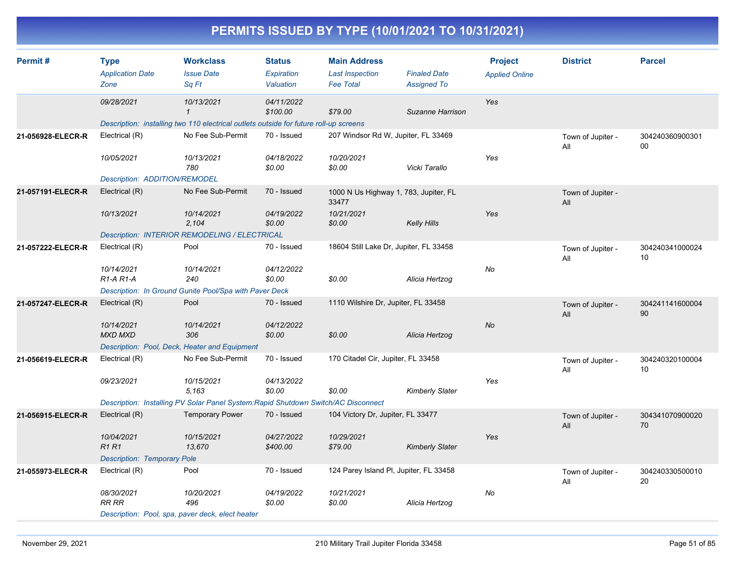|                   |                                                      |                                                                                                            |                                          |                                                                   | PERMITS ISSUED BY TYPE (10/01/2021 TO 10/31/2021) |                                         |                          |                       |
|-------------------|------------------------------------------------------|------------------------------------------------------------------------------------------------------------|------------------------------------------|-------------------------------------------------------------------|---------------------------------------------------|-----------------------------------------|--------------------------|-----------------------|
| Permit#           | <b>Type</b><br><b>Application Date</b><br>Zone       | <b>Workclass</b><br><b>Issue Date</b><br>Sq Ft                                                             | <b>Status</b><br>Expiration<br>Valuation | <b>Main Address</b><br><b>Last Inspection</b><br><b>Fee Total</b> | <b>Finaled Date</b><br><b>Assigned To</b>         | <b>Project</b><br><b>Applied Online</b> | <b>District</b>          | <b>Parcel</b>         |
|                   | 09/28/2021                                           | 10/13/2021<br>$\mathcal I$                                                                                 | 04/11/2022<br>\$100.00                   | \$79.00                                                           | Suzanne Harrison                                  | Yes                                     |                          |                       |
| 21-056928-ELECR-R | Electrical (R)                                       | Description: installing two 110 electrical outlets outside for future roll-up screens<br>No Fee Sub-Permit | 70 - Issued                              |                                                                   | 207 Windsor Rd W, Jupiter, FL 33469               |                                         | Town of Jupiter -<br>All | 304240360900301<br>00 |
|                   | 10/05/2021<br>Description: ADDITION/REMODEL          | 10/13/2021<br>780                                                                                          | 04/18/2022<br>\$0.00                     | 10/20/2021<br>\$0.00                                              | Vicki Tarallo                                     | Yes                                     |                          |                       |
| 21-057191-ELECR-R | Electrical (R)                                       | No Fee Sub-Permit                                                                                          | 70 - Issued                              | 33477                                                             | 1000 N Us Highway 1, 783, Jupiter, FL             |                                         | Town of Jupiter -<br>All |                       |
|                   | 10/13/2021                                           | 10/14/2021<br>2,104<br>Description: INTERIOR REMODELING / ELECTRICAL                                       | 04/19/2022<br>\$0.00                     | 10/21/2021<br>\$0.00                                              | <b>Kelly Hills</b>                                | Yes                                     |                          |                       |
| 21-057222-ELECR-R | Electrical (R)                                       | Pool                                                                                                       | 70 - Issued                              |                                                                   | 18604 Still Lake Dr, Jupiter, FL 33458            |                                         | Town of Jupiter -<br>All | 304240341000024<br>10 |
|                   | 10/14/2021<br>R <sub>1</sub> -A <sub>R1</sub> -A     | 10/14/2021<br>240<br>Description: In Ground Gunite Pool/Spa with Paver Deck                                | 04/12/2022<br>\$0.00                     | \$0.00                                                            | Alicia Hertzog                                    | No                                      |                          |                       |
| 21-057247-ELECR-R | Electrical (R)                                       | Pool                                                                                                       | 70 - Issued                              | 1110 Wilshire Dr, Jupiter, FL 33458                               |                                                   |                                         | Town of Jupiter -<br>All | 304241141600004<br>90 |
|                   | 10/14/2021<br><b>MXD MXD</b>                         | 10/14/2021<br>306<br>Description: Pool, Deck, Heater and Equipment                                         | 04/12/2022<br>\$0.00                     | \$0.00                                                            | Alicia Hertzog                                    | No                                      |                          |                       |
| 21-056619-ELECR-R | Electrical (R)                                       | No Fee Sub-Permit                                                                                          | 70 - Issued                              | 170 Citadel Cir, Jupiter, FL 33458                                |                                                   |                                         | Town of Jupiter -<br>All | 304240320100004<br>10 |
|                   | 09/23/2021                                           | 10/15/2021<br>5.163<br>Description: Installing PV Solar Panel System:Rapid Shutdown Switch/AC Disconnect   | 04/13/2022<br>\$0.00                     | \$0.00                                                            | <b>Kimberly Slater</b>                            | Yes                                     |                          |                       |
| 21-056915-ELECR-R | Electrical (R)                                       | <b>Temporary Power</b>                                                                                     | 70 - Issued                              | 104 Victory Dr, Jupiter, FL 33477                                 |                                                   |                                         | Town of Jupiter -<br>All | 304341070900020<br>70 |
|                   | 10/04/2021<br><b>R1 R1</b>                           | 10/15/2021<br>13,670                                                                                       | 04/27/2022<br>\$400.00                   | 10/29/2021<br>\$79.00                                             | <b>Kimberly Slater</b>                            | Yes                                     |                          |                       |
| 21-055973-ELECR-R | <b>Description: Temporary Pole</b><br>Electrical (R) | Pool                                                                                                       | 70 - Issued                              |                                                                   | 124 Parey Island PI, Jupiter, FL 33458            |                                         | Town of Jupiter -<br>All | 304240330500010<br>20 |
|                   | 08/30/2021<br>RR RR                                  | 10/20/2021<br>496<br>Description: Pool, spa, paver deck, elect heater                                      | 04/19/2022<br>\$0.00                     | 10/21/2021<br>\$0.00                                              | Alicia Hertzog                                    | No                                      |                          |                       |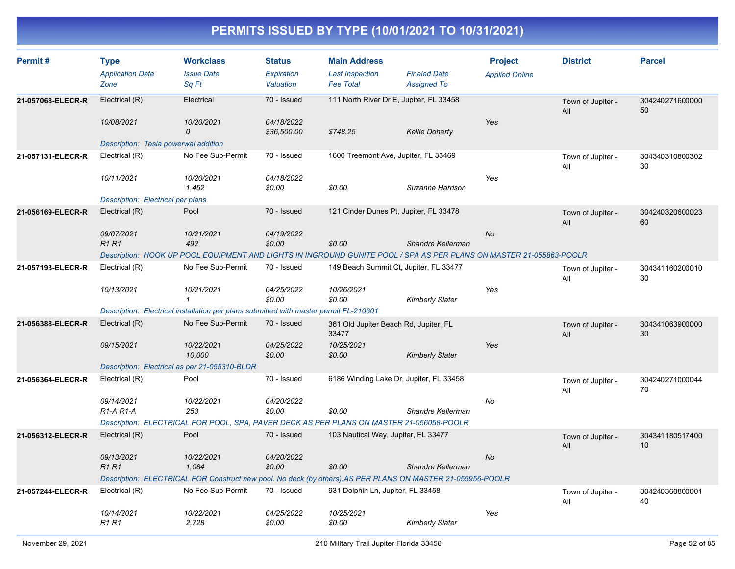| Permit#           | <b>Type</b><br><b>Application Date</b><br>Zone | <b>Workclass</b><br><b>Issue Date</b><br>Sq Ft                                                                      | <b>Status</b><br>Expiration<br>Valuation | <b>Main Address</b><br><b>Last Inspection</b><br><b>Fee Total</b> | <b>Finaled Date</b><br><b>Assigned To</b> | <b>Project</b><br><b>Applied Online</b> | <b>District</b>          | <b>Parcel</b>         |
|-------------------|------------------------------------------------|---------------------------------------------------------------------------------------------------------------------|------------------------------------------|-------------------------------------------------------------------|-------------------------------------------|-----------------------------------------|--------------------------|-----------------------|
| 21-057068-ELECR-R | Electrical (R)<br>10/08/2021                   | Electrical<br>10/20/2021                                                                                            | 70 - Issued<br>04/18/2022                | 111 North River Dr E, Jupiter, FL 33458                           |                                           | Yes                                     | Town of Jupiter -<br>All | 304240271600000<br>50 |
|                   | Description: Tesla powerwal addition           | $\mathcal{O}$                                                                                                       | \$36,500.00                              | \$748.25                                                          | <b>Kellie Doherty</b>                     |                                         |                          |                       |
| 21-057131-ELECR-R | Electrical (R)                                 | No Fee Sub-Permit                                                                                                   | 70 - Issued                              | 1600 Treemont Ave, Jupiter, FL 33469                              |                                           |                                         | Town of Jupiter -<br>All | 304340310800302<br>30 |
|                   | 10/11/2021                                     | 10/20/2021<br>1,452                                                                                                 | 04/18/2022<br>\$0.00                     | \$0.00                                                            | Suzanne Harrison                          | Yes                                     |                          |                       |
|                   | Description: Electrical per plans              |                                                                                                                     |                                          |                                                                   |                                           |                                         |                          |                       |
| 21-056169-ELECR-R | Electrical (R)                                 | Pool                                                                                                                | 70 - Issued                              | 121 Cinder Dunes Pt, Jupiter, FL 33478                            |                                           |                                         | Town of Jupiter -<br>All | 304240320600023<br>60 |
|                   | 09/07/2021<br>R1R1                             | 10/21/2021<br>492                                                                                                   | 04/19/2022<br>\$0.00                     | \$0.00                                                            | Shandre Kellerman                         | <b>No</b>                               |                          |                       |
|                   |                                                | Description: HOOK UP POOL EQUIPMENT AND LIGHTS IN INGROUND GUNITE POOL / SPA AS PER PLANS ON MASTER 21-055863-POOLR |                                          |                                                                   |                                           |                                         |                          |                       |
| 21-057193-ELECR-R | Electrical (R)                                 | No Fee Sub-Permit                                                                                                   | 70 - Issued                              | 149 Beach Summit Ct, Jupiter, FL 33477                            |                                           |                                         | Town of Jupiter -<br>All | 304341160200010<br>30 |
|                   | 10/13/2021                                     | 10/21/2021<br>$\mathbf{1}$                                                                                          | 04/25/2022<br>\$0.00                     | 10/26/2021<br>\$0.00                                              | <b>Kimberly Slater</b>                    | Yes                                     |                          |                       |
|                   |                                                | Description: Electrical installation per plans submitted with master permit FL-210601                               |                                          |                                                                   |                                           |                                         |                          |                       |
| 21-056388-ELECR-R | Electrical (R)                                 | No Fee Sub-Permit                                                                                                   | 70 - Issued                              | 361 Old Jupiter Beach Rd, Jupiter, FL<br>33477                    |                                           |                                         | Town of Jupiter -<br>All | 304341063900000<br>30 |
|                   | 09/15/2021                                     | 10/22/2021<br>10,000                                                                                                | 04/25/2022<br>\$0.00                     | 10/25/2021<br>\$0.00                                              | <b>Kimberly Slater</b>                    | Yes                                     |                          |                       |
|                   | Description: Electrical as per 21-055310-BLDR  |                                                                                                                     |                                          |                                                                   |                                           |                                         |                          |                       |
| 21-056364-ELECR-R | Electrical (R)                                 | Pool                                                                                                                | 70 - Issued                              | 6186 Winding Lake Dr, Jupiter, FL 33458                           |                                           |                                         | Town of Jupiter -<br>All | 304240271000044<br>70 |
|                   | 09/14/2021<br>$R1-A R1-A$                      | 10/22/2021<br>253                                                                                                   | 04/20/2022<br>\$0.00                     | \$0.00                                                            | Shandre Kellerman                         | No                                      |                          |                       |
|                   |                                                | Description: ELECTRICAL FOR POOL, SPA, PAVER DECK AS PER PLANS ON MASTER 21-056058-POOLR                            |                                          |                                                                   |                                           |                                         |                          |                       |
| 21-056312-ELECR-R | Electrical (R)                                 | Pool                                                                                                                | 70 - Issued                              | 103 Nautical Way, Jupiter, FL 33477                               |                                           |                                         | Town of Jupiter -<br>All | 304341180517400<br>10 |
|                   | 09/13/2021<br><b>R1R1</b>                      | 10/22/2021<br>1,084                                                                                                 | 04/20/2022<br>\$0.00                     | \$0.00                                                            | Shandre Kellerman                         | No                                      |                          |                       |
|                   |                                                | Description: ELECTRICAL FOR Construct new pool. No deck (by others).AS PER PLANS ON MASTER 21-055956-POOLR          |                                          |                                                                   |                                           |                                         |                          |                       |
| 21-057244-ELECR-R | Electrical (R)                                 | No Fee Sub-Permit                                                                                                   | 70 - Issued                              | 931 Dolphin Ln, Jupiter, FL 33458                                 |                                           |                                         | Town of Jupiter -<br>All | 304240360800001<br>40 |
|                   | 10/14/2021<br><b>R1R1</b>                      | 10/22/2021<br>2.728                                                                                                 | 04/25/2022<br>\$0.00                     | 10/25/2021<br>\$0.00                                              | <b>Kimberly Slater</b>                    | Yes                                     |                          |                       |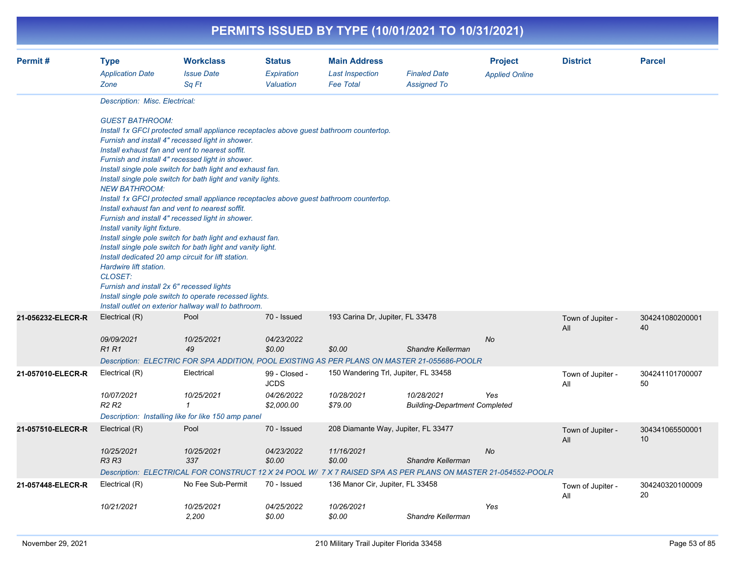|                   |                                                                                                                                                                                                     |                                                                                                                                                                                                                                                                                                                                                                                                                                                                                                                                                                                                                                                                                                                                                                                                                                                                                       |                                                          |                                                                   | PERMITS ISSUED BY TYPE (10/01/2021 TO 10/31/2021)  |                                         |                          |                       |
|-------------------|-----------------------------------------------------------------------------------------------------------------------------------------------------------------------------------------------------|---------------------------------------------------------------------------------------------------------------------------------------------------------------------------------------------------------------------------------------------------------------------------------------------------------------------------------------------------------------------------------------------------------------------------------------------------------------------------------------------------------------------------------------------------------------------------------------------------------------------------------------------------------------------------------------------------------------------------------------------------------------------------------------------------------------------------------------------------------------------------------------|----------------------------------------------------------|-------------------------------------------------------------------|----------------------------------------------------|-----------------------------------------|--------------------------|-----------------------|
| Permit#           | <b>Type</b><br><b>Application Date</b><br>Zone                                                                                                                                                      | <b>Workclass</b><br><b>Issue Date</b><br>Sq Ft                                                                                                                                                                                                                                                                                                                                                                                                                                                                                                                                                                                                                                                                                                                                                                                                                                        | <b>Status</b><br>Expiration<br>Valuation                 | <b>Main Address</b><br><b>Last Inspection</b><br><b>Fee Total</b> | <b>Finaled Date</b><br><b>Assigned To</b>          | <b>Project</b><br><b>Applied Online</b> | <b>District</b>          | <b>Parcel</b>         |
|                   | Description: Misc. Electrical:<br><b>GUEST BATHROOM:</b><br><b>NEW BATHROOM:</b><br>Install vanity light fixture.<br>Hardwire lift station.<br>CLOSET:<br>Furnish and install 2x 6" recessed lights | Install 1x GFCI protected small appliance receptacles above guest bathroom countertop.<br>Furnish and install 4" recessed light in shower.<br>Install exhaust fan and vent to nearest soffit.<br>Furnish and install 4" recessed light in shower.<br>Install single pole switch for bath light and exhaust fan.<br>Install single pole switch for bath light and vanity lights.<br>Install 1x GFCI protected small appliance receptacles above guest bathroom countertop.<br>Install exhaust fan and vent to nearest soffit.<br>Furnish and install 4" recessed light in shower.<br>Install single pole switch for bath light and exhaust fan.<br>Install single pole switch for bath light and vanity light.<br>Install dedicated 20 amp circuit for lift station.<br>Install single pole switch to operate recessed lights.<br>Install outlet on exterior hallway wall to bathroom. |                                                          |                                                                   |                                                    |                                         |                          |                       |
| 21-056232-ELECR-R | Electrical (R)<br>09/09/2021<br>R <sub>1</sub> R <sub>1</sub>                                                                                                                                       | Pool<br>10/25/2021<br>49<br>Description: ELECTRIC FOR SPA ADDITION, POOL EXISTING AS PER PLANS ON MASTER 21-055686-POOLR                                                                                                                                                                                                                                                                                                                                                                                                                                                                                                                                                                                                                                                                                                                                                              | 70 - Issued<br>04/23/2022<br>\$0.00                      | 193 Carina Dr, Jupiter, FL 33478<br>\$0.00                        | Shandre Kellerman                                  | No                                      | Town of Jupiter -<br>All | 304241080200001<br>40 |
| 21-057010-ELECR-R | Electrical (R)<br>10/07/2021<br>R2 R2                                                                                                                                                               | Electrical<br>10/25/2021<br>$\overline{1}$<br>Description: Installing like for like 150 amp panel                                                                                                                                                                                                                                                                                                                                                                                                                                                                                                                                                                                                                                                                                                                                                                                     | 99 - Closed -<br><b>JCDS</b><br>04/26/2022<br>\$2,000.00 | 150 Wandering Trl, Jupiter, FL 33458<br>10/28/2021<br>\$79.00     | 10/28/2021<br><b>Building-Department Completed</b> | Yes                                     | Town of Jupiter -<br>All | 304241101700007<br>50 |
| 21-057510-ELECR-R | Electrical (R)<br>10/25/2021<br>R3 R3                                                                                                                                                               | Pool<br>10/25/2021<br>337<br>Description: ELECTRICAL FOR CONSTRUCT 12 X 24 POOL W/ 7 X 7 RAISED SPA AS PER PLANS ON MASTER 21-054552-POOLR                                                                                                                                                                                                                                                                                                                                                                                                                                                                                                                                                                                                                                                                                                                                            | 70 - Issued<br>04/23/2022<br>\$0.00                      | 208 Diamante Way, Jupiter, FL 33477<br>11/16/2021<br>\$0.00       | Shandre Kellerman                                  | No                                      | Town of Jupiter -<br>All | 304341065500001<br>10 |
| 21-057448-ELECR-R | Electrical (R)<br>10/21/2021                                                                                                                                                                        | No Fee Sub-Permit<br>10/25/2021<br>2,200                                                                                                                                                                                                                                                                                                                                                                                                                                                                                                                                                                                                                                                                                                                                                                                                                                              | 70 - Issued<br>04/25/2022<br>\$0.00                      | 136 Manor Cir, Jupiter, FL 33458<br>10/26/2021<br>\$0.00          | Shandre Kellerman                                  | Yes                                     | Town of Jupiter -<br>ail | 304240320100009<br>20 |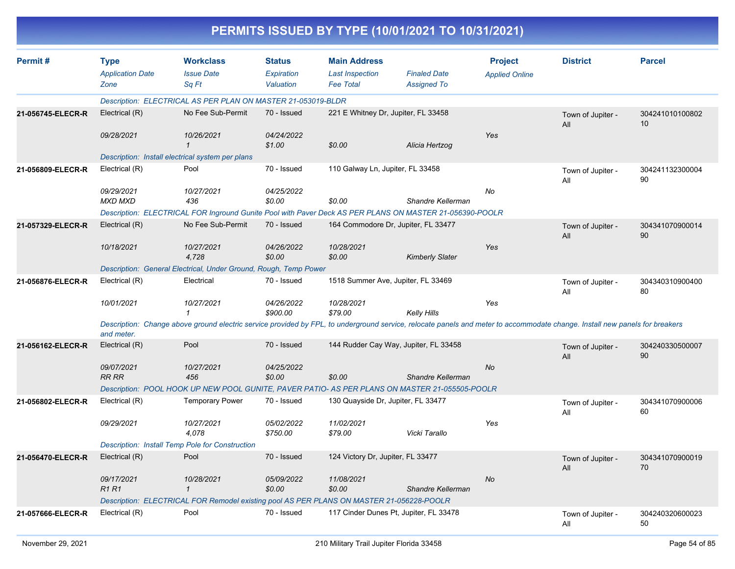|                   |                                                |                                                                                                                                                                             |                                          |                                                                   | PERMITS ISSUED BY TYPE (10/01/2021 TO 10/31/2021) |                                         |                          |                       |
|-------------------|------------------------------------------------|-----------------------------------------------------------------------------------------------------------------------------------------------------------------------------|------------------------------------------|-------------------------------------------------------------------|---------------------------------------------------|-----------------------------------------|--------------------------|-----------------------|
| Permit#           | <b>Type</b><br><b>Application Date</b><br>Zone | <b>Workclass</b><br><b>Issue Date</b><br>Sq Ft                                                                                                                              | <b>Status</b><br>Expiration<br>Valuation | <b>Main Address</b><br><b>Last Inspection</b><br><b>Fee Total</b> | <b>Finaled Date</b><br><b>Assigned To</b>         | <b>Project</b><br><b>Applied Online</b> | <b>District</b>          | <b>Parcel</b>         |
|                   |                                                | Description: ELECTRICAL AS PER PLAN ON MASTER 21-053019-BLDR                                                                                                                |                                          |                                                                   |                                                   |                                         |                          |                       |
| 21-056745-ELECR-R | Electrical (R)                                 | No Fee Sub-Permit                                                                                                                                                           | 70 - Issued                              | 221 E Whitney Dr, Jupiter, FL 33458                               |                                                   |                                         | Town of Jupiter -<br>All | 304241010100802<br>10 |
|                   | 09/28/2021                                     | 10/26/2021<br>$\mathbf 1$                                                                                                                                                   | 04/24/2022<br>\$1.00                     | \$0.00                                                            | Alicia Hertzog                                    | Yes                                     |                          |                       |
|                   |                                                | Description: Install electrical system per plans                                                                                                                            |                                          |                                                                   |                                                   |                                         |                          |                       |
| 21-056809-ELECR-R | Electrical (R)                                 | Pool                                                                                                                                                                        | 70 - Issued                              | 110 Galway Ln, Jupiter, FL 33458                                  |                                                   |                                         | Town of Jupiter -<br>All | 304241132300004<br>90 |
|                   | 09/29/2021<br>MXD MXD                          | 10/27/2021<br>436                                                                                                                                                           | 04/25/2022<br>\$0.00                     | \$0.00                                                            | Shandre Kellerman                                 | No                                      |                          |                       |
|                   |                                                | Description: ELECTRICAL FOR Inground Gunite Pool with Paver Deck AS PER PLANS ON MASTER 21-056390-POOLR                                                                     |                                          |                                                                   |                                                   |                                         |                          |                       |
| 21-057329-ELECR-R | Electrical (R)                                 | No Fee Sub-Permit                                                                                                                                                           | 70 - Issued                              |                                                                   | 164 Commodore Dr, Jupiter, FL 33477               |                                         | Town of Jupiter -<br>All | 304341070900014<br>90 |
|                   | 10/18/2021                                     | 10/27/2021<br>4,728                                                                                                                                                         | 04/26/2022<br>\$0.00                     | 10/28/2021<br>\$0.00                                              | <b>Kimberly Slater</b>                            | Yes                                     |                          |                       |
|                   |                                                | Description: General Electrical, Under Ground, Rough, Temp Power                                                                                                            |                                          |                                                                   |                                                   |                                         |                          |                       |
| 21-056876-ELECR-R | Electrical (R)                                 | Electrical                                                                                                                                                                  | 70 - Issued                              | 1518 Summer Ave, Jupiter, FL 33469                                |                                                   |                                         | Town of Jupiter -<br>All | 304340310900400<br>80 |
|                   | 10/01/2021                                     | 10/27/2021<br>$\mathbf{1}$                                                                                                                                                  | 04/26/2022<br>\$900.00                   | 10/28/2021<br>\$79.00                                             | <b>Kelly Hills</b>                                | Yes                                     |                          |                       |
|                   | and meter.                                     | Description: Change above ground electric service provided by FPL, to underground service, relocate panels and meter to accommodate change. Install new panels for breakers |                                          |                                                                   |                                                   |                                         |                          |                       |
| 21-056162-ELECR-R | Electrical (R)                                 | Pool                                                                                                                                                                        | 70 - Issued                              |                                                                   | 144 Rudder Cay Way, Jupiter, FL 33458             |                                         | Town of Jupiter -<br>All | 304240330500007<br>90 |
|                   | 09/07/2021<br><b>RR RR</b>                     | 10/27/2021<br>456                                                                                                                                                           | 04/25/2022<br>\$0.00                     | \$0.00                                                            | Shandre Kellerman                                 | No                                      |                          |                       |
|                   |                                                | Description: POOL HOOK UP NEW POOL GUNITE, PAVER PATIO- AS PER PLANS ON MASTER 21-055505-POOLR                                                                              |                                          |                                                                   |                                                   |                                         |                          |                       |
| 21-056802-ELECR-R | Electrical (R)                                 | <b>Temporary Power</b>                                                                                                                                                      | 70 - Issued                              | 130 Quayside Dr, Jupiter, FL 33477                                |                                                   |                                         | Town of Jupiter -<br>All | 304341070900006<br>60 |
|                   | 09/29/2021                                     | 10/27/2021<br>4,078                                                                                                                                                         | 05/02/2022<br>\$750.00                   | 11/02/2021<br>\$79.00                                             | Vicki Tarallo                                     | Yes                                     |                          |                       |
|                   |                                                | Description: Install Temp Pole for Construction                                                                                                                             |                                          |                                                                   |                                                   |                                         |                          |                       |
| 21-056470-ELECR-R | Electrical (R)                                 | Pool                                                                                                                                                                        | 70 - Issued                              | 124 Victory Dr, Jupiter, FL 33477                                 |                                                   |                                         | Town of Jupiter -<br>All | 304341070900019<br>70 |
|                   | 09/17/2021<br><b>R1R1</b>                      | 10/28/2021<br>$\mathcal I$                                                                                                                                                  | 05/09/2022<br>\$0.00                     | 11/08/2021<br>\$0.00                                              | Shandre Kellerman                                 | No                                      |                          |                       |
|                   |                                                | Description: ELECTRICAL FOR Remodel existing pool AS PER PLANS ON MASTER 21-056228-POOLR                                                                                    |                                          |                                                                   |                                                   |                                         |                          |                       |
| 21-057666-ELECR-R | Electrical (R)                                 | Pool                                                                                                                                                                        | 70 - Issued                              |                                                                   | 117 Cinder Dunes Pt, Jupiter, FL 33478            |                                         | Town of Jupiter -<br>ail | 304240320600023<br>50 |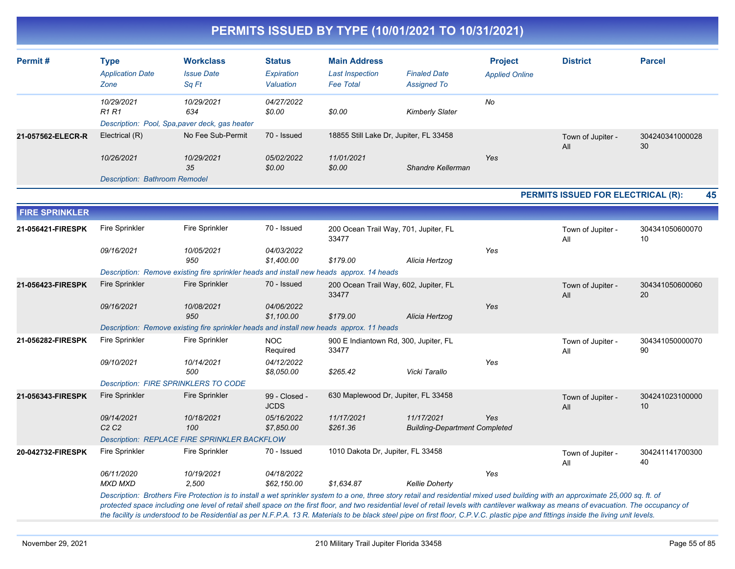| Permit#               | <b>Type</b>                   | <b>Workclass</b>                                                                                                  | <b>Status</b>            | <b>Main Address</b>               |                                                                                                                                                                                                                                                                                                                                                                                                                                                                                                                                                                         | <b>Project</b>        | <b>District</b>                    | <b>Parcel</b>         |  |  |  |
|-----------------------|-------------------------------|-------------------------------------------------------------------------------------------------------------------|--------------------------|-----------------------------------|-------------------------------------------------------------------------------------------------------------------------------------------------------------------------------------------------------------------------------------------------------------------------------------------------------------------------------------------------------------------------------------------------------------------------------------------------------------------------------------------------------------------------------------------------------------------------|-----------------------|------------------------------------|-----------------------|--|--|--|
|                       | <b>Application Date</b>       | <b>Issue Date</b>                                                                                                 | Expiration               | <b>Last Inspection</b>            | <b>Finaled Date</b>                                                                                                                                                                                                                                                                                                                                                                                                                                                                                                                                                     | <b>Applied Online</b> |                                    |                       |  |  |  |
|                       | Zone                          | Sq Ft                                                                                                             | Valuation                | <b>Fee Total</b>                  | <b>Assigned To</b>                                                                                                                                                                                                                                                                                                                                                                                                                                                                                                                                                      |                       |                                    |                       |  |  |  |
|                       | 10/29/2021                    | 10/29/2021                                                                                                        | 04/27/2022               |                                   |                                                                                                                                                                                                                                                                                                                                                                                                                                                                                                                                                                         | No                    |                                    |                       |  |  |  |
|                       | <b>R1 R1</b>                  | 634                                                                                                               | \$0.00                   | \$0.00                            | <b>Kimberly Slater</b>                                                                                                                                                                                                                                                                                                                                                                                                                                                                                                                                                  |                       |                                    |                       |  |  |  |
|                       |                               | Description: Pool, Spa, paver deck, gas heater                                                                    |                          |                                   |                                                                                                                                                                                                                                                                                                                                                                                                                                                                                                                                                                         |                       |                                    |                       |  |  |  |
| 21-057562-ELECR-R     | Electrical (R)                | No Fee Sub-Permit                                                                                                 | 70 - Issued              |                                   | 18855 Still Lake Dr, Jupiter, FL 33458                                                                                                                                                                                                                                                                                                                                                                                                                                                                                                                                  |                       | Town of Jupiter -<br>All           | 304240341000028<br>30 |  |  |  |
|                       | 10/26/2021                    | 10/29/2021                                                                                                        | 05/02/2022               | 11/01/2021                        |                                                                                                                                                                                                                                                                                                                                                                                                                                                                                                                                                                         | Yes                   |                                    |                       |  |  |  |
|                       |                               | 35                                                                                                                | \$0.00                   | \$0.00                            | Shandre Kellerman                                                                                                                                                                                                                                                                                                                                                                                                                                                                                                                                                       |                       |                                    |                       |  |  |  |
|                       |                               | <b>Description: Bathroom Remodel</b>                                                                              |                          |                                   |                                                                                                                                                                                                                                                                                                                                                                                                                                                                                                                                                                         |                       |                                    |                       |  |  |  |
|                       |                               |                                                                                                                   |                          |                                   |                                                                                                                                                                                                                                                                                                                                                                                                                                                                                                                                                                         |                       | PERMITS ISSUED FOR ELECTRICAL (R): | 45                    |  |  |  |
| <b>FIRE SPRINKLER</b> |                               |                                                                                                                   |                          |                                   |                                                                                                                                                                                                                                                                                                                                                                                                                                                                                                                                                                         |                       |                                    |                       |  |  |  |
| 21-056421-FIRESPK     | <b>Fire Sprinkler</b>         | <b>Fire Sprinkler</b>                                                                                             | 70 - Issued              |                                   | 200 Ocean Trail Way, 701, Jupiter, FL                                                                                                                                                                                                                                                                                                                                                                                                                                                                                                                                   |                       | Town of Jupiter -                  | 304341050600070       |  |  |  |
|                       |                               |                                                                                                                   |                          | 33477                             |                                                                                                                                                                                                                                                                                                                                                                                                                                                                                                                                                                         |                       | All                                | 10                    |  |  |  |
|                       | 09/16/2021                    | 10/05/2021                                                                                                        | 04/03/2022               |                                   |                                                                                                                                                                                                                                                                                                                                                                                                                                                                                                                                                                         | Yes                   |                                    |                       |  |  |  |
|                       |                               | 950                                                                                                               | \$1,400.00               | \$179.00                          | Alicia Hertzog                                                                                                                                                                                                                                                                                                                                                                                                                                                                                                                                                          |                       |                                    |                       |  |  |  |
| 21-056423-FIRESPK     | <b>Fire Sprinkler</b>         | Description: Remove existing fire sprinkler heads and install new heads approx. 14 heads<br><b>Fire Sprinkler</b> | 70 - Issued              |                                   |                                                                                                                                                                                                                                                                                                                                                                                                                                                                                                                                                                         |                       |                                    | 304341050600060       |  |  |  |
|                       |                               |                                                                                                                   |                          | 33477                             | 200 Ocean Trail Way, 602, Jupiter, FL                                                                                                                                                                                                                                                                                                                                                                                                                                                                                                                                   |                       | Town of Jupiter -<br>All           | 20                    |  |  |  |
|                       | 09/16/2021                    | 10/08/2021                                                                                                        | 04/06/2022               |                                   |                                                                                                                                                                                                                                                                                                                                                                                                                                                                                                                                                                         | Yes                   |                                    |                       |  |  |  |
|                       |                               | 950                                                                                                               | \$1,100.00               | \$179.00                          | Alicia Hertzog                                                                                                                                                                                                                                                                                                                                                                                                                                                                                                                                                          |                       |                                    |                       |  |  |  |
|                       |                               | Description: Remove existing fire sprinkler heads and install new heads approx. 11 heads                          |                          |                                   |                                                                                                                                                                                                                                                                                                                                                                                                                                                                                                                                                                         |                       |                                    |                       |  |  |  |
| 21-056282-FIRESPK     | <b>Fire Sprinkler</b>         | <b>Fire Sprinkler</b>                                                                                             | <b>NOC</b>               |                                   | 900 E Indiantown Rd, 300, Jupiter, FL                                                                                                                                                                                                                                                                                                                                                                                                                                                                                                                                   |                       | Town of Jupiter -                  | 304341050000070       |  |  |  |
|                       |                               |                                                                                                                   | Required                 | 33477                             |                                                                                                                                                                                                                                                                                                                                                                                                                                                                                                                                                                         |                       | All                                | 90                    |  |  |  |
|                       | 09/10/2021                    | 10/14/2021<br>500                                                                                                 | 04/12/2022<br>\$8,050.00 | \$265.42                          | Vicki Tarallo                                                                                                                                                                                                                                                                                                                                                                                                                                                                                                                                                           | Yes                   |                                    |                       |  |  |  |
|                       |                               | Description: FIRE SPRINKLERS TO CODE                                                                              |                          |                                   |                                                                                                                                                                                                                                                                                                                                                                                                                                                                                                                                                                         |                       |                                    |                       |  |  |  |
| 21-056343-FIRESPK     | <b>Fire Sprinkler</b>         | <b>Fire Sprinkler</b>                                                                                             | 99 - Closed -            |                                   | 630 Maplewood Dr, Jupiter, FL 33458                                                                                                                                                                                                                                                                                                                                                                                                                                                                                                                                     |                       | Town of Jupiter -                  | 304241023100000       |  |  |  |
|                       |                               |                                                                                                                   | <b>JCDS</b>              |                                   |                                                                                                                                                                                                                                                                                                                                                                                                                                                                                                                                                                         |                       | All                                | 10                    |  |  |  |
|                       | 09/14/2021                    | 10/18/2021                                                                                                        | 05/16/2022               | 11/17/2021                        | 11/17/2021                                                                                                                                                                                                                                                                                                                                                                                                                                                                                                                                                              | Yes                   |                                    |                       |  |  |  |
|                       | C <sub>2</sub> C <sub>2</sub> | 100                                                                                                               | \$7,850.00               | \$261.36                          | <b>Building-Department Completed</b>                                                                                                                                                                                                                                                                                                                                                                                                                                                                                                                                    |                       |                                    |                       |  |  |  |
|                       | <b>Fire Sprinkler</b>         | Description: REPLACE FIRE SPRINKLER BACKFLOW<br><b>Fire Sprinkler</b>                                             | 70 - Issued              | 1010 Dakota Dr, Jupiter, FL 33458 |                                                                                                                                                                                                                                                                                                                                                                                                                                                                                                                                                                         |                       |                                    |                       |  |  |  |
| 20-042732-FIRESPK     |                               |                                                                                                                   |                          |                                   |                                                                                                                                                                                                                                                                                                                                                                                                                                                                                                                                                                         |                       | Town of Jupiter -<br>All           | 304241141700300<br>40 |  |  |  |
|                       | 06/11/2020                    | 10/19/2021                                                                                                        | 04/18/2022               |                                   |                                                                                                                                                                                                                                                                                                                                                                                                                                                                                                                                                                         | Yes                   |                                    |                       |  |  |  |
|                       | <b>MXD MXD</b>                | 2,500                                                                                                             | \$62,150.00              | \$1,634.87                        | <b>Kellie Doherty</b>                                                                                                                                                                                                                                                                                                                                                                                                                                                                                                                                                   |                       |                                    |                       |  |  |  |
|                       |                               |                                                                                                                   |                          |                                   | Description: Brothers Fire Protection is to install a wet sprinkler system to a one, three story retail and residential mixed used building with an approximate 25,000 sq. ft. of<br>protected space including one level of retail shell space on the first floor, and two residential level of retail levels with cantilever walkway as means of evacuation. The occupancy of<br>the facility is understood to be Residential as per N.F.P.A. 13 R. Materials to be black steel pipe on first floor, C.P.V.C. plastic pipe and fittings inside the living unit levels. |                       |                                    |                       |  |  |  |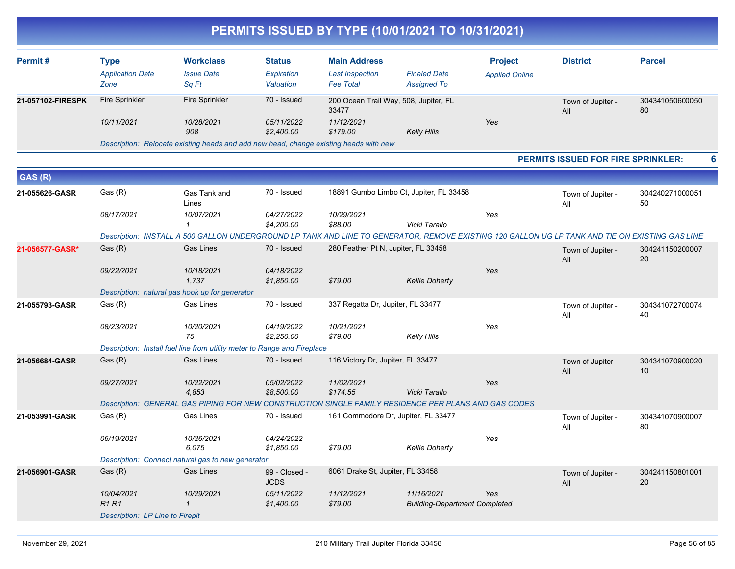| Permit#           | Type<br><b>Application Date</b><br>Zone                                               | <b>Workclass</b><br><b>Issue Date</b><br>Sq Ft | <b>Status</b><br>Expiration<br>Valuation | <b>Main Address</b><br><b>Last Inspection</b><br><b>Fee Total</b> | <b>Finaled Date</b><br><b>Assigned To</b> | <b>Project</b><br><b>Applied Online</b> | <b>District</b>          | <b>Parcel</b> |
|-------------------|---------------------------------------------------------------------------------------|------------------------------------------------|------------------------------------------|-------------------------------------------------------------------|-------------------------------------------|-----------------------------------------|--------------------------|---------------|
| 21-057102-FIRESPK | Fire Sprinkler                                                                        | Fire Sprinkler                                 | 70 - Issued                              | 200 Ocean Trail Way, 508, Jupiter, FL<br>33477                    |                                           |                                         | Town of Jupiter -<br>All |               |
|                   | 10/11/2021                                                                            | 10/28/2021<br>908                              | 05/11/2022<br>\$2,400.00                 | 11/12/2021<br>\$179.00                                            | Kelly Hills                               | Yes                                     |                          |               |
|                   | Description: Relocate existing heads and add new head, change existing heads with new |                                                |                                          |                                                                   |                                           |                                         |                          |               |

#### **PERMITS ISSUED FOR FIRE SPRINKLER: 6**

| GAS (R)         |                                 |                                                                                                                                                 |                              |                                     |                                                    |     |                          |                       |
|-----------------|---------------------------------|-------------------------------------------------------------------------------------------------------------------------------------------------|------------------------------|-------------------------------------|----------------------------------------------------|-----|--------------------------|-----------------------|
| 21-055626-GASR  | Gas (R)                         | Gas Tank and<br>Lines                                                                                                                           | 70 - Issued                  |                                     | 18891 Gumbo Limbo Ct, Jupiter, FL 33458            |     | Town of Jupiter -<br>All | 304240271000051<br>50 |
|                 | 08/17/2021                      | 10/07/2021                                                                                                                                      | 04/27/2022<br>\$4,200.00     | 10/29/2021<br>\$88.00               | Vicki Tarallo                                      | Yes |                          |                       |
|                 |                                 | Description: INSTALL A 500 GALLON UNDERGROUND LP TANK AND LINE TO GENERATOR, REMOVE EXISTING 120 GALLON UG LP TANK AND TIE ON EXISTING GAS LINE |                              |                                     |                                                    |     |                          |                       |
| 21-056577-GASR* | Gas(R)                          | <b>Gas Lines</b>                                                                                                                                | 70 - Issued                  | 280 Feather Pt N, Jupiter, FL 33458 |                                                    |     | Town of Jupiter -<br>All | 304241150200007<br>20 |
|                 | 09/22/2021                      | 10/18/2021<br>1.737                                                                                                                             | 04/18/2022<br>\$1,850.00     | \$79.00                             | <b>Kellie Doherty</b>                              | Yes |                          |                       |
|                 |                                 | Description: natural gas hook up for generator                                                                                                  |                              |                                     |                                                    |     |                          |                       |
| 21-055793-GASR  | Gas (R)                         | Gas Lines                                                                                                                                       | 70 - Issued                  | 337 Regatta Dr, Jupiter, FL 33477   |                                                    |     | Town of Jupiter -<br>All | 304341072700074<br>40 |
|                 | 08/23/2021                      | 10/20/2021<br>75                                                                                                                                | 04/19/2022<br>\$2,250.00     | 10/21/2021<br>\$79.00               | <b>Kelly Hills</b>                                 | Yes |                          |                       |
|                 |                                 | Description: Install fuel line from utility meter to Range and Fireplace                                                                        |                              |                                     |                                                    |     |                          |                       |
| 21-056684-GASR  | Gas(R)                          | <b>Gas Lines</b>                                                                                                                                | 70 - Issued                  | 116 Victory Dr, Jupiter, FL 33477   |                                                    |     | Town of Jupiter -<br>All | 304341070900020<br>10 |
|                 | 09/27/2021                      | 10/22/2021<br>4.853                                                                                                                             | 05/02/2022<br>\$8,500.00     | 11/02/2021<br>\$174.55              | Vicki Tarallo                                      | Yes |                          |                       |
|                 |                                 | Description: GENERAL GAS PIPING FOR NEW CONSTRUCTION SINGLE FAMILY RESIDENCE PER PLANS AND GAS CODES                                            |                              |                                     |                                                    |     |                          |                       |
| 21-053991-GASR  | Gas (R)                         | <b>Gas Lines</b>                                                                                                                                | 70 - Issued                  | 161 Commodore Dr, Jupiter, FL 33477 |                                                    |     | Town of Jupiter -<br>All | 304341070900007<br>80 |
|                 | 06/19/2021                      | 10/26/2021<br>6.075                                                                                                                             | 04/24/2022<br>\$1.850.00     | \$79.00                             | <b>Kellie Doherty</b>                              | Yes |                          |                       |
|                 |                                 | Description: Connect natural gas to new generator                                                                                               |                              |                                     |                                                    |     |                          |                       |
| 21-056901-GASR  | Gas(R)                          | <b>Gas Lines</b>                                                                                                                                | 99 - Closed -<br><b>JCDS</b> | 6061 Drake St, Jupiter, FL 33458    |                                                    |     | Town of Jupiter -<br>All | 304241150801001<br>20 |
|                 | 10/04/2021<br>R1R1              | 10/29/2021<br>$\mathcal I$                                                                                                                      | 05/11/2022<br>\$1,400.00     | 11/12/2021<br>\$79.00               | 11/16/2021<br><b>Building-Department Completed</b> | Yes |                          |                       |
|                 | Description: LP Line to Firepit |                                                                                                                                                 |                              |                                     |                                                    |     |                          |                       |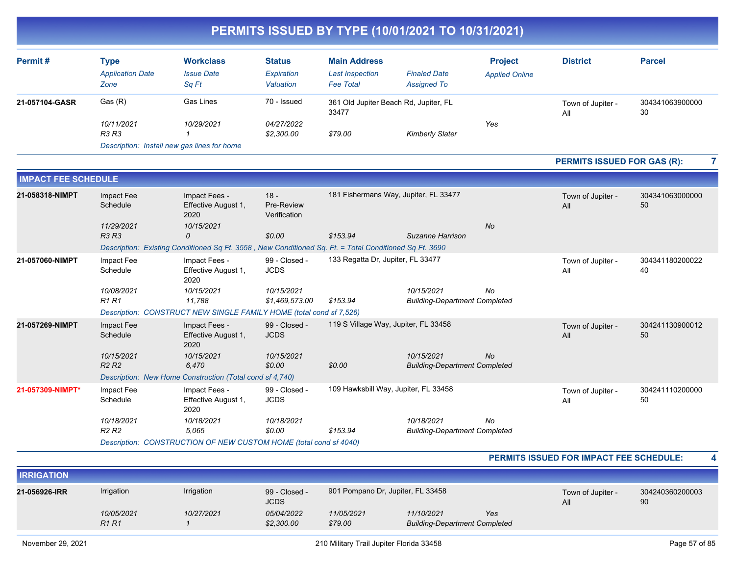| Permit#        | Type<br><b>Application Date</b><br>Zone     | <b>Workclass</b><br><b>Issue Date</b><br>Sa Ft | <b>Status</b><br>Expiration<br>Valuation | <b>Main Address</b><br><b>Last Inspection</b><br><b>Fee Total</b> | <b>Finaled Date</b><br><b>Assigned To</b> | <b>Project</b><br><b>Applied Online</b> | <b>District</b>          | <b>Parcel</b> |
|----------------|---------------------------------------------|------------------------------------------------|------------------------------------------|-------------------------------------------------------------------|-------------------------------------------|-----------------------------------------|--------------------------|---------------|
| 21-057104-GASR | Gas (R)                                     | Gas Lines                                      | 70 - Issued                              | 361 Old Jupiter Beach Rd, Jupiter, FL<br>33477                    |                                           |                                         | Town of Jupiter -<br>All |               |
|                | 10/11/2021<br>R3 R3                         | 10/29/2021                                     | 04/27/2022<br>\$2,300.00                 | \$79.00                                                           | <b>Kimberly Slater</b>                    | Yes                                     |                          |               |
|                | Description: Install new gas lines for home |                                                |                                          |                                                                   |                                           |                                         |                          |               |

#### **PERMITS ISSUED FOR GAS (R): 7**

| <b>IMPACT FEE SCHEDULE</b> |                                             |                                                                                                        |                                      |                                      |                                                    |           |                          |                       |
|----------------------------|---------------------------------------------|--------------------------------------------------------------------------------------------------------|--------------------------------------|--------------------------------------|----------------------------------------------------|-----------|--------------------------|-----------------------|
| 21-058318-NIMPT            | Impact Fee<br>Schedule<br>11/29/2021        | Impact Fees -<br>Effective August 1,<br>2020<br>10/15/2021                                             | $18 -$<br>Pre-Review<br>Verification |                                      | 181 Fishermans Way, Jupiter, FL 33477              | <b>No</b> | Town of Jupiter -<br>All | 304341063000000<br>50 |
|                            | <b>R3 R3</b>                                | 0                                                                                                      | \$0.00                               | \$153.94                             | Suzanne Harrison                                   |           |                          |                       |
|                            |                                             | Description: Existing Conditioned Sq Ft. 3558, New Conditioned Sq. Ft. = Total Conditioned Sq Ft. 3690 |                                      |                                      |                                                    |           |                          |                       |
| 21-057060-NIMPT            | Impact Fee<br>Schedule                      | Impact Fees -<br>Effective August 1,<br>2020                                                           | 99 - Closed -<br><b>JCDS</b>         | 133 Regatta Dr. Jupiter, FL 33477    |                                                    |           | Town of Jupiter -<br>All | 304341180200022<br>40 |
|                            | 10/08/2021<br><b>R1 R1</b>                  | 10/15/2021<br>11,788                                                                                   | 10/15/2021<br>\$1,469,573.00         | \$153.94                             | 10/15/2021<br><b>Building-Department Completed</b> | No        |                          |                       |
|                            |                                             | Description: CONSTRUCT NEW SINGLE FAMILY HOME (total cond sf 7,526)                                    |                                      |                                      |                                                    |           |                          |                       |
| 21-057269-NIMPT            | Impact Fee<br>Schedule                      | Impact Fees -<br>Effective August 1,<br>2020                                                           | 99 - Closed -<br><b>JCDS</b>         | 119 S Village Way, Jupiter, FL 33458 |                                                    |           | Town of Jupiter -<br>All | 304241130900012<br>50 |
|                            | 10/15/2021<br>R <sub>2</sub> R <sub>2</sub> | 10/15/2021<br>6,470                                                                                    | 10/15/2021<br>\$0.00                 | \$0.00                               | 10/15/2021<br><b>Building-Department Completed</b> | No        |                          |                       |
|                            |                                             | Description: New Home Construction (Total cond sf 4,740)                                               |                                      |                                      |                                                    |           |                          |                       |
| 21-057309-NIMPT*           | Impact Fee<br>Schedule                      | Impact Fees -<br>Effective August 1,<br>2020                                                           | 99 - Closed -<br><b>JCDS</b>         | 109 Hawksbill Way, Jupiter, FL 33458 |                                                    |           | Town of Jupiter -<br>All | 304241110200000<br>50 |
|                            | 10/18/2021                                  | 10/18/2021                                                                                             | 10/18/2021                           |                                      | 10/18/2021                                         | No        |                          |                       |
|                            | R <sub>2</sub> R <sub>2</sub>               | 5,065                                                                                                  | \$0.00                               | \$153.94                             | <b>Building-Department Completed</b>               |           |                          |                       |
|                            |                                             | Description: CONSTRUCTION OF NEW CUSTOM HOME (total cond sf 4040)                                      |                                      |                                      |                                                    |           |                          |                       |

|                   |                                             |            |                              |                                   |                                                    |     | <b>PERMITS ISSUED FOR IMPACT FEE SCHEDULE:</b> | 4                     |
|-------------------|---------------------------------------------|------------|------------------------------|-----------------------------------|----------------------------------------------------|-----|------------------------------------------------|-----------------------|
| <b>IRRIGATION</b> |                                             |            |                              |                                   |                                                    |     |                                                |                       |
| 21-056926-IRR     | Irrigation                                  | Irrigation | 99 - Closed -<br><b>JCDS</b> | 901 Pompano Dr, Jupiter, FL 33458 |                                                    |     | Town of Jupiter -<br>All                       | 304240360200003<br>90 |
|                   | 10/05/2021<br>R <sub>1</sub> R <sub>1</sub> | 10/27/2021 | 05/04/2022<br>\$2,300.00     | 11/05/2021<br>\$79.00             | 11/10/2021<br><b>Building-Department Completed</b> | Yes |                                                |                       |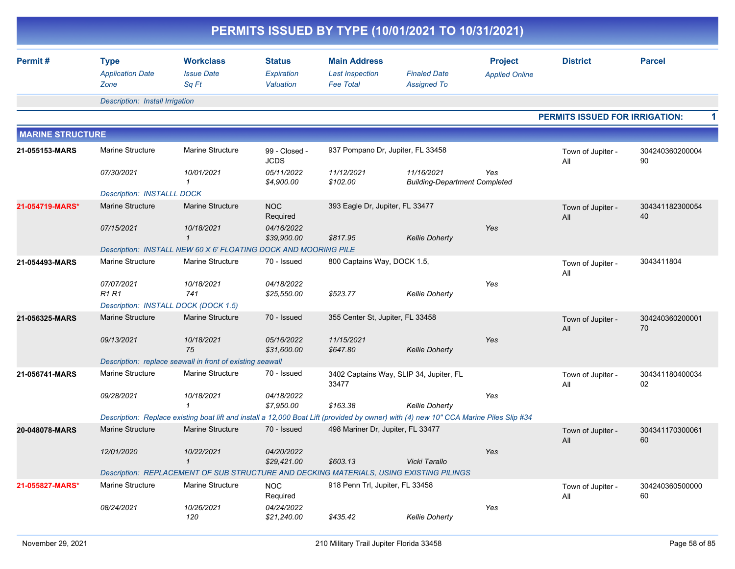|                         |                                                |                                                                                                                                       |                                          |                                                                   | PERMITS ISSUED BY TYPE (10/01/2021 TO 10/31/2021)  |                                         |                                       |                       |  |
|-------------------------|------------------------------------------------|---------------------------------------------------------------------------------------------------------------------------------------|------------------------------------------|-------------------------------------------------------------------|----------------------------------------------------|-----------------------------------------|---------------------------------------|-----------------------|--|
| Permit#                 | <b>Type</b><br><b>Application Date</b><br>Zone | <b>Workclass</b><br><b>Issue Date</b><br>Sq Ft                                                                                        | <b>Status</b><br>Expiration<br>Valuation | <b>Main Address</b><br><b>Last Inspection</b><br><b>Fee Total</b> | <b>Finaled Date</b><br><b>Assigned To</b>          | <b>Project</b><br><b>Applied Online</b> | <b>District</b>                       | <b>Parcel</b>         |  |
|                         | Description: Install Irrigation                |                                                                                                                                       |                                          |                                                                   |                                                    |                                         |                                       |                       |  |
|                         |                                                |                                                                                                                                       |                                          |                                                                   |                                                    |                                         | <b>PERMITS ISSUED FOR IRRIGATION:</b> |                       |  |
| <b>MARINE STRUCTURE</b> |                                                |                                                                                                                                       |                                          |                                                                   |                                                    |                                         |                                       |                       |  |
| 21-055153-MARS          | Marine Structure                               | <b>Marine Structure</b>                                                                                                               | 99 - Closed -<br><b>JCDS</b>             | 937 Pompano Dr, Jupiter, FL 33458                                 |                                                    |                                         | Town of Jupiter -<br>All              | 304240360200004<br>90 |  |
|                         | 07/30/2021                                     | 10/01/2021<br>$\mathbf 1$                                                                                                             | 05/11/2022<br>\$4,900.00                 | 11/12/2021<br>\$102.00                                            | 11/16/2021<br><b>Building-Department Completed</b> | Yes                                     |                                       |                       |  |
|                         | <b>Description: INSTALLL DOCK</b>              |                                                                                                                                       |                                          |                                                                   |                                                    |                                         |                                       |                       |  |
| 21-054719-MARS*         | <b>Marine Structure</b><br>07/15/2021          | <b>Marine Structure</b><br>10/18/2021                                                                                                 | <b>NOC</b><br>Required<br>04/16/2022     | 393 Eagle Dr, Jupiter, FL 33477                                   |                                                    | Yes                                     | Town of Jupiter -<br>All              | 304341182300054<br>40 |  |
|                         |                                                | $\mathbf{1}$                                                                                                                          | \$39,900.00                              | \$817.95                                                          | <b>Kellie Doherty</b>                              |                                         |                                       |                       |  |
|                         |                                                | Description: INSTALL NEW 60 X 6' FLOATING DOCK AND MOORING PILE                                                                       |                                          |                                                                   |                                                    |                                         |                                       |                       |  |
| 21-054493-MARS          | Marine Structure                               | Marine Structure                                                                                                                      | 70 - Issued                              | 800 Captains Way, DOCK 1.5,                                       |                                                    |                                         | Town of Jupiter -<br>All              | 3043411804            |  |
|                         | 07/07/2021<br><b>R1 R1</b>                     | 10/18/2021<br>741                                                                                                                     | 04/18/2022<br>\$25,550.00                | \$523.77                                                          | <b>Kellie Doherty</b>                              | Yes                                     |                                       |                       |  |
|                         |                                                | Description: INSTALL DOCK (DOCK 1.5)                                                                                                  |                                          |                                                                   |                                                    |                                         |                                       |                       |  |
| 21-056325-MARS          | <b>Marine Structure</b>                        | <b>Marine Structure</b>                                                                                                               | 70 - Issued                              | 355 Center St, Jupiter, FL 33458                                  |                                                    |                                         | Town of Jupiter -<br>All              | 304240360200001<br>70 |  |
|                         | 09/13/2021                                     | 10/18/2021<br>75                                                                                                                      | 05/16/2022<br>\$31,600.00                | 11/15/2021<br>\$647.80                                            | <b>Kellie Doherty</b>                              | Yes                                     |                                       |                       |  |
|                         |                                                | Description: replace seawall in front of existing seawall                                                                             |                                          |                                                                   |                                                    |                                         |                                       |                       |  |
| 21-056741-MARS          | <b>Marine Structure</b>                        | <b>Marine Structure</b>                                                                                                               | 70 - Issued                              | 33477                                                             | 3402 Captains Way, SLIP 34, Jupiter, FL            |                                         | Town of Jupiter -<br>All              | 304341180400034<br>02 |  |
|                         | 09/28/2021                                     | 10/18/2021                                                                                                                            | 04/18/2022<br>\$7,950.00                 | \$163.38                                                          | <b>Kellie Doherty</b>                              | Yes                                     |                                       |                       |  |
|                         |                                                | Description: Replace existing boat lift and install a 12,000 Boat Lift (provided by owner) with (4) new 10" CCA Marine Piles Slip #34 |                                          |                                                                   |                                                    |                                         |                                       |                       |  |
| 20-048078-MARS          | <b>Marine Structure</b>                        | <b>Marine Structure</b>                                                                                                               | 70 - Issued                              | 498 Mariner Dr, Jupiter, FL 33477                                 |                                                    |                                         | Town of Jupiter -<br>$\mathsf{All}$   | 304341170300061<br>60 |  |
|                         | 12/01/2020                                     | 10/22/2021<br>$\mathbf{1}$                                                                                                            | 04/20/2022<br>\$29,421.00                | \$603.13                                                          | Vicki Tarallo                                      | Yes                                     |                                       |                       |  |
|                         |                                                | Description: REPLACEMENT OF SUB STRUCTURE AND DECKING MATERIALS, USING EXISTING PILINGS                                               |                                          |                                                                   |                                                    |                                         |                                       |                       |  |
| 21-055827-MARS*         | Marine Structure                               | Marine Structure                                                                                                                      | <b>NOC</b><br>Required                   | 918 Penn Trl, Jupiter, FL 33458                                   |                                                    |                                         | Town of Jupiter -<br>All              | 304240360500000<br>60 |  |
|                         | 08/24/2021                                     | 10/26/2021<br>120                                                                                                                     | 04/24/2022<br>\$21,240.00                | \$435.42                                                          | <b>Kellie Doherty</b>                              | Yes                                     |                                       |                       |  |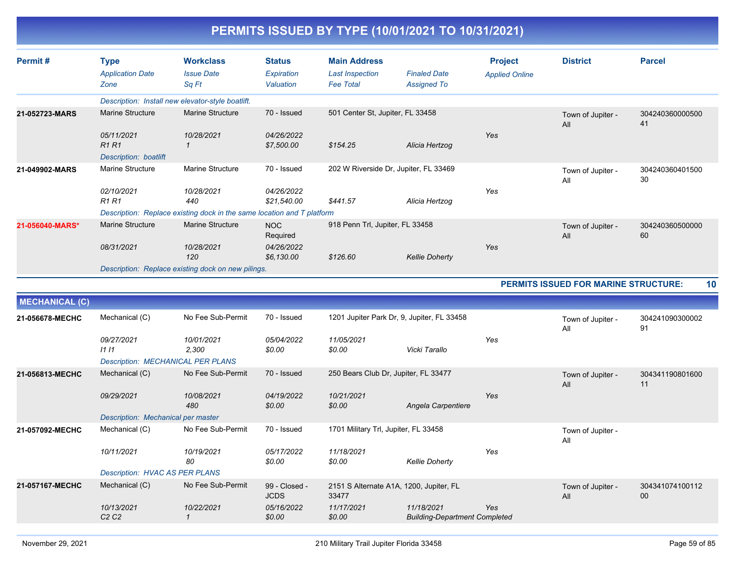| Permit#               | <b>Type</b><br><b>Application Date</b><br>Zone          | <b>Workclass</b><br><b>Issue Date</b><br>Sa Ft                         | <b>Status</b><br>Expiration<br>Valuation | <b>Main Address</b><br><b>Last Inspection</b><br><b>Fee Total</b> | <b>Finaled Date</b><br><b>Assigned To</b>          | <b>Project</b><br><b>Applied Online</b> | <b>District</b>                             | <b>Parcel</b>         |
|-----------------------|---------------------------------------------------------|------------------------------------------------------------------------|------------------------------------------|-------------------------------------------------------------------|----------------------------------------------------|-----------------------------------------|---------------------------------------------|-----------------------|
|                       | Description: Install new elevator-style boatlift.       |                                                                        |                                          |                                                                   |                                                    |                                         |                                             |                       |
| 21-052723-MARS        | <b>Marine Structure</b>                                 | <b>Marine Structure</b>                                                | 70 - Issued                              | 501 Center St, Jupiter, FL 33458                                  |                                                    |                                         | Town of Jupiter -<br>All                    | 304240360000500<br>41 |
|                       | 05/11/2021<br><b>R1R1</b><br>Description: boatlift      | 10/28/2021<br>$\mathbf{1}$                                             | 04/26/2022<br>\$7,500.00                 | \$154.25                                                          | Alicia Hertzog                                     | Yes                                     |                                             |                       |
| 21-049902-MARS        | Marine Structure                                        | <b>Marine Structure</b>                                                | 70 - Issued                              | 202 W Riverside Dr, Jupiter, FL 33469                             |                                                    |                                         | Town of Jupiter -<br>All                    | 304240360401500<br>30 |
|                       | 02/10/2021<br><b>R1 R1</b>                              | 10/28/2021<br>440                                                      | 04/26/2022<br>\$21,540.00                | \$441.57                                                          | Alicia Hertzog                                     | Yes                                     |                                             |                       |
|                       |                                                         | Description: Replace existing dock in the same location and T platform |                                          |                                                                   |                                                    |                                         |                                             |                       |
| 21-056040-MARS*       | <b>Marine Structure</b>                                 | <b>Marine Structure</b>                                                | <b>NOC</b><br>Required                   | 918 Penn Trl, Jupiter, FL 33458                                   |                                                    |                                         | Town of Jupiter -<br>All                    | 304240360500000<br>60 |
|                       | 08/31/2021                                              | 10/28/2021<br>120                                                      | 04/26/2022<br>\$6,130.00                 | \$126.60                                                          | <b>Kellie Doherty</b>                              | Yes                                     |                                             |                       |
|                       |                                                         | Description: Replace existing dock on new pilings.                     |                                          |                                                                   |                                                    |                                         |                                             |                       |
|                       |                                                         |                                                                        |                                          |                                                                   |                                                    |                                         | <b>PERMITS ISSUED FOR MARINE STRUCTURE:</b> | 10                    |
| <b>MECHANICAL (C)</b> |                                                         |                                                                        |                                          |                                                                   |                                                    |                                         |                                             |                       |
| 21-056678-MECHC       | Mechanical (C)                                          | No Fee Sub-Permit                                                      | 70 - Issued                              | 1201 Jupiter Park Dr, 9, Jupiter, FL 33458                        |                                                    |                                         | Town of Jupiter -<br>All                    | 304241090300002<br>91 |
|                       | 09/27/2021<br>1111<br>Description: MECHANICAL PER PLANS | 10/01/2021<br>2,300                                                    | 05/04/2022<br>\$0.00                     | 11/05/2021<br>\$0.00                                              | Vicki Tarallo                                      | Yes                                     |                                             |                       |
| 21-056813-MECHC       | Mechanical (C)                                          | No Fee Sub-Permit                                                      | 70 - Issued                              | 250 Bears Club Dr, Jupiter, FL 33477                              |                                                    |                                         | Town of Jupiter -<br>All                    | 304341190801600<br>11 |
|                       | 09/29/2021                                              | 10/08/2021<br>480                                                      | 04/19/2022<br>\$0.00                     | 10/21/2021<br>\$0.00                                              | Angela Carpentiere                                 | Yes                                     |                                             |                       |
|                       | Description: Mechanical per master                      |                                                                        |                                          |                                                                   |                                                    |                                         |                                             |                       |
| 21-057092-MECHC       | Mechanical (C)                                          | No Fee Sub-Permit                                                      | 70 - Issued                              | 1701 Military Trl, Jupiter, FL 33458                              |                                                    |                                         | Town of Jupiter -<br>All                    |                       |
|                       | 10/11/2021                                              | 10/19/2021<br>80                                                       | 05/17/2022<br>\$0.00                     | 11/18/2021<br>\$0.00                                              | <b>Kellie Doherty</b>                              | Yes                                     |                                             |                       |
|                       | <b>Description: HVAC AS PER PLANS</b>                   |                                                                        |                                          |                                                                   |                                                    |                                         |                                             |                       |
| 21-057167-MECHC       | Mechanical (C)                                          | No Fee Sub-Permit                                                      | 99 - Closed -<br><b>JCDS</b>             | 2151 S Alternate A1A, 1200, Jupiter, FL<br>33477                  |                                                    |                                         | Town of Jupiter -<br>All                    | 304341074100112<br>00 |
|                       | 10/13/2021<br>C <sub>2</sub> C <sub>2</sub>             | 10/22/2021<br>$\mathcal I$                                             | 05/16/2022<br>\$0.00                     | 11/17/2021<br>\$0.00                                              | 11/18/2021<br><b>Building-Department Completed</b> | Yes                                     |                                             |                       |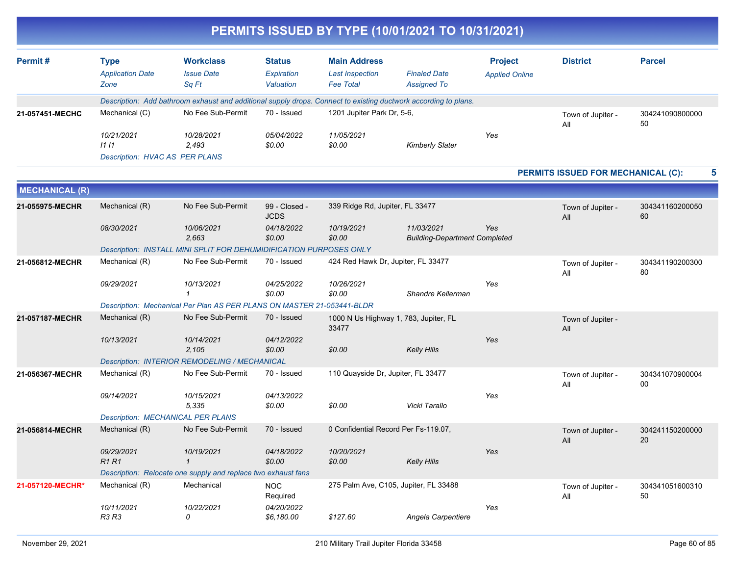|                       |                                                             |                                                                                                                 |                                          | PERMITS ISSUED BY TYPE (10/01/2021 TO 10/31/2021)                 |                                                    |                                         |                                    |                       |
|-----------------------|-------------------------------------------------------------|-----------------------------------------------------------------------------------------------------------------|------------------------------------------|-------------------------------------------------------------------|----------------------------------------------------|-----------------------------------------|------------------------------------|-----------------------|
| Permit#               | <b>Type</b><br><b>Application Date</b><br>Zone              | <b>Workclass</b><br><b>Issue Date</b><br>Sq Ft                                                                  | <b>Status</b><br>Expiration<br>Valuation | <b>Main Address</b><br><b>Last Inspection</b><br><b>Fee Total</b> | <b>Finaled Date</b><br><b>Assigned To</b>          | <b>Project</b><br><b>Applied Online</b> | <b>District</b>                    | <b>Parcel</b>         |
|                       |                                                             | Description: Add bathroom exhaust and additional supply drops. Connect to existing ductwork according to plans. |                                          |                                                                   |                                                    |                                         |                                    |                       |
| 21-057451-MECHC       | Mechanical (C)                                              | No Fee Sub-Permit                                                                                               | 70 - Issued                              | 1201 Jupiter Park Dr, 5-6,                                        |                                                    |                                         | Town of Jupiter -<br>All           | 304241090800000<br>50 |
|                       | 10/21/2021<br>1111<br><b>Description: HVAC AS PER PLANS</b> | 10/28/2021<br>2,493                                                                                             | 05/04/2022<br>\$0.00                     | 11/05/2021<br>\$0.00                                              | <b>Kimberly Slater</b>                             | Yes                                     |                                    |                       |
|                       |                                                             |                                                                                                                 |                                          |                                                                   |                                                    |                                         | PERMITS ISSUED FOR MECHANICAL (C): | 5                     |
| <b>MECHANICAL (R)</b> |                                                             |                                                                                                                 |                                          |                                                                   |                                                    |                                         |                                    |                       |
| 21-055975-MECHR       | Mechanical (R)                                              | No Fee Sub-Permit                                                                                               | 99 - Closed -<br><b>JCDS</b>             | 339 Ridge Rd, Jupiter, FL 33477                                   |                                                    |                                         | Town of Jupiter -<br>All           | 304341160200050<br>60 |
|                       | 08/30/2021                                                  | 10/06/2021<br>2,663                                                                                             | 04/18/2022<br>\$0.00                     | 10/19/2021<br>\$0.00                                              | 11/03/2021<br><b>Building-Department Completed</b> | Yes                                     |                                    |                       |
|                       |                                                             | Description: INSTALL MINI SPLIT FOR DEHUMIDIFICATION PURPOSES ONLY                                              |                                          |                                                                   |                                                    |                                         |                                    |                       |
| 21-056812-MECHR       | Mechanical (R)                                              | No Fee Sub-Permit                                                                                               | 70 - Issued                              | 424 Red Hawk Dr, Jupiter, FL 33477                                |                                                    |                                         | Town of Jupiter -<br>All           | 304341190200300<br>80 |
|                       | 09/29/2021                                                  | 10/13/2021<br>-1                                                                                                | 04/25/2022<br>\$0.00                     | 10/26/2021<br>\$0.00                                              | Shandre Kellerman                                  | Yes                                     |                                    |                       |
|                       |                                                             | Description: Mechanical Per Plan AS PER PLANS ON MASTER 21-053441-BLDR                                          |                                          |                                                                   |                                                    |                                         |                                    |                       |
| 21-057187-MECHR       | Mechanical (R)                                              | No Fee Sub-Permit                                                                                               | 70 - Issued                              | 1000 N Us Highway 1, 783, Jupiter, FL<br>33477                    |                                                    |                                         | Town of Jupiter -<br>All           |                       |
|                       | 10/13/2021                                                  | 10/14/2021<br>2,105                                                                                             | 04/12/2022<br>\$0.00                     | \$0.00                                                            | <b>Kelly Hills</b>                                 | Yes                                     |                                    |                       |
|                       |                                                             | Description: INTERIOR REMODELING / MECHANICAL                                                                   |                                          |                                                                   |                                                    |                                         |                                    |                       |
| 21-056367-MECHR       | Mechanical (R)                                              | No Fee Sub-Permit                                                                                               | 70 - Issued                              | 110 Quayside Dr, Jupiter, FL 33477                                |                                                    |                                         | Town of Jupiter -<br>All           | 304341070900004<br>00 |
|                       | 09/14/2021                                                  | 10/15/2021<br>5,335                                                                                             | 04/13/2022<br>\$0.00                     | \$0.00                                                            | Vicki Tarallo                                      | Yes                                     |                                    |                       |
|                       | <b>Description: MECHANICAL PER PLANS</b>                    |                                                                                                                 |                                          |                                                                   |                                                    |                                         |                                    |                       |
| 21-056814-MECHR       | Mechanical (R)                                              | No Fee Sub-Permit                                                                                               | 70 - Issued                              | 0 Confidential Record Per Fs-119.07,                              |                                                    |                                         | Town of Jupiter -<br>All           | 304241150200000<br>20 |
|                       | 09/29/2021<br><b>R1 R1</b>                                  | 10/19/2021                                                                                                      | 04/18/2022<br>\$0.00                     | 10/20/2021<br>\$0.00                                              | <b>Kelly Hills</b>                                 | Yes                                     |                                    |                       |
|                       |                                                             | Description: Relocate one supply and replace two exhaust fans                                                   |                                          |                                                                   |                                                    |                                         |                                    |                       |
| 21-057120-MECHR*      | Mechanical (R)                                              | Mechanical                                                                                                      | <b>NOC</b><br>Required                   | 275 Palm Ave, C105, Jupiter, FL 33488                             |                                                    |                                         | Town of Jupiter -<br>All           | 304341051600310<br>50 |
|                       | 10/11/2021<br>R3 R3                                         | 10/22/2021<br>0                                                                                                 | 04/20/2022<br>\$6,180.00                 | \$127.60                                                          | Angela Carpentiere                                 | Yes                                     |                                    |                       |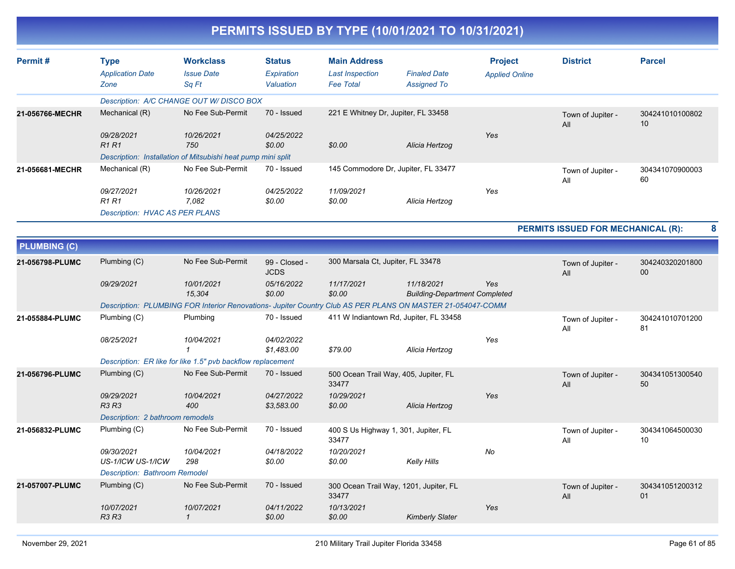| Permit#             | <b>Type</b><br><b>Application Date</b><br>Zone | <b>Workclass</b><br><b>Issue Date</b><br>Sq Ft               | <b>Status</b><br>Expiration<br>Valuation | <b>Main Address</b><br><b>Last Inspection</b><br><b>Fee Total</b>                                          | <b>Finaled Date</b><br><b>Assigned To</b>          | <b>Project</b><br><b>Applied Online</b> | <b>District</b>                    | <b>Parcel</b>             |
|---------------------|------------------------------------------------|--------------------------------------------------------------|------------------------------------------|------------------------------------------------------------------------------------------------------------|----------------------------------------------------|-----------------------------------------|------------------------------------|---------------------------|
|                     |                                                | Description: A/C CHANGE OUT W/ DISCO BOX                     |                                          |                                                                                                            |                                                    |                                         |                                    |                           |
| 21-056766-MECHR     | Mechanical (R)                                 | No Fee Sub-Permit                                            | 70 - Issued                              | 221 E Whitney Dr, Jupiter, FL 33458                                                                        |                                                    |                                         | Town of Jupiter -<br>All           | 304241010100802<br>10     |
|                     | 09/28/2021<br>R1R1                             | 10/26/2021<br>750                                            | 04/25/2022<br>\$0.00                     | \$0.00                                                                                                     | Alicia Hertzog                                     | Yes                                     |                                    |                           |
|                     |                                                | Description: Installation of Mitsubishi heat pump mini split |                                          |                                                                                                            |                                                    |                                         |                                    |                           |
| 21-056681-MECHR     | Mechanical (R)                                 | No Fee Sub-Permit                                            | 70 - Issued                              | 145 Commodore Dr, Jupiter, FL 33477                                                                        |                                                    |                                         | Town of Jupiter -<br>All           | 304341070900003<br>60     |
|                     | 09/27/2021<br><b>R1R1</b>                      | 10/26/2021<br>7,082                                          | 04/25/2022<br>\$0.00                     | 11/09/2021<br>\$0.00                                                                                       | Alicia Hertzog                                     | Yes                                     |                                    |                           |
|                     | <b>Description: HVAC AS PER PLANS</b>          |                                                              |                                          |                                                                                                            |                                                    |                                         |                                    |                           |
|                     |                                                |                                                              |                                          |                                                                                                            |                                                    |                                         | PERMITS ISSUED FOR MECHANICAL (R): | 8                         |
| <b>PLUMBING (C)</b> |                                                |                                                              |                                          |                                                                                                            |                                                    |                                         |                                    |                           |
| 21-056798-PLUMC     | Plumbing (C)                                   | No Fee Sub-Permit                                            | 99 - Closed -<br><b>JCDS</b>             | 300 Marsala Ct, Jupiter, FL 33478                                                                          |                                                    |                                         | Town of Jupiter -<br>All           | 304240320201800<br>$00\,$ |
|                     | 09/29/2021                                     | 10/01/2021<br>15,304                                         | 05/16/2022<br>\$0.00                     | 11/17/2021<br>\$0.00                                                                                       | 11/18/2021<br><b>Building-Department Completed</b> | Yes                                     |                                    |                           |
|                     |                                                |                                                              |                                          | Description: PLUMBING FOR Interior Renovations- Jupiter Country Club AS PER PLANS ON MASTER 21-054047-COMM |                                                    |                                         |                                    |                           |
| 21-055884-PLUMC     | Plumbing (C)                                   | Plumbing                                                     | 70 - Issued                              | 411 W Indiantown Rd, Jupiter, FL 33458                                                                     |                                                    |                                         | Town of Jupiter -<br>All           | 304241010701200<br>81     |
|                     | 08/25/2021                                     | 10/04/2021<br>$\mathbf{1}$                                   | 04/02/2022<br>\$1,483.00                 | \$79.00                                                                                                    | Alicia Hertzog                                     | Yes                                     |                                    |                           |
|                     |                                                | Description: ER like for like 1.5" pvb backflow replacement  |                                          |                                                                                                            |                                                    |                                         |                                    |                           |
| 21-056796-PLUMC     | Plumbing (C)                                   | No Fee Sub-Permit                                            | 70 - Issued                              | 500 Ocean Trail Way, 405, Jupiter, FL<br>33477                                                             |                                                    |                                         | Town of Jupiter -<br>All           | 304341051300540<br>50     |
|                     | 09/29/2021<br>R3 R3                            | 10/04/2021<br>400                                            | 04/27/2022<br>\$3,583.00                 | 10/29/2021<br>\$0.00                                                                                       | Alicia Hertzog                                     | Yes                                     |                                    |                           |
|                     | Description: 2 bathroom remodels               |                                                              |                                          |                                                                                                            |                                                    |                                         |                                    |                           |
| 21-056832-PLUMC     | Plumbing (C)                                   | No Fee Sub-Permit                                            | 70 - Issued                              | 400 S Us Highway 1, 301, Jupiter, FL<br>33477                                                              |                                                    |                                         | Town of Jupiter -<br>All           | 304341064500030<br>10     |
|                     | 09/30/2021<br>US-1/ICW US-1/ICW                | 10/04/2021<br>298                                            | 04/18/2022<br>\$0.00                     | 10/20/2021<br>\$0.00                                                                                       | Kelly Hills                                        | No                                      |                                    |                           |
|                     | <b>Description: Bathroom Remodel</b>           |                                                              |                                          |                                                                                                            |                                                    |                                         |                                    |                           |
| 21-057007-PLUMC     | Plumbing (C)                                   | No Fee Sub-Permit                                            | 70 - Issued                              | 300 Ocean Trail Way, 1201, Jupiter, FL<br>33477                                                            |                                                    |                                         | Town of Jupiter -<br>All           | 304341051200312<br>01     |
|                     | 10/07/2021<br><b>R3 R3</b>                     | 10/07/2021<br>$\mathcal I$                                   | 04/11/2022<br>\$0.00                     | 10/13/2021<br>\$0.00                                                                                       | <b>Kimberly Slater</b>                             | Yes                                     |                                    |                           |
|                     |                                                |                                                              |                                          |                                                                                                            |                                                    |                                         |                                    |                           |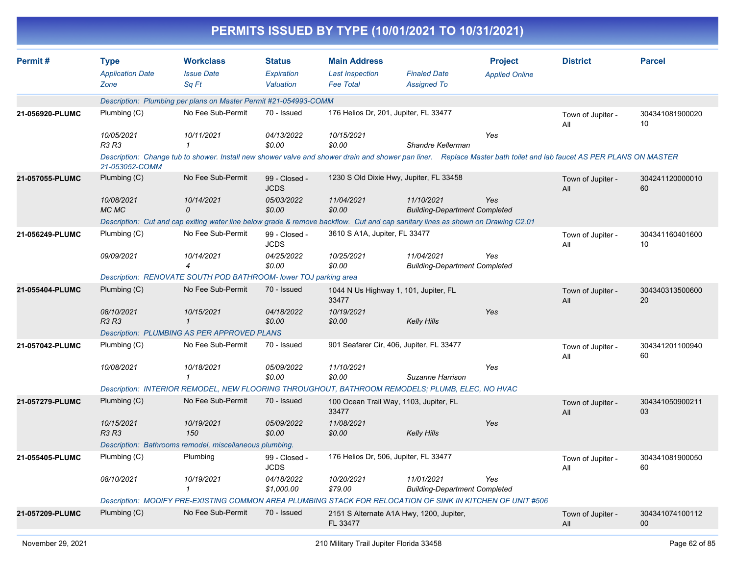|                 |                                                |                                                                                                                                                                     |                                          | PERMITS ISSUED BY TYPE (10/01/2021 TO 10/31/2021)                 |                                                    |                                         |                          |                           |
|-----------------|------------------------------------------------|---------------------------------------------------------------------------------------------------------------------------------------------------------------------|------------------------------------------|-------------------------------------------------------------------|----------------------------------------------------|-----------------------------------------|--------------------------|---------------------------|
| Permit#         | <b>Type</b><br><b>Application Date</b><br>Zone | <b>Workclass</b><br><b>Issue Date</b><br>Sq Ft                                                                                                                      | <b>Status</b><br>Expiration<br>Valuation | <b>Main Address</b><br><b>Last Inspection</b><br><b>Fee Total</b> | <b>Finaled Date</b><br><b>Assigned To</b>          | <b>Project</b><br><b>Applied Online</b> | <b>District</b>          | <b>Parcel</b>             |
|                 |                                                | Description: Plumbing per plans on Master Permit #21-054993-COMM                                                                                                    |                                          |                                                                   |                                                    |                                         |                          |                           |
| 21-056920-PLUMC | Plumbing (C)                                   | No Fee Sub-Permit                                                                                                                                                   | 70 - Issued                              | 176 Helios Dr, 201, Jupiter, FL 33477                             |                                                    |                                         | Town of Jupiter -<br>All | 304341081900020<br>10     |
|                 | 10/05/2021<br><b>R3 R3</b>                     | 10/11/2021                                                                                                                                                          | 04/13/2022<br>\$0.00                     | 10/15/2021<br>\$0.00                                              | Shandre Kellerman                                  | Yes                                     |                          |                           |
|                 | 21-053052-COMM                                 | Description: Change tub to shower. Install new shower valve and shower drain and shower pan liner. Replace Master bath toilet and lab faucet AS PER PLANS ON MASTER |                                          |                                                                   |                                                    |                                         |                          |                           |
| 21-057055-PLUMC | Plumbing (C)                                   | No Fee Sub-Permit                                                                                                                                                   | 99 - Closed -<br><b>JCDS</b>             | 1230 S Old Dixie Hwy, Jupiter, FL 33458                           |                                                    |                                         | Town of Jupiter -<br>All | 304241120000010<br>60     |
|                 | 10/08/2021<br>MC MC                            | 10/14/2021<br>0                                                                                                                                                     | 05/03/2022<br>\$0.00                     | 11/04/2021<br>\$0.00                                              | 11/10/2021<br><b>Building-Department Completed</b> | Yes                                     |                          |                           |
|                 |                                                | Description: Cut and cap exiting water line below grade & remove backflow. Cut and cap sanitary lines as shown on Drawing C2.01                                     |                                          |                                                                   |                                                    |                                         |                          |                           |
| 21-056249-PLUMC | Plumbing (C)                                   | No Fee Sub-Permit                                                                                                                                                   | 99 - Closed -<br><b>JCDS</b>             | 3610 S A1A, Jupiter, FL 33477                                     |                                                    |                                         | Town of Jupiter -<br>All | 304341160401600<br>10     |
|                 | 09/09/2021                                     | 10/14/2021<br>$\overline{4}$                                                                                                                                        | 04/25/2022<br>\$0.00                     | 10/25/2021<br>\$0.00                                              | 11/04/2021<br><b>Building-Department Completed</b> | Yes                                     |                          |                           |
|                 |                                                | Description: RENOVATE SOUTH POD BATHROOM- lower TOJ parking area                                                                                                    |                                          |                                                                   |                                                    |                                         |                          |                           |
| 21-055404-PLUMC | Plumbing (C)                                   | No Fee Sub-Permit                                                                                                                                                   | 70 - Issued                              | 1044 N Us Highway 1, 101, Jupiter, FL<br>33477                    |                                                    |                                         | Town of Jupiter -<br>All | 304340313500600<br>20     |
|                 | 08/10/2021<br><b>R3 R3</b>                     | 10/15/2021<br>$\mathcal I$                                                                                                                                          | 04/18/2022<br>\$0.00                     | 10/19/2021<br>\$0.00                                              | <b>Kelly Hills</b>                                 | Yes                                     |                          |                           |
|                 |                                                | <b>Description: PLUMBING AS PER APPROVED PLANS</b>                                                                                                                  |                                          |                                                                   |                                                    |                                         |                          |                           |
| 21-057042-PLUMC | Plumbing (C)                                   | No Fee Sub-Permit                                                                                                                                                   | 70 - Issued                              | 901 Seafarer Cir, 406, Jupiter, FL 33477                          |                                                    |                                         | Town of Jupiter -<br>All | 304341201100940<br>60     |
|                 | 10/08/2021                                     | 10/18/2021<br>1                                                                                                                                                     | 05/09/2022<br>\$0.00                     | 11/10/2021<br>\$0.00                                              | Suzanne Harrison                                   | Yes                                     |                          |                           |
|                 |                                                | Description: INTERIOR REMODEL, NEW FLOORING THROUGHOUT, BATHROOM REMODELS; PLUMB, ELEC, NO HVAC                                                                     |                                          |                                                                   |                                                    |                                         |                          |                           |
| 21-057279-PLUMC | Plumbing (C)                                   | No Fee Sub-Permit                                                                                                                                                   | 70 - Issued                              | 100 Ocean Trail Way, 1103, Jupiter, FL<br>33477                   |                                                    |                                         | Town of Jupiter -<br>All | 304341050900211<br>03     |
|                 | 10/15/2021<br><b>R3 R3</b>                     | 10/19/2021<br>150                                                                                                                                                   | 05/09/2022<br>\$0.00                     | 11/08/2021<br>\$0.00                                              | <b>Kelly Hills</b>                                 | Yes                                     |                          |                           |
|                 |                                                | Description: Bathrooms remodel, miscellaneous plumbing.                                                                                                             |                                          |                                                                   |                                                    |                                         |                          |                           |
| 21-055405-PLUMC | Plumbing (C)                                   | Plumbing                                                                                                                                                            | 99 - Closed -<br><b>JCDS</b>             | 176 Helios Dr, 506, Jupiter, FL 33477                             |                                                    |                                         | Town of Jupiter -<br>All | 304341081900050<br>60     |
|                 | 08/10/2021                                     | 10/19/2021<br>$\mathcal I$                                                                                                                                          | 04/18/2022<br>\$1,000.00                 | 10/20/2021<br>\$79.00                                             | 11/01/2021<br><b>Building-Department Completed</b> | Yes                                     |                          |                           |
|                 |                                                | Description: MODIFY PRE-EXISTING COMMON AREA PLUMBING STACK FOR RELOCATION OF SINK IN KITCHEN OF UNIT #506                                                          |                                          |                                                                   |                                                    |                                         |                          |                           |
| 21-057209-PLUMC | Plumbing (C)                                   | No Fee Sub-Permit                                                                                                                                                   | 70 - Issued                              | 2151 S Alternate A1A Hwy, 1200, Jupiter,<br>FL 33477              |                                                    |                                         | Town of Jupiter -<br>All | 304341074100112<br>$00\,$ |
|                 |                                                |                                                                                                                                                                     |                                          |                                                                   |                                                    |                                         |                          |                           |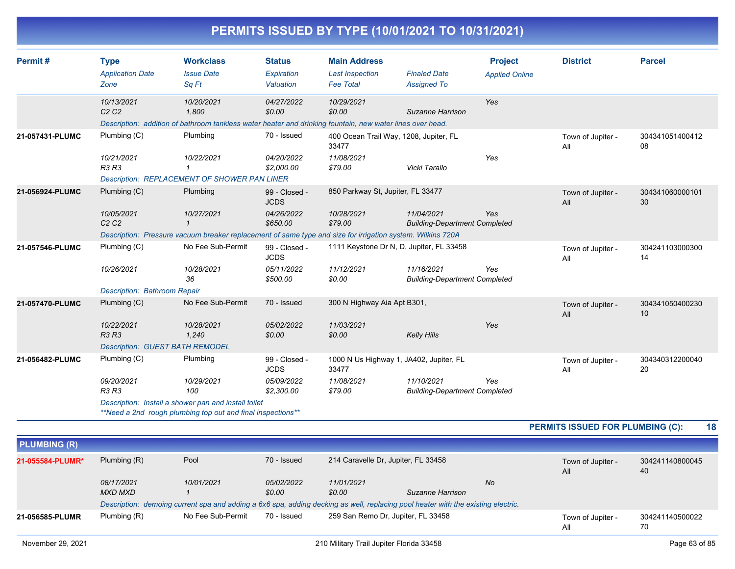|                 |                                                                                      |                                                                                                                                                      |                                                          | PERMITS ISSUED BY TYPE (10/01/2021 TO 10/31/2021)                         |                                                    |                                         |                          |                       |
|-----------------|--------------------------------------------------------------------------------------|------------------------------------------------------------------------------------------------------------------------------------------------------|----------------------------------------------------------|---------------------------------------------------------------------------|----------------------------------------------------|-----------------------------------------|--------------------------|-----------------------|
| Permit#         | <b>Type</b><br><b>Application Date</b><br>Zone                                       | <b>Workclass</b><br><b>Issue Date</b><br>Sq Ft                                                                                                       | <b>Status</b><br>Expiration<br>Valuation                 | <b>Main Address</b><br><b>Last Inspection</b><br><b>Fee Total</b>         | <b>Finaled Date</b><br><b>Assigned To</b>          | <b>Project</b><br><b>Applied Online</b> | <b>District</b>          | <b>Parcel</b>         |
|                 | 10/13/2021<br>C2C2                                                                   | 10/20/2021<br>1.800<br>Description: addition of bathroom tankless water heater and drinking fountain, new water lines over head.                     | 04/27/2022<br>\$0.00                                     | 10/29/2021<br>\$0.00                                                      | Suzanne Harrison                                   | Yes                                     |                          |                       |
| 21-057431-PLUMC | Plumbing (C)<br>10/21/2021<br><b>R3 R3</b>                                           | Plumbing<br>10/22/2021<br>1<br>Description: REPLACEMENT OF SHOWER PAN LINER                                                                          | 70 - Issued<br>04/20/2022<br>\$2,000.00                  | 400 Ocean Trail Way, 1208, Jupiter, FL<br>33477<br>11/08/2021<br>\$79.00  | Vicki Tarallo                                      | Yes                                     | Town of Jupiter -<br>All | 304341051400412<br>08 |
| 21-056924-PLUMC | Plumbing (C)<br>10/05/2021<br>C2C2                                                   | Plumbing<br>10/27/2021<br>$\mathcal I$<br>Description: Pressure vacuum breaker replacement of same type and size for irrigation system. Wilkins 720A | 99 - Closed -<br><b>JCDS</b><br>04/26/2022<br>\$650.00   | 850 Parkway St, Jupiter, FL 33477<br>10/28/2021<br>\$79.00                | 11/04/2021<br><b>Building-Department Completed</b> | <b>Yes</b>                              | Town of Jupiter -<br>All | 304341060000101<br>30 |
| 21-057546-PLUMC | Plumbing (C)<br>10/26/2021<br><b>Description: Bathroom Repair</b>                    | No Fee Sub-Permit<br>10/28/2021<br>36                                                                                                                | 99 - Closed -<br><b>JCDS</b><br>05/11/2022<br>\$500.00   | 1111 Keystone Dr N, D, Jupiter, FL 33458<br>11/12/2021<br>\$0.00          | 11/16/2021<br><b>Building-Department Completed</b> | Yes                                     | Town of Jupiter -<br>All | 304241103000300<br>14 |
| 21-057470-PLUMC | Plumbing (C)<br>10/22/2021<br><b>R3 R3</b><br><b>Description: GUEST BATH REMODEL</b> | No Fee Sub-Permit<br>10/28/2021<br>1.240                                                                                                             | 70 - Issued<br>05/02/2022<br>\$0.00                      | 300 N Highway Aia Apt B301,<br>11/03/2021<br>\$0.00                       | <b>Kelly Hills</b>                                 | Yes                                     | Town of Jupiter -<br>All | 304341050400230<br>10 |
| 21-056482-PLUMC | Plumbing (C)<br>09/20/2021<br><b>R3 R3</b>                                           | Plumbing<br>10/29/2021<br>100<br>Description: Install a shower pan and install toilet<br>**Need a 2nd rough plumbing top out and final inspections** | 99 - Closed -<br><b>JCDS</b><br>05/09/2022<br>\$2,300.00 | 1000 N Us Highway 1, JA402, Jupiter, FL<br>33477<br>11/08/2021<br>\$79.00 | 11/10/2021<br><b>Building-Department Completed</b> | Yes                                     | Town of Jupiter -<br>All | 304340312200040<br>20 |

| 18                                      |
|-----------------------------------------|
| <b>PERMITS ISSUED FOR PLUMBING (C):</b> |

| <b>PLUMBING (R)</b> |                       |                   |                      |                                     |                                                                                                                                  |                          |                       |
|---------------------|-----------------------|-------------------|----------------------|-------------------------------------|----------------------------------------------------------------------------------------------------------------------------------|--------------------------|-----------------------|
| 21-055584-PLUMR*    | Plumbing (R)          | Pool              | 70 - Issued          | 214 Caravelle Dr, Jupiter, FL 33458 |                                                                                                                                  | Town of Jupiter -<br>All | 304241140800045<br>40 |
|                     | 08/17/2021<br>MXD MXD | 10/01/2021        | 05/02/2022<br>\$0.00 | 11/01/2021<br>\$0.00                | No<br>Suzanne Harrison                                                                                                           |                          |                       |
|                     |                       |                   |                      |                                     | Description: demoing current spa and adding a 6x6 spa, adding decking as well, replacing pool heater with the existing electric. |                          |                       |
| 21-056585-PLUMR     | Plumbing (R)          | No Fee Sub-Permit | 70 - Issued          | 259 San Remo Dr. Jupiter, FL 33458  |                                                                                                                                  | Town of Jupiter -<br>All | 304241140500022<br>70 |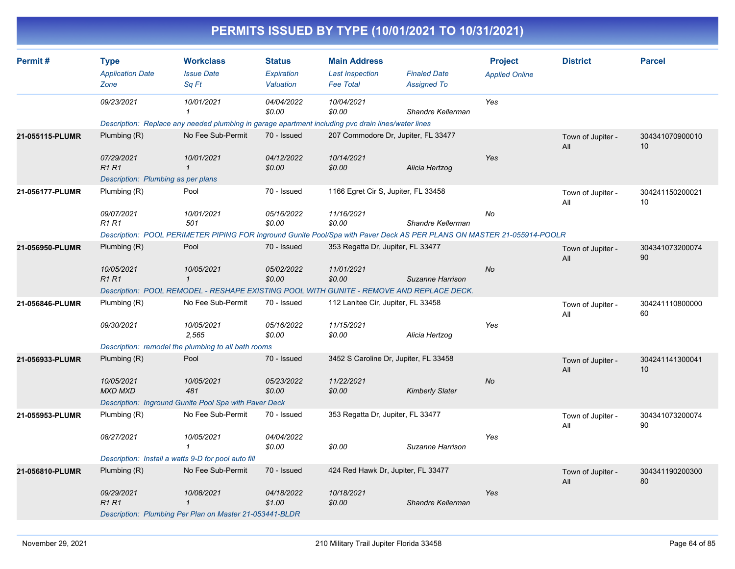|                 |                                                |                                                                                                                        |                                          |                                                                   | PERMITS ISSUED BY TYPE (10/01/2021 TO 10/31/2021) |                                         |                          |                       |
|-----------------|------------------------------------------------|------------------------------------------------------------------------------------------------------------------------|------------------------------------------|-------------------------------------------------------------------|---------------------------------------------------|-----------------------------------------|--------------------------|-----------------------|
| Permit#         | <b>Type</b><br><b>Application Date</b><br>Zone | <b>Workclass</b><br><b>Issue Date</b><br>Sq Ft                                                                         | <b>Status</b><br>Expiration<br>Valuation | <b>Main Address</b><br><b>Last Inspection</b><br><b>Fee Total</b> | <b>Finaled Date</b><br><b>Assigned To</b>         | <b>Project</b><br><b>Applied Online</b> | <b>District</b>          | <b>Parcel</b>         |
|                 | 09/23/2021                                     | 10/01/2021                                                                                                             | 04/04/2022<br>\$0.00                     | 10/04/2021<br>\$0.00                                              | Shandre Kellerman                                 | Yes                                     |                          |                       |
|                 |                                                | Description: Replace any needed plumbing in garage apartment including pvc drain lines/water lines                     |                                          |                                                                   |                                                   |                                         |                          |                       |
| 21-055115-PLUMR | Plumbing (R)                                   | No Fee Sub-Permit                                                                                                      | 70 - Issued                              |                                                                   | 207 Commodore Dr, Jupiter, FL 33477               |                                         | Town of Jupiter -<br>All | 304341070900010<br>10 |
|                 | 07/29/2021<br><b>R1 R1</b>                     | 10/01/2021<br>$\mathbf{1}$                                                                                             | 04/12/2022<br>\$0.00                     | 10/14/2021<br>\$0.00                                              | Alicia Hertzog                                    | Yes                                     |                          |                       |
|                 | Description: Plumbing as per plans             |                                                                                                                        |                                          |                                                                   |                                                   |                                         |                          |                       |
| 21-056177-PLUMR | Plumbing (R)                                   | Pool                                                                                                                   | 70 - Issued                              | 1166 Egret Cir S, Jupiter, FL 33458                               |                                                   |                                         | Town of Jupiter -<br>All | 304241150200021<br>10 |
|                 | 09/07/2021<br><b>R1 R1</b>                     | 10/01/2021<br>501                                                                                                      | 05/16/2022<br>\$0.00                     | 11/16/2021<br>\$0.00                                              | Shandre Kellerman                                 | No                                      |                          |                       |
|                 |                                                | Description: POOL PERIMETER PIPING FOR Inground Gunite Pool/Spa with Paver Deck AS PER PLANS ON MASTER 21-055914-POOLR |                                          |                                                                   |                                                   |                                         |                          |                       |
| 21-056950-PLUMR | Plumbing (R)                                   | Pool                                                                                                                   | 70 - Issued                              | 353 Regatta Dr, Jupiter, FL 33477                                 |                                                   |                                         | Town of Jupiter -<br>All | 304341073200074<br>90 |
|                 | 10/05/2021<br><b>R1 R1</b>                     | 10/05/2021<br>$\mathbf{1}$                                                                                             | 05/02/2022<br>\$0.00                     | 11/01/2021<br>\$0.00                                              | Suzanne Harrison                                  | No                                      |                          |                       |
|                 |                                                | Description: POOL REMODEL - RESHAPE EXISTING POOL WITH GUNITE - REMOVE AND REPLACE DECK.                               |                                          |                                                                   |                                                   |                                         |                          |                       |
| 21-056846-PLUMR | Plumbing (R)                                   | No Fee Sub-Permit                                                                                                      | 70 - Issued                              | 112 Lanitee Cir, Jupiter, FL 33458                                |                                                   |                                         | Town of Jupiter -<br>All | 304241110800000<br>60 |
|                 | 09/30/2021                                     | 10/05/2021<br>2,565                                                                                                    | 05/16/2022<br>\$0.00                     | 11/15/2021<br>\$0.00                                              | Alicia Hertzog                                    | Yes                                     |                          |                       |
|                 |                                                | Description: remodel the plumbing to all bath rooms                                                                    |                                          |                                                                   |                                                   |                                         |                          |                       |
| 21-056933-PLUMR | Plumbing (R)                                   | Pool                                                                                                                   | 70 - Issued                              |                                                                   | 3452 S Caroline Dr, Jupiter, FL 33458             |                                         | Town of Jupiter -<br>All | 304241141300041<br>10 |
|                 | 10/05/2021<br><b>MXD MXD</b>                   | 10/05/2021<br>481                                                                                                      | 05/23/2022<br>\$0.00                     | 11/22/2021<br>\$0.00                                              | <b>Kimberly Slater</b>                            | No                                      |                          |                       |
|                 |                                                | Description: Inground Gunite Pool Spa with Paver Deck                                                                  |                                          |                                                                   |                                                   |                                         |                          |                       |
| 21-055953-PLUMR | Plumbing (R)                                   | No Fee Sub-Permit                                                                                                      | 70 - Issued                              | 353 Regatta Dr, Jupiter, FL 33477                                 |                                                   |                                         | Town of Jupiter -<br>All | 304341073200074<br>90 |
|                 | 08/27/2021                                     | 10/05/2021<br>$\mathbf{1}$                                                                                             | 04/04/2022<br>\$0.00                     | \$0.00                                                            | Suzanne Harrison                                  | Yes                                     |                          |                       |
|                 |                                                | Description: Install a watts 9-D for pool auto fill                                                                    |                                          |                                                                   |                                                   |                                         |                          |                       |
| 21-056810-PLUMR | Plumbing (R)                                   | No Fee Sub-Permit                                                                                                      | 70 - Issued                              | 424 Red Hawk Dr, Jupiter, FL 33477                                |                                                   |                                         | Town of Jupiter -<br>All | 304341190200300<br>80 |
|                 | 09/29/2021<br>R1 R1                            | 10/08/2021<br>$\mathbf{1}$                                                                                             | 04/18/2022<br>\$1.00                     | 10/18/2021<br>\$0.00                                              | Shandre Kellerman                                 | Yes                                     |                          |                       |
|                 |                                                | Description: Plumbing Per Plan on Master 21-053441-BLDR                                                                |                                          |                                                                   |                                                   |                                         |                          |                       |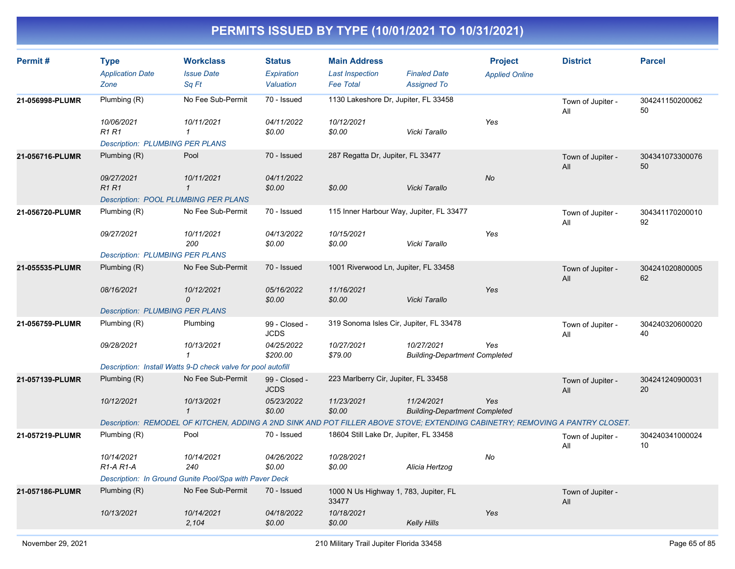| Permit#         | <b>Type</b><br><b>Application Date</b><br>Zone           | <b>Workclass</b><br><b>Issue Date</b><br>Sq Ft                                                                                | <b>Status</b><br>Expiration<br>Valuation | <b>Main Address</b><br><b>Last Inspection</b><br><b>Fee Total</b> | <b>Finaled Date</b><br><b>Assigned To</b>          | <b>Project</b><br><b>Applied Online</b> | <b>District</b>          | <b>Parcel</b>         |
|-----------------|----------------------------------------------------------|-------------------------------------------------------------------------------------------------------------------------------|------------------------------------------|-------------------------------------------------------------------|----------------------------------------------------|-----------------------------------------|--------------------------|-----------------------|
| 21-056998-PLUMR | Plumbing (R)                                             | No Fee Sub-Permit                                                                                                             | 70 - Issued                              | 1130 Lakeshore Dr, Jupiter, FL 33458                              |                                                    |                                         | Town of Jupiter -        | 304241150200062       |
|                 | 10/06/2021<br><b>R1 R1</b>                               | 10/11/2021<br>$\mathbf{1}$                                                                                                    | 04/11/2022<br>\$0.00                     | 10/12/2021<br>\$0.00                                              | Vicki Tarallo                                      | Yes                                     | All                      | 50                    |
| 21-056716-PLUMR | <b>Description: PLUMBING PER PLANS</b><br>Plumbing $(R)$ | Pool                                                                                                                          | 70 - Issued                              | 287 Regatta Dr, Jupiter, FL 33477                                 |                                                    |                                         | Town of Jupiter -        | 304341073300076       |
|                 |                                                          |                                                                                                                               |                                          |                                                                   |                                                    |                                         | All                      | 50                    |
|                 | 09/27/2021<br><b>R1R1</b>                                | 10/11/2021<br>$\mathbf{1}$                                                                                                    | 04/11/2022<br>\$0.00                     | \$0.00                                                            | Vicki Tarallo                                      | No                                      |                          |                       |
|                 | <b>Description: POOL PLUMBING PER PLANS</b>              |                                                                                                                               |                                          |                                                                   |                                                    |                                         |                          |                       |
| 21-056720-PLUMR | Plumbing (R)                                             | No Fee Sub-Permit                                                                                                             | 70 - Issued                              | 115 Inner Harbour Way, Jupiter, FL 33477                          |                                                    |                                         | Town of Jupiter -<br>All | 304341170200010<br>92 |
|                 | 09/27/2021                                               | 10/11/2021<br>200                                                                                                             | 04/13/2022<br>\$0.00                     | 10/15/2021<br>\$0.00                                              | Vicki Tarallo                                      | Yes                                     |                          |                       |
|                 | <b>Description: PLUMBING PER PLANS</b>                   |                                                                                                                               |                                          |                                                                   |                                                    |                                         |                          |                       |
| 21-055535-PLUMR | Plumbing (R)                                             | No Fee Sub-Permit                                                                                                             | 70 - Issued                              | 1001 Riverwood Ln, Jupiter, FL 33458                              |                                                    |                                         | Town of Jupiter -<br>All | 304241020800005<br>62 |
|                 | 08/16/2021                                               | 10/12/2021<br>0                                                                                                               | 05/16/2022<br>\$0.00                     | 11/16/2021<br>\$0.00                                              | Vicki Tarallo                                      | Yes                                     |                          |                       |
|                 | <b>Description: PLUMBING PER PLANS</b>                   |                                                                                                                               |                                          |                                                                   |                                                    |                                         |                          |                       |
| 21-056759-PLUMR | Plumbing (R)                                             | Plumbing                                                                                                                      | 99 - Closed -<br><b>JCDS</b>             | 319 Sonoma Isles Cir, Jupiter, FL 33478                           |                                                    |                                         | Town of Jupiter -<br>All | 304240320600020<br>40 |
|                 | 09/28/2021                                               | 10/13/2021<br>$\mathbf{1}$                                                                                                    | 04/25/2022<br>\$200.00                   | 10/27/2021<br>\$79.00                                             | 10/27/2021<br><b>Building-Department Completed</b> | Yes                                     |                          |                       |
|                 |                                                          | Description: Install Watts 9-D check valve for pool autofill                                                                  |                                          |                                                                   |                                                    |                                         |                          |                       |
| 21-057139-PLUMR | Plumbing $(R)$                                           | No Fee Sub-Permit                                                                                                             | 99 - Closed -<br><b>JCDS</b>             | 223 Marlberry Cir, Jupiter, FL 33458                              |                                                    |                                         | Town of Jupiter -<br>All | 304241240900031<br>20 |
|                 | 10/12/2021                                               | 10/13/2021<br>$\mathbf{1}$                                                                                                    | 05/23/2022<br>\$0.00                     | 11/23/2021<br>\$0.00                                              | 11/24/2021<br><b>Building-Department Completed</b> | Yes                                     |                          |                       |
|                 |                                                          | Description: REMODEL OF KITCHEN, ADDING A 2ND SINK AND POT FILLER ABOVE STOVE; EXTENDING CABINETRY; REMOVING A PANTRY CLOSET. |                                          |                                                                   |                                                    |                                         |                          |                       |
| 21-057219-PLUMR | Plumbing (R)                                             | Pool                                                                                                                          | 70 - Issued                              | 18604 Still Lake Dr, Jupiter, FL 33458                            |                                                    |                                         | Town of Jupiter -<br>All | 304240341000024<br>10 |
|                 | 10/14/2021<br>R <sub>1</sub> -A <sub>R1</sub> -A         | 10/14/2021<br>240                                                                                                             | 04/26/2022<br>\$0.00                     | 10/28/2021<br>\$0.00                                              | Alicia Hertzog                                     | No                                      |                          |                       |
|                 |                                                          | Description: In Ground Gunite Pool/Spa with Paver Deck                                                                        |                                          |                                                                   |                                                    |                                         |                          |                       |
| 21-057186-PLUMR | Plumbing (R)                                             | No Fee Sub-Permit                                                                                                             | 70 - Issued                              | 1000 N Us Highway 1, 783, Jupiter, FL<br>33477                    |                                                    |                                         | Town of Jupiter -<br>All |                       |
|                 | 10/13/2021                                               | 10/14/2021<br>2,104                                                                                                           | 04/18/2022<br>\$0.00                     | 10/18/2021<br>\$0.00                                              | <b>Kelly Hills</b>                                 | Yes                                     |                          |                       |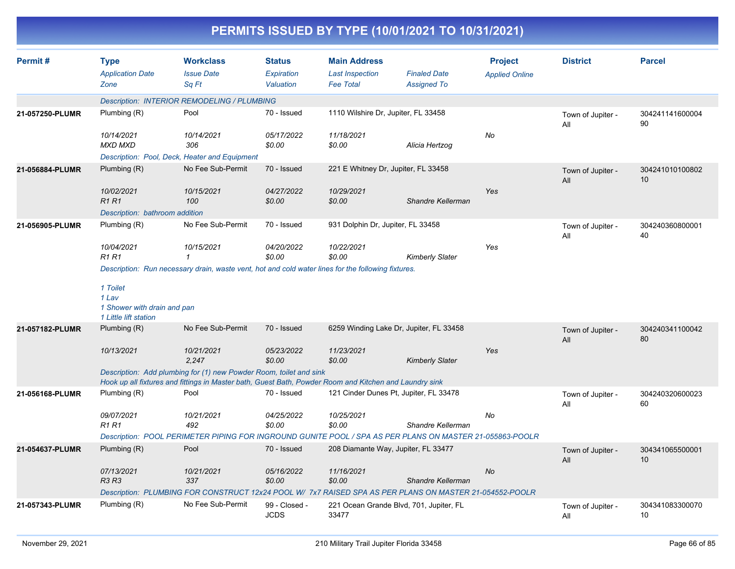| Permit#         |                                                                                                    | <b>Workclass</b>                                                                                                                                                             | <b>Status</b>                | <b>Main Address</b>                 |                                                                                                          | <b>Project</b>        | <b>District</b>          | <b>Parcel</b>         |  |  |
|-----------------|----------------------------------------------------------------------------------------------------|------------------------------------------------------------------------------------------------------------------------------------------------------------------------------|------------------------------|-------------------------------------|----------------------------------------------------------------------------------------------------------|-----------------------|--------------------------|-----------------------|--|--|
|                 | <b>Type</b><br><b>Application Date</b>                                                             | <b>Issue Date</b>                                                                                                                                                            | <b>Expiration</b>            | <b>Last Inspection</b>              | <b>Finaled Date</b>                                                                                      |                       |                          |                       |  |  |
|                 | Zone                                                                                               | Sq Ft                                                                                                                                                                        | Valuation                    | <b>Fee Total</b>                    | <b>Assigned To</b>                                                                                       | <b>Applied Online</b> |                          |                       |  |  |
|                 |                                                                                                    |                                                                                                                                                                              |                              |                                     |                                                                                                          |                       |                          |                       |  |  |
|                 |                                                                                                    | Description: INTERIOR REMODELING / PLUMBING                                                                                                                                  |                              |                                     |                                                                                                          |                       |                          |                       |  |  |
| 21-057250-PLUMR | Plumbing (R)                                                                                       | Pool                                                                                                                                                                         | 70 - Issued                  | 1110 Wilshire Dr, Jupiter, FL 33458 |                                                                                                          |                       | Town of Jupiter -<br>All | 304241141600004<br>90 |  |  |
|                 | 10/14/2021                                                                                         | 10/14/2021                                                                                                                                                                   | 05/17/2022                   | 11/18/2021                          |                                                                                                          | No                    |                          |                       |  |  |
|                 | <b>MXD MXD</b>                                                                                     | 306                                                                                                                                                                          | \$0.00                       | \$0.00                              | Alicia Hertzog                                                                                           |                       |                          |                       |  |  |
|                 |                                                                                                    | Description: Pool, Deck, Heater and Equipment                                                                                                                                |                              |                                     |                                                                                                          |                       |                          |                       |  |  |
| 21-056884-PLUMR | Plumbing (R)                                                                                       | No Fee Sub-Permit                                                                                                                                                            | 70 - Issued                  | 221 E Whitney Dr, Jupiter, FL 33458 |                                                                                                          |                       | Town of Jupiter -<br>All | 304241010100802<br>10 |  |  |
|                 | 10/02/2021                                                                                         | 10/15/2021                                                                                                                                                                   | 04/27/2022                   | 10/29/2021                          |                                                                                                          | Yes                   |                          |                       |  |  |
|                 | <b>R1R1</b>                                                                                        | 100                                                                                                                                                                          | \$0.00                       | \$0.00                              | Shandre Kellerman                                                                                        |                       |                          |                       |  |  |
|                 | Description: bathroom addition                                                                     |                                                                                                                                                                              |                              |                                     |                                                                                                          |                       |                          |                       |  |  |
| 21-056905-PLUMR | Plumbing (R)                                                                                       | No Fee Sub-Permit                                                                                                                                                            | 70 - Issued                  | 931 Dolphin Dr, Jupiter, FL 33458   |                                                                                                          |                       | Town of Jupiter -<br>All | 304240360800001<br>40 |  |  |
|                 | 10/04/2021<br><b>R1 R1</b>                                                                         | 10/15/2021<br>$\mathbf{1}$                                                                                                                                                   | 04/20/2022<br>\$0.00         | 10/22/2021<br>\$0.00                | <b>Kimberly Slater</b>                                                                                   | Yes                   |                          |                       |  |  |
|                 | Description: Run necessary drain, waste vent, hot and cold water lines for the following fixtures. |                                                                                                                                                                              |                              |                                     |                                                                                                          |                       |                          |                       |  |  |
|                 | 1 Toilet<br>1 Lav<br>1 Shower with drain and pan<br>1 Little lift station                          |                                                                                                                                                                              |                              |                                     |                                                                                                          |                       |                          |                       |  |  |
| 21-057182-PLUMR | Plumbing (R)                                                                                       | No Fee Sub-Permit                                                                                                                                                            | 70 - Issued                  |                                     | 6259 Winding Lake Dr, Jupiter, FL 33458                                                                  |                       | Town of Jupiter -<br>All | 304240341100042<br>80 |  |  |
|                 | 10/13/2021                                                                                         | 10/21/2021<br>2.247                                                                                                                                                          | 05/23/2022<br>\$0.00         | 11/23/2021<br>\$0.00                | <b>Kimberly Slater</b>                                                                                   | Yes                   |                          |                       |  |  |
|                 |                                                                                                    | Description: Add plumbing for (1) new Powder Room, toilet and sink<br>Hook up all fixtures and fittings in Master bath, Guest Bath, Powder Room and Kitchen and Laundry sink |                              |                                     |                                                                                                          |                       |                          |                       |  |  |
| 21-056168-PLUMR | Plumbing (R)                                                                                       | Pool                                                                                                                                                                         | 70 - Issued                  |                                     | 121 Cinder Dunes Pt, Jupiter, FL 33478                                                                   |                       | Town of Jupiter -<br>All | 304240320600023<br>60 |  |  |
|                 | 09/07/2021<br><b>R1R1</b>                                                                          | 10/21/2021<br>492                                                                                                                                                            | 04/25/2022<br>\$0.00         | 10/25/2021<br>\$0.00                | Shandre Kellerman                                                                                        | No                    |                          |                       |  |  |
|                 |                                                                                                    |                                                                                                                                                                              |                              |                                     | Description: POOL PERIMETER PIPING FOR INGROUND GUNITE POOL / SPA AS PER PLANS ON MASTER 21-055863-POOLR |                       |                          |                       |  |  |
| 21-054637-PLUMR | Plumbing (R)                                                                                       | Pool                                                                                                                                                                         | 70 - Issued                  | 208 Diamante Way, Jupiter, FL 33477 |                                                                                                          |                       | Town of Jupiter -<br>All | 304341065500001<br>10 |  |  |
|                 | 07/13/2021<br><b>R3 R3</b>                                                                         | 10/21/2021<br>337                                                                                                                                                            | 05/16/2022<br>\$0.00         | 11/16/2021<br>\$0.00                | Shandre Kellerman                                                                                        | No                    |                          |                       |  |  |
|                 |                                                                                                    |                                                                                                                                                                              |                              |                                     | Description: PLUMBING FOR CONSTRUCT 12x24 POOL W/ 7x7 RAISED SPA AS PER PLANS ON MASTER 21-054552-POOLR  |                       |                          |                       |  |  |
| 21-057343-PLUMR | Plumbing (R)                                                                                       | No Fee Sub-Permit                                                                                                                                                            | 99 - Closed -<br><b>JCDS</b> | 33477                               | 221 Ocean Grande Blvd, 701, Jupiter, FL                                                                  |                       | Town of Jupiter -<br>All | 304341083300070<br>10 |  |  |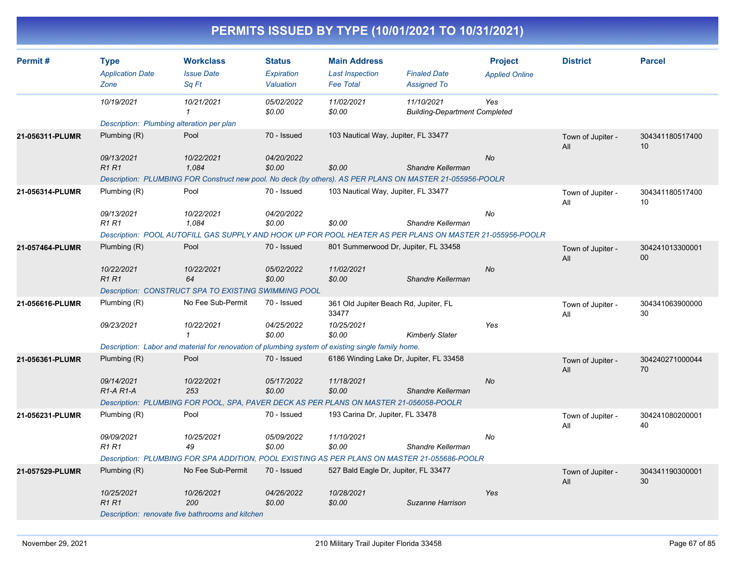| Permit#         | <b>Type</b><br><b>Application Date</b>           | <b>Workclass</b><br><b>Issue Date</b>                                                                     | <b>Status</b><br>Expiration | <b>Main Address</b><br><b>Last Inspection</b>  | <b>Finaled Date</b>                                | <b>Project</b><br><b>Applied Online</b> | <b>District</b>          | <b>Parcel</b>         |
|-----------------|--------------------------------------------------|-----------------------------------------------------------------------------------------------------------|-----------------------------|------------------------------------------------|----------------------------------------------------|-----------------------------------------|--------------------------|-----------------------|
|                 | Zone                                             | Sa Ft                                                                                                     | Valuation                   | <b>Fee Total</b>                               | <b>Assigned To</b>                                 |                                         |                          |                       |
|                 | 10/19/2021                                       | 10/21/2021<br>1                                                                                           | 05/02/2022<br>\$0.00        | 11/02/2021<br>\$0.00                           | 11/10/2021<br><b>Building-Department Completed</b> | Yes                                     |                          |                       |
|                 | Description: Plumbing alteration per plan        |                                                                                                           |                             |                                                |                                                    |                                         |                          |                       |
| 21-056311-PLUMR | Plumbing $(R)$                                   | Pool                                                                                                      | 70 - Issued                 | 103 Nautical Way, Jupiter, FL 33477            |                                                    |                                         | Town of Jupiter -<br>All | 304341180517400<br>10 |
|                 | 09/13/2021<br><b>R1R1</b>                        | 10/22/2021<br>1,084                                                                                       | 04/20/2022<br>\$0.00        | \$0.00                                         | Shandre Kellerman                                  | <b>No</b>                               |                          |                       |
|                 |                                                  | Description: PLUMBING FOR Construct new pool. No deck (by others). AS PER PLANS ON MASTER 21-055956-POOLR |                             |                                                |                                                    |                                         |                          |                       |
| 21-056314-PLUMR | Plumbing (R)                                     | Pool                                                                                                      | 70 - Issued                 | 103 Nautical Way, Jupiter, FL 33477            |                                                    |                                         | Town of Jupiter -<br>All | 304341180517400<br>10 |
|                 | 09/13/2021<br><b>R1R1</b>                        | 10/22/2021<br>1.084                                                                                       | 04/20/2022<br>\$0.00        | \$0.00                                         | Shandre Kellerman                                  | No                                      |                          |                       |
|                 |                                                  | Description: POOL AUTOFILL GAS SUPPLY AND HOOK UP FOR POOL HEATER AS PER PLANS ON MASTER 21-055956-POOLR  |                             |                                                |                                                    |                                         |                          |                       |
| 21-057464-PLUMR | Plumbing (R)                                     | Pool                                                                                                      | 70 - Issued                 | 801 Summerwood Dr, Jupiter, FL 33458           |                                                    |                                         | Town of Jupiter -<br>All | 304241013300001<br>00 |
|                 | 10/22/2021<br>R1R1                               | 10/22/2021<br>64                                                                                          | 05/02/2022<br>\$0.00        | 11/02/2021<br>\$0.00                           | Shandre Kellerman                                  | <b>No</b>                               |                          |                       |
|                 |                                                  | <b>Description: CONSTRUCT SPA TO EXISTING SWIMMING POOL</b>                                               |                             |                                                |                                                    |                                         |                          |                       |
| 21-056616-PLUMR | Plumbing (R)                                     | No Fee Sub-Permit                                                                                         | 70 - Issued                 | 361 Old Jupiter Beach Rd, Jupiter, FL<br>33477 |                                                    |                                         | Town of Jupiter -<br>All | 304341063900000<br>30 |
|                 | 09/23/2021                                       | 10/22/2021                                                                                                | 04/25/2022<br>\$0.00        | 10/25/2021<br>\$0.00                           | <b>Kimberly Slater</b>                             | Yes                                     |                          |                       |
|                 |                                                  | Description: Labor and material for renovation of plumbing system of existing single family home.         |                             |                                                |                                                    |                                         |                          |                       |
| 21-056361-PLUMR | Plumbing (R)                                     | Pool                                                                                                      | 70 - Issued                 | 6186 Winding Lake Dr, Jupiter, FL 33458        |                                                    |                                         | Town of Jupiter -<br>All | 304240271000044<br>70 |
|                 | 09/14/2021<br>R <sub>1</sub> -A <sub>R1</sub> -A | 10/22/2021<br>253                                                                                         | 05/17/2022<br>\$0.00        | 11/18/2021<br>\$0.00                           | Shandre Kellerman                                  | <b>No</b>                               |                          |                       |
|                 |                                                  | Description: PLUMBING FOR POOL, SPA, PAVER DECK AS PER PLANS ON MASTER 21-056058-POOLR                    |                             |                                                |                                                    |                                         |                          |                       |
| 21-056231-PLUMR | Plumbing (R)                                     | Pool                                                                                                      | 70 - Issued                 | 193 Carina Dr, Jupiter, FL 33478               |                                                    |                                         | Town of Jupiter -<br>All | 304241080200001<br>40 |
|                 | 09/09/2021<br><b>R1 R1</b>                       | 10/25/2021<br>49                                                                                          | 05/09/2022<br>\$0.00        | 11/10/2021<br>\$0.00                           | Shandre Kellerman                                  | No                                      |                          |                       |
|                 |                                                  | Description: PLUMBING FOR SPA ADDITION, POOL EXISTING AS PER PLANS ON MASTER 21-055686-POOLR              |                             |                                                |                                                    |                                         |                          |                       |
| 21-057529-PLUMR | Plumbing (R)                                     | No Fee Sub-Permit                                                                                         | 70 - Issued                 | 527 Bald Eagle Dr, Jupiter, FL 33477           |                                                    |                                         | Town of Jupiter -<br>All | 304341190300001<br>30 |
|                 | 10/25/2021<br><b>R1R1</b>                        | 10/26/2021<br>200<br>Description: renovate five bathrooms and kitchen                                     | 04/26/2022<br>\$0.00        | 10/28/2021<br>\$0.00                           | Suzanne Harrison                                   | Yes                                     |                          |                       |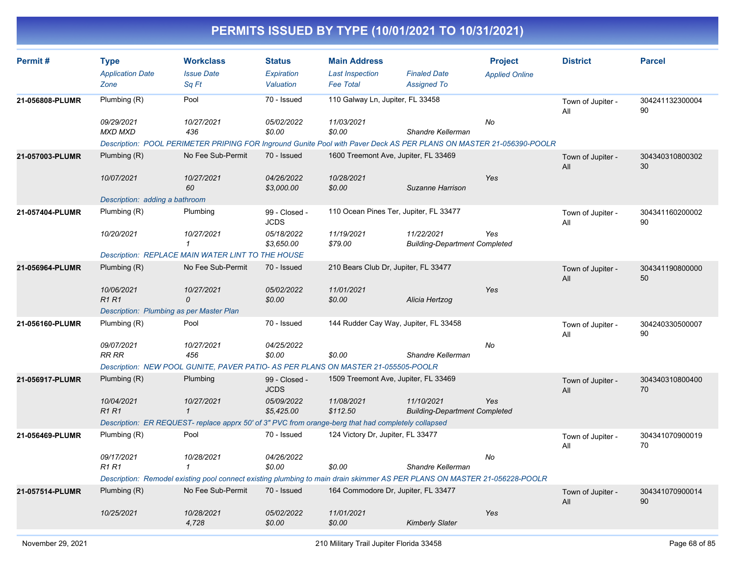| Permit#         | <b>Type</b><br><b>Application Date</b> | <b>Workclass</b><br><b>Issue Date</b>                                                                                     | <b>Status</b><br>Expiration  | <b>Main Address</b><br><b>Last Inspection</b> | <b>Finaled Date</b>                                | <b>Project</b>        | <b>District</b>          | <b>Parcel</b>         |
|-----------------|----------------------------------------|---------------------------------------------------------------------------------------------------------------------------|------------------------------|-----------------------------------------------|----------------------------------------------------|-----------------------|--------------------------|-----------------------|
|                 | Zone                                   | Sq Ft                                                                                                                     | Valuation                    | <b>Fee Total</b>                              | <b>Assigned To</b>                                 | <b>Applied Online</b> |                          |                       |
| 21-056808-PLUMR | Plumbing (R)                           | Pool                                                                                                                      | 70 - Issued                  | 110 Galway Ln, Jupiter, FL 33458              |                                                    |                       | Town of Jupiter -<br>All | 304241132300004<br>90 |
|                 | 09/29/2021<br><b>MXD MXD</b>           | 10/27/2021<br>436                                                                                                         | 05/02/2022<br>\$0.00         | 11/03/2021<br>\$0.00                          | Shandre Kellerman                                  | No                    |                          |                       |
|                 |                                        | Description: POOL PERIMETER PRIPING FOR Inground Gunite Pool with Paver Deck AS PER PLANS ON MASTER 21-056390-POOLR       |                              |                                               |                                                    |                       |                          |                       |
| 21-057003-PLUMR | Plumbing (R)                           | No Fee Sub-Permit                                                                                                         | 70 - Issued                  | 1600 Treemont Ave, Jupiter, FL 33469          |                                                    |                       | Town of Jupiter -<br>All | 304340310800302<br>30 |
|                 | 10/07/2021                             | 10/27/2021<br>60                                                                                                          | 04/26/2022<br>\$3,000.00     | 10/28/2021<br>\$0.00                          | Suzanne Harrison                                   | Yes                   |                          |                       |
|                 | Description: adding a bathroom         |                                                                                                                           |                              |                                               |                                                    |                       |                          |                       |
| 21-057404-PLUMR | Plumbing (R)                           | Plumbing                                                                                                                  | 99 - Closed -<br><b>JCDS</b> |                                               | 110 Ocean Pines Ter, Jupiter, FL 33477             |                       | Town of Jupiter -<br>All | 304341160200002<br>90 |
|                 | 10/20/2021                             | 10/27/2021<br>$\mathbf{1}$                                                                                                | 05/18/2022<br>\$3,650.00     | 11/19/2021<br>\$79.00                         | 11/22/2021<br><b>Building-Department Completed</b> | Yes                   |                          |                       |
|                 |                                        | <b>Description: REPLACE MAIN WATER LINT TO THE HOUSE</b>                                                                  |                              |                                               |                                                    |                       |                          |                       |
| 21-056964-PLUMR | Plumbing $(R)$                         | No Fee Sub-Permit                                                                                                         | 70 - Issued                  | 210 Bears Club Dr, Jupiter, FL 33477          |                                                    |                       | Town of Jupiter -<br>All | 304341190800000<br>50 |
|                 | 10/06/2021<br><b>R1R1</b>              | 10/27/2021<br>0                                                                                                           | 05/02/2022<br>\$0.00         | 11/01/2021<br>\$0.00                          | Alicia Hertzog                                     | Yes                   |                          |                       |
|                 |                                        | Description: Plumbing as per Master Plan                                                                                  |                              |                                               |                                                    |                       |                          |                       |
| 21-056160-PLUMR | Plumbing (R)                           | Pool                                                                                                                      | 70 - Issued                  |                                               | 144 Rudder Cay Way, Jupiter, FL 33458              |                       | Town of Jupiter -<br>All | 304240330500007<br>90 |
|                 | 09/07/2021<br>RR RR                    | 10/27/2021<br>456                                                                                                         | 04/25/2022<br>\$0.00         | \$0.00                                        | Shandre Kellerman                                  | No                    |                          |                       |
|                 |                                        | Description: NEW POOL GUNITE, PAVER PATIO- AS PER PLANS ON MASTER 21-055505-POOLR                                         |                              |                                               |                                                    |                       |                          |                       |
| 21-056917-PLUMR | Plumbing $(R)$                         | Plumbing                                                                                                                  | 99 - Closed -<br><b>JCDS</b> | 1509 Treemont Ave, Jupiter, FL 33469          |                                                    |                       | Town of Jupiter -<br>All | 304340310800400<br>70 |
|                 | 10/04/2021<br>R1R1                     | 10/27/2021<br>$\mathbf{1}$                                                                                                | 05/09/2022<br>\$5,425.00     | 11/08/2021<br>\$112.50                        | 11/10/2021<br><b>Building-Department Completed</b> | Yes                   |                          |                       |
|                 |                                        | Description: ER REQUEST- replace apprx 50' of 3" PVC from orange-berg that had completely collapsed                       |                              |                                               |                                                    |                       |                          |                       |
| 21-056469-PLUMR | Plumbing (R)                           | Pool                                                                                                                      | 70 - Issued                  | 124 Victory Dr, Jupiter, FL 33477             |                                                    |                       | Town of Jupiter -<br>All | 304341070900019<br>70 |
|                 | 09/17/2021<br><b>R1 R1</b>             | 10/28/2021<br>$\mathbf{1}$                                                                                                | 04/26/2022<br>\$0.00         | \$0.00                                        | Shandre Kellerman                                  | No                    |                          |                       |
|                 |                                        | Description: Remodel existing pool connect existing plumbing to main drain skimmer AS PER PLANS ON MASTER 21-056228-POOLR |                              |                                               |                                                    |                       |                          |                       |
| 21-057514-PLUMR | Plumbing $(R)$                         | No Fee Sub-Permit                                                                                                         | 70 - Issued                  | 164 Commodore Dr, Jupiter, FL 33477           |                                                    |                       | Town of Jupiter -<br>All | 304341070900014<br>90 |
|                 | 10/25/2021                             | 10/28/2021<br>4,728                                                                                                       | 05/02/2022<br>\$0.00         | 11/01/2021<br>\$0.00                          | <b>Kimberly Slater</b>                             | Yes                   |                          |                       |
|                 |                                        |                                                                                                                           |                              |                                               |                                                    |                       |                          |                       |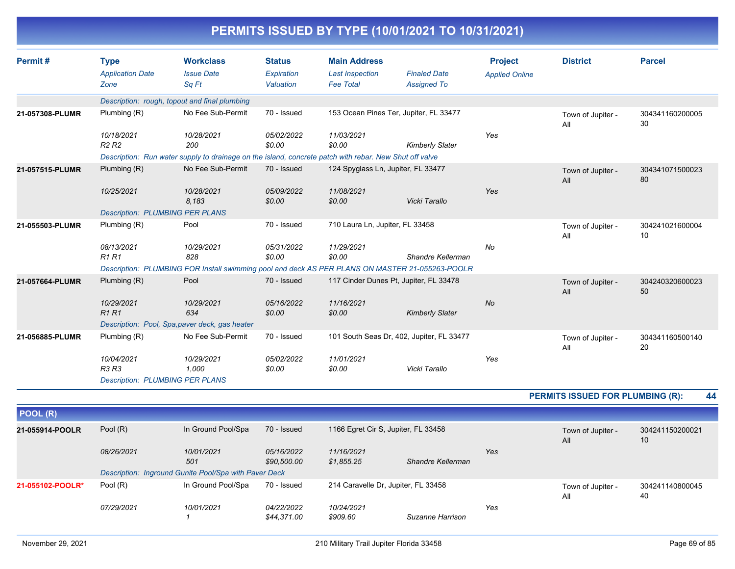|                 |                                                |                                                                                                        |                                          |                                                                   | PERMITS ISSUED BY TYPE (10/01/2021 TO 10/31/2021) |                                         |                          |                       |
|-----------------|------------------------------------------------|--------------------------------------------------------------------------------------------------------|------------------------------------------|-------------------------------------------------------------------|---------------------------------------------------|-----------------------------------------|--------------------------|-----------------------|
| Permit#         | <b>Type</b><br><b>Application Date</b><br>Zone | <b>Workclass</b><br><b>Issue Date</b><br>Sa Ft                                                         | <b>Status</b><br>Expiration<br>Valuation | <b>Main Address</b><br><b>Last Inspection</b><br><b>Fee Total</b> | <b>Finaled Date</b><br><b>Assigned To</b>         | <b>Project</b><br><b>Applied Online</b> | <b>District</b>          | <b>Parcel</b>         |
|                 |                                                | Description: rough, topout and final plumbing                                                          |                                          |                                                                   |                                                   |                                         |                          |                       |
| 21-057308-PLUMR | Plumbing (R)                                   | No Fee Sub-Permit                                                                                      | 70 - Issued                              |                                                                   | 153 Ocean Pines Ter, Jupiter, FL 33477            |                                         | Town of Jupiter -<br>All | 304341160200005<br>30 |
|                 | 10/18/2021<br>R <sub>2</sub> R <sub>2</sub>    | 10/28/2021<br>200                                                                                      | 05/02/2022<br>\$0.00                     | 11/03/2021<br>\$0.00                                              | <b>Kimberly Slater</b>                            | Yes                                     |                          |                       |
|                 |                                                | Description: Run water supply to drainage on the island, concrete patch with rebar. New Shut off valve |                                          |                                                                   |                                                   |                                         |                          |                       |
| 21-057515-PLUMR | Plumbing (R)                                   | No Fee Sub-Permit                                                                                      | 70 - Issued                              | 124 Spyglass Ln, Jupiter, FL 33477                                |                                                   |                                         | Town of Jupiter -<br>All | 304341071500023<br>80 |
|                 | 10/25/2021                                     | 10/28/2021<br>8.183                                                                                    | 05/09/2022<br>\$0.00                     | 11/08/2021<br>\$0.00                                              | Vicki Tarallo                                     | Yes                                     |                          |                       |
|                 | <b>Description: PLUMBING PER PLANS</b>         |                                                                                                        |                                          |                                                                   |                                                   |                                         |                          |                       |
| 21-055503-PLUMR | Plumbing (R)                                   | Pool                                                                                                   | 70 - Issued                              | 710 Laura Ln, Jupiter, FL 33458                                   |                                                   |                                         | Town of Jupiter -<br>All | 304241021600004<br>10 |
|                 | 08/13/2021<br><b>R1R1</b>                      | 10/29/2021<br>828                                                                                      | 05/31/2022<br>\$0.00                     | 11/29/2021<br>\$0.00                                              | Shandre Kellerman                                 | No                                      |                          |                       |
|                 |                                                | Description: PLUMBING FOR Install swimming pool and deck AS PER PLANS ON MASTER 21-055263-POOLR        |                                          |                                                                   |                                                   |                                         |                          |                       |
| 21-057664-PLUMR | Plumbing (R)                                   | Pool                                                                                                   | 70 - Issued                              | 117 Cinder Dunes Pt, Jupiter, FL 33478                            |                                                   |                                         | Town of Jupiter -<br>All | 304240320600023<br>50 |
|                 | 10/29/2021<br>R1R1                             | 10/29/2021<br>634                                                                                      | 05/16/2022<br>\$0.00                     | 11/16/2021<br>\$0.00                                              | <b>Kimberly Slater</b>                            | No                                      |                          |                       |
|                 |                                                | Description: Pool, Spa, paver deck, gas heater                                                         |                                          |                                                                   |                                                   |                                         |                          |                       |
| 21-056885-PLUMR | Plumbing (R)                                   | No Fee Sub-Permit                                                                                      | 70 - Issued                              |                                                                   | 101 South Seas Dr, 402, Jupiter, FL 33477         |                                         | Town of Jupiter -<br>All | 304341160500140<br>20 |

**PERMITS ISSUED FOR PLUMBING (R): 44**

*Yes*

| POOL (R)         |            |                                                       |                                  |                                     |                   |     |                          |                       |
|------------------|------------|-------------------------------------------------------|----------------------------------|-------------------------------------|-------------------|-----|--------------------------|-----------------------|
| 21-055914-POOLR  | Pool $(R)$ | In Ground Pool/Spa                                    | 70 - Issued                      | 1166 Egret Cir S, Jupiter, FL 33458 |                   |     | Town of Jupiter -<br>All | 304241150200021<br>10 |
|                  | 08/26/2021 | 10/01/2021<br>501                                     | 05/16/2022<br>\$90,500.00        | 11/16/2021<br>\$1,855.25            | Shandre Kellerman | Yes |                          |                       |
|                  |            | Description: Inground Gunite Pool/Spa with Paver Deck |                                  |                                     |                   |     |                          |                       |
| 21-055102-POOLR* | Pool (R)   | In Ground Pool/Spa                                    | 70 - Issued                      | 214 Caravelle Dr, Jupiter, FL 33458 |                   |     | Town of Jupiter -<br>All | 304241140800045<br>40 |
|                  | 07/29/2021 | 10/01/2021                                            | <i>04/22/2022</i><br>\$44,371.00 | 10/24/2021<br>\$909.60              | Suzanne Harrison  | Yes |                          |                       |

*10/04/2021 10/29/2021 05/02/2022 11/01/2021*

*Description: PLUMBING PER PLANS*

*R3 R3 1,000 \$0.00 \$0.00 Vicki Tarallo*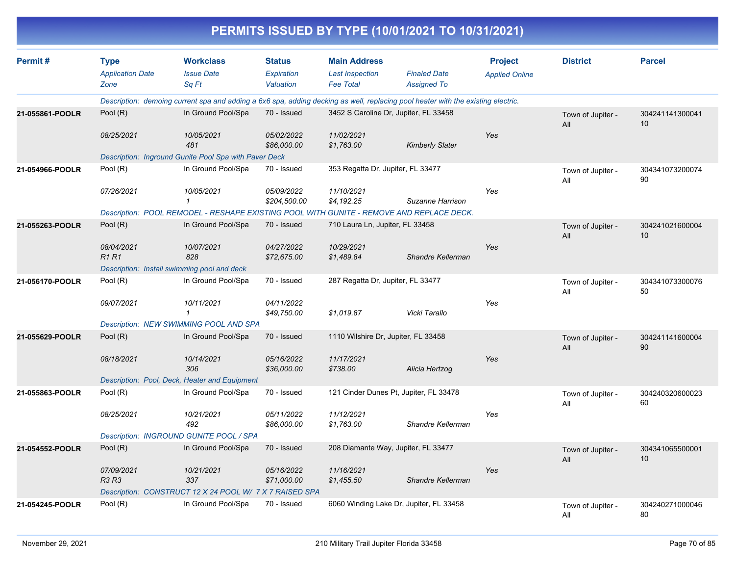| PERMITS ISSUED BY TYPE (10/01/2021 TO 10/31/2021) |                                        |                                                                                                                                  |                             |                                               |                                         |                                         |                          |                       |  |  |
|---------------------------------------------------|----------------------------------------|----------------------------------------------------------------------------------------------------------------------------------|-----------------------------|-----------------------------------------------|-----------------------------------------|-----------------------------------------|--------------------------|-----------------------|--|--|
| Permit#                                           | <b>Type</b><br><b>Application Date</b> | <b>Workclass</b><br><b>Issue Date</b>                                                                                            | <b>Status</b><br>Expiration | <b>Main Address</b><br><b>Last Inspection</b> | <b>Finaled Date</b>                     | <b>Project</b><br><b>Applied Online</b> | <b>District</b>          | <b>Parcel</b>         |  |  |
|                                                   | Zone                                   | Sq Ft                                                                                                                            | Valuation                   | <b>Fee Total</b>                              | <b>Assigned To</b>                      |                                         |                          |                       |  |  |
|                                                   |                                        | Description: demoing current spa and adding a 6x6 spa, adding decking as well, replacing pool heater with the existing electric. |                             |                                               |                                         |                                         |                          |                       |  |  |
| 21-055861-POOLR                                   | Pool (R)                               | In Ground Pool/Spa                                                                                                               | 70 - Issued                 | 3452 S Caroline Dr, Jupiter, FL 33458         |                                         |                                         | Town of Jupiter -<br>All | 304241141300041<br>10 |  |  |
|                                                   | 08/25/2021                             | 10/05/2021<br>481                                                                                                                | 05/02/2022<br>\$86,000.00   | 11/02/2021<br>\$1,763.00                      | <b>Kimberly Slater</b>                  | Yes                                     |                          |                       |  |  |
|                                                   |                                        | Description: Inground Gunite Pool Spa with Paver Deck                                                                            |                             |                                               |                                         |                                         |                          |                       |  |  |
| 21-054966-POOLR                                   | Pool (R)                               | In Ground Pool/Spa                                                                                                               | 70 - Issued                 | 353 Regatta Dr, Jupiter, FL 33477             |                                         |                                         | Town of Jupiter -<br>All | 304341073200074<br>90 |  |  |
|                                                   | 07/26/2021                             | 10/05/2021                                                                                                                       | 05/09/2022<br>\$204,500.00  | 11/10/2021<br>\$4,192.25                      | Suzanne Harrison                        | Yes                                     |                          |                       |  |  |
|                                                   |                                        | Description: POOL REMODEL - RESHAPE EXISTING POOL WITH GUNITE - REMOVE AND REPLACE DECK.                                         |                             |                                               |                                         |                                         |                          |                       |  |  |
| 21-055263-POOLR                                   | Pool $(R)$                             | In Ground Pool/Spa                                                                                                               | 70 - Issued                 | 710 Laura Ln, Jupiter, FL 33458               |                                         |                                         | Town of Jupiter -<br>All | 304241021600004<br>10 |  |  |
|                                                   | 08/04/2021<br><b>R1R1</b>              | 10/07/2021<br>828                                                                                                                | 04/27/2022<br>\$72,675.00   | 10/29/2021<br>\$1,489.84                      | Shandre Kellerman                       | Yes                                     |                          |                       |  |  |
|                                                   |                                        | Description: Install swimming pool and deck                                                                                      |                             |                                               |                                         |                                         |                          |                       |  |  |
| 21-056170-POOLR                                   | Pool (R)                               | In Ground Pool/Spa                                                                                                               | 70 - Issued                 | 287 Regatta Dr, Jupiter, FL 33477             |                                         |                                         | Town of Jupiter -<br>All | 304341073300076<br>50 |  |  |
|                                                   | 09/07/2021                             | 10/11/2021<br>1                                                                                                                  | 04/11/2022<br>\$49,750.00   | \$1,019.87                                    | Vicki Tarallo                           | Yes                                     |                          |                       |  |  |
|                                                   |                                        | <b>Description: NEW SWIMMING POOL AND SPA</b>                                                                                    |                             |                                               |                                         |                                         |                          |                       |  |  |
| 21-055629-POOLR                                   | Pool $(R)$                             | In Ground Pool/Spa                                                                                                               | 70 - Issued                 | 1110 Wilshire Dr, Jupiter, FL 33458           |                                         |                                         | Town of Jupiter -<br>All | 304241141600004<br>90 |  |  |
|                                                   | 08/18/2021                             | 10/14/2021<br>306                                                                                                                | 05/16/2022<br>\$36,000.00   | 11/17/2021<br>\$738.00                        | Alicia Hertzog                          | Yes                                     |                          |                       |  |  |
|                                                   |                                        | Description: Pool, Deck, Heater and Equipment                                                                                    |                             |                                               |                                         |                                         |                          |                       |  |  |
| 21-055863-POOLR                                   | Pool (R)                               | In Ground Pool/Spa                                                                                                               | 70 - Issued                 | 121 Cinder Dunes Pt, Jupiter, FL 33478        |                                         |                                         | Town of Jupiter -<br>All | 304240320600023<br>60 |  |  |
|                                                   | 08/25/2021                             | 10/21/2021<br>492                                                                                                                | 05/11/2022<br>\$86,000.00   | 11/12/2021<br>\$1.763.00                      | Shandre Kellerman                       | Yes                                     |                          |                       |  |  |
|                                                   |                                        | Description: INGROUND GUNITE POOL / SPA                                                                                          |                             |                                               |                                         |                                         |                          |                       |  |  |
| 21-054552-POOLR                                   | Pool (R)                               | In Ground Pool/Spa                                                                                                               | 70 - Issued                 | 208 Diamante Way, Jupiter, FL 33477           |                                         |                                         | Town of Jupiter -<br>All | 304341065500001<br>10 |  |  |
|                                                   | 07/09/2021<br>R3 R3                    | 10/21/2021<br>337                                                                                                                | 05/16/2022<br>\$71,000.00   | 11/16/2021<br>\$1,455.50                      | Shandre Kellerman                       | Yes                                     |                          |                       |  |  |
|                                                   |                                        | Description: CONSTRUCT 12 X 24 POOL W/ 7 X 7 RAISED SPA                                                                          |                             |                                               |                                         |                                         |                          |                       |  |  |
| 21-054245-POOLR                                   | Pool (R)                               | In Ground Pool/Spa                                                                                                               | 70 - Issued                 |                                               | 6060 Winding Lake Dr, Jupiter, FL 33458 |                                         | Town of Jupiter -<br>All | 304240271000046<br>80 |  |  |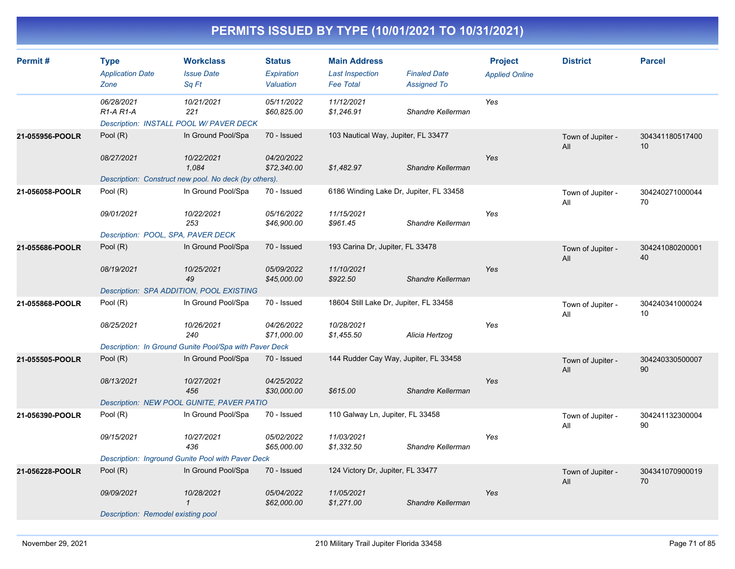| Permit#         | <b>Type</b><br><b>Application Date</b><br>Zone   | <b>Workclass</b><br><b>Issue Date</b><br>Sq Ft               | <b>Status</b><br>Expiration<br>Valuation | <b>Main Address</b><br><b>Last Inspection</b><br><b>Fee Total</b> | <b>Finaled Date</b><br><b>Assigned To</b> | <b>Project</b><br><b>Applied Online</b> | <b>District</b>          | <b>Parcel</b>         |
|-----------------|--------------------------------------------------|--------------------------------------------------------------|------------------------------------------|-------------------------------------------------------------------|-------------------------------------------|-----------------------------------------|--------------------------|-----------------------|
|                 | 06/28/2021<br>R <sub>1</sub> -A <sub>R1</sub> -A | 10/21/2021<br>221<br>Description: INSTALL POOL W/ PAVER DECK | 05/11/2022<br>\$60,825.00                | 11/12/2021<br>\$1,246.91                                          | Shandre Kellerman                         | Yes                                     |                          |                       |
| 21-055956-POOLR | Pool (R)                                         | In Ground Pool/Spa                                           | 70 - Issued                              | 103 Nautical Way, Jupiter, FL 33477                               |                                           |                                         | Town of Jupiter -<br>All | 304341180517400<br>10 |
|                 | 08/27/2021                                       | 10/22/2021<br>1.084                                          | 04/20/2022<br>\$72,340.00                | \$1,482.97                                                        | Shandre Kellerman                         | Yes                                     |                          |                       |
|                 |                                                  | Description: Construct new pool. No deck (by others).        |                                          |                                                                   |                                           |                                         |                          |                       |
| 21-056058-POOLR | Pool (R)                                         | In Ground Pool/Spa                                           | 70 - Issued                              | 6186 Winding Lake Dr, Jupiter, FL 33458                           |                                           |                                         | Town of Jupiter -<br>All | 304240271000044<br>70 |
|                 | 09/01/2021                                       | 10/22/2021<br>253                                            | 05/16/2022<br>\$46,900.00                | 11/15/2021<br>\$961.45                                            | Shandre Kellerman                         | Yes                                     |                          |                       |
|                 | Description: POOL, SPA, PAVER DECK               |                                                              |                                          |                                                                   |                                           |                                         |                          |                       |
| 21-055686-POOLR | Pool $(R)$                                       | In Ground Pool/Spa                                           | 70 - Issued                              | 193 Carina Dr, Jupiter, FL 33478                                  |                                           |                                         | Town of Jupiter -<br>All | 304241080200001<br>40 |
|                 | 08/19/2021                                       | 10/25/2021<br>49                                             | 05/09/2022<br>\$45,000.00                | 11/10/2021<br>\$922.50                                            | Shandre Kellerman                         | Yes                                     |                          |                       |
|                 |                                                  | Description: SPA ADDITION, POOL EXISTING                     |                                          |                                                                   |                                           |                                         |                          |                       |
| 21-055868-POOLR | Pool (R)                                         | In Ground Pool/Spa                                           | 70 - Issued                              | 18604 Still Lake Dr, Jupiter, FL 33458                            |                                           |                                         | Town of Jupiter -<br>All | 304240341000024<br>10 |
|                 | 08/25/2021                                       | 10/26/2021<br>240                                            | 04/26/2022<br>\$71,000.00                | 10/28/2021<br>\$1,455.50                                          | Alicia Hertzog                            | Yes                                     |                          |                       |
|                 |                                                  | Description: In Ground Gunite Pool/Spa with Paver Deck       |                                          |                                                                   |                                           |                                         |                          |                       |
| 21-055505-POOLR | Pool (R)                                         | In Ground Pool/Spa                                           | 70 - Issued                              | 144 Rudder Cay Way, Jupiter, FL 33458                             |                                           |                                         | Town of Jupiter -<br>All | 304240330500007<br>90 |
|                 | 08/13/2021                                       | 10/27/2021<br>456                                            | 04/25/2022<br>\$30,000.00                | \$615.00                                                          | Shandre Kellerman                         | Yes                                     |                          |                       |
|                 |                                                  | Description: NEW POOL GUNITE, PAVER PATIO                    |                                          |                                                                   |                                           |                                         |                          |                       |
| 21-056390-POOLR | Pool (R)                                         | In Ground Pool/Spa                                           | 70 - Issued                              | 110 Galway Ln, Jupiter, FL 33458                                  |                                           |                                         | Town of Jupiter -<br>All | 304241132300004<br>90 |
|                 | 09/15/2021                                       | 10/27/2021<br>436                                            | 05/02/2022<br>\$65,000.00                | 11/03/2021<br>\$1,332.50                                          | Shandre Kellerman                         | Yes                                     |                          |                       |
|                 |                                                  | Description: Inground Gunite Pool with Paver Deck            |                                          |                                                                   |                                           |                                         |                          |                       |
| 21-056228-POOLR | Pool $(R)$                                       | In Ground Pool/Spa                                           | 70 - Issued                              | 124 Victory Dr, Jupiter, FL 33477                                 |                                           |                                         | Town of Jupiter -<br>All | 304341070900019<br>70 |
|                 | 09/09/2021                                       | 10/28/2021<br>$\mathbf{1}$                                   | 05/04/2022<br>\$62,000.00                | 11/05/2021<br>\$1,271.00                                          | Shandre Kellerman                         | Yes                                     |                          |                       |
|                 | Description: Remodel existing pool               |                                                              |                                          |                                                                   |                                           |                                         |                          |                       |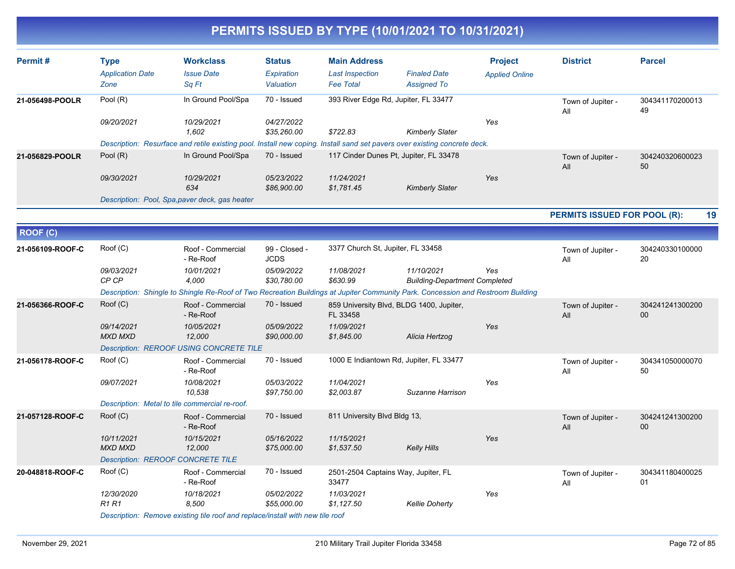| Permit#          | <b>Type</b><br><b>Application Date</b><br>Zone | <b>Workclass</b><br><b>Issue Date</b><br>Sq Ft                                | <b>Status</b><br>Expiration<br>Valuation | <b>Main Address</b><br><b>Last Inspection</b><br><b>Fee Total</b> | <b>Finaled Date</b><br><b>Assigned To</b>                                                                                       | <b>Project</b><br><b>Applied Online</b> | <b>District</b>                     | <b>Parcel</b>         |
|------------------|------------------------------------------------|-------------------------------------------------------------------------------|------------------------------------------|-------------------------------------------------------------------|---------------------------------------------------------------------------------------------------------------------------------|-----------------------------------------|-------------------------------------|-----------------------|
| 21-056498-POOLR  | Pool (R)                                       | In Ground Pool/Spa                                                            | 70 - Issued                              |                                                                   | 393 River Edge Rd, Jupiter, FL 33477                                                                                            |                                         | Town of Jupiter -<br>All            | 304341170200013<br>49 |
|                  | 09/20/2021                                     | 10/29/2021<br>1.602                                                           | 04/27/2022<br>\$35,260.00                | \$722.83                                                          | <b>Kimberly Slater</b>                                                                                                          | Yes                                     |                                     |                       |
|                  |                                                |                                                                               |                                          |                                                                   | Description: Resurface and retile existing pool. Install new coping. Install sand set pavers over existing concrete deck.       |                                         |                                     |                       |
| 21-056829-POOLR  | Pool (R)                                       | In Ground Pool/Spa                                                            | 70 - Issued                              |                                                                   | 117 Cinder Dunes Pt, Jupiter, FL 33478                                                                                          |                                         | Town of Jupiter -<br>All            | 304240320600023<br>50 |
|                  | 09/30/2021                                     | 10/29/2021<br>634                                                             | 05/23/2022<br>\$86,900.00                | 11/24/2021<br>\$1,781.45                                          | <b>Kimberly Slater</b>                                                                                                          | Yes                                     |                                     |                       |
|                  |                                                | Description: Pool, Spa, paver deck, gas heater                                |                                          |                                                                   |                                                                                                                                 |                                         |                                     |                       |
|                  |                                                |                                                                               |                                          |                                                                   |                                                                                                                                 |                                         | <b>PERMITS ISSUED FOR POOL (R):</b> | 19                    |
| <b>ROOF (C)</b>  |                                                |                                                                               |                                          |                                                                   |                                                                                                                                 |                                         |                                     |                       |
| 21-056109-ROOF-C | Roof (C)                                       | Roof - Commercial<br>- Re-Roof                                                | 99 - Closed -<br><b>JCDS</b>             | 3377 Church St, Jupiter, FL 33458                                 |                                                                                                                                 |                                         | Town of Jupiter -<br>All            | 304240330100000<br>20 |
|                  | 09/03/2021<br>CP CP                            | 10/01/2021<br>4,000                                                           | 05/09/2022<br>\$30,780.00                | 11/08/2021<br>\$630.99                                            | 11/10/2021<br><b>Building-Department Completed</b>                                                                              | Yes                                     |                                     |                       |
|                  |                                                |                                                                               |                                          |                                                                   | Description: Shingle to Shingle Re-Roof of Two Recreation Buildings at Jupiter Community Park. Concession and Restroom Building |                                         |                                     |                       |
| 21-056366-ROOF-C | Roof (C)                                       | Roof - Commercial<br>- Re-Roof                                                | 70 - Issued                              | FL 33458                                                          | 859 University Blvd, BLDG 1400, Jupiter,                                                                                        |                                         | Town of Jupiter -<br>All            | 304241241300200<br>00 |
|                  | 09/14/2021<br><b>MXD MXD</b>                   | 10/05/2021<br>12,000                                                          | 05/09/2022<br>\$90,000.00                | 11/09/2021<br>\$1,845.00                                          | Alicia Hertzog                                                                                                                  | Yes                                     |                                     |                       |
|                  |                                                | <b>Description: REROOF USING CONCRETE TILE</b>                                |                                          |                                                                   |                                                                                                                                 |                                         |                                     |                       |
| 21-056178-ROOF-C | Root(C)                                        | Roof - Commercial<br>- Re-Roof                                                | 70 - Issued                              |                                                                   | 1000 E Indiantown Rd, Jupiter, FL 33477                                                                                         |                                         | Town of Jupiter -<br>All            | 304341050000070<br>50 |
|                  | 09/07/2021                                     | 10/08/2021<br>10,538                                                          | 05/03/2022<br>\$97,750.00                | 11/04/2021<br>\$2,003.87                                          | Suzanne Harrison                                                                                                                | Yes                                     |                                     |                       |
|                  |                                                | Description: Metal to tile commercial re-roof.                                |                                          |                                                                   |                                                                                                                                 |                                         |                                     |                       |
| 21-057128-ROOF-C | Root(C)                                        | Roof - Commercial<br>- Re-Roof                                                | 70 - Issued                              | 811 University Blvd Bldg 13,                                      |                                                                                                                                 |                                         | Town of Jupiter -<br>All            | 304241241300200<br>00 |
|                  | 10/11/2021<br><b>MXD MXD</b>                   | 10/15/2021<br>12,000                                                          | 05/16/2022<br>\$75,000.00                | 11/15/2021<br>\$1,537.50                                          | <b>Kelly Hills</b>                                                                                                              | Yes                                     |                                     |                       |
|                  | <b>Description: REROOF CONCRETE TILE</b>       |                                                                               |                                          |                                                                   |                                                                                                                                 |                                         |                                     |                       |
| 20-048818-ROOF-C | Root(C)                                        | Roof - Commercial<br>- Re-Roof                                                | 70 - Issued                              | 2501-2504 Captains Way, Jupiter, FL<br>33477                      |                                                                                                                                 |                                         | Town of Jupiter -<br>All            | 304341180400025<br>01 |
|                  | 12/30/2020<br>R <sub>1</sub> R <sub>1</sub>    | 10/18/2021<br>8.500                                                           | 05/02/2022<br>\$55,000.00                | 11/03/2021<br>\$1,127.50                                          | <b>Kellie Doherty</b>                                                                                                           | Yes                                     |                                     |                       |
|                  |                                                | Description: Remove existing tile roof and replace/install with new tile roof |                                          |                                                                   |                                                                                                                                 |                                         |                                     |                       |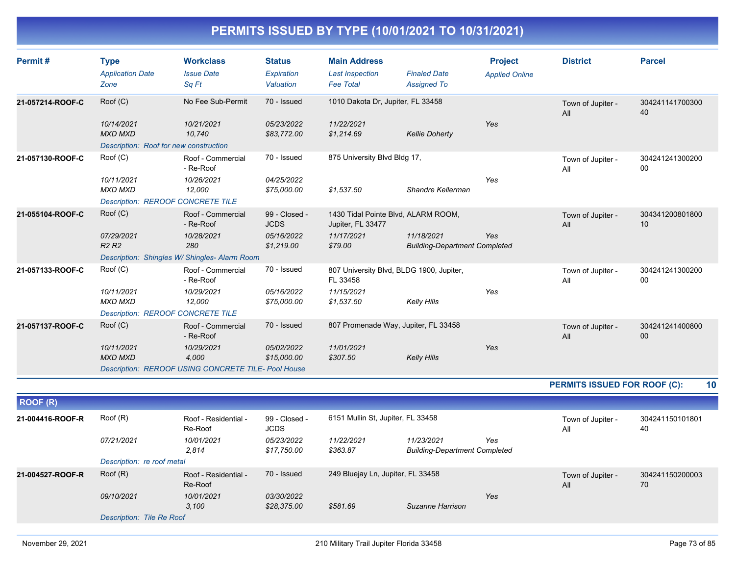| Permit#          | <b>Type</b><br><b>Application Date</b><br>Zone                         | <b>Workclass</b><br><b>Issue Date</b><br>Sq Ft                   | <b>Status</b><br>Expiration<br>Valuation | <b>Main Address</b><br><b>Last Inspection</b><br><b>Fee Total</b> | <b>Finaled Date</b><br><b>Assigned To</b>          | <b>Project</b><br><b>Applied Online</b> | <b>District</b>              | <b>Parcel</b>                      |
|------------------|------------------------------------------------------------------------|------------------------------------------------------------------|------------------------------------------|-------------------------------------------------------------------|----------------------------------------------------|-----------------------------------------|------------------------------|------------------------------------|
| 21-057214-ROOF-C | Roof (C)                                                               | No Fee Sub-Permit                                                | 70 - Issued                              | 1010 Dakota Dr, Jupiter, FL 33458                                 |                                                    |                                         | Town of Jupiter -<br>All     | 304241141700300<br>40              |
|                  | 10/14/2021<br><b>MXD MXD</b><br>Description: Roof for new construction | 10/21/2021<br>10,740                                             | 05/23/2022<br>\$83,772.00                | 11/22/2021<br>\$1,214.69                                          | <b>Kellie Doherty</b>                              | Yes                                     |                              |                                    |
| 21-057130-ROOF-C | Root(C)                                                                | Roof - Commercial<br>- Re-Roof                                   | 70 - Issued                              | 875 University Blvd Bldg 17,                                      |                                                    |                                         | Town of Jupiter -<br>All     | 304241241300200<br>$00\,$          |
|                  | 10/11/2021<br>MXD MXD<br><b>Description: REROOF CONCRETE TILE</b>      | 10/26/2021<br>12,000                                             | 04/25/2022<br>\$75,000.00                | \$1,537.50                                                        | Shandre Kellerman                                  | Yes                                     |                              |                                    |
| 21-055104-ROOF-C | Root(C)                                                                | Roof - Commercial<br>- Re-Roof                                   | 99 - Closed -<br><b>JCDS</b>             | 1430 Tidal Pointe Blvd, ALARM ROOM,<br>Jupiter, FL 33477          |                                                    |                                         | Town of Jupiter -<br>All     | 304341200801800<br>10              |
|                  | 07/29/2021<br>R <sub>2</sub> R <sub>2</sub>                            | 10/28/2021<br>280                                                | 05/16/2022<br>\$1,219.00                 | 11/17/2021<br>\$79.00                                             | 11/18/2021<br><b>Building-Department Completed</b> | Yes                                     |                              |                                    |
| 21-057133-ROOF-C | Root(C)                                                                | Description: Shingles W/Shingles-Alarm Room<br>Roof - Commercial | 70 - Issued                              | 807 University Blvd, BLDG 1900, Jupiter,                          |                                                    |                                         |                              | 304241241300200                    |
|                  |                                                                        | - Re-Roof                                                        |                                          | FL 33458                                                          |                                                    |                                         | Town of Jupiter -<br>All     | 00                                 |
|                  | 10/11/2021<br>MXD MXD                                                  | 10/29/2021<br>12,000                                             | 05/16/2022<br>\$75,000.00                | 11/15/2021<br>\$1,537.50                                          | Kelly Hills                                        | Yes                                     |                              |                                    |
|                  | <b>Description: REROOF CONCRETE TILE</b>                               |                                                                  |                                          |                                                                   |                                                    |                                         |                              |                                    |
| 21-057137-ROOF-C | Root(C)                                                                | Roof - Commercial<br>- Re-Roof                                   | 70 - Issued                              | 807 Promenade Way, Jupiter, FL 33458                              |                                                    |                                         | Town of Jupiter -<br>All     | 304241241400800<br>00 <sup>°</sup> |
|                  | 10/11/2021<br><b>MXD MXD</b>                                           | 10/29/2021<br>4,000                                              | 05/02/2022<br>\$15,000.00                | 11/01/2021<br>\$307.50                                            | <b>Kelly Hills</b>                                 | Yes                                     |                              |                                    |
|                  |                                                                        | <b>Description: REROOF USING CONCRETE TILE- Pool House</b>       |                                          |                                                                   |                                                    |                                         |                              |                                    |
|                  |                                                                        |                                                                  |                                          |                                                                   |                                                    |                                         | PERMITS ISSUED FOR ROOF (C): | 10                                 |
| <b>ROOF (R)</b>  |                                                                        |                                                                  |                                          |                                                                   |                                                    |                                         |                              |                                    |
| 21-004416-ROOF-R | Root(R)                                                                | Roof - Residential -<br>Re-Roof                                  | 99 - Closed -<br><b>JCDS</b>             | 6151 Mullin St, Jupiter, FL 33458                                 |                                                    |                                         | Town of Jupiter -<br>All     | 304241150101801<br>40              |
|                  | 07/21/2021                                                             | 10/01/2021<br>2.814                                              | 05/23/2022<br>\$17,750.00                | 11/22/2021<br>\$363.87                                            | 11/23/2021<br><b>Building-Department Completed</b> | Yes                                     |                              |                                    |
|                  | Description: re roof metal                                             |                                                                  |                                          |                                                                   |                                                    |                                         |                              |                                    |
| 21-004527-ROOF-R | Root(R)                                                                | Roof - Residential -<br>Re-Roof                                  | 70 - Issued                              | 249 Bluejay Ln, Jupiter, FL 33458                                 |                                                    |                                         | Town of Jupiter -<br>All     | 304241150200003<br>70              |
|                  | 09/10/2021                                                             | 10/01/2021<br>3.100                                              | 03/30/2022<br>\$28,375.00                | \$581.69                                                          | Suzanne Harrison                                   | Yes                                     |                              |                                    |
|                  | Description: Tile Re Roof                                              |                                                                  |                                          |                                                                   |                                                    |                                         |                              |                                    |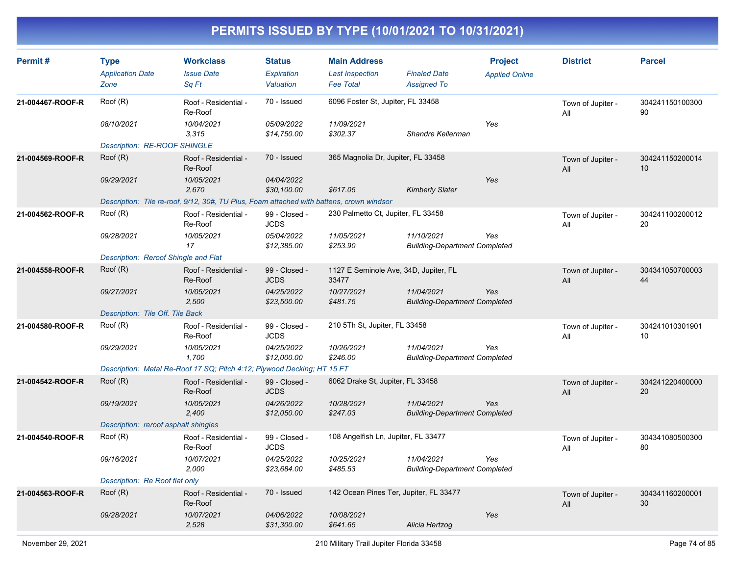| Permit#          | <b>Type</b><br><b>Application Date</b> | <b>Workclass</b><br><b>Issue Date</b>                                                    | <b>Status</b><br><b>Expiration</b> | <b>Main Address</b><br><b>Last Inspection</b>  | <b>Finaled Date</b>                                | <b>Project</b><br><b>Applied Online</b> | <b>District</b>          | <b>Parcel</b>         |
|------------------|----------------------------------------|------------------------------------------------------------------------------------------|------------------------------------|------------------------------------------------|----------------------------------------------------|-----------------------------------------|--------------------------|-----------------------|
|                  | Zone                                   | Sa Ft                                                                                    | Valuation                          | <b>Fee Total</b>                               | <b>Assigned To</b>                                 |                                         |                          |                       |
| 21-004467-ROOF-R | Roof (R)                               | Roof - Residential -<br>Re-Roof                                                          | 70 - Issued                        | 6096 Foster St, Jupiter, FL 33458              |                                                    |                                         | Town of Jupiter -<br>All | 304241150100300<br>90 |
|                  | 08/10/2021                             | 10/04/2021<br>3.315                                                                      | 05/09/2022<br>\$14,750.00          | 11/09/2021<br>\$302.37                         | Shandre Kellerman                                  | Yes                                     |                          |                       |
|                  | Description: RE-ROOF SHINGLE           |                                                                                          |                                    |                                                |                                                    |                                         |                          |                       |
| 21-004569-ROOF-R | Root(R)                                | Roof - Residential -<br>Re-Roof                                                          | 70 - Issued                        | 365 Magnolia Dr, Jupiter, FL 33458             |                                                    |                                         | Town of Jupiter -<br>All | 304241150200014<br>10 |
|                  | 09/29/2021                             | 10/05/2021<br>2,670                                                                      | 04/04/2022<br>\$30,100.00          | \$617.05                                       | <b>Kimberly Slater</b>                             | Yes                                     |                          |                       |
|                  |                                        | Description: Tile re-roof, 9/12, 30#, TU Plus, Foam attached with battens, crown windsor |                                    |                                                |                                                    |                                         |                          |                       |
| 21-004562-ROOF-R | Root(R)                                | Roof - Residential -<br>Re-Roof                                                          | 99 - Closed -<br><b>JCDS</b>       | 230 Palmetto Ct, Jupiter, FL 33458             |                                                    |                                         | Town of Jupiter -<br>All | 304241100200012<br>20 |
|                  | 09/28/2021                             | 10/05/2021<br>17                                                                         | 05/04/2022<br>\$12,385.00          | 11/05/2021<br>\$253.90                         | 11/10/2021<br><b>Building-Department Completed</b> | Yes                                     |                          |                       |
|                  | Description: Reroof Shingle and Flat   |                                                                                          |                                    |                                                |                                                    |                                         |                          |                       |
| 21-004558-ROOF-R | Root(R)                                | Roof - Residential -<br>Re-Roof                                                          | 99 - Closed -<br><b>JCDS</b>       | 1127 E Seminole Ave, 34D, Jupiter, FL<br>33477 |                                                    |                                         | Town of Jupiter -<br>All | 304341050700003<br>44 |
|                  | 09/27/2021                             | 10/05/2021<br>2,500                                                                      | 04/25/2022<br>\$23,500.00          | 10/27/2021<br>\$481.75                         | 11/04/2021<br><b>Building-Department Completed</b> | Yes                                     |                          |                       |
|                  | Description: Tile Off. Tile Back       |                                                                                          |                                    |                                                |                                                    |                                         |                          |                       |
| 21-004580-ROOF-R | Root(R)                                | Roof - Residential -<br>Re-Roof                                                          | 99 - Closed -<br><b>JCDS</b>       | 210 5Th St, Jupiter, FL 33458                  |                                                    |                                         | Town of Jupiter -<br>All | 304241010301901<br>10 |
|                  | 09/29/2021                             | 10/05/2021<br>1.700                                                                      | 04/25/2022<br>\$12,000.00          | 10/26/2021<br>\$246.00                         | 11/04/2021<br><b>Building-Department Completed</b> | Yes                                     |                          |                       |
|                  |                                        | Description: Metal Re-Roof 17 SQ; Pitch 4:12; Plywood Decking; HT 15 FT                  |                                    |                                                |                                                    |                                         |                          |                       |
| 21-004542-ROOF-R | Root(R)                                | Roof - Residential -<br>Re-Roof                                                          | 99 - Closed -<br><b>JCDS</b>       | 6062 Drake St, Jupiter, FL 33458               |                                                    |                                         | Town of Jupiter -<br>All | 304241220400000<br>20 |
|                  | 09/19/2021                             | 10/05/2021<br>2,400                                                                      | 04/26/2022<br>\$12,050.00          | 10/28/2021<br>\$247.03                         | 11/04/2021<br><b>Building-Department Completed</b> | Yes                                     |                          |                       |
|                  | Description: reroof asphalt shingles   |                                                                                          |                                    |                                                |                                                    |                                         |                          |                       |
| 21-004540-ROOF-R | Root(R)                                | Roof - Residential -<br>Re-Roof                                                          | 99 - Closed -<br><b>JCDS</b>       | 108 Angelfish Ln, Jupiter, FL 33477            |                                                    |                                         | Town of Jupiter -<br>All | 304341080500300<br>80 |
|                  | 09/16/2021                             | 10/07/2021<br>2,000                                                                      | 04/25/2022<br>\$23,684.00          | 10/25/2021<br>\$485.53                         | 11/04/2021<br><b>Building-Department Completed</b> | Yes                                     |                          |                       |
|                  | Description: Re Roof flat only         |                                                                                          |                                    |                                                |                                                    |                                         |                          |                       |
| 21-004563-ROOF-R | Roof (R)                               | Roof - Residential -<br>Re-Roof                                                          | 70 - Issued                        | 142 Ocean Pines Ter, Jupiter, FL 33477         |                                                    |                                         | Town of Jupiter -<br>All | 304341160200001<br>30 |
|                  | 09/28/2021                             | 10/07/2021<br>2,528                                                                      | 04/06/2022<br>\$31,300.00          | 10/08/2021<br>\$641.65                         | Alicia Hertzog                                     | Yes                                     |                          |                       |
|                  |                                        |                                                                                          |                                    |                                                |                                                    |                                         |                          |                       |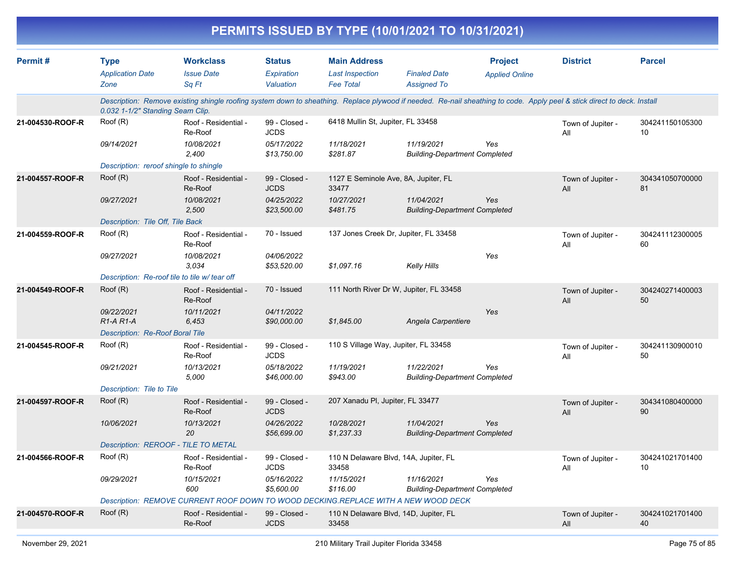|                  |                                                              |                                                                                                                                                                         |                                          | PERMITS ISSUED BY TYPE (10/01/2021 TO 10/31/2021)                 |                                                    |                                         |                          |                       |
|------------------|--------------------------------------------------------------|-------------------------------------------------------------------------------------------------------------------------------------------------------------------------|------------------------------------------|-------------------------------------------------------------------|----------------------------------------------------|-----------------------------------------|--------------------------|-----------------------|
| Permit#          | <b>Type</b><br><b>Application Date</b><br>Zone               | <b>Workclass</b><br><b>Issue Date</b><br>Sq Ft                                                                                                                          | <b>Status</b><br>Expiration<br>Valuation | <b>Main Address</b><br><b>Last Inspection</b><br><b>Fee Total</b> | <b>Finaled Date</b><br><b>Assigned To</b>          | <b>Project</b><br><b>Applied Online</b> | <b>District</b>          | <b>Parcel</b>         |
|                  | 0.032 1-1/2" Standing Seam Clip.                             | Description: Remove existing shingle roofing system down to sheathing. Replace plywood if needed. Re-nail sheathing to code. Apply peel & stick direct to deck. Install |                                          |                                                                   |                                                    |                                         |                          |                       |
| 21-004530-ROOF-R | Roof (R)                                                     | Roof - Residential -<br>Re-Roof                                                                                                                                         | 99 - Closed -<br><b>JCDS</b>             | 6418 Mullin St, Jupiter, FL 33458                                 |                                                    |                                         | Town of Jupiter -<br>All | 304241150105300<br>10 |
|                  | 09/14/2021                                                   | 10/08/2021<br>2,400                                                                                                                                                     | 05/17/2022<br>\$13,750.00                | 11/18/2021<br>\$281.87                                            | 11/19/2021<br><b>Building-Department Completed</b> | Yes                                     |                          |                       |
|                  | Description: reroof shingle to shingle                       |                                                                                                                                                                         |                                          |                                                                   |                                                    |                                         |                          |                       |
| 21-004557-ROOF-R | Root(R)                                                      | Roof - Residential -<br>Re-Roof                                                                                                                                         | 99 - Closed -<br><b>JCDS</b>             | 1127 E Seminole Ave, 8A, Jupiter, FL<br>33477                     |                                                    |                                         | Town of Jupiter -<br>All | 304341050700000<br>81 |
|                  | 09/27/2021                                                   | 10/08/2021<br>2,500                                                                                                                                                     | 04/25/2022<br>\$23,500.00                | 10/27/2021<br>\$481.75                                            | 11/04/2021<br><b>Building-Department Completed</b> | Yes                                     |                          |                       |
|                  | Description: Tile Off, Tile Back                             |                                                                                                                                                                         |                                          |                                                                   |                                                    |                                         |                          |                       |
| 21-004559-ROOF-R | Roof (R)                                                     | Roof - Residential -<br>Re-Roof                                                                                                                                         | 70 - Issued                              | 137 Jones Creek Dr, Jupiter, FL 33458                             |                                                    |                                         | Town of Jupiter -<br>All | 304241112300005<br>60 |
|                  | 09/27/2021                                                   | 10/08/2021<br>3.034                                                                                                                                                     | 04/06/2022<br>\$53,520.00                | \$1,097.16                                                        | Kelly Hills                                        | Yes                                     |                          |                       |
|                  | Description: Re-roof tile to tile w/ tear off                |                                                                                                                                                                         |                                          |                                                                   |                                                    |                                         |                          |                       |
| 21-004549-ROOF-R | Roof (R)                                                     | Roof - Residential -<br>Re-Roof                                                                                                                                         | 70 - Issued                              | 111 North River Dr W, Jupiter, FL 33458                           |                                                    |                                         | Town of Jupiter -<br>All | 304240271400003<br>50 |
|                  | 09/22/2021<br>$R1-A R1-A$<br>Description: Re-Roof Boral Tile | 10/11/2021<br>6,453                                                                                                                                                     | 04/11/2022<br>\$90,000.00                | \$1,845.00                                                        | Angela Carpentiere                                 | Yes                                     |                          |                       |
| 21-004545-ROOF-R | Roof (R)                                                     | Roof - Residential -<br>Re-Roof                                                                                                                                         | 99 - Closed -<br><b>JCDS</b>             | 110 S Village Way, Jupiter, FL 33458                              |                                                    |                                         | Town of Jupiter -<br>All | 304241130900010<br>50 |
|                  | 09/21/2021                                                   | 10/13/2021<br>5,000                                                                                                                                                     | 05/18/2022<br>\$46,000.00                | 11/19/2021<br>\$943.00                                            | 11/22/2021<br><b>Building-Department Completed</b> | Yes                                     |                          |                       |
|                  | Description: Tile to Tile                                    |                                                                                                                                                                         |                                          |                                                                   |                                                    |                                         |                          |                       |
| 21-004597-ROOF-R | Root(R)                                                      | Roof - Residential -<br>Re-Roof                                                                                                                                         | 99 - Closed -<br><b>JCDS</b>             | 207 Xanadu PI, Jupiter, FL 33477                                  |                                                    |                                         | Town of Jupiter -<br>All | 304341080400000<br>90 |
|                  | 10/06/2021                                                   | 10/13/2021<br>20                                                                                                                                                        | 04/26/2022<br>\$56,699.00                | 10/28/2021<br>\$1,237.33                                          | 11/04/2021<br><b>Building-Department Completed</b> | Yes                                     |                          |                       |
|                  |                                                              | Description: REROOF - TILE TO METAL                                                                                                                                     |                                          |                                                                   |                                                    |                                         |                          |                       |
| 21-004566-ROOF-R | Root(R)                                                      | Roof - Residential -<br>Re-Roof                                                                                                                                         | 99 - Closed -<br><b>JCDS</b>             | 110 N Delaware Blvd, 14A, Jupiter, FL<br>33458                    |                                                    |                                         | Town of Jupiter -<br>All | 304241021701400<br>10 |
|                  | 09/29/2021                                                   | 10/15/2021<br>600                                                                                                                                                       | 05/16/2022<br>\$5,600.00                 | 11/15/2021<br>\$116.00                                            | 11/16/2021<br><b>Building-Department Completed</b> | Yes                                     |                          |                       |
|                  |                                                              | Description: REMOVE CURRENT ROOF DOWN TO WOOD DECKING.REPLACE WITH A NEW WOOD DECK                                                                                      |                                          |                                                                   |                                                    |                                         |                          |                       |
| 21-004570-ROOF-R | Root(R)                                                      | Roof - Residential -<br>Re-Roof                                                                                                                                         | 99 - Closed -<br><b>JCDS</b>             | 110 N Delaware Blvd, 14D, Jupiter, FL<br>33458                    |                                                    |                                         | Town of Jupiter -<br>All | 304241021701400<br>40 |
|                  |                                                              |                                                                                                                                                                         |                                          |                                                                   |                                                    |                                         |                          |                       |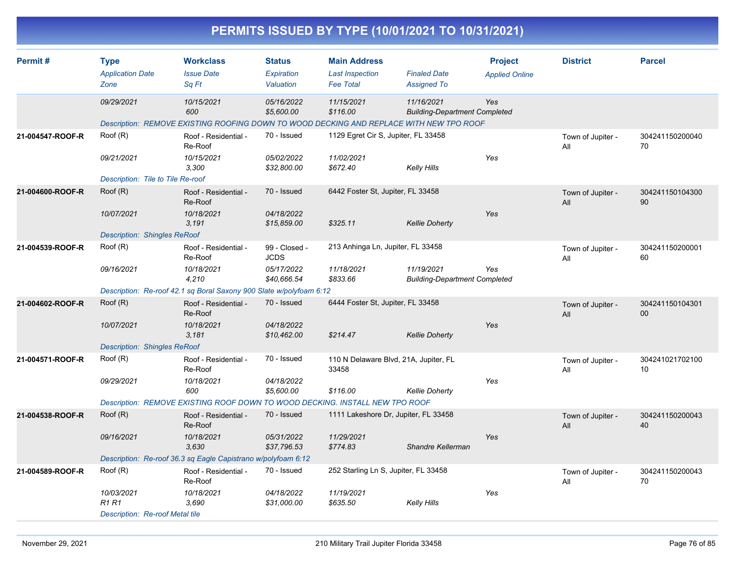|                  |                                                                          |                                                                                                                                      |                                                           |                                                                   | PERMITS ISSUED BY TYPE (10/01/2021 TO 10/31/2021)              |                                         |                          |                       |
|------------------|--------------------------------------------------------------------------|--------------------------------------------------------------------------------------------------------------------------------------|-----------------------------------------------------------|-------------------------------------------------------------------|----------------------------------------------------------------|-----------------------------------------|--------------------------|-----------------------|
| Permit#          | <b>Type</b><br><b>Application Date</b><br>Zone                           | <b>Workclass</b><br><b>Issue Date</b><br>Sq Ft                                                                                       | <b>Status</b><br>Expiration<br>Valuation                  | <b>Main Address</b><br><b>Last Inspection</b><br><b>Fee Total</b> | <b>Finaled Date</b><br><b>Assigned To</b>                      | <b>Project</b><br><b>Applied Online</b> | <b>District</b>          | <b>Parcel</b>         |
|                  | 09/29/2021                                                               | 10/15/2021<br>600<br>Description: REMOVE EXISTING ROOFING DOWN TO WOOD DECKING AND REPLACE WITH NEW TPO ROOF                         | 05/16/2022<br>\$5,600.00                                  | 11/15/2021<br>\$116.00                                            | 11/16/2021<br><b>Building-Department Completed</b>             | Yes                                     |                          |                       |
| 21-004547-ROOF-R | Roof (R)<br>09/21/2021<br>Description: Tile to Tile Re-roof              | Roof - Residential -<br>Re-Roof<br>10/15/2021<br>3,300                                                                               | 70 - Issued<br>05/02/2022<br>\$32,800.00                  | 1129 Egret Cir S, Jupiter, FL 33458<br>11/02/2021<br>\$672.40     | <b>Kelly Hills</b>                                             | Yes                                     | Town of Jupiter -<br>All | 304241150200040<br>70 |
| 21-004600-ROOF-R | Root(R)<br>10/07/2021<br><b>Description: Shingles ReRoof</b>             | Roof - Residential -<br>Re-Roof<br>10/18/2021<br>3,191                                                                               | 70 - Issued<br>04/18/2022<br>\$15,859.00                  | 6442 Foster St, Jupiter, FL 33458<br>\$325.11                     | <b>Kellie Doherty</b>                                          | Yes                                     | Town of Jupiter -<br>All | 304241150104300<br>90 |
| 21-004539-ROOF-R | Root(R)<br>09/16/2021                                                    | Roof - Residential -<br>Re-Roof<br>10/18/2021<br>4,210<br>Description: Re-roof 42.1 sq Boral Saxony 900 Slate w/polyfoam 6:12        | 99 - Closed -<br><b>JCDS</b><br>05/17/2022<br>\$40,666.54 | 213 Anhinga Ln, Jupiter, FL 33458<br>11/18/2021<br>\$833.66       | 11/19/2021<br><b>Building-Department Completed</b>             | Yes                                     | Town of Jupiter -<br>All | 304241150200001<br>60 |
| 21-004602-ROOF-R | Root(R)<br>10/07/2021<br><b>Description: Shingles ReRoof</b>             | Roof - Residential -<br>Re-Roof<br>10/18/2021<br>3,181                                                                               | 70 - Issued<br>04/18/2022<br>\$10,462.00                  | 6444 Foster St, Jupiter, FL 33458<br>\$214.47                     | <b>Kellie Doherty</b>                                          | Yes                                     | Town of Jupiter -<br>All | 304241150104301<br>00 |
| 21-004571-ROOF-R | Root(R)<br>09/29/2021                                                    | Roof - Residential -<br>Re-Roof<br>10/18/2021<br>600<br>Description: REMOVE EXISTING ROOF DOWN TO WOOD DECKING. INSTALL NEW TPO ROOF | 70 - Issued<br>04/18/2022<br>\$5,600.00                   | 33458<br>\$116.00                                                 | 110 N Delaware Blvd, 21A, Jupiter, FL<br><b>Kellie Doherty</b> | Yes                                     | Town of Jupiter -<br>All | 304241021702100<br>10 |
| 21-004538-ROOF-R | Root(R)<br>09/16/2021                                                    | Roof - Residential -<br>Re-Roof<br>10/18/2021<br>3,630<br>Description: Re-roof 36.3 sq Eagle Capistrano w/polyfoam 6:12              | 70 - Issued<br>05/31/2022<br>\$37,796.53                  | 11/29/2021<br>\$774.83                                            | 1111 Lakeshore Dr, Jupiter, FL 33458<br>Shandre Kellerman      | Yes                                     | Town of Jupiter -<br>All | 304241150200043<br>40 |
| 21-004589-ROOF-R | Root(R)<br>10/03/2021<br>R1 R1<br><b>Description: Re-roof Metal tile</b> | Roof - Residential -<br>Re-Roof<br>10/18/2021<br>3,690                                                                               | 70 - Issued<br>04/18/2022<br>\$31,000.00                  | 252 Starling Ln S, Jupiter, FL 33458<br>11/19/2021<br>\$635.50    | <b>Kelly Hills</b>                                             | Yes                                     | Town of Jupiter -<br>All | 304241150200043<br>70 |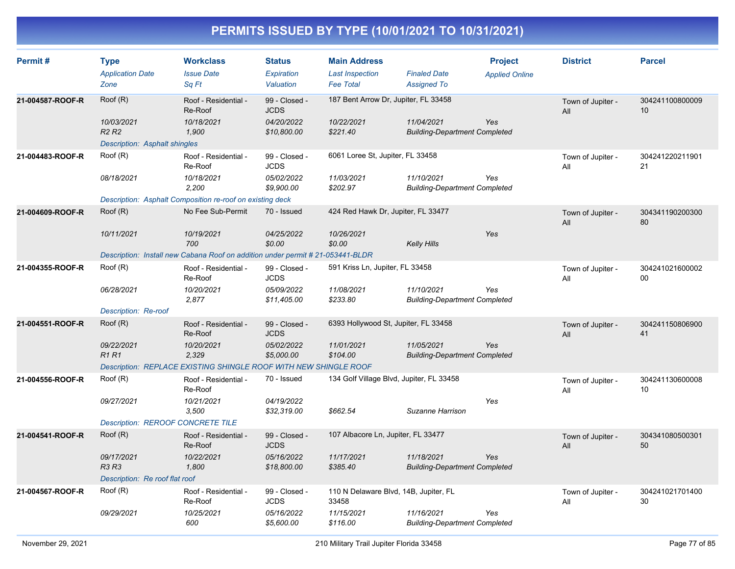| Permit#          | <b>Type</b><br><b>Application Date</b><br>Zone | <b>Workclass</b><br><b>Issue Date</b><br>Sq Ft                                 | <b>Status</b><br>Expiration<br>Valuation | <b>Main Address</b><br><b>Last Inspection</b><br><b>Fee Total</b> | <b>Finaled Date</b><br><b>Assigned To</b>          | <b>Project</b><br><b>Applied Online</b> | <b>District</b>          | <b>Parcel</b>         |
|------------------|------------------------------------------------|--------------------------------------------------------------------------------|------------------------------------------|-------------------------------------------------------------------|----------------------------------------------------|-----------------------------------------|--------------------------|-----------------------|
| 21-004587-ROOF-R | Root(R)                                        | Roof - Residential -<br>Re-Roof                                                | 99 - Closed -<br><b>JCDS</b>             | 187 Bent Arrow Dr, Jupiter, FL 33458                              |                                                    |                                         | Town of Jupiter -<br>All | 304241100800009<br>10 |
|                  | 10/03/2021<br>R <sub>2</sub> R <sub>2</sub>    | 10/18/2021<br>1,900                                                            | 04/20/2022<br>\$10,800.00                | 10/22/2021<br>\$221.40                                            | 11/04/2021<br><b>Building-Department Completed</b> | Yes                                     |                          |                       |
| 21-004483-ROOF-R | Description: Asphalt shingles<br>Root(R)       | Roof - Residential -                                                           | 99 - Closed -                            | 6061 Loree St, Jupiter, FL 33458                                  |                                                    |                                         |                          | 304241220211901       |
|                  |                                                | Re-Roof                                                                        | <b>JCDS</b>                              |                                                                   |                                                    |                                         | Town of Jupiter -<br>All | 21                    |
|                  | 08/18/2021                                     | 10/18/2021<br>2,200                                                            | 05/02/2022<br>\$9,900.00                 | 11/03/2021<br>\$202.97                                            | 11/10/2021<br><b>Building-Department Completed</b> | Yes                                     |                          |                       |
|                  |                                                | Description: Asphalt Composition re-roof on existing deck                      |                                          |                                                                   |                                                    |                                         |                          |                       |
| 21-004609-ROOF-R | Root(R)                                        | No Fee Sub-Permit                                                              | 70 - Issued                              | 424 Red Hawk Dr, Jupiter, FL 33477                                |                                                    |                                         | Town of Jupiter -<br>All | 304341190200300<br>80 |
|                  | 10/11/2021                                     | 10/19/2021<br>700                                                              | 04/25/2022<br>\$0.00                     | 10/26/2021<br>\$0.00                                              | <b>Kelly Hills</b>                                 | Yes                                     |                          |                       |
|                  |                                                | Description: Install new Cabana Roof on addition under permit # 21-053441-BLDR |                                          |                                                                   |                                                    |                                         |                          |                       |
| 21-004355-ROOF-R | Root(R)                                        | Roof - Residential -<br>Re-Roof                                                | 99 - Closed -<br><b>JCDS</b>             | 591 Kriss Ln, Jupiter, FL 33458                                   |                                                    |                                         | Town of Jupiter -<br>All | 304241021600002<br>00 |
|                  | 06/28/2021                                     | 10/20/2021<br>2,877                                                            | 05/09/2022<br>\$11,405.00                | 11/08/2021<br>\$233.80                                            | 11/10/2021<br><b>Building-Department Completed</b> | Yes                                     |                          |                       |
|                  | Description: Re-roof                           |                                                                                |                                          |                                                                   |                                                    |                                         |                          |                       |
| 21-004551-ROOF-R | Roof (R)                                       | Roof - Residential -<br>Re-Roof                                                | 99 - Closed -<br><b>JCDS</b>             | 6393 Hollywood St, Jupiter, FL 33458                              |                                                    |                                         | Town of Jupiter -<br>All | 304241150806900<br>41 |
|                  | 09/22/2021<br><b>R1R1</b>                      | 10/20/2021<br>2,329                                                            | 05/02/2022<br>\$5,000.00                 | 11/01/2021<br>\$104.00                                            | 11/05/2021<br><b>Building-Department Completed</b> | Yes                                     |                          |                       |
|                  |                                                | Description: REPLACE EXISTING SHINGLE ROOF WITH NEW SHINGLE ROOF               |                                          |                                                                   |                                                    |                                         |                          |                       |
| 21-004556-ROOF-R | Root(R)                                        | Roof - Residential -<br>Re-Roof                                                | 70 - Issued                              | 134 Golf Village Blvd, Jupiter, FL 33458                          |                                                    |                                         | Town of Jupiter -<br>All | 304241130600008<br>10 |
|                  | 09/27/2021                                     | 10/21/2021<br>3,500                                                            | 04/19/2022<br>\$32,319.00                | \$662.54                                                          | Suzanne Harrison                                   | Yes                                     |                          |                       |
|                  | <b>Description: REROOF CONCRETE TILE</b>       |                                                                                |                                          |                                                                   |                                                    |                                         |                          |                       |
| 21-004541-ROOF-R | Root(R)                                        | Roof - Residential -<br>Re-Roof                                                | 99 - Closed -<br><b>JCDS</b>             | 107 Albacore Ln, Jupiter, FL 33477                                |                                                    |                                         | Town of Jupiter -<br>All | 304341080500301<br>50 |
|                  | 09/17/2021<br><b>R3 R3</b>                     | 10/22/2021<br>1,800                                                            | 05/16/2022<br>\$18,800.00                | 11/17/2021<br>\$385.40                                            | 11/18/2021<br><b>Building-Department Completed</b> | Yes                                     |                          |                       |
|                  | Description: Re roof flat roof                 |                                                                                |                                          |                                                                   |                                                    |                                         |                          |                       |
| 21-004567-ROOF-R | Root(R)                                        | Roof - Residential -<br>Re-Roof                                                | 99 - Closed -<br><b>JCDS</b>             | 110 N Delaware Blvd, 14B, Jupiter, FL<br>33458                    |                                                    |                                         | Town of Jupiter -<br>All | 304241021701400<br>30 |
|                  | 09/29/2021                                     | 10/25/2021<br>600                                                              | 05/16/2022<br>\$5,600.00                 | 11/15/2021<br>\$116.00                                            | 11/16/2021<br><b>Building-Department Completed</b> | Yes                                     |                          |                       |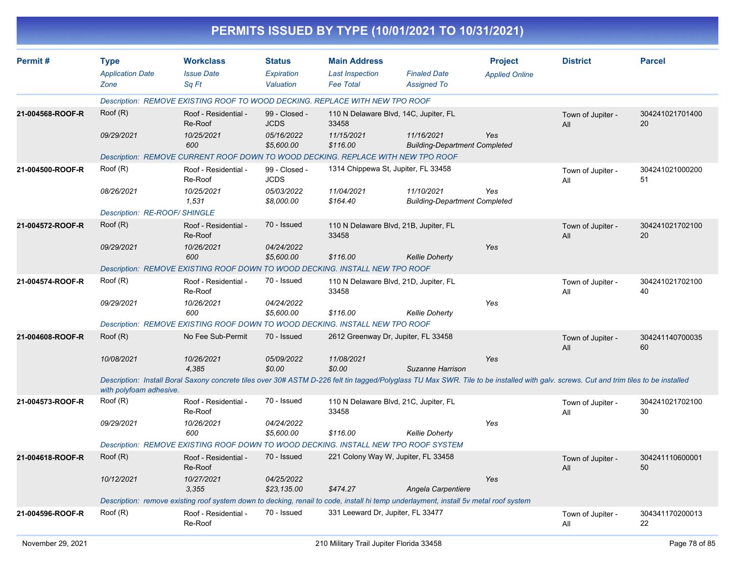|                  |                                                |                                                                                                                                                                                       |                                          |                                                                   | PERMITS ISSUED BY TYPE (10/01/2021 TO 10/31/2021)  |                                         |                          |                       |
|------------------|------------------------------------------------|---------------------------------------------------------------------------------------------------------------------------------------------------------------------------------------|------------------------------------------|-------------------------------------------------------------------|----------------------------------------------------|-----------------------------------------|--------------------------|-----------------------|
| Permit#          | <b>Type</b><br><b>Application Date</b><br>Zone | <b>Workclass</b><br><b>Issue Date</b><br>Sq Ft                                                                                                                                        | <b>Status</b><br>Expiration<br>Valuation | <b>Main Address</b><br><b>Last Inspection</b><br><b>Fee Total</b> | <b>Finaled Date</b><br><b>Assigned To</b>          | <b>Project</b><br><b>Applied Online</b> | <b>District</b>          | <b>Parcel</b>         |
|                  |                                                | Description: REMOVE EXISTING ROOF TO WOOD DECKING. REPLACE WITH NEW TPO ROOF                                                                                                          |                                          |                                                                   |                                                    |                                         |                          |                       |
| 21-004568-ROOF-R | Root(R)                                        | Roof - Residential -<br>Re-Roof                                                                                                                                                       | 99 - Closed -<br><b>JCDS</b>             | 33458                                                             | 110 N Delaware Blvd, 14C, Jupiter, FL              |                                         | Town of Jupiter -<br>All | 304241021701400<br>20 |
|                  | 09/29/2021                                     | 10/25/2021<br>600                                                                                                                                                                     | 05/16/2022<br>\$5,600.00                 | 11/15/2021<br>\$116.00                                            | 11/16/2021<br><b>Building-Department Completed</b> | Yes                                     |                          |                       |
|                  |                                                | Description: REMOVE CURRENT ROOF DOWN TO WOOD DECKING. REPLACE WITH NEW TPO ROOF                                                                                                      |                                          |                                                                   |                                                    |                                         |                          |                       |
| 21-004500-ROOF-R | Root(R)                                        | Roof - Residential -<br>Re-Roof                                                                                                                                                       | 99 - Closed -<br><b>JCDS</b>             | 1314 Chippewa St, Jupiter, FL 33458                               |                                                    |                                         | Town of Jupiter -<br>All | 304241021000200<br>51 |
|                  | 08/26/2021                                     | 10/25/2021<br>1,531                                                                                                                                                                   | 05/03/2022<br>\$8,000.00                 | 11/04/2021<br>\$164.40                                            | 11/10/2021<br><b>Building-Department Completed</b> | Yes                                     |                          |                       |
|                  | Description: RE-ROOF/ SHINGLE                  |                                                                                                                                                                                       |                                          |                                                                   |                                                    |                                         |                          |                       |
| 21-004572-ROOF-R | Root(R)                                        | Roof - Residential -<br>Re-Roof                                                                                                                                                       | 70 - Issued                              | 33458                                                             | 110 N Delaware Blvd, 21B, Jupiter, FL              |                                         | Town of Jupiter -<br>All | 304241021702100<br>20 |
|                  | 09/29/2021                                     | 10/26/2021<br>600                                                                                                                                                                     | 04/24/2022<br>\$5,600.00                 | \$116.00                                                          | <b>Kellie Doherty</b>                              | Yes                                     |                          |                       |
|                  |                                                | Description: REMOVE EXISTING ROOF DOWN TO WOOD DECKING. INSTALL NEW TPO ROOF                                                                                                          |                                          |                                                                   |                                                    |                                         |                          |                       |
| 21-004574-ROOF-R | Root(R)                                        | Roof - Residential -<br>Re-Roof                                                                                                                                                       | 70 - Issued                              | 33458                                                             | 110 N Delaware Blvd, 21D, Jupiter, FL              |                                         | Town of Jupiter -<br>All | 304241021702100<br>40 |
|                  | 09/29/2021                                     | 10/26/2021<br>600                                                                                                                                                                     | 04/24/2022<br>\$5,600.00                 | \$116.00                                                          | <b>Kellie Doherty</b>                              | Yes                                     |                          |                       |
|                  |                                                | Description: REMOVE EXISTING ROOF DOWN TO WOOD DECKING. INSTALL NEW TPO ROOF                                                                                                          |                                          |                                                                   |                                                    |                                         |                          |                       |
| 21-004608-ROOF-R | Root(R)                                        | No Fee Sub-Permit                                                                                                                                                                     | 70 - Issued                              |                                                                   | 2612 Greenway Dr, Jupiter, FL 33458                |                                         | Town of Jupiter -<br>All | 304241140700035<br>60 |
|                  | 10/08/2021                                     | 10/26/2021<br>4,385                                                                                                                                                                   | 05/09/2022<br>\$0.00                     | 11/08/2021<br>\$0.00                                              | Suzanne Harrison                                   | Yes                                     |                          |                       |
|                  | with polyfoam adhesive.                        | Description: Install Boral Saxony concrete tiles over 30# ASTM D-226 felt tin tagged/Polyglass TU Max SWR. Tile to be installed with galv. screws. Cut and trim tiles to be installed |                                          |                                                                   |                                                    |                                         |                          |                       |
| 21-004573-ROOF-R | Root(R)                                        | Roof - Residential -<br>Re-Roof                                                                                                                                                       | 70 - Issued                              | 33458                                                             | 110 N Delaware Blvd, 21C, Jupiter, FL              |                                         | Town of Jupiter -<br>All | 304241021702100<br>30 |
|                  | 09/29/2021                                     | 10/26/2021<br>600                                                                                                                                                                     | 04/24/2022<br>\$5,600.00                 | \$116.00                                                          | <b>Kellie Doherty</b>                              | Yes                                     |                          |                       |
|                  |                                                | Description: REMOVE EXISTING ROOF DOWN TO WOOD DECKING. INSTALL NEW TPO ROOF SYSTEM                                                                                                   |                                          |                                                                   |                                                    |                                         |                          |                       |
| 21-004618-ROOF-R | Root(R)                                        | Roof - Residential -<br>Re-Roof                                                                                                                                                       | 70 - Issued                              |                                                                   | 221 Colony Way W, Jupiter, FL 33458                |                                         | Town of Jupiter -<br>All | 304241110600001<br>50 |
|                  | 10/12/2021                                     | 10/27/2021<br>3,355                                                                                                                                                                   | 04/25/2022<br>\$23,135.00                | \$474.27                                                          | Angela Carpentiere                                 | Yes                                     |                          |                       |
|                  |                                                | Description: remove existing roof system down to decking, renail to code, install hi temp underlayment, install 5v metal roof system                                                  |                                          |                                                                   |                                                    |                                         |                          |                       |
| 21-004596-ROOF-R | Root(R)                                        | Roof - Residential -<br>Re-Roof                                                                                                                                                       | 70 - Issued                              | 331 Leeward Dr, Jupiter, FL 33477                                 |                                                    |                                         | Town of Jupiter -<br>All | 304341170200013<br>22 |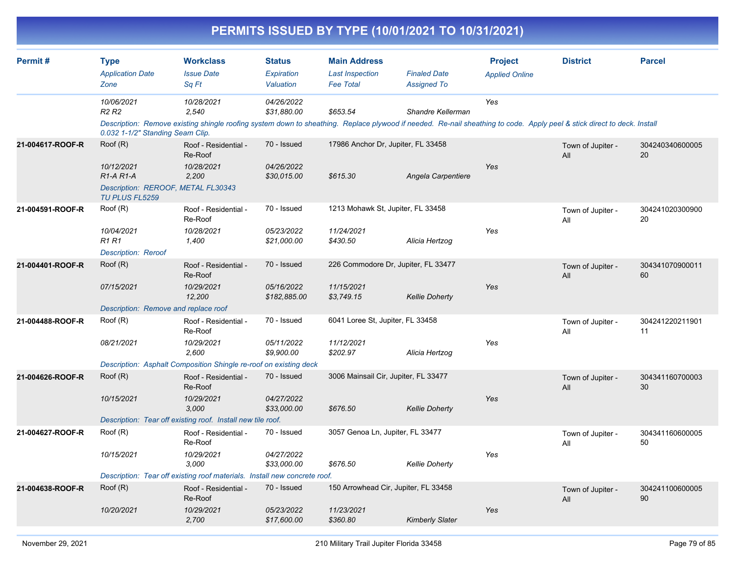|                  |                                                                                                                 |                                                                                                                                                                                                |                                           |                                                                   | PERMITS ISSUED BY TYPE (10/01/2021 TO 10/31/2021) |                                         |                          |                       |
|------------------|-----------------------------------------------------------------------------------------------------------------|------------------------------------------------------------------------------------------------------------------------------------------------------------------------------------------------|-------------------------------------------|-------------------------------------------------------------------|---------------------------------------------------|-----------------------------------------|--------------------------|-----------------------|
| Permit#          | <b>Type</b><br><b>Application Date</b><br>Zone                                                                  | <b>Workclass</b><br><b>Issue Date</b><br>Sq Ft                                                                                                                                                 | <b>Status</b><br>Expiration<br>Valuation  | <b>Main Address</b><br><b>Last Inspection</b><br><b>Fee Total</b> | <b>Finaled Date</b><br><b>Assigned To</b>         | <b>Project</b><br><b>Applied Online</b> | <b>District</b>          | <b>Parcel</b>         |
|                  | 10/06/2021<br>R <sub>2</sub> R <sub>2</sub>                                                                     | 10/28/2021<br>2,540<br>Description: Remove existing shingle roofing system down to sheathing. Replace plywood if needed. Re-nail sheathing to code. Apply peel & stick direct to deck. Install | 04/26/2022<br>\$31,880.00                 | \$653.54                                                          | Shandre Kellerman                                 | Yes                                     |                          |                       |
| 21-004617-ROOF-R | 0.032 1-1/2" Standing Seam Clip.<br>Roof (R)<br>10/12/2021<br>$R1-A R1-A$<br>Description: REROOF, METAL FL30343 | Roof - Residential -<br>Re-Roof<br>10/28/2021<br>2,200                                                                                                                                         | 70 - Issued<br>04/26/2022<br>\$30,015.00  | 17986 Anchor Dr, Jupiter, FL 33458<br>\$615.30                    | Angela Carpentiere                                | Yes                                     | Town of Jupiter -<br>All | 304240340600005<br>20 |
| 21-004591-ROOF-R | TU PLUS FL5259<br>Roof (R)<br>10/04/2021<br><b>R1 R1</b><br><b>Description: Reroof</b>                          | Roof - Residential -<br>Re-Roof<br>10/28/2021<br>1,400                                                                                                                                         | 70 - Issued<br>05/23/2022<br>\$21,000.00  | 1213 Mohawk St, Jupiter, FL 33458<br>11/24/2021<br>\$430.50       | Alicia Hertzog                                    | Yes                                     | Town of Jupiter -<br>All | 304241020300900<br>20 |
| 21-004401-ROOF-R | Root(R)<br>07/15/2021<br>Description: Remove and replace roof                                                   | Roof - Residential -<br>Re-Roof<br>10/29/2021<br>12,200                                                                                                                                        | 70 - Issued<br>05/16/2022<br>\$182,885.00 | 226 Commodore Dr, Jupiter, FL 33477<br>11/15/2021<br>\$3,749.15   | <b>Kellie Doherty</b>                             | Yes                                     | Town of Jupiter -<br>All | 304341070900011<br>60 |
| 21-004488-ROOF-R | Root(R)<br>08/21/2021                                                                                           | Roof - Residential -<br>Re-Roof<br>10/29/2021<br>2,600<br>Description: Asphalt Composition Shingle re-roof on existing deck                                                                    | 70 - Issued<br>05/11/2022<br>\$9,900.00   | 6041 Loree St, Jupiter, FL 33458<br>11/12/2021<br>\$202.97        | Alicia Hertzog                                    | Yes                                     | Town of Jupiter -<br>All | 304241220211901<br>11 |
| 21-004626-ROOF-R | Root(R)<br>10/15/2021                                                                                           | Roof - Residential -<br>Re-Roof<br>10/29/2021<br>3,000<br>Description: Tear off existing roof. Install new tile roof.                                                                          | 70 - Issued<br>04/27/2022<br>\$33,000.00  | 3006 Mainsail Cir, Jupiter, FL 33477<br>\$676.50                  | <b>Kellie Doherty</b>                             | Yes                                     | Town of Jupiter -<br>All | 304341160700003<br>30 |
| 21-004627-ROOF-R | Root(R)<br>10/15/2021                                                                                           | Roof - Residential -<br>Re-Roof<br>10/29/2021<br>3,000<br>Description: Tear off existing roof materials. Install new concrete roof.                                                            | 70 - Issued<br>04/27/2022<br>\$33,000.00  | 3057 Genoa Ln, Jupiter, FL 33477<br>\$676.50                      | <b>Kellie Doherty</b>                             | Yes                                     | Town of Jupiter -<br>All | 304341160600005<br>50 |
| 21-004638-ROOF-R | Root(R)<br>10/20/2021                                                                                           | Roof - Residential -<br>Re-Roof<br>10/29/2021                                                                                                                                                  | 70 - Issued<br>05/23/2022                 | 150 Arrowhead Cir, Jupiter, FL 33458<br>11/23/2021                |                                                   | Yes                                     | Town of Jupiter -<br>All | 304241100600005<br>90 |

 *2,700 \$17,600.00 \$360.80 Kimberly Slater*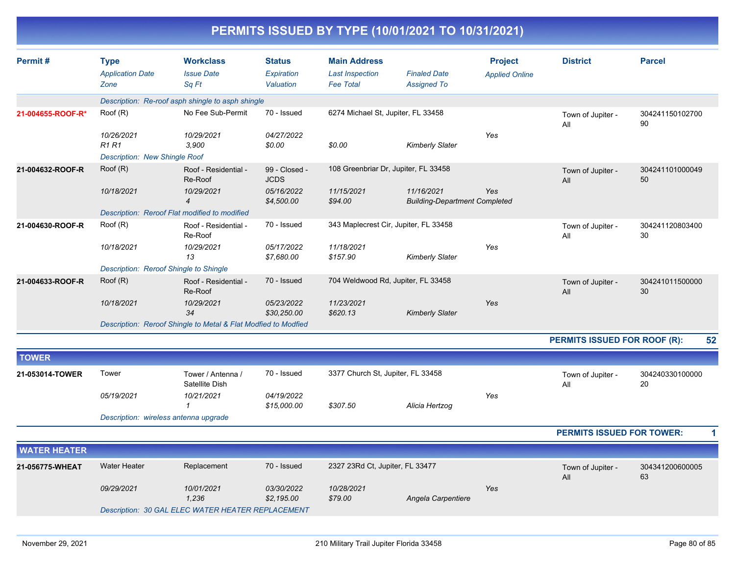| PERMITS ISSUED BY TYPE (10/01/2021 TO 10/31/2021) |
|---------------------------------------------------|
|---------------------------------------------------|

| Permit#           | <b>Type</b><br><b>Application Date</b><br>Zone             | <b>Workclass</b><br><b>Issue Date</b><br>Sq Ft                 | <b>Status</b><br>Expiration<br>Valuation | <b>Main Address</b><br><b>Last Inspection</b><br><b>Fee Total</b> | <b>Finaled Date</b><br><b>Assigned To</b>          | <b>Project</b><br><b>Applied Online</b> | <b>District</b>              | <b>Parcel</b>         |
|-------------------|------------------------------------------------------------|----------------------------------------------------------------|------------------------------------------|-------------------------------------------------------------------|----------------------------------------------------|-----------------------------------------|------------------------------|-----------------------|
|                   |                                                            | Description: Re-roof asph shingle to asph shingle              |                                          |                                                                   |                                                    |                                         |                              |                       |
| 21-004655-ROOF-R* | Root(R)                                                    | No Fee Sub-Permit                                              | 70 - Issued                              | 6274 Michael St, Jupiter, FL 33458                                |                                                    |                                         | Town of Jupiter -<br>All     | 304241150102700<br>90 |
|                   | 10/26/2021<br>R1R1<br><b>Description: New Shingle Roof</b> | 10/29/2021<br>3.900                                            | 04/27/2022<br>\$0.00                     | \$0.00                                                            | <b>Kimberly Slater</b>                             | Yes                                     |                              |                       |
| 21-004632-ROOF-R  | Root(R)                                                    | Roof - Residential -<br>Re-Roof                                | 99 - Closed -<br><b>JCDS</b>             | 108 Greenbriar Dr, Jupiter, FL 33458                              |                                                    |                                         | Town of Jupiter -<br>All     | 304241101000049<br>50 |
|                   | 10/18/2021                                                 | 10/29/2021<br>$\overline{4}$                                   | 05/16/2022<br>\$4,500.00                 | 11/15/2021<br>\$94.00                                             | 11/16/2021<br><b>Building-Department Completed</b> | Yes                                     |                              |                       |
|                   |                                                            | Description: Reroof Flat modified to modified                  |                                          |                                                                   |                                                    |                                         |                              |                       |
| 21-004630-ROOF-R  | Root(R)                                                    | Roof - Residential -<br>Re-Roof                                | 70 - Issued                              | 343 Maplecrest Cir, Jupiter, FL 33458                             |                                                    |                                         | Town of Jupiter -<br>All     | 304241120803400<br>30 |
|                   | 10/18/2021                                                 | 10/29/2021<br>13                                               | 05/17/2022<br>\$7,680.00                 | 11/18/2021<br>\$157.90                                            | <b>Kimberly Slater</b>                             | Yes                                     |                              |                       |
|                   | Description: Reroof Shingle to Shingle                     |                                                                |                                          |                                                                   |                                                    |                                         |                              |                       |
| 21-004633-ROOF-R  | Root(R)                                                    | Roof - Residential -<br>Re-Roof                                | 70 - Issued                              | 704 Weldwood Rd, Jupiter, FL 33458                                |                                                    |                                         | Town of Jupiter -<br>All     | 304241011500000<br>30 |
|                   | 10/18/2021                                                 | 10/29/2021<br>34                                               | 05/23/2022<br>\$30,250.00                | 11/23/2021<br>\$620.13                                            | <b>Kimberly Slater</b>                             | Yes                                     |                              |                       |
|                   |                                                            | Description: Reroof Shingle to Metal & Flat Modfied to Modfied |                                          |                                                                   |                                                    |                                         |                              |                       |
|                   |                                                            |                                                                |                                          |                                                                   |                                                    |                                         | PERMITS ISSUED FOR ROOF (R): | 52                    |
| <b>TOWER</b>      |                                                            |                                                                |                                          |                                                                   |                                                    |                                         |                              |                       |
| 21-053014-TOWER   | Tower                                                      | Tower / Antenna /<br>Satellite Dish                            | 70 - Issued                              | 3377 Church St, Jupiter, FL 33458                                 |                                                    |                                         | Town of Jupiter -<br>All     | 304240330100000<br>20 |
|                   | 05/19/2021                                                 | 10/21/2021                                                     | 04/19/2022<br>\$15,000.00                | \$307.50                                                          | Alicia Hertzog                                     | Yes                                     |                              |                       |
|                   | Description: wireless antenna upgrade                      |                                                                |                                          |                                                                   |                                                    |                                         |                              |                       |

**PERMITS ISSUED FOR TOWER: 1**

| <b>NATER HEATER</b> |              |                                                   |                          |                                 |                    |     |                          |                       |
|---------------------|--------------|---------------------------------------------------|--------------------------|---------------------------------|--------------------|-----|--------------------------|-----------------------|
| 21-056775-WHEAT     | Water Heater | Replacement                                       | 70 - Issued              | 2327 23Rd Ct, Jupiter, FL 33477 |                    |     | Town of Jupiter -<br>All | 304341200600005<br>63 |
|                     | 09/29/2021   | 10/01/2021<br>1,236                               | 03/30/2022<br>\$2,195.00 | 10/28/2021<br>\$79.00           | Angela Carpentiere | Yes |                          |                       |
|                     |              | Description: 30 GAL ELEC WATER HEATER REPLACEMENT |                          |                                 |                    |     |                          |                       |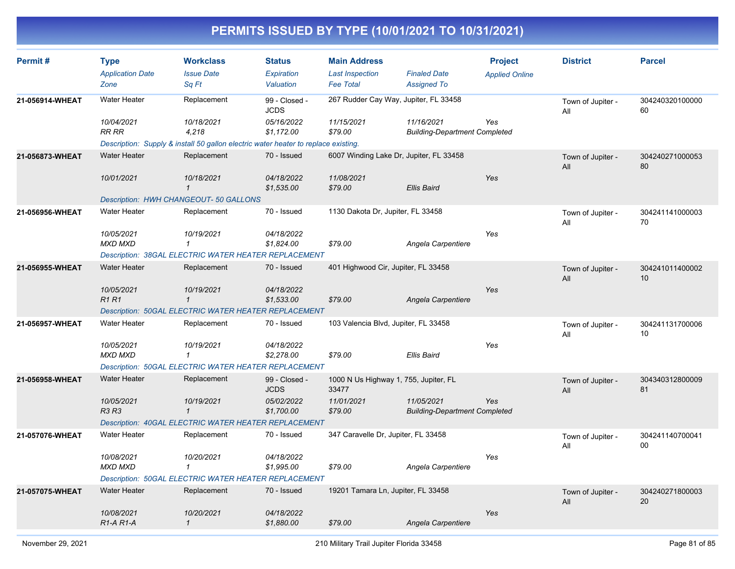| Permit#         | <b>Type</b><br><b>Application Date</b><br>Zone   | <b>Workclass</b><br><b>Issue Date</b><br>Sq Ft                                     | <b>Status</b><br>Expiration<br>Valuation | <b>Main Address</b><br><b>Last Inspection</b><br><b>Fee Total</b> | <b>Finaled Date</b><br><b>Assigned To</b>          | <b>Project</b><br><b>Applied Online</b> | <b>District</b>          | <b>Parcel</b>         |
|-----------------|--------------------------------------------------|------------------------------------------------------------------------------------|------------------------------------------|-------------------------------------------------------------------|----------------------------------------------------|-----------------------------------------|--------------------------|-----------------------|
| 21-056914-WHEAT | <b>Water Heater</b>                              | Replacement                                                                        | 99 - Closed -<br><b>JCDS</b>             | 267 Rudder Cay Way, Jupiter, FL 33458                             |                                                    |                                         | Town of Jupiter -<br>All | 304240320100000<br>60 |
|                 | 10/04/2021<br>RR RR                              | 10/18/2021<br>4,218                                                                | 05/16/2022<br>\$1,172.00                 | 11/15/2021<br>\$79.00                                             | 11/16/2021<br><b>Building-Department Completed</b> | Yes                                     |                          |                       |
|                 | <b>Water Heater</b>                              | Description: Supply & install 50 gallon electric water heater to replace existing. | 70 - Issued                              |                                                                   |                                                    |                                         |                          |                       |
| 21-056873-WHEAT |                                                  | Replacement                                                                        |                                          | 6007 Winding Lake Dr, Jupiter, FL 33458                           |                                                    |                                         | Town of Jupiter -<br>All | 304240271000053<br>80 |
|                 | 10/01/2021                                       | 10/18/2021<br>$\mathcal I$                                                         | 04/18/2022<br>\$1,535.00                 | 11/08/2021<br>\$79.00                                             | <b>Ellis Baird</b>                                 | Yes                                     |                          |                       |
|                 |                                                  | Description: HWH CHANGEOUT- 50 GALLONS                                             |                                          |                                                                   |                                                    |                                         |                          |                       |
| 21-056956-WHEAT | <b>Water Heater</b>                              | Replacement                                                                        | 70 - Issued                              | 1130 Dakota Dr, Jupiter, FL 33458                                 |                                                    |                                         | Town of Jupiter -<br>All | 304241141000003<br>70 |
|                 | 10/05/2021                                       | 10/19/2021                                                                         | 04/18/2022                               |                                                                   |                                                    | Yes                                     |                          |                       |
|                 | <b>MXD MXD</b>                                   | $\boldsymbol{\mathcal{1}}$                                                         | \$1,824.00                               | \$79.00                                                           | Angela Carpentiere                                 |                                         |                          |                       |
|                 |                                                  | <b>Description: 38GAL ELECTRIC WATER HEATER REPLACEMENT</b>                        |                                          |                                                                   |                                                    |                                         |                          |                       |
| 21-056955-WHEAT | <b>Water Heater</b>                              | Replacement                                                                        | 70 - Issued                              | 401 Highwood Cir, Jupiter, FL 33458                               |                                                    |                                         | Town of Jupiter -<br>All | 304241011400002<br>10 |
|                 | 10/05/2021<br><b>R1R1</b>                        | 10/19/2021<br>$\mathbf{1}$                                                         | 04/18/2022<br>\$1,533.00                 | \$79.00                                                           | Angela Carpentiere                                 | Yes                                     |                          |                       |
|                 |                                                  | Description: 50GAL ELECTRIC WATER HEATER REPLACEMENT                               |                                          |                                                                   |                                                    |                                         |                          |                       |
| 21-056957-WHEAT | <b>Water Heater</b>                              | Replacement                                                                        | 70 - Issued                              | 103 Valencia Blvd, Jupiter, FL 33458                              |                                                    |                                         | Town of Jupiter -<br>All | 304241131700006<br>10 |
|                 | 10/05/2021<br><b>MXD MXD</b>                     | 10/19/2021<br>$\mathbf{1}$                                                         | 04/18/2022<br>\$2,278.00                 | \$79.00                                                           | <b>Ellis Baird</b>                                 | Yes                                     |                          |                       |
|                 |                                                  | Description: 50GAL ELECTRIC WATER HEATER REPLACEMENT                               |                                          |                                                                   |                                                    |                                         |                          |                       |
| 21-056958-WHEAT | <b>Water Heater</b>                              | Replacement                                                                        | 99 - Closed -<br><b>JCDS</b>             | 1000 N Us Highway 1, 755, Jupiter, FL<br>33477                    |                                                    |                                         | Town of Jupiter -<br>All | 304340312800009<br>81 |
|                 | 10/05/2021<br><b>R3 R3</b>                       | 10/19/2021<br>$\mathbf{1}$                                                         | 05/02/2022<br>\$1,700.00                 | 11/01/2021<br>\$79.00                                             | 11/05/2021<br><b>Building-Department Completed</b> | Yes                                     |                          |                       |
|                 |                                                  | Description: 40GAL ELECTRIC WATER HEATER REPLACEMENT                               |                                          |                                                                   |                                                    |                                         |                          |                       |
| 21-057076-WHEAT | <b>Water Heater</b>                              | Replacement                                                                        | 70 - Issued                              | 347 Caravelle Dr, Jupiter, FL 33458                               |                                                    |                                         | Town of Jupiter -<br>All | 304241140700041<br>00 |
|                 | 10/08/2021<br><b>MXD MXD</b>                     | 10/20/2021<br>$\mathcal I$                                                         | 04/18/2022<br>\$1,995.00                 | \$79.00                                                           | Angela Carpentiere                                 | Yes                                     |                          |                       |
|                 |                                                  | <b>Description: 50GAL ELECTRIC WATER HEATER REPLACEMENT</b>                        |                                          |                                                                   |                                                    |                                         |                          |                       |
| 21-057075-WHEAT | <b>Water Heater</b>                              | Replacement                                                                        | 70 - Issued                              | 19201 Tamara Ln, Jupiter, FL 33458                                |                                                    |                                         | Town of Jupiter -<br>All | 304240271800003<br>20 |
|                 | 10/08/2021<br>R <sub>1</sub> -A <sub>R1</sub> -A | 10/20/2021<br>$\mathbf{1}$                                                         | 04/18/2022<br>\$1,880.00                 | \$79.00                                                           | Angela Carpentiere                                 | Yes                                     |                          |                       |
|                 |                                                  |                                                                                    |                                          |                                                                   |                                                    |                                         |                          |                       |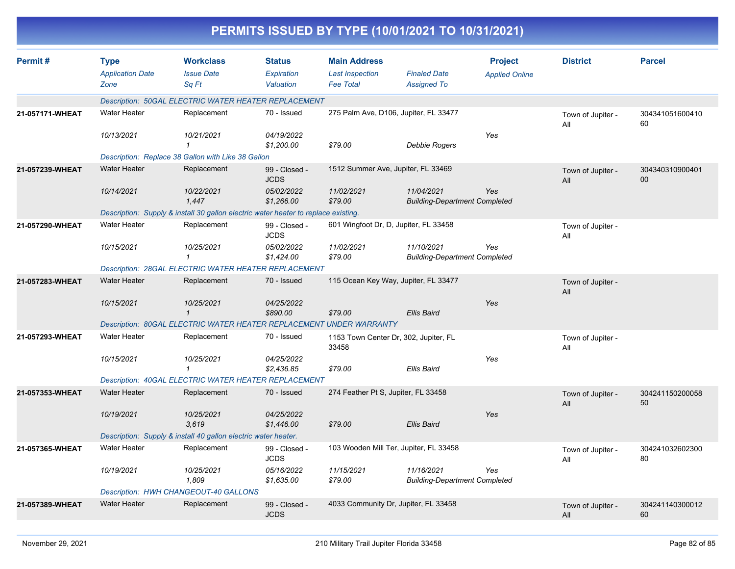|                 |                                                |                                                                                    |                                          |                                                                   | PERMITS ISSUED BY TYPE (10/01/2021 TO 10/31/2021)  |                                         |                          |                       |
|-----------------|------------------------------------------------|------------------------------------------------------------------------------------|------------------------------------------|-------------------------------------------------------------------|----------------------------------------------------|-----------------------------------------|--------------------------|-----------------------|
| Permit#         | <b>Type</b><br><b>Application Date</b><br>Zone | <b>Workclass</b><br><b>Issue Date</b><br>Sq Ft                                     | <b>Status</b><br>Expiration<br>Valuation | <b>Main Address</b><br><b>Last Inspection</b><br><b>Fee Total</b> | <b>Finaled Date</b><br><b>Assigned To</b>          | <b>Project</b><br><b>Applied Online</b> | <b>District</b>          | <b>Parcel</b>         |
|                 |                                                | Description: 50GAL ELECTRIC WATER HEATER REPLACEMENT                               |                                          |                                                                   |                                                    |                                         |                          |                       |
| 21-057171-WHEAT | <b>Water Heater</b>                            | Replacement                                                                        | 70 - Issued                              | 275 Palm Ave, D106, Jupiter, FL 33477                             |                                                    |                                         | Town of Jupiter -<br>All | 304341051600410<br>60 |
|                 | 10/13/2021                                     | 10/21/2021                                                                         | 04/19/2022<br>\$1,200.00                 | \$79.00                                                           | <b>Debbie Rogers</b>                               | Yes                                     |                          |                       |
|                 |                                                | Description: Replace 38 Gallon with Like 38 Gallon                                 |                                          |                                                                   |                                                    |                                         |                          |                       |
| 21-057239-WHEAT | <b>Water Heater</b>                            | Replacement                                                                        | 99 - Closed -<br><b>JCDS</b>             | 1512 Summer Ave, Jupiter, FL 33469                                |                                                    |                                         | Town of Jupiter -<br>All | 304340310900401<br>00 |
|                 | 10/14/2021                                     | 10/22/2021<br>1,447                                                                | 05/02/2022<br>\$1,266.00                 | 11/02/2021<br>\$79.00                                             | 11/04/2021<br><b>Building-Department Completed</b> | Yes                                     |                          |                       |
|                 |                                                | Description: Supply & install 30 gallon electric water heater to replace existing. |                                          |                                                                   |                                                    |                                         |                          |                       |
| 21-057290-WHEAT | <b>Water Heater</b>                            | Replacement                                                                        | 99 - Closed -<br><b>JCDS</b>             | 601 Wingfoot Dr, D, Jupiter, FL 33458                             |                                                    |                                         | Town of Jupiter -<br>All |                       |
|                 | 10/15/2021                                     | 10/25/2021<br>1                                                                    | 05/02/2022<br>\$1,424.00                 | 11/02/2021<br>\$79.00                                             | 11/10/2021<br><b>Building-Department Completed</b> | Yes                                     |                          |                       |
|                 |                                                | <b>Description: 28GAL ELECTRIC WATER HEATER REPLACEMENT</b>                        |                                          |                                                                   |                                                    |                                         |                          |                       |
| 21-057283-WHEAT | <b>Water Heater</b>                            | Replacement                                                                        | 70 - Issued                              | 115 Ocean Key Way, Jupiter, FL 33477                              |                                                    |                                         | Town of Jupiter -<br>All |                       |
|                 | 10/15/2021                                     | 10/25/2021<br>$\mathbf{1}$                                                         | 04/25/2022<br>\$890.00                   | \$79.00                                                           | <b>Ellis Baird</b>                                 | Yes                                     |                          |                       |
|                 |                                                | Description: 80GAL ELECTRIC WATER HEATER REPLACEMENT UNDER WARRANTY                |                                          |                                                                   |                                                    |                                         |                          |                       |
| 21-057293-WHEAT | Water Heater                                   | Replacement                                                                        | 70 - Issued                              | 1153 Town Center Dr, 302, Jupiter, FL<br>33458                    |                                                    |                                         | Town of Jupiter -<br>All |                       |
|                 | 10/15/2021                                     | 10/25/2021<br>1                                                                    | 04/25/2022<br>\$2,436.85                 | \$79.00                                                           | <b>Ellis Baird</b>                                 | Yes                                     |                          |                       |
|                 |                                                | <b>Description: 40GAL ELECTRIC WATER HEATER REPLACEMENT</b>                        |                                          |                                                                   |                                                    |                                         |                          |                       |
| 21-057353-WHEAT | <b>Water Heater</b>                            | Replacement                                                                        | 70 - Issued                              | 274 Feather Pt S, Jupiter, FL 33458                               |                                                    |                                         | Town of Jupiter -<br>All | 304241150200058<br>50 |
|                 | 10/19/2021                                     | 10/25/2021<br>3,619                                                                | 04/25/2022<br>\$1,446.00                 | \$79.00                                                           | Ellis Baird                                        | Yes                                     |                          |                       |
|                 |                                                | Description: Supply & install 40 gallon electric water heater.                     |                                          |                                                                   |                                                    |                                         |                          |                       |
| 21-057365-WHEAT | Water Heater                                   | Replacement                                                                        | 99 - Closed -<br><b>JCDS</b>             | 103 Wooden Mill Ter, Jupiter, FL 33458                            |                                                    |                                         | Town of Jupiter -<br>All | 304241032602300<br>80 |
|                 | 10/19/2021                                     | 10/25/2021<br>1,809                                                                | 05/16/2022<br>\$1,635.00                 | 11/15/2021<br>\$79.00                                             | 11/16/2021<br><b>Building-Department Completed</b> | Yes                                     |                          |                       |
|                 |                                                | Description: HWH CHANGEOUT-40 GALLONS                                              |                                          |                                                                   |                                                    |                                         |                          |                       |
| 21-057389-WHEAT | Water Heater                                   | Replacement                                                                        | 99 - Closed -<br><b>JCDS</b>             | 4033 Community Dr, Jupiter, FL 33458                              |                                                    |                                         | Town of Jupiter -<br>All | 304241140300012<br>60 |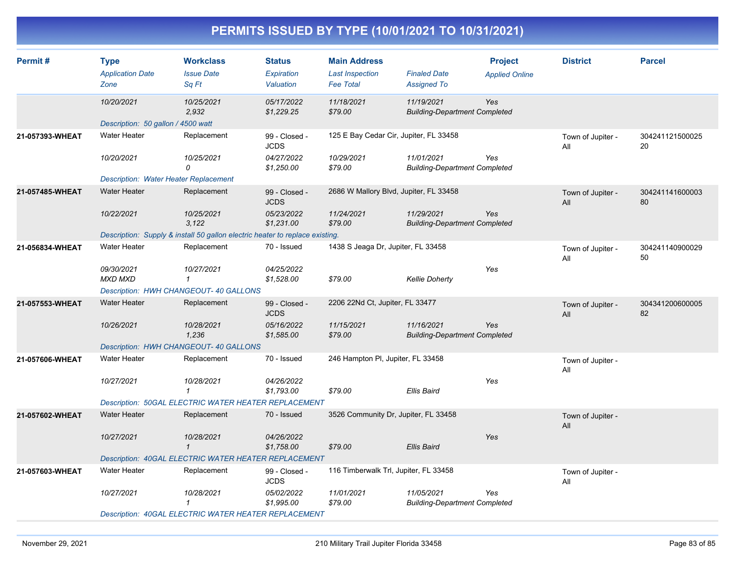| Permit#         | <b>Type</b><br><b>Application Date</b><br>Zone | <b>Workclass</b><br><b>Issue Date</b><br>Sq Ft                               | <b>Status</b><br>Expiration<br>Valuation | <b>Main Address</b><br><b>Last Inspection</b><br><b>Fee Total</b> | <b>Finaled Date</b><br><b>Assigned To</b>          | <b>Project</b><br><b>Applied Online</b> | <b>District</b>          | <b>Parcel</b>         |
|-----------------|------------------------------------------------|------------------------------------------------------------------------------|------------------------------------------|-------------------------------------------------------------------|----------------------------------------------------|-----------------------------------------|--------------------------|-----------------------|
|                 | 10/20/2021                                     | 10/25/2021<br>2,932                                                          | 05/17/2022<br>\$1,229.25                 | 11/18/2021<br>\$79.00                                             | 11/19/2021<br><b>Building-Department Completed</b> | Yes                                     |                          |                       |
|                 | Description: 50 gallon / 4500 watt             |                                                                              |                                          |                                                                   |                                                    |                                         |                          |                       |
| 21-057393-WHEAT | <b>Water Heater</b>                            | Replacement                                                                  | 99 - Closed -<br><b>JCDS</b>             | 125 E Bay Cedar Cir, Jupiter, FL 33458                            |                                                    |                                         | Town of Jupiter -<br>All | 304241121500025<br>20 |
|                 | 10/20/2021                                     | 10/25/2021<br>0                                                              | 04/27/2022<br>\$1,250.00                 | 10/29/2021<br>\$79.00                                             | 11/01/2021<br><b>Building-Department Completed</b> | Yes                                     |                          |                       |
|                 | <b>Description: Water Heater Replacement</b>   |                                                                              |                                          |                                                                   |                                                    |                                         |                          |                       |
| 21-057485-WHEAT | <b>Water Heater</b>                            | Replacement                                                                  | 99 - Closed -<br><b>JCDS</b>             | 2686 W Mallory Blvd, Jupiter, FL 33458                            |                                                    |                                         | Town of Jupiter -<br>All | 304241141600003<br>80 |
|                 | 10/22/2021                                     | 10/25/2021<br>3,122                                                          | 05/23/2022<br>\$1,231.00                 | 11/24/2021<br>\$79.00                                             | 11/29/2021<br><b>Building-Department Completed</b> | <b>Yes</b>                              |                          |                       |
|                 |                                                | Description: Supply & install 50 gallon electric heater to replace existing. |                                          |                                                                   |                                                    |                                         |                          |                       |
| 21-056834-WHEAT | <b>Water Heater</b>                            | Replacement                                                                  | 70 - Issued                              | 1438 S Jeaga Dr, Jupiter, FL 33458                                |                                                    |                                         | Town of Jupiter -<br>All | 304241140900029<br>50 |
|                 | 09/30/2021<br><b>MXD MXD</b>                   | 10/27/2021<br>$\mathbf{1}$                                                   | 04/25/2022<br>\$1,528.00                 | \$79.00                                                           | <b>Kellie Doherty</b>                              | Yes                                     |                          |                       |
|                 |                                                | Description: HWH CHANGEOUT- 40 GALLONS                                       |                                          |                                                                   |                                                    |                                         |                          |                       |
| 21-057553-WHEAT | <b>Water Heater</b>                            | Replacement                                                                  | 99 - Closed -<br><b>JCDS</b>             | 2206 22Nd Ct, Jupiter, FL 33477                                   |                                                    |                                         | Town of Jupiter -<br>All | 304341200600005<br>82 |
|                 | 10/26/2021                                     | 10/28/2021<br>1,236                                                          | 05/16/2022<br>\$1,585.00                 | 11/15/2021<br>\$79.00                                             | 11/16/2021<br><b>Building-Department Completed</b> | Yes                                     |                          |                       |
|                 |                                                | Description: HWH CHANGEOUT- 40 GALLONS                                       |                                          |                                                                   |                                                    |                                         |                          |                       |
| 21-057606-WHEAT | <b>Water Heater</b>                            | Replacement                                                                  | 70 - Issued                              | 246 Hampton PI, Jupiter, FL 33458                                 |                                                    |                                         | Town of Jupiter -<br>All |                       |
|                 | 10/27/2021                                     | 10/28/2021<br>$\mathbf{1}$                                                   | 04/26/2022<br>\$1,793.00                 | \$79.00                                                           | Ellis Baird                                        | Yes                                     |                          |                       |
|                 |                                                | Description: 50GAL ELECTRIC WATER HEATER REPLACEMENT                         |                                          |                                                                   |                                                    |                                         |                          |                       |
| 21-057602-WHEAT | <b>Water Heater</b>                            | Replacement                                                                  | 70 - Issued                              | 3526 Community Dr, Jupiter, FL 33458                              |                                                    |                                         | Town of Jupiter -<br>All |                       |
|                 | 10/27/2021                                     | 10/28/2021<br>$\mathbf{1}$                                                   | 04/26/2022<br>\$1,758.00                 | \$79.00                                                           | Ellis Baird                                        | Yes                                     |                          |                       |
|                 |                                                | Description: 40GAL ELECTRIC WATER HEATER REPLACEMENT                         |                                          |                                                                   |                                                    |                                         |                          |                       |
| 21-057603-WHEAT | <b>Water Heater</b>                            | Replacement                                                                  | 99 - Closed -<br><b>JCDS</b>             | 116 Timberwalk Trl, Jupiter, FL 33458                             |                                                    |                                         | Town of Jupiter -<br>All |                       |
|                 | 10/27/2021                                     | 10/28/2021<br>$\mathcal I$                                                   | 05/02/2022<br>\$1,995.00                 | 11/01/2021<br>\$79.00                                             | 11/05/2021<br><b>Building-Department Completed</b> | Yes                                     |                          |                       |
|                 |                                                | <b>Description: 40GAL ELECTRIC WATER HEATER REPLACEMENT</b>                  |                                          |                                                                   |                                                    |                                         |                          |                       |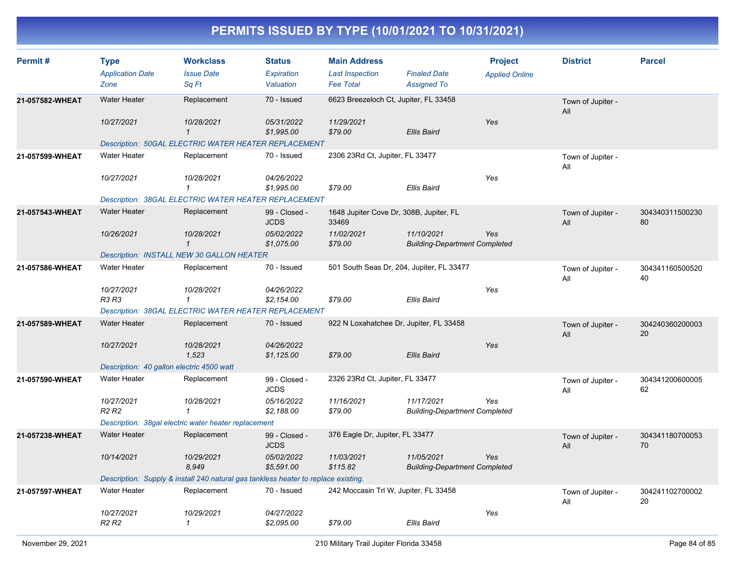| Permit#         | <b>Type</b><br><b>Application Date</b><br>Zone | <b>Workclass</b><br><b>Issue Date</b><br>Sq Ft                                     | <b>Status</b><br>Expiration<br>Valuation | <b>Main Address</b><br><b>Last Inspection</b><br><b>Fee Total</b> | <b>Finaled Date</b><br><b>Assigned To</b>          | <b>Project</b><br><b>Applied Online</b> | <b>District</b>          | <b>Parcel</b>         |  |
|-----------------|------------------------------------------------|------------------------------------------------------------------------------------|------------------------------------------|-------------------------------------------------------------------|----------------------------------------------------|-----------------------------------------|--------------------------|-----------------------|--|
| 21-057582-WHEAT | <b>Water Heater</b>                            | Replacement                                                                        | 70 - Issued                              | 6623 Breezeloch Ct, Jupiter, FL 33458                             |                                                    |                                         | Town of Jupiter -<br>All |                       |  |
|                 | 10/27/2021                                     | 10/28/2021<br>$\mathbf{1}$                                                         | 05/31/2022<br>\$1,995.00                 | 11/29/2021<br>\$79.00                                             | <b>Ellis Baird</b>                                 | Yes                                     |                          |                       |  |
|                 |                                                | Description: 50GAL ELECTRIC WATER HEATER REPLACEMENT                               |                                          |                                                                   |                                                    |                                         |                          |                       |  |
| 21-057599-WHEAT | <b>Water Heater</b>                            | Replacement                                                                        | 70 - Issued                              | 2306 23Rd Ct, Jupiter, FL 33477                                   |                                                    |                                         | Town of Jupiter -<br>All |                       |  |
|                 | 10/27/2021                                     | 10/28/2021                                                                         | 04/26/2022<br>\$1,995.00                 | \$79.00                                                           | Ellis Baird                                        | Yes                                     |                          |                       |  |
|                 |                                                | <b>Description: 38GAL ELECTRIC WATER HEATER REPLACEMENT</b>                        |                                          |                                                                   |                                                    |                                         |                          |                       |  |
| 21-057543-WHEAT | <b>Water Heater</b>                            | Replacement                                                                        | 99 - Closed -<br><b>JCDS</b>             | 1648 Jupiter Cove Dr, 308B, Jupiter, FL<br>33469                  |                                                    |                                         | Town of Jupiter -<br>All | 304340311500230<br>80 |  |
|                 | 10/26/2021                                     | 10/28/2021<br>$\mathbf{1}$                                                         | 05/02/2022<br>\$1,075.00                 | 11/02/2021<br>\$79.00                                             | 11/10/2021<br><b>Building-Department Completed</b> | Yes                                     |                          |                       |  |
|                 |                                                | Description: INSTALL NEW 30 GALLON HEATER                                          |                                          |                                                                   |                                                    |                                         |                          |                       |  |
| 21-057586-WHEAT | <b>Water Heater</b>                            | Replacement                                                                        | 70 - Issued                              | 501 South Seas Dr, 204, Jupiter, FL 33477                         |                                                    |                                         | Town of Jupiter -<br>All | 304341160500520<br>40 |  |
|                 | 10/27/2021<br><b>R3 R3</b>                     | 10/28/2021<br>$\mathbf{1}$                                                         | 04/26/2022<br>\$2,154.00                 | \$79.00                                                           | <b>Ellis Baird</b>                                 | Yes                                     |                          |                       |  |
|                 |                                                | <b>Description: 38GAL ELECTRIC WATER HEATER REPLACEMENT</b>                        |                                          |                                                                   |                                                    |                                         |                          |                       |  |
| 21-057589-WHEAT | <b>Water Heater</b>                            | Replacement                                                                        | 70 - Issued                              | 922 N Loxahatchee Dr, Jupiter, FL 33458                           |                                                    |                                         | Town of Jupiter -<br>All | 304240360200003<br>20 |  |
|                 | 10/27/2021                                     | 10/28/2021<br>1,523                                                                | 04/26/2022<br>\$1,125.00                 | \$79.00                                                           | Ellis Baird                                        | Yes                                     |                          |                       |  |
|                 | Description: 40 gallon electric 4500 watt      |                                                                                    |                                          |                                                                   |                                                    |                                         |                          |                       |  |
| 21-057590-WHEAT | <b>Water Heater</b>                            | Replacement                                                                        | 99 - Closed -<br><b>JCDS</b>             | 2326 23Rd Ct, Jupiter, FL 33477                                   |                                                    |                                         | Town of Jupiter -<br>All | 304341200600005<br>62 |  |
|                 | 10/27/2021<br>R <sub>2</sub> R <sub>2</sub>    | 10/28/2021<br>1                                                                    | 05/16/2022<br>\$2,188.00                 | 11/16/2021<br>\$79.00                                             | 11/17/2021<br><b>Building-Department Completed</b> | Yes                                     |                          |                       |  |
|                 |                                                | Description: 38gal electric water heater replacement                               |                                          |                                                                   |                                                    |                                         |                          |                       |  |
| 21-057238-WHEAT | <b>Water Heater</b>                            | Replacement                                                                        | 99 - Closed -<br><b>JCDS</b>             | 376 Eagle Dr, Jupiter, FL 33477                                   |                                                    |                                         | Town of Jupiter -<br>All | 304341180700053<br>70 |  |
|                 | 10/14/2021                                     | 10/29/2021<br>8,949                                                                | 05/02/2022<br>\$5,591.00                 | 11/03/2021<br>\$115.82                                            | 11/05/2021<br><b>Building-Department Completed</b> | Yes                                     |                          |                       |  |
|                 |                                                | Description: Supply & install 240 natural gas tankless heater to replace existing. |                                          |                                                                   |                                                    |                                         |                          |                       |  |
| 21-057597-WHEAT | <b>Water Heater</b>                            | Replacement                                                                        | 70 - Issued                              | 242 Moccasin Trl W, Jupiter, FL 33458                             |                                                    |                                         | Town of Jupiter -<br>All | 304241102700002<br>20 |  |
|                 | 10/27/2021<br><b>R2 R2</b>                     | 10/29/2021<br>1                                                                    | 04/27/2022<br>\$2,095.00                 | \$79.00                                                           | Ellis Baird                                        | Yes                                     |                          |                       |  |